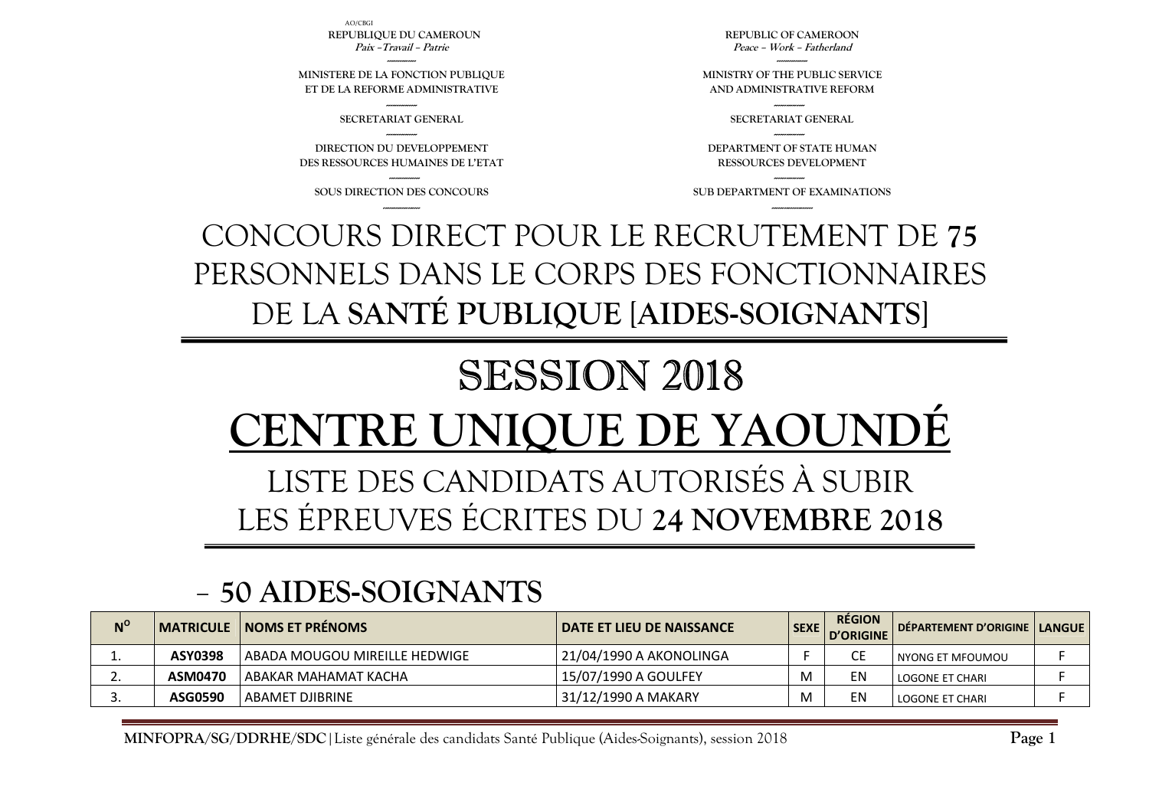| $N^{\circ}$ |         | <b>MATRICULE   NOMS ET PRÉNOMS</b> | I DATE ET LIEU DE NAISSANCE | <b>SEXE</b> | <b>RÉGION</b><br>D'ORIGINE | DÉPARTEMENT D'ORIGINE   LANGUE |  |
|-------------|---------|------------------------------------|-----------------------------|-------------|----------------------------|--------------------------------|--|
| <b>.</b>    | ASY0398 | l ABADA MOUGOU MIREILLE HEDWIGE    | 21/04/1990 A AKONOLINGA     |             |                            | l nyong et mfoumou             |  |
|             | ASM0470 | l ABAKAR MAHAMAT KACHA             | 15/07/1990 A GOULFEY        |             | ΕN                         | LOGONE ET CHARI                |  |
|             | ASG0590 | ABAMET DJIBRINE                    | 31/12/1990 A MAKARY         |             | ΕN                         | <b>LOGONE ET CHARL</b>         |  |

#### -**50 AIDES-SOIGNANTS**

# LISTE DES CANDIDATS AUTORISÉS À SUBIR LES ÉPREUVES ÉCRITES DU **24 NOVEMBRE 2018**

# SESSION 2018 **TRE UNIOUE DE YAOUN**

## CONCOURS DIRECT POUR LE RECRUTEMENT DE **75** PERSONNELS DANS LE CORPS DES FONCTIONNAIRES DE LA **SANTÉ PUBLIQUE** [**AIDES-SOIGNANTS**]

**--------------- SOUS DIRECTION DES CONCOURS ------------------** 

**--------------- DIRECTION DU DEVELOPPEMENT DES RESSOURCES HUMAINES DE L'ETAT** 

**--------------- SECRETARIAT GENERAL** 

**-------------- MINISTERE DE LA FONCTION PUBLIQUE ET DE LA REFORME ADMINISTRATIVE** 

AO/CBGI**REPUBLIQUE DU CAMEROUN Paix –Travail – Patrie** 

> **--------------- SUB DEPARTMENT OF EXAMINATIONS --------------------**

**DEPARTMENT OF STATE HUMAN RESSOURCES DEVELOPMENT** 

**--------------- SECRETARIAT GENERAL ---------------** 

**--------------- MINISTRY OF THE PUBLIC SERVICE AND ADMINISTRATIVE REFORM** 

 **REPUBLIC OF CAMEROON Peace – Work – Fatherland** 

**Page 1**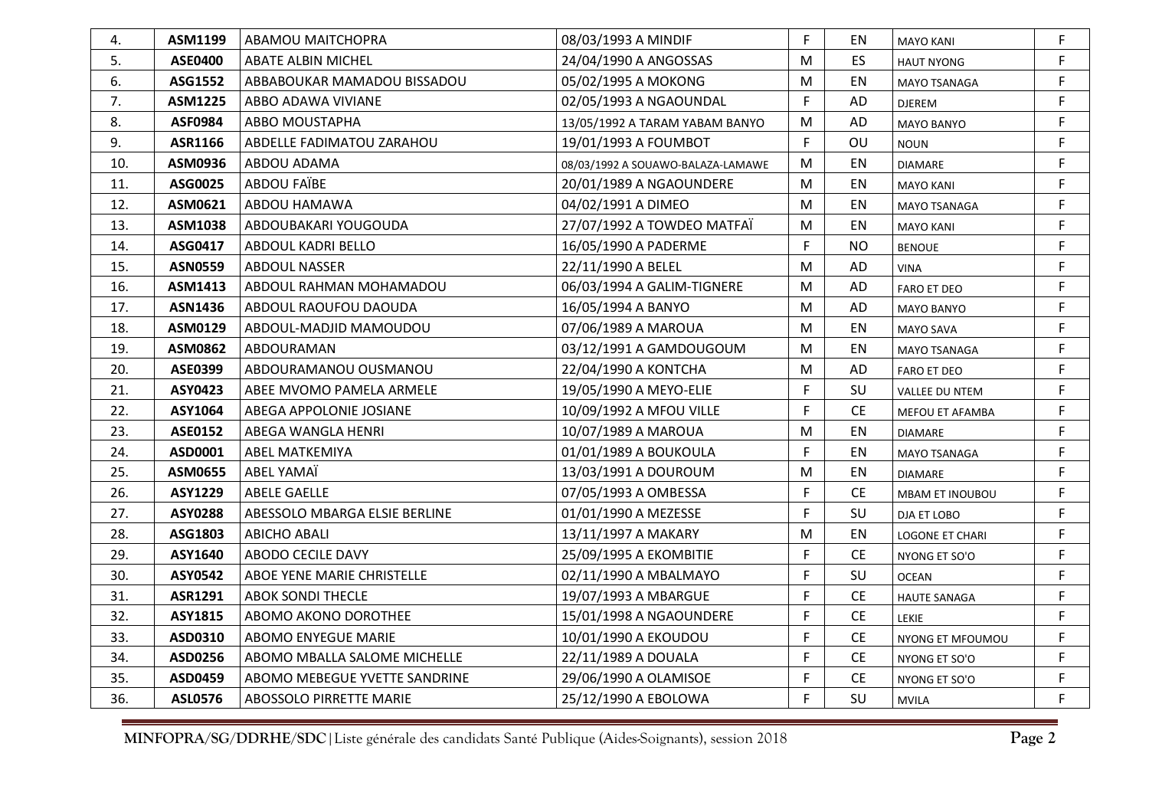| 4.  | ASM1199        | ABAMOU MAITCHOPRA             | 08/03/1993 A MINDIF               | F  | EN        | <b>MAYO KANI</b>       | F  |
|-----|----------------|-------------------------------|-----------------------------------|----|-----------|------------------------|----|
| 5.  | <b>ASE0400</b> | <b>ABATE ALBIN MICHEL</b>     | 24/04/1990 A ANGOSSAS             | M  | <b>ES</b> | <b>HAUT NYONG</b>      | F. |
| 6.  | ASG1552        | ABBABOUKAR MAMADOU BISSADOU   | 05/02/1995 A MOKONG               | M  | EN        | MAYO TSANAGA           | F. |
| 7.  | <b>ASM1225</b> | ABBO ADAWA VIVIANE            | 02/05/1993 A NGAOUNDAL            | F  | AD        | <b>DJEREM</b>          | F. |
| 8.  | <b>ASF0984</b> | ABBO MOUSTAPHA                | 13/05/1992 A TARAM YABAM BANYO    | M  | AD        | <b>MAYO BANYO</b>      | F. |
| 9.  | ASR1166        | ABDELLE FADIMATOU ZARAHOU     | 19/01/1993 A FOUMBOT              | F  | OU        | <b>NOUN</b>            | F. |
| 10. | ASM0936        | ABDOU ADAMA                   | 08/03/1992 A SOUAWO-BALAZA-LAMAWE | M  | EN        | <b>DIAMARE</b>         | F. |
| 11. | ASG0025        | ABDOU FAIBE                   | 20/01/1989 A NGAOUNDERE           | M  | EN        | <b>MAYO KANI</b>       | F. |
| 12. | ASM0621        | ABDOU HAMAWA                  | 04/02/1991 A DIMEO                | M  | EN        | MAYO TSANAGA           | F  |
| 13. | ASM1038        | ABDOUBAKARI YOUGOUDA          | 27/07/1992 A TOWDEO MATFAÏ        | M  | EN        | <b>MAYO KANI</b>       | F  |
| 14. | ASG0417        | ABDOUL KADRI BELLO            | 16/05/1990 A PADERME              | F  | <b>NO</b> | <b>BENOUE</b>          | F. |
| 15. | <b>ASN0559</b> | <b>ABDOUL NASSER</b>          | 22/11/1990 A BELEL                | M  | AD        | <b>VINA</b>            | F. |
| 16. | ASM1413        | ABDOUL RAHMAN MOHAMADOU       | 06/03/1994 A GALIM-TIGNERE        | M  | AD        | <b>FARO ET DEO</b>     | F  |
| 17. | <b>ASN1436</b> | ABDOUL RAOUFOU DAOUDA         | 16/05/1994 A BANYO                | M  | AD        | <b>MAYO BANYO</b>      | F. |
| 18. | ASM0129        | ABDOUL-MADJID MAMOUDOU        | 07/06/1989 A MAROUA               | M  | EN        | <b>MAYO SAVA</b>       | F. |
| 19. | <b>ASM0862</b> | ABDOURAMAN                    | 03/12/1991 A GAMDOUGOUM           | M  | EN        | MAYO TSANAGA           | F. |
| 20. | <b>ASE0399</b> | ABDOURAMANOU OUSMANOU         | 22/04/1990 A KONTCHA              | M  | AD        | <b>FARO ET DEO</b>     | F  |
| 21. | ASY0423        | ABEE MVOMO PAMELA ARMELE      | 19/05/1990 A MEYO-ELIE            | F  | SU        | <b>VALLEE DU NTEM</b>  | F  |
| 22. | ASY1064        | ABEGA APPOLONIE JOSIANE       | 10/09/1992 A MFOU VILLE           | F. | <b>CE</b> | MEFOU ET AFAMBA        | F. |
| 23. | <b>ASE0152</b> | ABEGA WANGLA HENRI            | 10/07/1989 A MAROUA               | M  | EN        | <b>DIAMARE</b>         | F. |
| 24. | ASD0001        | <b>ABEL MATKEMIYA</b>         | 01/01/1989 A BOUKOULA             | F  | EN        | MAYO TSANAGA           | F. |
| 25. | <b>ASM0655</b> | ABEL YAMAÏ                    | 13/03/1991 A DOUROUM              | M  | EN        | <b>DIAMARE</b>         | F. |
| 26. | <b>ASY1229</b> | ABELE GAELLE                  | 07/05/1993 A OMBESSA              | F  | <b>CE</b> | MBAM ET INOUBOU        | F. |
| 27. | <b>ASY0288</b> | ABESSOLO MBARGA ELSIE BERLINE | 01/01/1990 A MEZESSE              | F. | SU        | DJA ET LOBO            | F. |
| 28. | ASG1803        | ABICHO ABALI                  | 13/11/1997 A MAKARY               | M  | EN        | <b>LOGONE ET CHARI</b> | F. |
| 29. | ASY1640        | ABODO CECILE DAVY             | 25/09/1995 A EKOMBITIE            | F  | <b>CE</b> | NYONG ET SO'O          | F  |
| 30. | ASY0542        | ABOE YENE MARIE CHRISTELLE    | 02/11/1990 A MBALMAYO             | F  | SU        | <b>OCEAN</b>           | F. |
| 31. | ASR1291        | <b>ABOK SONDI THECLE</b>      | 19/07/1993 A MBARGUE              | F  | <b>CE</b> | <b>HAUTE SANAGA</b>    | F. |
| 32. | ASY1815        | ABOMO AKONO DOROTHEE          | 15/01/1998 A NGAOUNDERE           | F  | <b>CE</b> | <b>LEKIE</b>           | F. |
| 33. | ASD0310        | ABOMO ENYEGUE MARIE           | 10/01/1990 A EKOUDOU              | F  | <b>CE</b> | NYONG ET MFOUMOU       | F  |
| 34. | ASD0256        | ABOMO MBALLA SALOME MICHELLE  | 22/11/1989 A DOUALA               | F  | CE        | NYONG ET SO'O          | F. |
| 35. | ASD0459        | ABOMO MEBEGUE YVETTE SANDRINE | 29/06/1990 A OLAMISOE             | F  | <b>CE</b> | NYONG ET SO'O          | F. |
| 36. | <b>ASL0576</b> | ABOSSOLO PIRRETTE MARIE       | 25/12/1990 A EBOLOWA              | F  | SU        | <b>MVILA</b>           | F. |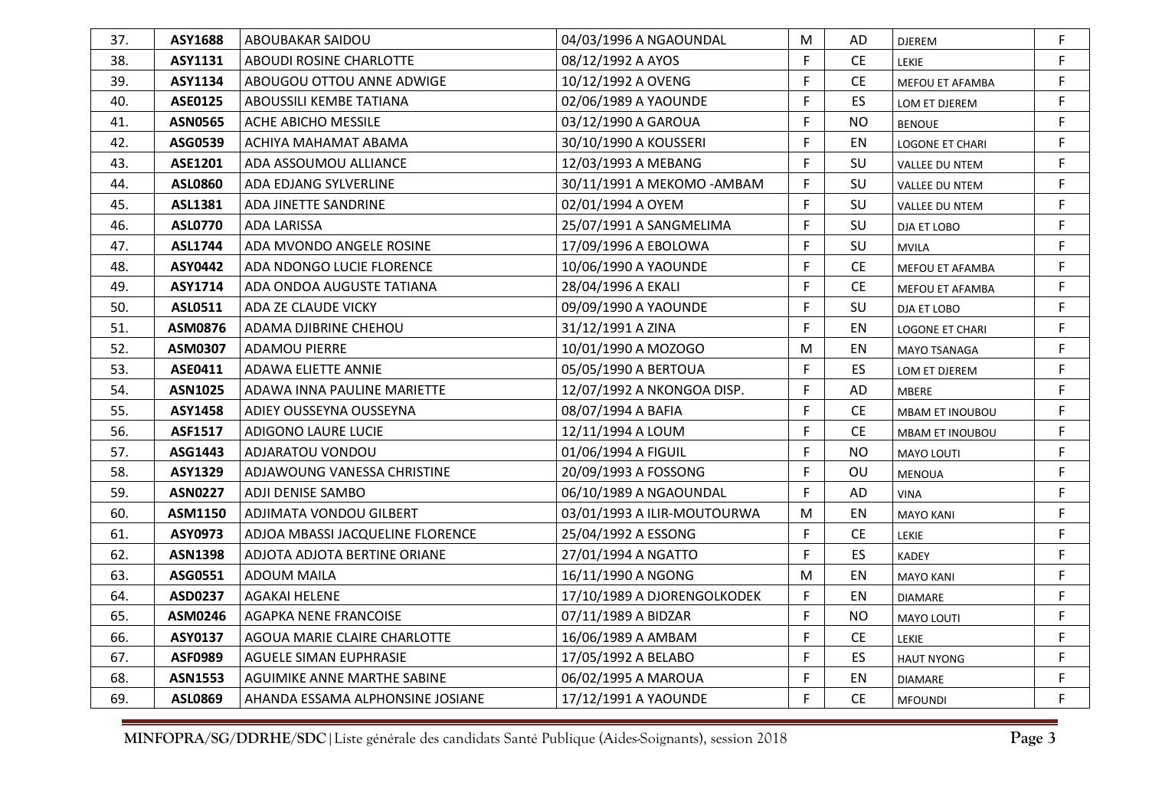| 37. | ASY1688        | <b>ABOUBAKAR SAIDOU</b>          | 04/03/1996 A NGAOUNDAL      | M  | AD                            | DJEREM                 | F.          |
|-----|----------------|----------------------------------|-----------------------------|----|-------------------------------|------------------------|-------------|
| 38. | ASY1131        | ABOUDI ROSINE CHARLOTTE          | 08/12/1992 A AYOS           | F  | <b>CE</b>                     | <b>LEKIE</b>           | F.          |
| 39. | ASY1134        | ABOUGOU OTTOU ANNE ADWIGE        | 10/12/1992 A OVENG          | F  | <b>CE</b>                     | MEFOU ET AFAMBA        | F.          |
| 40. | ASE0125        | ABOUSSILI KEMBE TATIANA          | 02/06/1989 A YAOUNDE        | F  | <b>ES</b>                     | LOM ET DJEREM          | F.          |
| 41. | <b>ASN0565</b> | ACHE ABICHO MESSILE              | 03/12/1990 A GAROUA         | F  | <b>NO</b>                     | <b>BENOUE</b>          | F.          |
| 42. | ASG0539        | ACHIYA MAHAMAT ABAMA             | 30/10/1990 A KOUSSERI       | F  | EN.                           | <b>LOGONE ET CHARI</b> | F.          |
| 43. | ASE1201        | ADA ASSOUMOU ALLIANCE            | 12/03/1993 A MEBANG         | F. | SU                            | VALLEE DU NTEM         | F.          |
| 44. | <b>ASL0860</b> | ADA EDJANG SYLVERLINE            | 30/11/1991 A MEKOMO - AMBAM | F  | SU                            | VALLEE DU NTEM         | F.          |
| 45. | ASL1381        | ADA JINETTE SANDRINE             | 02/01/1994 A OYEM           | F. | SU                            | VALLEE DU NTEM         | $\mathsf F$ |
| 46. | <b>ASL0770</b> | <b>ADA LARISSA</b>               | 25/07/1991 A SANGMELIMA     | F  | SU.                           | DJA ET LOBO            | F.          |
| 47. | <b>ASL1744</b> | ADA MVONDO ANGELE ROSINE         | 17/09/1996 A EBOLOWA        | F  | SU                            | <b>MVILA</b>           | F.          |
| 48. | ASY0442        | ADA NDONGO LUCIE FLORENCE        | 10/06/1990 A YAOUNDE        | F  | <b>CE</b>                     | MEFOU ET AFAMBA        | F.          |
| 49. | ASY1714        | ADA ONDOA AUGUSTE TATIANA        | 28/04/1996 A EKALI          | F  | <b>CE</b>                     | MEFOU ET AFAMBA        | F.          |
| 50. | <b>ASL0511</b> | ADA ZE CLAUDE VICKY              | 09/09/1990 A YAOUNDE        | F  | SU                            | DJA ET LOBO            | F.          |
| 51. | <b>ASM0876</b> | ADAMA DJIBRINE CHEHOU            | 31/12/1991 A ZINA           | F  | EN                            | LOGONE ET CHARI        | F.          |
| 52. | ASM0307        | <b>ADAMOU PIERRE</b>             | 10/01/1990 A MOZOGO         | M  | EN                            | MAYO TSANAGA           | F           |
| 53. | ASE0411        | ADAWA ELIETTE ANNIE              | 05/05/1990 A BERTOUA        | F  | ES.                           | LOM ET DJEREM          | F.          |
| 54. | <b>ASN1025</b> | ADAWA INNA PAULINE MARIETTE      | 12/07/1992 A NKONGOA DISP.  | F  | AD                            | <b>MBERE</b>           | F.          |
| 55. | <b>ASY1458</b> | ADIEY OUSSEYNA OUSSEYNA          | 08/07/1994 A BAFIA          | F  | <b>CE</b>                     | <b>MBAM ET INOUBOU</b> | F.          |
| 56. | <b>ASF1517</b> | ADIGONO LAURE LUCIE              | 12/11/1994 A LOUM           | F  | <b>CE</b>                     | <b>MBAM ET INOUBOU</b> | F.          |
| 57. | ASG1443        | ADJARATOU VONDOU                 | 01/06/1994 A FIGUIL         | F  | <b>NO</b>                     | <b>MAYO LOUTI</b>      | F.          |
| 58. | <b>ASY1329</b> | ADJAWOUNG VANESSA CHRISTINE      | 20/09/1993 A FOSSONG        | F  | OU                            | <b>MENOUA</b>          | F.          |
| 59. | <b>ASN0227</b> | ADJI DENISE SAMBO                | 06/10/1989 A NGAOUNDAL      | F  | AD                            | <b>VINA</b>            | F.          |
| 60. | ASM1150        | ADJIMATA VONDOU GILBERT          | 03/01/1993 A ILIR-MOUTOURWA | M  | EN                            | <b>MAYO KANI</b>       | F.          |
| 61. | ASY0973        | ADJOA MBASSI JACQUELINE FLORENCE | 25/04/1992 A ESSONG         | F  | <b>CE</b>                     | LEKIE                  | F.          |
| 62. | <b>ASN1398</b> | ADJOTA ADJOTA BERTINE ORIANE     | 27/01/1994 A NGATTO         | F  | ES                            | <b>KADEY</b>           | F.          |
| 63. | ASG0551        | <b>ADOUM MAILA</b>               | 16/11/1990 A NGONG          | M  | EN                            | <b>MAYO KANI</b>       | F.          |
| 64. | ASD0237        | <b>AGAKAI HELENE</b>             | 17/10/1989 A DJORENGOLKODEK | F  | EN                            | <b>DIAMARE</b>         | F.          |
| 65. | ASM0246        | AGAPKA NENE FRANCOISE            | 07/11/1989 A BIDZAR         | F  | <b>NO</b>                     | MAYO LOUTI             | F.          |
| 66. | ASY0137        | AGOUA MARIE CLAIRE CHARLOTTE     | 16/06/1989 A AMBAM          | F  | $\mathsf{CE}% _{\mathcal{A}}$ | LEKIE                  | F.          |
| 67. | ASF0989        | AGUELE SIMAN EUPHRASIE           | 17/05/1992 A BELABO         | F  | <b>ES</b>                     | <b>HAUT NYONG</b>      | F.          |
| 68. | <b>ASN1553</b> | AGUIMIKE ANNE MARTHE SABINE      | 06/02/1995 A MAROUA         | F  | EN                            | <b>DIAMARE</b>         | F.          |
| 69. | <b>ASL0869</b> | AHANDA ESSAMA ALPHONSINE JOSIANE | 17/12/1991 A YAOUNDE        | F  | <b>CE</b>                     | <b>MFOUNDI</b>         | F.          |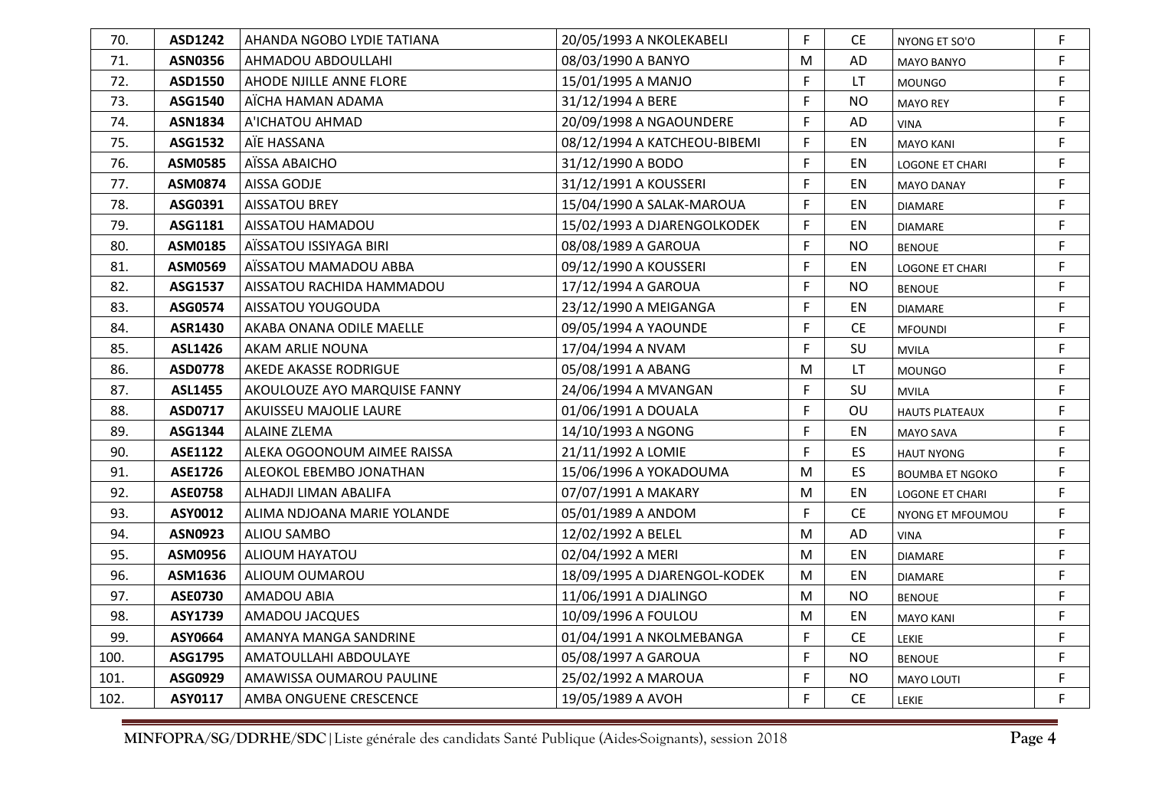| 70.  | ASD1242        | AHANDA NGOBO LYDIE TATIANA   | 20/05/1993 A NKOLEKABELI     | F.        | CE.       | NYONG ET SO'O          | F  |
|------|----------------|------------------------------|------------------------------|-----------|-----------|------------------------|----|
| 71.  | <b>ASN0356</b> | AHMADOU ABDOULLAHI           | 08/03/1990 A BANYO           | M         | AD        | <b>MAYO BANYO</b>      | F  |
| 72.  | ASD1550        | AHODE NJILLE ANNE FLORE      | 15/01/1995 A MANJO           | F.        | LT.       | <b>MOUNGO</b>          | F  |
| 73.  | ASG1540        | AÏCHA HAMAN ADAMA            | 31/12/1994 A BERE            | F         | <b>NO</b> | <b>MAYO REY</b>        | F. |
| 74.  | <b>ASN1834</b> | A'ICHATOU AHMAD              | 20/09/1998 A NGAOUNDERE      | F         | AD        | VINA                   | F. |
| 75.  | ASG1532        | AÏE HASSANA                  | 08/12/1994 A KATCHEOU-BIBEMI | F         | EN        | <b>MAYO KANI</b>       | F. |
| 76.  | <b>ASM0585</b> | AÏSSA ABAICHO                | 31/12/1990 A BODO            | F         | EN        | <b>LOGONE ET CHARI</b> | F  |
| 77.  | <b>ASM0874</b> | AISSA GODJE                  | 31/12/1991 A KOUSSERI        | F         | EN        | <b>MAYO DANAY</b>      | F  |
| 78.  | ASG0391        | <b>AISSATOU BREY</b>         | 15/04/1990 A SALAK-MAROUA    | F         | EN        | <b>DIAMARE</b>         | F. |
| 79.  | ASG1181        | AISSATOU HAMADOU             | 15/02/1993 A DJARENGOLKODEK  | F         | EN        | <b>DIAMARE</b>         | F  |
| 80.  | ASM0185        | AÏSSATOU ISSIYAGA BIRI       | 08/08/1989 A GAROUA          | F         | <b>NO</b> | <b>BENOUE</b>          | F. |
| 81.  | <b>ASM0569</b> | AÏSSATOU MAMADOU ABBA        | 09/12/1990 A KOUSSERI        | F         | EN        | <b>LOGONE ET CHARI</b> | F. |
| 82.  | ASG1537        | AISSATOU RACHIDA HAMMADOU    | 17/12/1994 A GAROUA          | F         | <b>NO</b> | <b>BENOUE</b>          | F  |
| 83.  | ASG0574        | AISSATOU YOUGOUDA            | 23/12/1990 A MEIGANGA        | F         | EN        | <b>DIAMARE</b>         | F. |
| 84.  | <b>ASR1430</b> | AKABA ONANA ODILE MAELLE     | 09/05/1994 A YAOUNDE         | F         | <b>CE</b> | <b>MFOUNDI</b>         | F. |
| 85.  | <b>ASL1426</b> | AKAM ARLIE NOUNA             | 17/04/1994 A NVAM            | F         | SU        | <b>MVILA</b>           | F  |
| 86.  | <b>ASD0778</b> | AKEDE AKASSE RODRIGUE        | 05/08/1991 A ABANG           | M         | LT.       | <b>MOUNGO</b>          | F  |
| 87.  | <b>ASL1455</b> | AKOULOUZE AYO MARQUISE FANNY | 24/06/1994 A MVANGAN         | F         | SU        | <b>MVILA</b>           | F  |
| 88.  | ASD0717        | AKUISSEU MAJOLIE LAURE       | 01/06/1991 A DOUALA          | F         | OU        | <b>HAUTS PLATEAUX</b>  | F  |
| 89.  | ASG1344        | <b>ALAINE ZLEMA</b>          | 14/10/1993 A NGONG           | F         | EN        | <b>MAYO SAVA</b>       | F. |
| 90.  | <b>ASE1122</b> | ALEKA OGOONOUM AIMEE RAISSA  | 21/11/1992 A LOMIE           | F         | ES.       | <b>HAUT NYONG</b>      | F. |
| 91.  | <b>ASE1726</b> | ALEOKOL EBEMBO JONATHAN      | 15/06/1996 A YOKADOUMA       | M         | <b>ES</b> | <b>BOUMBA ET NGOKO</b> | F. |
| 92.  | <b>ASE0758</b> | ALHADJI LIMAN ABALIFA        | 07/07/1991 A MAKARY          | M         | EN        | <b>LOGONE ET CHARI</b> | F. |
| 93.  | ASY0012        | ALIMA NDJOANA MARIE YOLANDE  | 05/01/1989 A ANDOM           | F         | <b>CE</b> | NYONG ET MFOUMOU       | F. |
| 94.  | <b>ASN0923</b> | ALIOU SAMBO                  | 12/02/1992 A BELEL           | M         | AD        | VINA                   | F  |
| 95.  | ASM0956        | ALIOUM HAYATOU               | 02/04/1992 A MERI            | M         | EN        | <b>DIAMARE</b>         | F  |
| 96.  | ASM1636        | ALIOUM OUMAROU               | 18/09/1995 A DJARENGOL-KODEK | M         | EN        | <b>DIAMARE</b>         | F  |
| 97.  | <b>ASE0730</b> | AMADOU ABIA                  | 11/06/1991 A DJALINGO        | ${\sf M}$ | <b>NO</b> | <b>BENOUE</b>          | F. |
| 98.  | ASY1739        | AMADOU JACQUES               | 10/09/1996 A FOULOU          | M         | EN        | <b>MAYO KANI</b>       | F  |
| 99.  | ASY0664        | AMANYA MANGA SANDRINE        | 01/04/1991 A NKOLMEBANGA     | F         | <b>CE</b> | LEKIE                  | F. |
| 100. | ASG1795        | AMATOULLAHI ABDOULAYE        | 05/08/1997 A GAROUA          | F         | <b>NO</b> | <b>BENOUE</b>          | F. |
| 101. | ASG0929        | AMAWISSA OUMAROU PAULINE     | 25/02/1992 A MAROUA          | F         | <b>NO</b> | <b>MAYO LOUTI</b>      | F. |
| 102. | ASY0117        | AMBA ONGUENE CRESCENCE       | 19/05/1989 A AVOH            | F         | <b>CE</b> | <b>LEKIE</b>           | F. |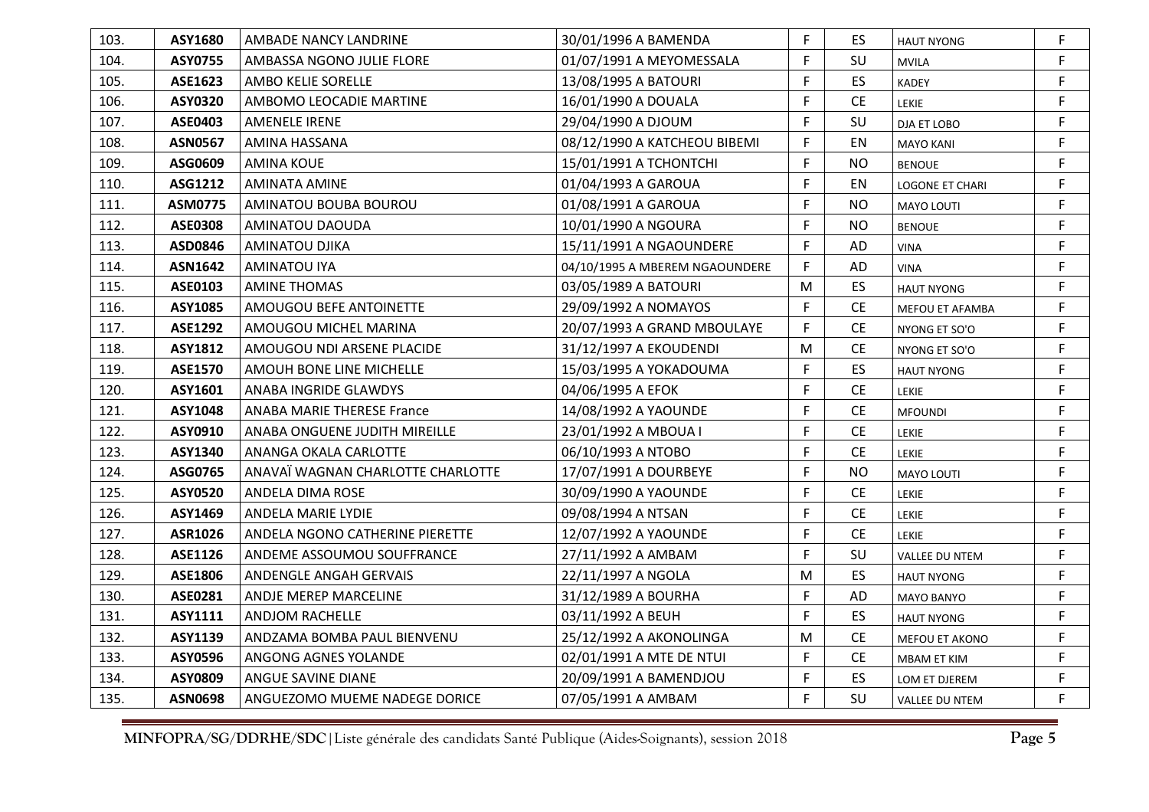| 103. | ASY1680        | AMBADE NANCY LANDRINE                | 30/01/1996 A BAMENDA           | F. | ES.       | <b>HAUT NYONG</b>      | F  |
|------|----------------|--------------------------------------|--------------------------------|----|-----------|------------------------|----|
| 104. | ASY0755        | AMBASSA NGONO JULIE FLORE            | 01/07/1991 A MEYOMESSALA       | F. | SU        | <b>MVILA</b>           | F  |
| 105. | ASE1623        | AMBO KELIE SORELLE                   | 13/08/1995 A BATOURI           | F. | <b>ES</b> | <b>KADEY</b>           | F  |
| 106. | ASY0320        | AMBOMO LEOCADIE MARTINE              | 16/01/1990 A DOUALA            | F  | <b>CE</b> | LEKIE                  | F. |
| 107. | ASE0403        | <b>AMENELE IRENE</b>                 | 29/04/1990 A DJOUM             | F  | SU        | DJA ET LOBO            | F  |
| 108. | <b>ASN0567</b> | AMINA HASSANA                        | 08/12/1990 A KATCHEOU BIBEMI   | F  | EN        | <b>MAYO KANI</b>       | F. |
| 109. | ASG0609        | <b>AMINA KOUE</b>                    | 15/01/1991 A TCHONTCHI         | F. | <b>NO</b> | <b>BENOUE</b>          | F  |
| 110. | ASG1212        | <b>AMINATA AMINE</b>                 | 01/04/1993 A GAROUA            | F. | EN        | <b>LOGONE ET CHARI</b> | F  |
| 111. | <b>ASM0775</b> | AMINATOU BOUBA BOUROU                | 01/08/1991 A GAROUA            | F  | <b>NO</b> | <b>MAYO LOUTI</b>      | F  |
| 112. | <b>ASE0308</b> | AMINATOU DAOUDA                      | 10/01/1990 A NGOURA            | F. | <b>NO</b> | <b>BENOUE</b>          | F  |
| 113. | ASD0846        | <b>AMINATOU DJIKA</b>                | 15/11/1991 A NGAOUNDERE        | F  | AD        | <b>VINA</b>            | F. |
| 114. | <b>ASN1642</b> | <b>AMINATOU IYA</b>                  | 04/10/1995 A MBEREM NGAOUNDERE | F. | AD        | <b>VINA</b>            | F. |
| 115. | <b>ASE0103</b> | <b>AMINE THOMAS</b>                  | 03/05/1989 A BATOURI           | M  | ES        | <b>HAUT NYONG</b>      | F  |
| 116. | ASY1085        | AMOUGOU BEFE ANTOINETTE              | 29/09/1992 A NOMAYOS           | F. | CE        | MEFOU ET AFAMBA        | F  |
| 117. | <b>ASE1292</b> | AMOUGOU MICHEL MARINA                | 20/07/1993 A GRAND MBOULAYE    | F  | CE        | NYONG ET SO'O          | F  |
| 118. | ASY1812        | AMOUGOU NDI ARSENE PLACIDE           | 31/12/1997 A EKOUDENDI         | M  | <b>CE</b> | NYONG ET SO'O          | F  |
| 119. | <b>ASE1570</b> | AMOUH BONE LINE MICHELLE             | 15/03/1995 A YOKADOUMA         | F. | ES.       | <b>HAUT NYONG</b>      | F  |
| 120. | ASY1601        | ANABA INGRIDE GLAWDYS                | 04/06/1995 A EFOK              | F  | CE        | <b>LEKIE</b>           | F  |
| 121. | ASY1048        | <b>ANABA MARIE THERESE France</b>    | 14/08/1992 A YAOUNDE           | F. | <b>CE</b> | <b>MFOUNDI</b>         | F. |
| 122. | ASY0910        | <b>ANABA ONGUENE JUDITH MIREILLE</b> | 23/01/1992 A MBOUA I           | F. | <b>CE</b> | LEKIE                  | F. |
| 123. | ASY1340        | ANANGA OKALA CARLOTTE                | 06/10/1993 A NTOBO             | F  | <b>CE</b> | <b>LEKIE</b>           | F  |
| 124. | ASG0765        | ANAVAÏ WAGNAN CHARLOTTE CHARLOTTE    | 17/07/1991 A DOURBEYE          | F. | <b>NO</b> | <b>MAYO LOUTI</b>      | F  |
| 125. | <b>ASY0520</b> | ANDELA DIMA ROSE                     | 30/09/1990 A YAOUNDE           | F. | CE        | LEKIE                  | F  |
| 126. | ASY1469        | ANDELA MARIE LYDIE                   | 09/08/1994 A NTSAN             | F. | <b>CE</b> | <b>LEKIE</b>           | F  |
| 127. | ASR1026        | ANDELA NGONO CATHERINE PIERETTE      | 12/07/1992 A YAOUNDE           | F. | CE        | <b>LEKIE</b>           | F  |
| 128. | ASE1126        | ANDEME ASSOUMOU SOUFFRANCE           | 27/11/1992 A AMBAM             | F. | SU        | <b>VALLEE DU NTEM</b>  | F  |
| 129. | ASE1806        | ANDENGLE ANGAH GERVAIS               | 22/11/1997 A NGOLA             | M  | ES        | <b>HAUT NYONG</b>      | F. |
| 130. | ASE0281        | ANDJE MEREP MARCELINE                | 31/12/1989 A BOURHA            | F. | AD        | MAYO BANYO             | F. |
| 131. | ASY1111        | <b>ANDJOM RACHELLE</b>               | 03/11/1992 A BEUH              | F. | ES        | <b>HAUT NYONG</b>      | F  |
| 132. | ASY1139        | ANDZAMA BOMBA PAUL BIENVENU          | 25/12/1992 A AKONOLINGA        | M  | CE        | MEFOU ET AKONO         | F  |
| 133. | ASY0596        | ANGONG AGNES YOLANDE                 | 02/01/1991 A MTE DE NTUI       | F  | CE        | MBAM ET KIM            | F  |
| 134. | ASY0809        | ANGUE SAVINE DIANE                   | 20/09/1991 A BAMENDJOU         | F  | <b>ES</b> | LOM ET DJEREM          | F  |
| 135. | <b>ASN0698</b> | ANGUEZOMO MUEME NADEGE DORICE        | 07/05/1991 A AMBAM             | F. | SU        | VALLEE DU NTEM         | F  |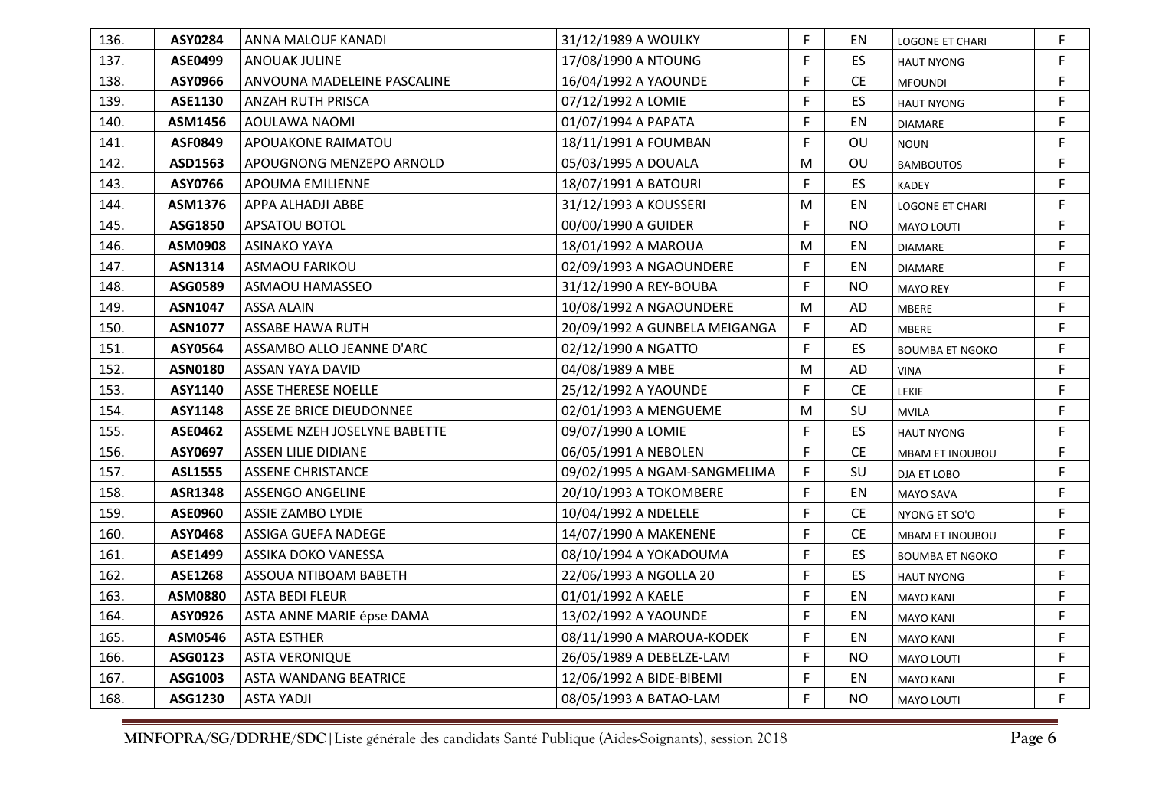| 136. | <b>ASY0284</b> | ANNA MALOUF KANADI           | 31/12/1989 A WOULKY           | F. | EN        | <b>LOGONE ET CHARI</b> | F  |
|------|----------------|------------------------------|-------------------------------|----|-----------|------------------------|----|
| 137. | <b>ASE0499</b> | <b>ANOUAK JULINE</b>         | 17/08/1990 A NTOUNG           | F. | ES        | <b>HAUT NYONG</b>      | F  |
| 138. | ASY0966        | ANVOUNA MADELEINE PASCALINE  | 16/04/1992 A YAOUNDE          | F  | <b>CE</b> | <b>MFOUNDI</b>         | F  |
| 139. | ASE1130        | ANZAH RUTH PRISCA            | 07/12/1992 A LOMIE            | F  | ES        | <b>HAUT NYONG</b>      | F. |
| 140. | ASM1456        | AOULAWA NAOMI                | 01/07/1994 A PAPATA           | F  | EN        | DIAMARE                | F  |
| 141. | <b>ASF0849</b> | APOUAKONE RAIMATOU           | 18/11/1991 A FOUMBAN          | F. | OU        | <b>NOUN</b>            | F  |
| 142. | ASD1563        | APOUGNONG MENZEPO ARNOLD     | 05/03/1995 A DOUALA           | M  | OU        | <b>BAMBOUTOS</b>       | F  |
| 143. | ASY0766        | APOUMA EMILIENNE             | 18/07/1991 A BATOURI          | F  | ES        | <b>KADEY</b>           | F. |
| 144. | ASM1376        | APPA ALHADJI ABBE            | 31/12/1993 A KOUSSERI         | M  | EN        | <b>LOGONE ET CHARI</b> | F  |
| 145. | ASG1850        | APSATOU BOTOL                | 00/00/1990 A GUIDER           | F  | <b>NO</b> | MAYO LOUTI             | F  |
| 146. | ASM0908        | <b>ASINAKO YAYA</b>          | 18/01/1992 A MAROUA           | M  | EN        | <b>DIAMARE</b>         | F  |
| 147. | ASN1314        | <b>ASMAOU FARIKOU</b>        | 02/09/1993 A NGAOUNDERE       | F. | EN        | <b>DIAMARE</b>         | F  |
| 148. | ASG0589        | ASMAOU HAMASSEO              | 31/12/1990 A REY-BOUBA        | F. | <b>NO</b> | <b>MAYO REY</b>        | F  |
| 149. | <b>ASN1047</b> | <b>ASSA ALAIN</b>            | 10/08/1992 A NGAOUNDERE       | M  | AD        | <b>MBERE</b>           | F  |
| 150. | <b>ASN1077</b> | ASSABE HAWA RUTH             | 20/09/1992 A GUNBELA MEIGANGA | F  | AD        | <b>MBERE</b>           | F. |
| 151. | ASY0564        | ASSAMBO ALLO JEANNE D'ARC    | 02/12/1990 A NGATTO           | F. | ES        | <b>BOUMBA ET NGOKO</b> | F  |
| 152. | <b>ASN0180</b> | ASSAN YAYA DAVID             | 04/08/1989 A MBE              | M  | AD        | <b>VINA</b>            | F  |
| 153. | ASY1140        | <b>ASSE THERESE NOELLE</b>   | 25/12/1992 A YAOUNDE          | F  | <b>CE</b> | LEKIE                  | F  |
| 154. | ASY1148        | ASSE ZE BRICE DIEUDONNEE     | 02/01/1993 A MENGUEME         | M  | SU        | <b>MVILA</b>           | F. |
| 155. | <b>ASE0462</b> | ASSEME NZEH JOSELYNE BABETTE | 09/07/1990 A LOMIE            | F. | ES        | <b>HAUT NYONG</b>      | F. |
| 156. | ASY0697        | ASSEN LILIE DIDIANE          | 06/05/1991 A NEBOLEN          | F. | <b>CE</b> | MBAM ET INOUBOU        | F  |
| 157. | <b>ASL1555</b> | <b>ASSENE CHRISTANCE</b>     | 09/02/1995 A NGAM-SANGMELIMA  | F  | SU        | DJA ET LOBO            | F  |
| 158. | <b>ASR1348</b> | <b>ASSENGO ANGELINE</b>      | 20/10/1993 A TOKOMBERE        | F. | EN        | MAYO SAVA              | F  |
| 159. | <b>ASE0960</b> | <b>ASSIE ZAMBO LYDIE</b>     | 10/04/1992 A NDELELE          | F. | <b>CE</b> | NYONG ET SO'O          | F  |
| 160. | ASY0468        | ASSIGA GUEFA NADEGE          | 14/07/1990 A MAKENENE         | F. | <b>CE</b> | MBAM ET INOUBOU        | F  |
| 161. | ASE1499        | ASSIKA DOKO VANESSA          | 08/10/1994 A YOKADOUMA        | F  | ES        | <b>BOUMBA ET NGOKO</b> | F  |
| 162. | <b>ASE1268</b> | ASSOUA NTIBOAM BABETH        | 22/06/1993 A NGOLLA 20        | F  | ES        | <b>HAUT NYONG</b>      | F  |
| 163. | <b>ASM0880</b> | <b>ASTA BEDI FLEUR</b>       | 01/01/1992 A KAELE            | F  | EN        | <b>MAYO KANI</b>       | F  |
| 164. | ASY0926        | ASTA ANNE MARIE épse DAMA    | 13/02/1992 A YAOUNDE          | F  | EN        | <b>MAYO KANI</b>       | F  |
| 165. | ASM0546        | <b>ASTA ESTHER</b>           | 08/11/1990 A MAROUA-KODEK     | F. | EN        | <b>MAYO KANI</b>       | F  |
| 166. | ASG0123        | <b>ASTA VERONIQUE</b>        | 26/05/1989 A DEBELZE-LAM      | F. | <b>NO</b> | <b>MAYO LOUTI</b>      | F  |
| 167. | ASG1003        | <b>ASTA WANDANG BEATRICE</b> | 12/06/1992 A BIDE-BIBEMI      | F  | EN        | <b>MAYO KANI</b>       | F  |
| 168. | ASG1230        | <b>ASTA YADJI</b>            | 08/05/1993 A BATAO-LAM        | F  | <b>NO</b> | <b>MAYO LOUTI</b>      | F  |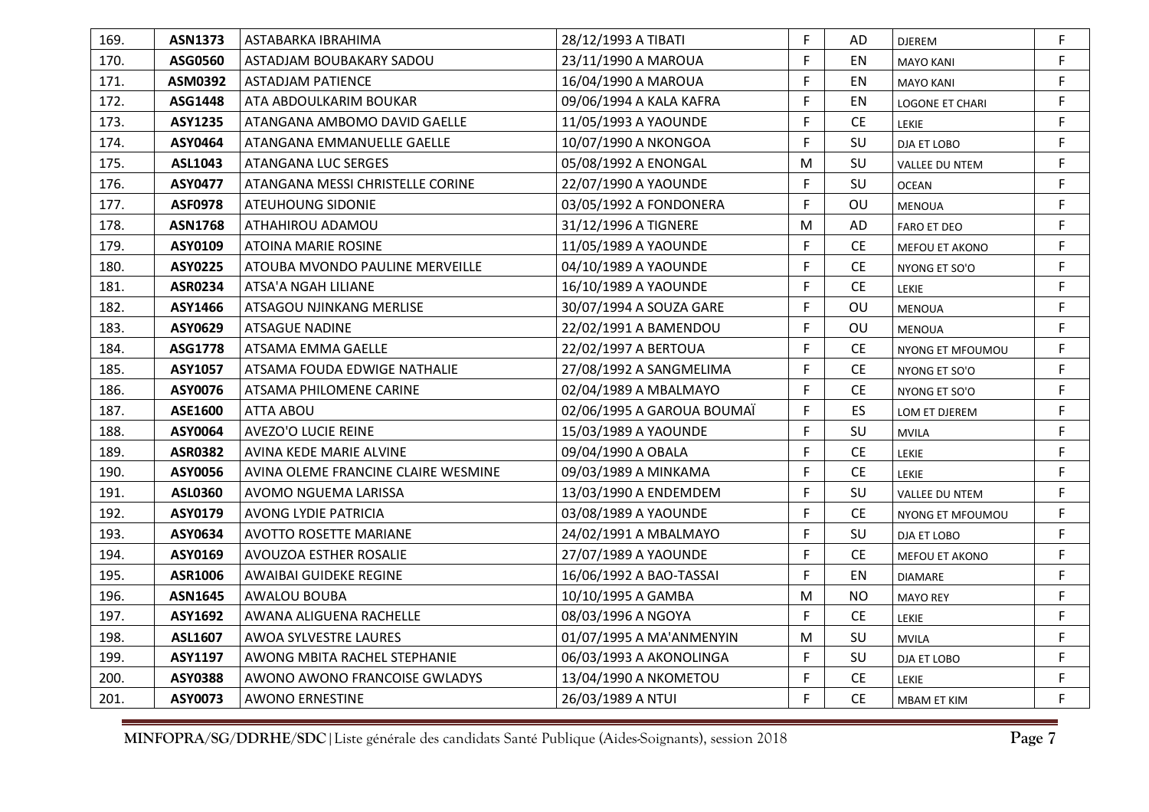| 169. | <b>ASN1373</b> | ASTABARKA IBRAHIMA                  | 28/12/1993 A TIBATI        | F. | AD        | <b>DJEREM</b>         | F. |
|------|----------------|-------------------------------------|----------------------------|----|-----------|-----------------------|----|
| 170. | ASG0560        | ASTADJAM BOUBAKARY SADOU            | 23/11/1990 A MAROUA        | F. | EN        | <b>MAYO KANI</b>      | F  |
| 171. | ASM0392        | <b>ASTADJAM PATIENCE</b>            | 16/04/1990 A MAROUA        | F. | EN        | <b>MAYO KANI</b>      | F  |
| 172. | ASG1448        | ATA ABDOULKARIM BOUKAR              | 09/06/1994 A KALA KAFRA    | F. | EN        | LOGONE ET CHARI       | F. |
| 173. | <b>ASY1235</b> | ATANGANA AMBOMO DAVID GAELLE        | 11/05/1993 A YAOUNDE       | F. | <b>CE</b> | LEKIE                 | F. |
| 174. | ASY0464        | ATANGANA EMMANUELLE GAELLE          | 10/07/1990 A NKONGOA       | F  | SU        | DJA ET LOBO           | F. |
| 175. | ASL1043        | ATANGANA LUC SERGES                 | 05/08/1992 A ENONGAL       | M  | SU        | VALLEE DU NTEM        | F. |
| 176. | <b>ASY0477</b> | ATANGANA MESSI CHRISTELLE CORINE    | 22/07/1990 A YAOUNDE       | F. | SU        | <b>OCEAN</b>          | F. |
| 177. | <b>ASF0978</b> | ATEUHOUNG SIDONIE                   | 03/05/1992 A FONDONERA     | F  | OU        | <b>MENOUA</b>         | F  |
| 178. | <b>ASN1768</b> | ATHAHIROU ADAMOU                    | 31/12/1996 A TIGNERE       | M  | AD        | <b>FARO ET DEO</b>    | F  |
| 179. | ASY0109        | ATOINA MARIE ROSINE                 | 11/05/1989 A YAOUNDE       | F. | <b>CE</b> | MEFOU ET AKONO        | F. |
| 180. | <b>ASY0225</b> | ATOUBA MVONDO PAULINE MERVEILLE     | 04/10/1989 A YAOUNDE       | F. | <b>CE</b> | NYONG ET SO'O         | F. |
| 181. | ASR0234        | ATSA'A NGAH LILIANE                 | 16/10/1989 A YAOUNDE       | F. | <b>CE</b> | <b>LEKIE</b>          | F. |
| 182. | ASY1466        | ATSAGOU NJINKANG MERLISE            | 30/07/1994 A SOUZA GARE    | F. | OU        | <b>MENOUA</b>         | F  |
| 183. | ASY0629        | <b>ATSAGUE NADINE</b>               | 22/02/1991 A BAMENDOU      | F. | OU        | <b>MENOUA</b>         | F. |
| 184. | ASG1778        | ATSAMA EMMA GAELLE                  | 22/02/1997 A BERTOUA       | F. | <b>CE</b> | NYONG ET MFOUMOU      | F. |
| 185. | <b>ASY1057</b> | ATSAMA FOUDA EDWIGE NATHALIE        | 27/08/1992 A SANGMELIMA    | F. | <b>CE</b> | NYONG ET SO'O         | F. |
| 186. | ASY0076        | ATSAMA PHILOMENE CARINE             | 02/04/1989 A MBALMAYO      | F. | <b>CE</b> | NYONG ET SO'O         | F  |
| 187. | ASE1600        | ATTA ABOU                           | 02/06/1995 A GAROUA BOUMAÏ | F. | ES.       | LOM ET DJEREM         | F. |
| 188. | ASY0064        | <b>AVEZO'O LUCIE REINE</b>          | 15/03/1989 A YAOUNDE       | F. | SU        | <b>MVILA</b>          | F. |
| 189. | <b>ASR0382</b> | AVINA KEDE MARIE ALVINE             | 09/04/1990 A OBALA         | F  | CE        | LEKIE                 | F  |
| 190. | <b>ASY0056</b> | AVINA OLEME FRANCINE CLAIRE WESMINE | 09/03/1989 A MINKAMA       | F. | <b>CE</b> | <b>LEKIE</b>          | F. |
| 191. | <b>ASL0360</b> | AVOMO NGUEMA LARISSA                | 13/03/1990 A ENDEMDEM      | F  | SU        | <b>VALLEE DU NTEM</b> | F. |
| 192. | ASY0179        | <b>AVONG LYDIE PATRICIA</b>         | 03/08/1989 A YAOUNDE       | F. | CE        | NYONG ET MFOUMOU      | F. |
| 193. | ASY0634        | <b>AVOTTO ROSETTE MARIANE</b>       | 24/02/1991 A MBALMAYO      | F. | SU        | DJA ET LOBO           | F. |
| 194. | ASY0169        | AVOUZOA ESTHER ROSALIE              | 27/07/1989 A YAOUNDE       | F. | <b>CE</b> | MEFOU ET AKONO        | F  |
| 195. | ASR1006        | AWAIBAI GUIDEKE REGINE              | 16/06/1992 A BAO-TASSAI    | F. | EN        | <b>DIAMARE</b>        | F. |
| 196. | <b>ASN1645</b> | AWALOU BOUBA                        | 10/10/1995 A GAMBA         | M  | <b>NO</b> | <b>MAYO REY</b>       | F. |
| 197. | ASY1692        | AWANA ALIGUENA RACHELLE             | 08/03/1996 A NGOYA         | F. | <b>CE</b> | LEKIE                 | F. |
| 198. | ASL1607        | AWOA SYLVESTRE LAURES               | 01/07/1995 A MA'ANMENYIN   | M  | SU        | <b>MVILA</b>          | F  |
| 199. | ASY1197        | AWONG MBITA RACHEL STEPHANIE        | 06/03/1993 A AKONOLINGA    | F  | SU        | DJA ET LOBO           | F  |
| 200. | <b>ASY0388</b> | AWONO AWONO FRANCOISE GWLADYS       | 13/04/1990 A NKOMETOU      | F. | <b>CE</b> | LEKIE                 | F. |
| 201. | ASY0073        | <b>AWONO ERNESTINE</b>              | 26/03/1989 A NTUI          | F. | <b>CE</b> | <b>MBAM ET KIM</b>    | F. |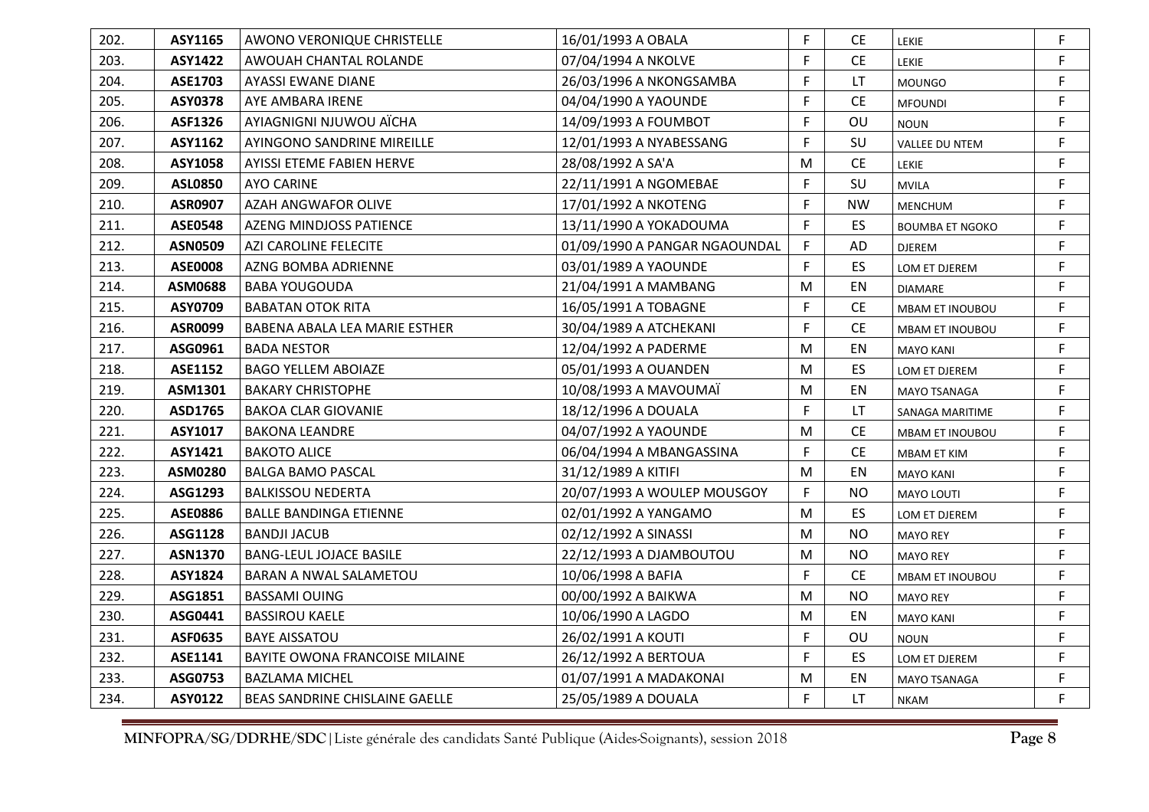| 202. | ASY1165        | AWONO VERONIQUE CHRISTELLE     | 16/01/1993 A OBALA            | F | <b>CE</b>                     | LEKIE                  | F  |
|------|----------------|--------------------------------|-------------------------------|---|-------------------------------|------------------------|----|
| 203. | <b>ASY1422</b> | AWOUAH CHANTAL ROLANDE         | 07/04/1994 A NKOLVE           | F | <b>CE</b>                     | LEKIE                  | F  |
| 204. | <b>ASE1703</b> | <b>AYASSI EWANE DIANE</b>      | 26/03/1996 A NKONGSAMBA       | F | LT                            | <b>MOUNGO</b>          | F  |
| 205. | <b>ASY0378</b> | AYE AMBARA IRENE               | 04/04/1990 A YAOUNDE          | F | <b>CE</b>                     | <b>MFOUNDI</b>         | F. |
| 206. | ASF1326        | AYIAGNIGNI NJUWOU AÏCHA        | 14/09/1993 A FOUMBOT          | F | OU                            | <b>NOUN</b>            | F  |
| 207. | ASY1162        | AYINGONO SANDRINE MIREILLE     | 12/01/1993 A NYABESSANG       | F | SU                            | VALLEE DU NTEM         | F. |
| 208. | ASY1058        | AYISSI ETEME FABIEN HERVE      | 28/08/1992 A SA'A             | M | $\mathsf{CE}% _{\mathcal{A}}$ | LEKIE                  | F  |
| 209. | <b>ASL0850</b> | <b>AYO CARINE</b>              | 22/11/1991 A NGOMEBAE         | F | SU                            | <b>MVILA</b>           | F. |
| 210. | <b>ASR0907</b> | AZAH ANGWAFOR OLIVE            | 17/01/1992 A NKOTENG          | F | <b>NW</b>                     | MENCHUM                | F  |
| 211. | <b>ASE0548</b> | AZENG MINDJOSS PATIENCE        | 13/11/1990 A YOKADOUMA        | F | ES.                           | <b>BOUMBA ET NGOKO</b> | F  |
| 212. | <b>ASN0509</b> | AZI CAROLINE FELECITE          | 01/09/1990 A PANGAR NGAOUNDAL | F | AD                            | <b>DJEREM</b>          | F. |
| 213. | <b>ASE0008</b> | AZNG BOMBA ADRIENNE            | 03/01/1989 A YAOUNDE          | F | ES                            | LOM ET DJEREM          | F. |
| 214. | ASM0688        | <b>BABA YOUGOUDA</b>           | 21/04/1991 A MAMBANG          | M | EN                            | <b>DIAMARE</b>         | F  |
| 215. | ASY0709        | <b>BABATAN OTOK RITA</b>       | 16/05/1991 A TOBAGNE          | F | <b>CE</b>                     | MBAM ET INOUBOU        | F  |
| 216. | ASR0099        | BABENA ABALA LEA MARIE ESTHER  | 30/04/1989 A ATCHEKANI        | F | CE                            | MBAM ET INOUBOU        | F  |
| 217. | ASG0961        | <b>BADA NESTOR</b>             | 12/04/1992 A PADERME          | M | EN                            | <b>MAYO KANI</b>       | F. |
| 218. | <b>ASE1152</b> | <b>BAGO YELLEM ABOIAZE</b>     | 05/01/1993 A OUANDEN          | M | ES.                           | LOM ET DJEREM          | F  |
| 219. | ASM1301        | <b>BAKARY CHRISTOPHE</b>       | 10/08/1993 A MAVOUMAÏ         | M | EN                            | <b>MAYO TSANAGA</b>    | F  |
| 220. | ASD1765        | <b>BAKOA CLAR GIOVANIE</b>     | 18/12/1996 A DOUALA           | F | LT                            | SANAGA MARITIME        | F  |
| 221. | ASY1017        | <b>BAKONA LEANDRE</b>          | 04/07/1992 A YAOUNDE          | M | <b>CE</b>                     | MBAM ET INOUBOU        | F. |
| 222. | ASY1421        | <b>BAKOTO ALICE</b>            | 06/04/1994 A MBANGASSINA      | F | <b>CE</b>                     | MBAM ET KIM            | F  |
| 223. | <b>ASM0280</b> | <b>BALGA BAMO PASCAL</b>       | 31/12/1989 A KITIFI           | M | EN                            | <b>MAYO KANI</b>       | F  |
| 224. | ASG1293        | <b>BALKISSOU NEDERTA</b>       | 20/07/1993 A WOULEP MOUSGOY   | F | <b>NO</b>                     | MAYO LOUTI             | F. |
| 225. | <b>ASE0886</b> | <b>BALLE BANDINGA ETIENNE</b>  | 02/01/1992 A YANGAMO          | M | ES                            | LOM ET DJEREM          | F. |
| 226. | ASG1128        | <b>BANDJI JACUB</b>            | 02/12/1992 A SINASSI          | M | <b>NO</b>                     | <b>MAYO REY</b>        | F  |
| 227. | <b>ASN1370</b> | <b>BANG-LEUL JOJACE BASILE</b> | 22/12/1993 A DJAMBOUTOU       | M | <b>NO</b>                     | <b>MAYO REY</b>        | F  |
| 228. | ASY1824        | BARAN A NWAL SALAMETOU         | 10/06/1998 A BAFIA            | F | <b>CE</b>                     | MBAM ET INOUBOU        | F  |
| 229. | ASG1851        | <b>BASSAMI OUING</b>           | 00/00/1992 A BAIKWA           | M | <b>NO</b>                     | <b>MAYO REY</b>        | F. |
| 230. | ASG0441        | <b>BASSIROU KAELE</b>          | 10/06/1990 A LAGDO            | M | EN                            | <b>MAYO KANI</b>       | F  |
| 231. | <b>ASF0635</b> | <b>BAYE AISSATOU</b>           | 26/02/1991 A KOUTI            | F | OU                            | <b>NOUN</b>            | F  |
| 232. | ASE1141        | BAYITE OWONA FRANCOISE MILAINE | 26/12/1992 A BERTOUA          | F | ES                            | LOM ET DJEREM          | F  |
| 233. | ASG0753        | <b>BAZLAMA MICHEL</b>          | 01/07/1991 A MADAKONAI        | M | EN                            | MAYO TSANAGA           | F  |
| 234. | ASY0122        | BEAS SANDRINE CHISLAINE GAELLE | 25/05/1989 A DOUALA           | F | LT.                           | <b>NKAM</b>            | F. |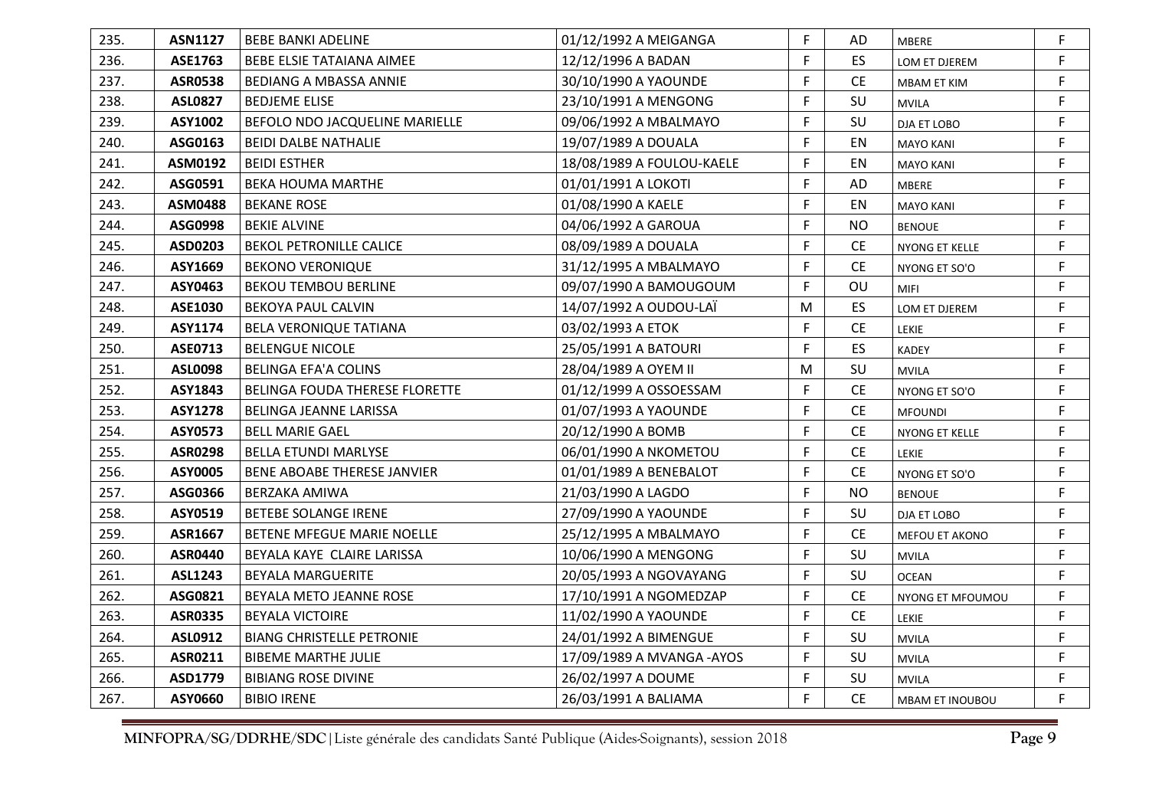| 235. | <b>ASN1127</b> | <b>BEBE BANKI ADELINE</b>          | 01/12/1992 A MEIGANGA      | F. | AD        | <b>MBERE</b>     | F. |
|------|----------------|------------------------------------|----------------------------|----|-----------|------------------|----|
| 236. | ASE1763        | BEBE ELSIE TATAIANA AIMEE          | 12/12/1996 A BADAN         | F. | ES.       | LOM ET DJEREM    | F  |
| 237. | <b>ASR0538</b> | BEDIANG A MBASSA ANNIE             | 30/10/1990 A YAOUNDE       | F. | <b>CE</b> | MBAM ET KIM      | F  |
| 238. | <b>ASL0827</b> | <b>BEDJEME ELISE</b>               | 23/10/1991 A MENGONG       | F. | SU        | <b>MVILA</b>     | F. |
| 239. | ASY1002        | BEFOLO NDO JACQUELINE MARIELLE     | 09/06/1992 A MBALMAYO      | F. | SU        | DJA ET LOBO      | F  |
| 240. | ASG0163        | <b>BEIDI DALBE NATHALIE</b>        | 19/07/1989 A DOUALA        | F. | EN        | <b>MAYO KANI</b> | F. |
| 241. | ASM0192        | <b>BEIDI ESTHER</b>                | 18/08/1989 A FOULOU-KAELE  | F. | EN        | <b>MAYO KANI</b> | F  |
| 242. | ASG0591        | <b>BEKA HOUMA MARTHE</b>           | 01/01/1991 A LOKOTI        | F. | AD        | <b>MBERE</b>     | F. |
| 243. | <b>ASM0488</b> | <b>BEKANE ROSE</b>                 | 01/08/1990 A KAELE         | F  | EN        | <b>MAYO KANI</b> | F  |
| 244. | ASG0998        | <b>BEKIE ALVINE</b>                | 04/06/1992 A GAROUA        | F  | <b>NO</b> | <b>BENOUE</b>    | F. |
| 245. | ASD0203        | <b>BEKOL PETRONILLE CALICE</b>     | 08/09/1989 A DOUALA        | F. | <b>CE</b> | NYONG ET KELLE   | F. |
| 246. | ASY1669        | <b>BEKONO VERONIQUE</b>            | 31/12/1995 A MBALMAYO      | F. | <b>CE</b> | NYONG ET SO'O    | F. |
| 247. | ASY0463        | <b>BEKOU TEMBOU BERLINE</b>        | 09/07/1990 A BAMOUGOUM     | F  | OU        | MIFI             | F  |
| 248. | ASE1030        | <b>BEKOYA PAUL CALVIN</b>          | 14/07/1992 A OUDOU-LAÏ     | M  | ES.       | LOM ET DJEREM    | F  |
| 249. | ASY1174        | <b>BELA VERONIQUE TATIANA</b>      | 03/02/1993 A ETOK          | F  | CE        | LEKIE            | F  |
| 250. | ASE0713        | <b>BELENGUE NICOLE</b>             | 25/05/1991 A BATOURI       | F. | ES.       | <b>KADEY</b>     | F. |
| 251. | <b>ASL0098</b> | BELINGA EFA'A COLINS               | 28/04/1989 A OYEM II       | M  | SU        | <b>MVILA</b>     | F. |
| 252. | ASY1843        | BELINGA FOUDA THERESE FLORETTE     | 01/12/1999 A OSSOESSAM     | F  | <b>CE</b> | NYONG ET SO'O    | F  |
| 253. | <b>ASY1278</b> | <b>BELINGA JEANNE LARISSA</b>      | 01/07/1993 A YAOUNDE       | F  | <b>CE</b> | <b>MFOUNDI</b>   | F  |
| 254. | <b>ASY0573</b> | <b>BELL MARIE GAEL</b>             | 20/12/1990 A BOMB          | F. | <b>CE</b> | NYONG ET KELLE   | F. |
| 255. | <b>ASR0298</b> | <b>BELLA ETUNDI MARLYSE</b>        | 06/01/1990 A NKOMETOU      | F. | <b>CE</b> | LEKIE            | F. |
| 256. | ASY0005        | <b>BENE ABOABE THERESE JANVIER</b> | 01/01/1989 A BENEBALOT     | F. | <b>CE</b> | NYONG ET SO'O    | F  |
| 257. | ASG0366        | BERZAKA AMIWA                      | 21/03/1990 A LAGDO         | F  | <b>NO</b> | <b>BENOUE</b>    | F. |
| 258. | ASY0519        | <b>BETEBE SOLANGE IRENE</b>        | 27/09/1990 A YAOUNDE       | F. | SU        | DJA ET LOBO      | F. |
| 259. | ASR1667        | BETENE MFEGUE MARIE NOELLE         | 25/12/1995 A MBALMAYO      | F. | <b>CE</b> | MEFOU ET AKONO   | F  |
| 260. | <b>ASR0440</b> | BEYALA KAYE CLAIRE LARISSA         | 10/06/1990 A MENGONG       | F. | SU        | <b>MVILA</b>     | F. |
| 261. | ASL1243        | <b>BEYALA MARGUERITE</b>           | 20/05/1993 A NGOVAYANG     | F. | SU        | <b>OCEAN</b>     | F. |
| 262. | ASG0821        | BEYALA METO JEANNE ROSE            | 17/10/1991 A NGOMEDZAP     | F. | <b>CE</b> | NYONG ET MFOUMOU | F. |
| 263. | <b>ASR0335</b> | <b>BEYALA VICTOIRE</b>             | 11/02/1990 A YAOUNDE       | F. | <b>CE</b> | LEKIE            | F. |
| 264. | ASL0912        | <b>BIANG CHRISTELLE PETRONIE</b>   | 24/01/1992 A BIMENGUE      | F. | SU        | <b>MVILA</b>     | F. |
| 265. | ASR0211        | <b>BIBEME MARTHE JULIE</b>         | 17/09/1989 A MVANGA - AYOS | F  | SU        | <b>MVILA</b>     | F  |
| 266. | ASD1779        | <b>BIBIANG ROSE DIVINE</b>         | 26/02/1997 A DOUME         | F. | SU        | <b>MVILA</b>     | F. |
| 267. | ASY0660        | <b>BIBIO IRENE</b>                 | 26/03/1991 A BALIAMA       | F. | <b>CE</b> | MBAM ET INOUBOU  | F  |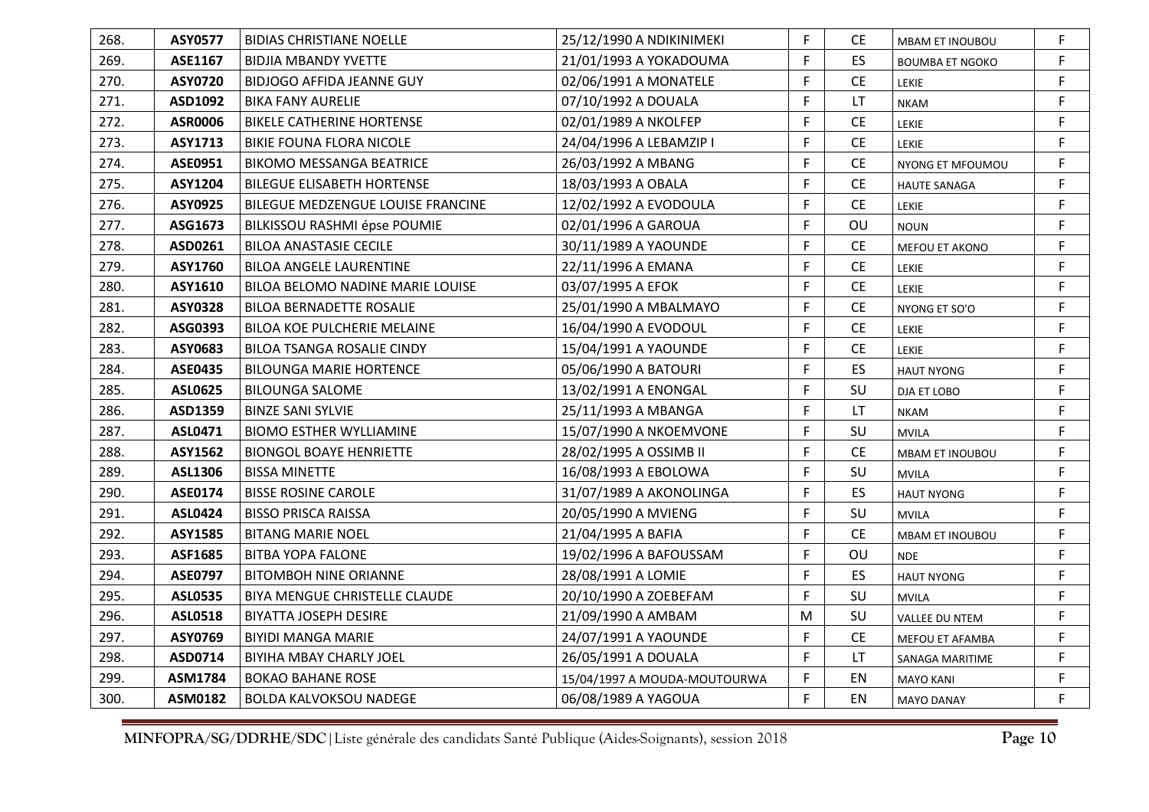| 268. | <b>ASY0577</b> | <b>BIDIAS CHRISTIANE NOELLE</b>   | 25/12/1990 A NDIKINIMEKI     | F. | <b>CE</b>                     | <b>MBAM ET INOUBOU</b> | F  |
|------|----------------|-----------------------------------|------------------------------|----|-------------------------------|------------------------|----|
| 269. | ASE1167        | <b>BIDJIA MBANDY YVETTE</b>       | 21/01/1993 A YOKADOUMA       | F  | <b>ES</b>                     | <b>BOUMBA ET NGOKO</b> | F  |
| 270. | <b>ASY0720</b> | <b>BIDJOGO AFFIDA JEANNE GUY</b>  | 02/06/1991 A MONATELE        | F. | CE                            | <b>LEKIE</b>           | F  |
| 271. | ASD1092        | <b>BIKA FANY AURELIE</b>          | 07/10/1992 A DOUALA          | F  | LT.                           | <b>NKAM</b>            | F. |
| 272. | <b>ASR0006</b> | <b>BIKELE CATHERINE HORTENSE</b>  | 02/01/1989 A NKOLFEP         | F  | <b>CE</b>                     | LEKIE                  | F  |
| 273. | ASY1713        | <b>BIKIE FOUNA FLORA NICOLE</b>   | 24/04/1996 A LEBAMZIP I      | F  | <b>CE</b>                     | <b>LEKIE</b>           | F. |
| 274. | ASE0951        | <b>BIKOMO MESSANGA BEATRICE</b>   | 26/03/1992 A MBANG           | F  | $\mathsf{CE}% _{\mathcal{A}}$ | NYONG ET MFOUMOU       | F  |
| 275. | ASY1204        | <b>BILEGUE ELISABETH HORTENSE</b> | 18/03/1993 A OBALA           | F. | <b>CE</b>                     | <b>HAUTE SANAGA</b>    | F  |
| 276. | ASY0925        | BILEGUE MEDZENGUE LOUISE FRANCINE | 12/02/1992 A EVODOULA        | F  | <b>CE</b>                     | LEKIE                  | F  |
| 277. | ASG1673        | BILKISSOU RASHMI épse POUMIE      | 02/01/1996 A GAROUA          | F. | OU                            | <b>NOUN</b>            | F. |
| 278. | ASD0261        | <b>BILOA ANASTASIE CECILE</b>     | 30/11/1989 A YAOUNDE         | F. | <b>CE</b>                     | MEFOU ET AKONO         | F  |
| 279. | ASY1760        | <b>BILOA ANGELE LAURENTINE</b>    | 22/11/1996 A EMANA           | F. | <b>CE</b>                     | LEKIE                  | F. |
| 280. | ASY1610        | BILOA BELOMO NADINE MARIE LOUISE  | 03/07/1995 A EFOK            | F  | <b>CE</b>                     | LEKIE                  | F  |
| 281. | <b>ASY0328</b> | <b>BILOA BERNADETTE ROSALIE</b>   | 25/01/1990 A MBALMAYO        | F. | <b>CE</b>                     | NYONG ET SO'O          | F  |
| 282. | ASG0393        | BILOA KOE PULCHERIE MELAINE       | 16/04/1990 A EVODOUL         | F. | CE                            | LEKIE                  | F  |
| 283. | ASY0683        | BILOA TSANGA ROSALIE CINDY        | 15/04/1991 A YAOUNDE         | F  | <b>CE</b>                     | LEKIE                  | F. |
| 284. | <b>ASE0435</b> | <b>BILOUNGA MARIE HORTENCE</b>    | 05/06/1990 A BATOURI         | F. | ES                            | <b>HAUT NYONG</b>      | F  |
| 285. | <b>ASL0625</b> | <b>BILOUNGA SALOME</b>            | 13/02/1991 A ENONGAL         | F  | SU                            | DJA ET LOBO            | F  |
| 286. | ASD1359        | <b>BINZE SANI SYLVIE</b>          | 25/11/1993 A MBANGA          | F  | LT.                           | <b>NKAM</b>            | F  |
| 287. | ASL0471        | <b>BIOMO ESTHER WYLLIAMINE</b>    | 15/07/1990 A NKOEMVONE       | F. | SU                            | <b>MVILA</b>           | F. |
| 288. | ASY1562        | <b>BIONGOL BOAYE HENRIETTE</b>    | 28/02/1995 A OSSIMB II       | F  | <b>CE</b>                     | MBAM ET INOUBOU        | F  |
| 289. | ASL1306        | <b>BISSA MINETTE</b>              | 16/08/1993 A EBOLOWA         | F. | SU                            | <b>MVILA</b>           | F. |
| 290. | ASE0174        | <b>BISSE ROSINE CAROLE</b>        | 31/07/1989 A AKONOLINGA      | F. | ES                            | <b>HAUT NYONG</b>      | F  |
| 291. | <b>ASL0424</b> | <b>BISSO PRISCA RAISSA</b>        | 20/05/1990 A MVIENG          | F. | SU                            | <b>MVILA</b>           | F. |
| 292. | ASY1585        | <b>BITANG MARIE NOEL</b>          | 21/04/1995 A BAFIA           | F. | <b>CE</b>                     | MBAM ET INOUBOU        | F  |
| 293. | ASF1685        | <b>BITBA YOPA FALONE</b>          | 19/02/1996 A BAFOUSSAM       | F. | OU                            | <b>NDE</b>             | F  |
| 294. | <b>ASE0797</b> | <b>BITOMBOH NINE ORIANNE</b>      | 28/08/1991 A LOMIE           | F. | ES                            | <b>HAUT NYONG</b>      | F  |
| 295. | <b>ASL0535</b> | BIYA MENGUE CHRISTELLE CLAUDE     | 20/10/1990 A ZOEBEFAM        | F. | SU                            | <b>MVILA</b>           | F. |
| 296. | <b>ASL0518</b> | <b>BIYATTA JOSEPH DESIRE</b>      | 21/09/1990 A AMBAM           | M  | SU                            | VALLEE DU NTEM         | F  |
| 297. | ASY0769        | <b>BIYIDI MANGA MARIE</b>         | 24/07/1991 A YAOUNDE         | F  | CE                            | MEFOU ET AFAMBA        | F  |
| 298. | ASD0714        | BIYIHA MBAY CHARLY JOEL           | 26/05/1991 A DOUALA          | F. | LT.                           | SANAGA MARITIME        | F  |
| 299. | <b>ASM1784</b> | <b>BOKAO BAHANE ROSE</b>          | 15/04/1997 A MOUDA-MOUTOURWA | F. | EN                            | <b>MAYO KANI</b>       | F  |
| 300. | ASM0182        | <b>BOLDA KALVOKSOU NADEGE</b>     | 06/08/1989 A YAGOUA          | F. | EN                            | <b>MAYO DANAY</b>      | F. |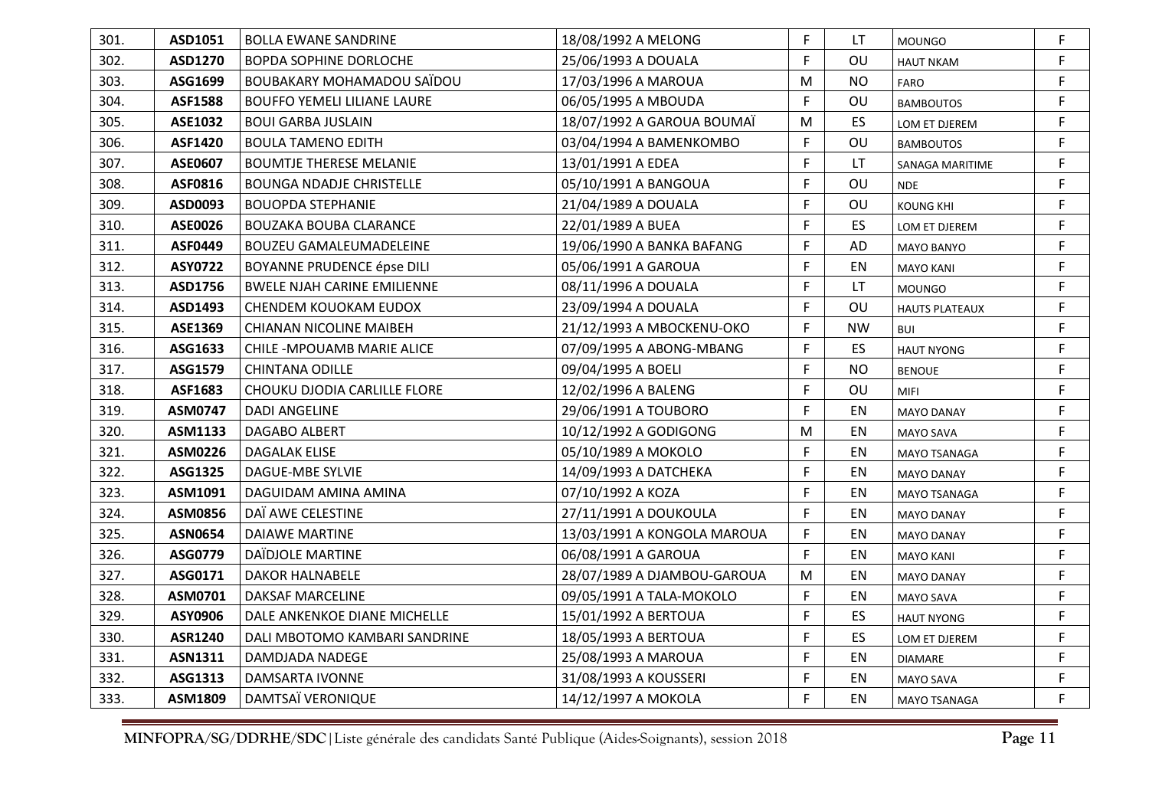| 301. | ASD1051        | <b>BOLLA EWANE SANDRINE</b>        | 18/08/1992 A MELONG         | F. | LT        | <b>MOUNGO</b>         | F. |
|------|----------------|------------------------------------|-----------------------------|----|-----------|-----------------------|----|
| 302. | ASD1270        | <b>BOPDA SOPHINE DORLOCHE</b>      | 25/06/1993 A DOUALA         | F  | OU        | <b>HAUT NKAM</b>      | F. |
| 303. | ASG1699        | BOUBAKARY MOHAMADOU SAÏDOU         | 17/03/1996 A MAROUA         | M  | <b>NO</b> | FARO                  | F. |
| 304. | <b>ASF1588</b> | <b>BOUFFO YEMELI LILIANE LAURE</b> | 06/05/1995 A MBOUDA         | F  | OU        | <b>BAMBOUTOS</b>      | F. |
| 305. | <b>ASE1032</b> | <b>BOUI GARBA JUSLAIN</b>          | 18/07/1992 A GAROUA BOUMAÏ  | M  | ES        | LOM ET DJEREM         | F. |
| 306. | <b>ASF1420</b> | <b>BOULA TAMENO EDITH</b>          | 03/04/1994 A BAMENKOMBO     | F  | OU        | <b>BAMBOUTOS</b>      | F  |
| 307. | ASE0607        | <b>BOUMTJE THERESE MELANIE</b>     | 13/01/1991 A EDEA           | F. | LT.       | SANAGA MARITIME       | F. |
| 308. | ASF0816        | <b>BOUNGA NDADJE CHRISTELLE</b>    | 05/10/1991 A BANGOUA        | F  | OU        | <b>NDE</b>            | F. |
| 309. | ASD0093        | <b>BOUOPDA STEPHANIE</b>           | 21/04/1989 A DOUALA         | F  | OU        | <b>KOUNG KHI</b>      | F. |
| 310. | ASE0026        | BOUZAKA BOUBA CLARANCE             | 22/01/1989 A BUEA           | F  | ES        | LOM ET DJEREM         | F. |
| 311. | ASF0449        | <b>BOUZEU GAMALEUMADELEINE</b>     | 19/06/1990 A BANKA BAFANG   | F. | AD        | <b>MAYO BANYO</b>     | F. |
| 312. | <b>ASY0722</b> | BOYANNE PRUDENCE épse DILI         | 05/06/1991 A GAROUA         | F  | EN        | <b>MAYO KANI</b>      | F. |
| 313. | ASD1756        | <b>BWELE NJAH CARINE EMILIENNE</b> | 08/11/1996 A DOUALA         | F  | LT.       | <b>MOUNGO</b>         | F. |
| 314. | ASD1493        | CHENDEM KOUOKAM EUDOX              | 23/09/1994 A DOUALA         | F  | OU        | <b>HAUTS PLATEAUX</b> | F  |
| 315. | ASE1369        | CHIANAN NICOLINE MAIBEH            | 21/12/1993 A MBOCKENU-OKO   | F  | <b>NW</b> | <b>BUI</b>            | F. |
| 316. | ASG1633        | <b>CHILE -MPOUAMB MARIE ALICE</b>  | 07/09/1995 A ABONG-MBANG    | F  | ES        | <b>HAUT NYONG</b>     | F  |
| 317. | ASG1579        | <b>CHINTANA ODILLE</b>             | 09/04/1995 A BOELI          | F  | <b>NO</b> | <b>BENOUE</b>         | F. |
| 318. | ASF1683        | CHOUKU DJODIA CARLILLE FLORE       | 12/02/1996 A BALENG         | F  | OU        | <b>MIFI</b>           | F. |
| 319. | ASM0747        | DADI ANGELINE                      | 29/06/1991 A TOUBORO        | F. | EN        | <b>MAYO DANAY</b>     | F. |
| 320. | ASM1133        | DAGABO ALBERT                      | 10/12/1992 A GODIGONG       | M  | EN        | <b>MAYO SAVA</b>      | F. |
| 321. | ASM0226        | DAGALAK ELISE                      | 05/10/1989 A MOKOLO         | F  | EN        | MAYO TSANAGA          | F  |
| 322. | ASG1325        | DAGUE-MBE SYLVIE                   | 14/09/1993 A DATCHEKA       | F. | EN        | <b>MAYO DANAY</b>     | F. |
| 323. | ASM1091        | DAGUIDAM AMINA AMINA               | 07/10/1992 A KOZA           | F  | EN        | MAYO TSANAGA          | F. |
| 324. | ASM0856        | DAÏ AWE CELESTINE                  | 27/11/1991 A DOUKOULA       | F. | EN        | <b>MAYO DANAY</b>     | F. |
| 325. | <b>ASN0654</b> | <b>DAIAWE MARTINE</b>              | 13/03/1991 A KONGOLA MAROUA | F  | EN        | <b>MAYO DANAY</b>     | F  |
| 326. | ASG0779        | DAÏDJOLE MARTINE                   | 06/08/1991 A GAROUA         | F. | EN        | <b>MAYO KANI</b>      | F. |
| 327. | ASG0171        | <b>DAKOR HALNABELE</b>             | 28/07/1989 A DJAMBOU-GAROUA | М  | EN        | <b>MAYO DANAY</b>     | F. |
| 328. | ASM0701        | DAKSAF MARCELINE                   | 09/05/1991 A TALA-MOKOLO    | F. | EN        | <b>MAYO SAVA</b>      | F. |
| 329. | ASY0906        | DALE ANKENKOE DIANE MICHELLE       | 15/01/1992 A BERTOUA        | F  | ES        | <b>HAUT NYONG</b>     | F. |
| 330. | <b>ASR1240</b> | DALI MBOTOMO KAMBARI SANDRINE      | 18/05/1993 A BERTOUA        | F  | ES        | LOM ET DJEREM         | F  |
| 331. | <b>ASN1311</b> | DAMDJADA NADEGE                    | 25/08/1993 A MAROUA         | F  | EN        | <b>DIAMARE</b>        | F. |
| 332. | ASG1313        | DAMSARTA IVONNE                    | 31/08/1993 A KOUSSERI       | F  | EN        | <b>MAYO SAVA</b>      | F  |
| 333. | ASM1809        | DAMTSAÏ VERONIQUE                  | 14/12/1997 A MOKOLA         | F  | EN        | MAYO TSANAGA          | F. |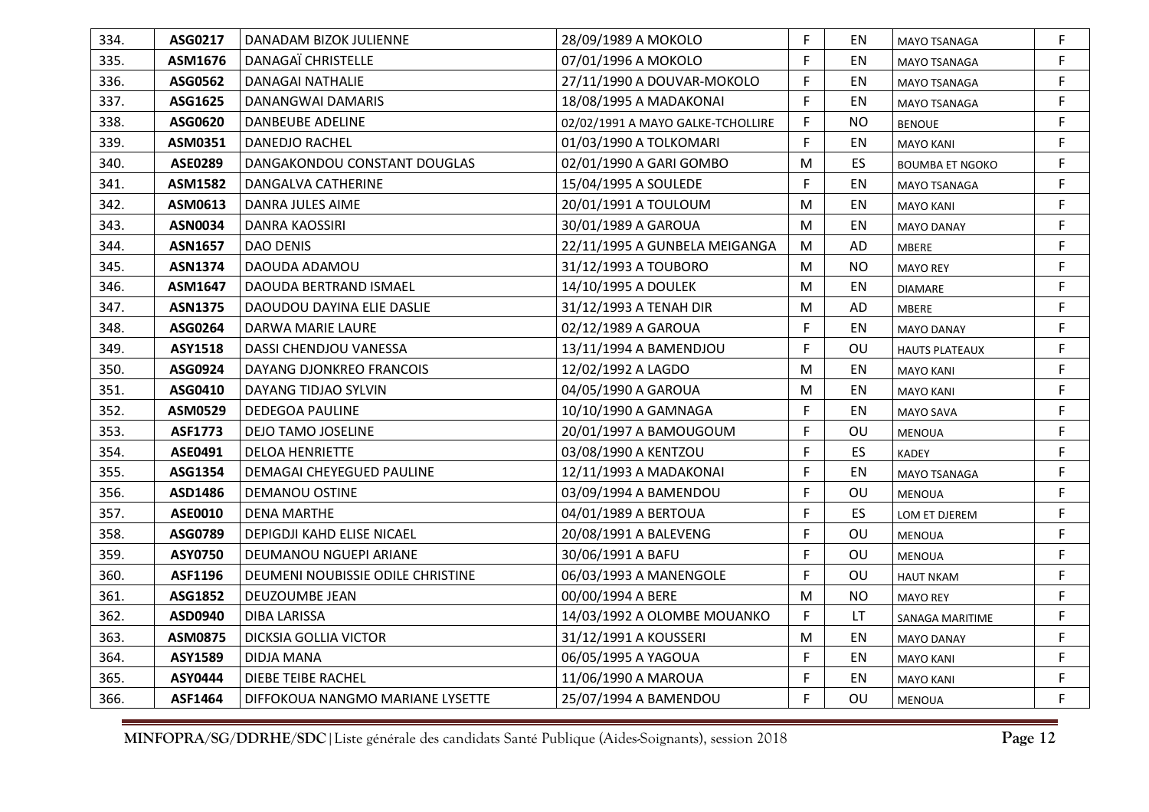| 334. | ASG0217        | DANADAM BIZOK JULIENNE            | 28/09/1989 A MOKOLO               | F         | EN        | <b>MAYO TSANAGA</b>    | F  |
|------|----------------|-----------------------------------|-----------------------------------|-----------|-----------|------------------------|----|
| 335. | ASM1676        | <b>DANAGAÏ CHRISTELLE</b>         | 07/01/1996 A MOKOLO               | F         | EN        | <b>MAYO TSANAGA</b>    | F. |
| 336. | ASG0562        | DANAGAI NATHALIE                  | 27/11/1990 A DOUVAR-MOKOLO        | F         | EN        | MAYO TSANAGA           | F. |
| 337. | ASG1625        | DANANGWAI DAMARIS                 | 18/08/1995 A MADAKONAI            | F         | EN        | MAYO TSANAGA           | F. |
| 338. | ASG0620        | <b>DANBEUBE ADELINE</b>           | 02/02/1991 A MAYO GALKE-TCHOLLIRE | F         | <b>NO</b> | <b>BENOUE</b>          | F. |
| 339. | ASM0351        | DANEDJO RACHEL                    | 01/03/1990 A TOLKOMARI            | F         | EN        | <b>MAYO KANI</b>       | F  |
| 340. | <b>ASE0289</b> | DANGAKONDOU CONSTANT DOUGLAS      | 02/01/1990 A GARI GOMBO           | M         | <b>ES</b> | <b>BOUMBA ET NGOKO</b> | F. |
| 341. | <b>ASM1582</b> | DANGALVA CATHERINE                | 15/04/1995 A SOULEDE              | F         | EN        | MAYO TSANAGA           | F  |
| 342. | ASM0613        | DANRA JULES AIME                  | 20/01/1991 A TOULOUM              | M         | EN        | <b>MAYO KANI</b>       | F  |
| 343. | <b>ASN0034</b> | <b>DANRA KAOSSIRI</b>             | 30/01/1989 A GAROUA               | M         | EN        | <b>MAYO DANAY</b>      | F  |
| 344. | <b>ASN1657</b> | <b>DAO DENIS</b>                  | 22/11/1995 A GUNBELA MEIGANGA     | M         | AD        | <b>MBERE</b>           | F. |
| 345. | <b>ASN1374</b> | DAOUDA ADAMOU                     | 31/12/1993 A TOUBORO              | M         | <b>NO</b> | <b>MAYO REY</b>        | F. |
| 346. | ASM1647        | DAOUDA BERTRAND ISMAEL            | 14/10/1995 A DOULEK               | M         | EN        | <b>DIAMARE</b>         | F  |
| 347. | <b>ASN1375</b> | DAOUDOU DAYINA ELIE DASLIE        | 31/12/1993 A TENAH DIR            | M         | AD        | <b>MBERE</b>           | F. |
| 348. | ASG0264        | DARWA MARIE LAURE                 | 02/12/1989 A GAROUA               | F         | EN        | <b>MAYO DANAY</b>      | F. |
| 349. | <b>ASY1518</b> | DASSI CHENDJOU VANESSA            | 13/11/1994 A BAMENDJOU            | F.        | OU        | <b>HAUTS PLATEAUX</b>  | F. |
| 350. | ASG0924        | DAYANG DJONKREO FRANCOIS          | 12/02/1992 A LAGDO                | M         | EN        | <b>MAYO KANI</b>       | F  |
| 351. | ASG0410        | DAYANG TIDJAO SYLVIN              | 04/05/1990 A GAROUA               | M         | EN        | <b>MAYO KANI</b>       | F  |
| 352. | ASM0529        | <b>DEDEGOA PAULINE</b>            | 10/10/1990 A GAMNAGA              | F         | EN        | <b>MAYO SAVA</b>       | F. |
| 353. | <b>ASF1773</b> | <b>DEJO TAMO JOSELINE</b>         | 20/01/1997 A BAMOUGOUM            | F         | OU        | <b>MENOUA</b>          | F. |
| 354. | ASE0491        | <b>DELOA HENRIETTE</b>            | 03/08/1990 A KENTZOU              | F         | ES        | <b>KADEY</b>           | F  |
| 355. | ASG1354        | DEMAGAI CHEYEGUED PAULINE         | 12/11/1993 A MADAKONAI            | F.        | EN        | MAYO TSANAGA           | F. |
| 356. | ASD1486        | <b>DEMANOU OSTINE</b>             | 03/09/1994 A BAMENDOU             | F         | OU        | <b>MENOUA</b>          | F. |
| 357. | ASE0010        | <b>DENA MARTHE</b>                | 04/01/1989 A BERTOUA              | F.        | ES        | LOM ET DJEREM          | F. |
| 358. | ASG0789        | DEPIGDJI KAHD ELISE NICAEL        | 20/08/1991 A BALEVENG             | F         | OU        | <b>MENOUA</b>          | F. |
| 359. | ASY0750        | DEUMANOU NGUEPI ARIANE            | 30/06/1991 A BAFU                 | F.        | OU        | <b>MENOUA</b>          | F. |
| 360. | ASF1196        | DEUMENI NOUBISSIE ODILE CHRISTINE | 06/03/1993 A MANENGOLE            | F         | OU        | <b>HAUT NKAM</b>       | F. |
| 361. | ASG1852        | DEUZOUMBE JEAN                    | 00/00/1994 A BERE                 | M         | <b>NO</b> | <b>MAYO REY</b>        | F. |
| 362. | ASD0940        | <b>DIBA LARISSA</b>               | 14/03/1992 A OLOMBE MOUANKO       | F         | <b>LT</b> | SANAGA MARITIME        | F. |
| 363. | <b>ASM0875</b> | <b>DICKSIA GOLLIA VICTOR</b>      | 31/12/1991 A KOUSSERI             | ${\sf M}$ | EN        | <b>MAYO DANAY</b>      | F  |
| 364. | ASY1589        | <b>DIDJA MANA</b>                 | 06/05/1995 A YAGOUA               | F         | EN        | <b>MAYO KANI</b>       | F. |
| 365. | ASY0444        | <b>DIEBE TEIBE RACHEL</b>         | 11/06/1990 A MAROUA               | F         | EN        | <b>MAYO KANI</b>       | F  |
| 366. | ASF1464        | DIFFOKOUA NANGMO MARIANE LYSETTE  | 25/07/1994 A BAMENDOU             | F         | OU        | <b>MENOUA</b>          | F. |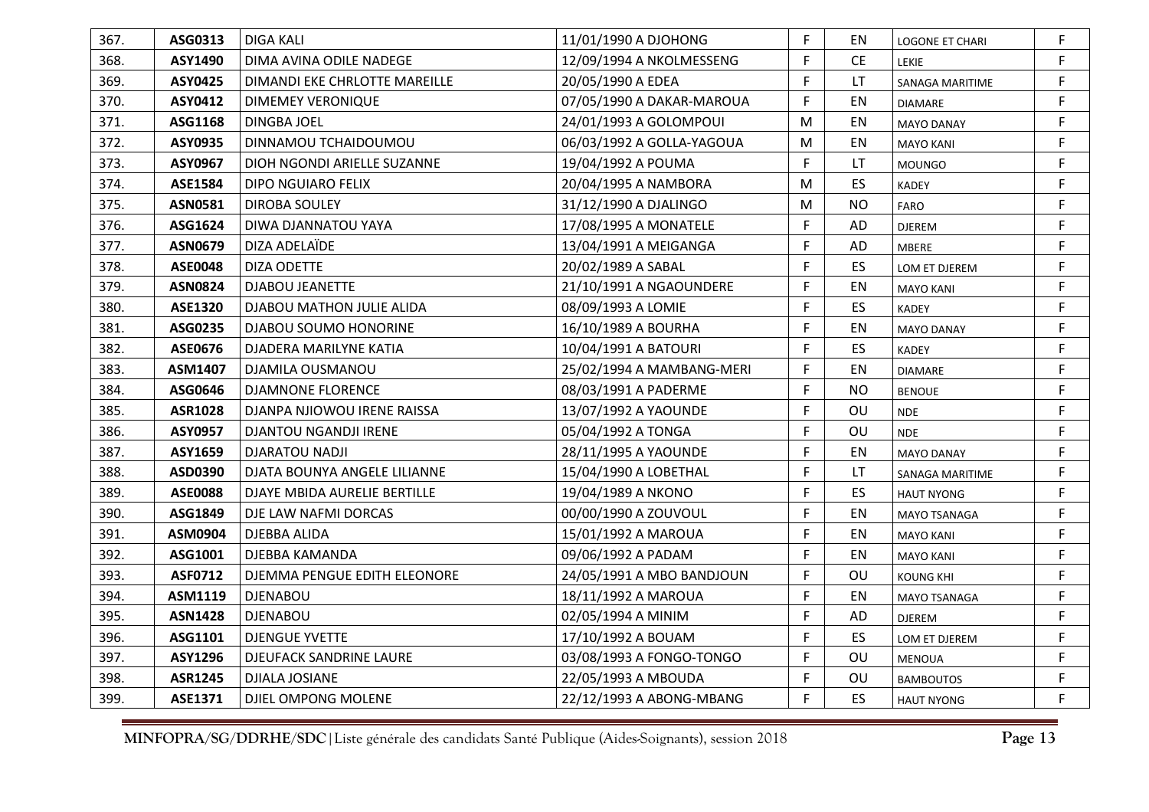| 367. | ASG0313        | <b>DIGA KALI</b>              | 11/01/1990 A DJOHONG      | F. | EN        | <b>LOGONE ET CHARI</b> | F  |
|------|----------------|-------------------------------|---------------------------|----|-----------|------------------------|----|
| 368. | ASY1490        | DIMA AVINA ODILE NADEGE       | 12/09/1994 A NKOLMESSENG  | F. | <b>CE</b> | <b>LEKIE</b>           | F  |
| 369. | ASY0425        | DIMANDI EKE CHRLOTTE MAREILLE | 20/05/1990 A EDEA         | F. | LT.       | SANAGA MARITIME        | F  |
| 370. | ASY0412        | <b>DIMEMEY VERONIQUE</b>      | 07/05/1990 A DAKAR-MAROUA | F  | EN        | <b>DIAMARE</b>         | F  |
| 371. | ASG1168        | <b>DINGBA JOEL</b>            | 24/01/1993 A GOLOMPOUI    | M  | EN        | <b>MAYO DANAY</b>      | F  |
| 372. | ASY0935        | DINNAMOU TCHAIDOUMOU          | 06/03/1992 A GOLLA-YAGOUA | M  | EN        | <b>MAYO KANI</b>       | F  |
| 373. | ASY0967        | DIOH NGONDI ARIELLE SUZANNE   | 19/04/1992 A POUMA        | F  | LT.       | <b>MOUNGO</b>          | F  |
| 374. | ASE1584        | <b>DIPO NGUIARO FELIX</b>     | 20/04/1995 A NAMBORA      | M  | ES        | <b>KADEY</b>           | F  |
| 375. | <b>ASN0581</b> | DIROBA SOULEY                 | 31/12/1990 A DJALINGO     | M  | <b>NO</b> | FARO                   | F  |
| 376. | ASG1624        | DIWA DJANNATOU YAYA           | 17/08/1995 A MONATELE     | F  | AD        | <b>DJEREM</b>          | F  |
| 377. | <b>ASN0679</b> | DIZA ADELAÏDE                 | 13/04/1991 A MEIGANGA     | F  | AD        | <b>MBERE</b>           | F  |
| 378. | <b>ASE0048</b> | DIZA ODETTE                   | 20/02/1989 A SABAL        | F. | ES        | LOM ET DJEREM          | F. |
| 379. | <b>ASN0824</b> | <b>DJABOU JEANETTE</b>        | 21/10/1991 A NGAOUNDERE   | F  | EN        | <b>MAYO KANI</b>       | F  |
| 380. | <b>ASE1320</b> | DJABOU MATHON JULIE ALIDA     | 08/09/1993 A LOMIE        | F. | ES        | <b>KADEY</b>           | F  |
| 381. | ASG0235        | DJABOU SOUMO HONORINE         | 16/10/1989 A BOURHA       | F. | EN        | <b>MAYO DANAY</b>      | F  |
| 382. | ASE0676        | DJADERA MARILYNE KATIA        | 10/04/1991 A BATOURI      | F  | ES        | <b>KADEY</b>           | F  |
| 383. | ASM1407        | DJAMILA OUSMANOU              | 25/02/1994 A MAMBANG-MERI | F. | EN        | <b>DIAMARE</b>         | F  |
| 384. | ASG0646        | <b>DJAMNONE FLORENCE</b>      | 08/03/1991 A PADERME      | F  | <b>NO</b> | <b>BENOUE</b>          | F  |
| 385. | <b>ASR1028</b> | DJANPA NJIOWOU IRENE RAISSA   | 13/07/1992 A YAOUNDE      | F. | OU        | <b>NDE</b>             | F  |
| 386. | ASY0957        | <b>DJANTOU NGANDJI IRENE</b>  | 05/04/1992 A TONGA        | F. | OU        | <b>NDE</b>             | F. |
| 387. | ASY1659        | <b>DJARATOU NADJI</b>         | 28/11/1995 A YAOUNDE      | F  | EN        | <b>MAYO DANAY</b>      | F  |
| 388. | ASD0390        | DJATA BOUNYA ANGELE LILIANNE  | 15/04/1990 A LOBETHAL     | F. | LT        | SANAGA MARITIME        | F  |
| 389. | <b>ASE0088</b> | DJAYE MBIDA AURELIE BERTILLE  | 19/04/1989 A NKONO        | F  | ES        | <b>HAUT NYONG</b>      | F  |
| 390. | ASG1849        | DJE LAW NAFMI DORCAS          | 00/00/1990 A ZOUVOUL      | F. | EN        | <b>MAYO TSANAGA</b>    | F  |
| 391. | ASM0904        | <b>DJEBBA ALIDA</b>           | 15/01/1992 A MAROUA       | F. | EN        | <b>MAYO KANI</b>       | F  |
| 392. | ASG1001        | DJEBBA KAMANDA                | 09/06/1992 A PADAM        | F. | EN        | <b>MAYO KANI</b>       | F  |
| 393. | ASF0712        | DJEMMA PENGUE EDITH ELEONORE  | 24/05/1991 A MBO BANDJOUN | F. | OU        | <b>KOUNG KHI</b>       | F. |
| 394. | <b>ASM1119</b> | <b>DJENABOU</b>               | 18/11/1992 A MAROUA       | F. | EN        | MAYO TSANAGA           | F. |
| 395. | <b>ASN1428</b> | <b>DJENABOU</b>               | 02/05/1994 A MINIM        | F. | AD        | <b>DJEREM</b>          | F  |
| 396. | ASG1101        | <b>DJENGUE YVETTE</b>         | 17/10/1992 A BOUAM        | F. | ES        | LOM ET DJEREM          | F  |
| 397. | ASY1296        | DJEUFACK SANDRINE LAURE       | 03/08/1993 A FONGO-TONGO  | F  | OU        | <b>MENOUA</b>          | F  |
| 398. | <b>ASR1245</b> | DJIALA JOSIANE                | 22/05/1993 A MBOUDA       | F  | OU        | <b>BAMBOUTOS</b>       | F  |
| 399. | ASE1371        | DJIEL OMPONG MOLENE           | 22/12/1993 A ABONG-MBANG  | F. | ES        | <b>HAUT NYONG</b>      | F  |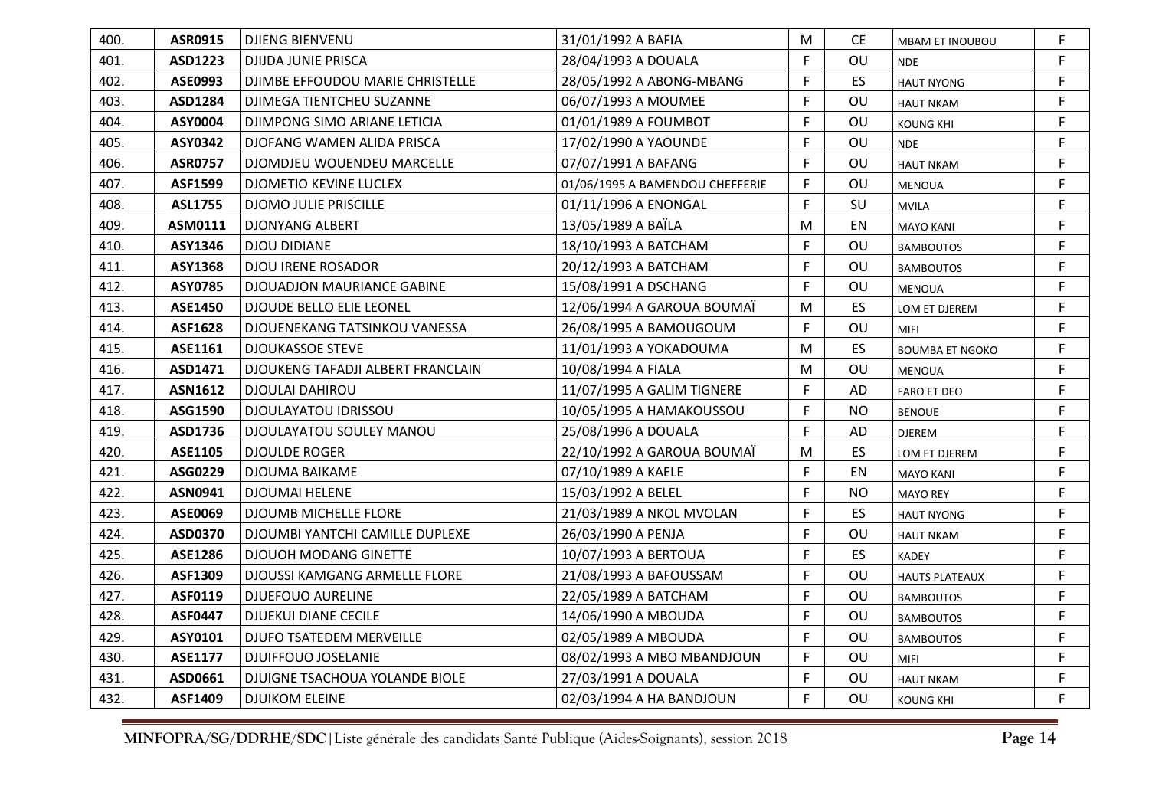| 400. | <b>ASR0915</b> | <b>DJIENG BIENVENU</b>            | 31/01/1992 A BAFIA              | M  | <b>CE</b> | <b>MBAM ET INOUBOU</b> | F  |
|------|----------------|-----------------------------------|---------------------------------|----|-----------|------------------------|----|
| 401. | ASD1223        | DJIJDA JUNIE PRISCA               | 28/04/1993 A DOUALA             | F. | OU        | <b>NDE</b>             | F  |
| 402. | ASE0993        | DJIMBE EFFOUDOU MARIE CHRISTELLE  | 28/05/1992 A ABONG-MBANG        | F. | ES        | <b>HAUT NYONG</b>      | F  |
| 403. | ASD1284        | DJIMEGA TIENTCHEU SUZANNE         | 06/07/1993 A MOUMEE             | F. | OU        | <b>HAUT NKAM</b>       | F. |
| 404. | ASY0004        | DJIMPONG SIMO ARIANE LETICIA      | 01/01/1989 A FOUMBOT            | F. | OU        | <b>KOUNG KHI</b>       | F  |
| 405. | ASY0342        | DJOFANG WAMEN ALIDA PRISCA        | 17/02/1990 A YAOUNDE            | F  | OU        | <b>NDE</b>             | F  |
| 406. | <b>ASR0757</b> | DJOMDJEU WOUENDEU MARCELLE        | 07/07/1991 A BAFANG             | F. | OU        | <b>HAUT NKAM</b>       | F  |
| 407. | ASF1599        | DJOMETIO KEVINE LUCLEX            | 01/06/1995 A BAMENDOU CHEFFERIE | F. | OU        | <b>MENOUA</b>          | F. |
| 408. | <b>ASL1755</b> | <b>DJOMO JULIE PRISCILLE</b>      | 01/11/1996 A ENONGAL            | F  | SU        | <b>MVILA</b>           | F  |
| 409. | ASM0111        | <b>DJONYANG ALBERT</b>            | 13/05/1989 A BAÏLA              | M  | EN        | <b>MAYO KANI</b>       | F  |
| 410. | ASY1346        | <b>DJOU DIDIANE</b>               | 18/10/1993 A BATCHAM            | F. | OU        | <b>BAMBOUTOS</b>       | F  |
| 411. | <b>ASY1368</b> | <b>DJOU IRENE ROSADOR</b>         | 20/12/1993 A BATCHAM            | F  | OU        | <b>BAMBOUTOS</b>       | F. |
| 412. | ASY0785        | <b>DJOUADJON MAURIANCE GABINE</b> | 15/08/1991 A DSCHANG            | F  | OU        | <b>MENOUA</b>          | F  |
| 413. | <b>ASE1450</b> | <b>DJOUDE BELLO ELIE LEONEL</b>   | 12/06/1994 A GAROUA BOUMAÏ      | M  | ES        | LOM ET DJEREM          | F  |
| 414. | <b>ASF1628</b> | DJOUENEKANG TATSINKOU VANESSA     | 26/08/1995 A BAMOUGOUM          | F  | OU        | <b>MIFI</b>            | F. |
| 415. | ASE1161        | <b>DJOUKASSOE STEVE</b>           | 11/01/1993 A YOKADOUMA          | M  | ES        | <b>BOUMBA ET NGOKO</b> | F. |
| 416. | ASD1471        | DJOUKENG TAFADJI ALBERT FRANCLAIN | 10/08/1994 A FIALA              | M  | OU        | MENOUA                 | F  |
| 417. | <b>ASN1612</b> | <b>DJOULAI DAHIROU</b>            | 11/07/1995 A GALIM TIGNERE      | F. | AD        | <b>FARO ET DEO</b>     | F  |
| 418. | ASG1590        | DJOULAYATOU IDRISSOU              | 10/05/1995 A HAMAKOUSSOU        | F  | <b>NO</b> | <b>BENOUE</b>          | F. |
| 419. | ASD1736        | DJOULAYATOU SOULEY MANOU          | 25/08/1996 A DOUALA             | F  | AD        | <b>DJEREM</b>          | F. |
| 420. | ASE1105        | <b>DJOULDE ROGER</b>              | 22/10/1992 A GAROUA BOUMAÏ      | M  | ES        | LOM ET DJEREM          | F  |
| 421. | ASG0229        | <b>DJOUMA BAIKAME</b>             | 07/10/1989 A KAELE              | F. | EN        | <b>MAYO KANI</b>       | F  |
| 422. | ASN0941        | <b>DJOUMAI HELENE</b>             | 15/03/1992 A BELEL              | F. | <b>NO</b> | <b>MAYO REY</b>        | F  |
| 423. | ASE0069        | <b>DJOUMB MICHELLE FLORE</b>      | 21/03/1989 A NKOL MVOLAN        | F. | ES        | <b>HAUT NYONG</b>      | F  |
| 424. | ASD0370        | DJOUMBI YANTCHI CAMILLE DUPLEXE   | 26/03/1990 A PENJA              | F. | OU        | <b>HAUT NKAM</b>       | F  |
| 425. | ASE1286        | <b>DJOUOH MODANG GINETTE</b>      | 10/07/1993 A BERTOUA            | F. | ES        | <b>KADEY</b>           | F  |
| 426. | ASF1309        | DJOUSSI KAMGANG ARMELLE FLORE     | 21/08/1993 A BAFOUSSAM          | F. | OU        | <b>HAUTS PLATEAUX</b>  | F. |
| 427. | ASF0119        | <b>DJUEFOUO AURELINE</b>          | 22/05/1989 A BATCHAM            | F. | OU        | <b>BAMBOUTOS</b>       | F. |
| 428. | <b>ASF0447</b> | <b>DJUEKUI DIANE CECILE</b>       | 14/06/1990 A MBOUDA             | F. | OU        | <b>BAMBOUTOS</b>       | F  |
| 429. | ASY0101        | DJUFO TSATEDEM MERVEILLE          | 02/05/1989 A MBOUDA             | F. | OU        | <b>BAMBOUTOS</b>       | F  |
| 430. | <b>ASE1177</b> | DJUIFFOUO JOSELANIE               | 08/02/1993 A MBO MBANDJOUN      | F  | OU        | <b>MIFI</b>            | F  |
| 431. | ASD0661        | DJUIGNE TSACHOUA YOLANDE BIOLE    | 27/03/1991 A DOUALA             | F. | OU        | <b>HAUT NKAM</b>       | F  |
| 432. | ASF1409        | <b>DJUIKOM ELEINE</b>             | 02/03/1994 A HA BANDJOUN        | F. | OU        | <b>KOUNG KHI</b>       | F  |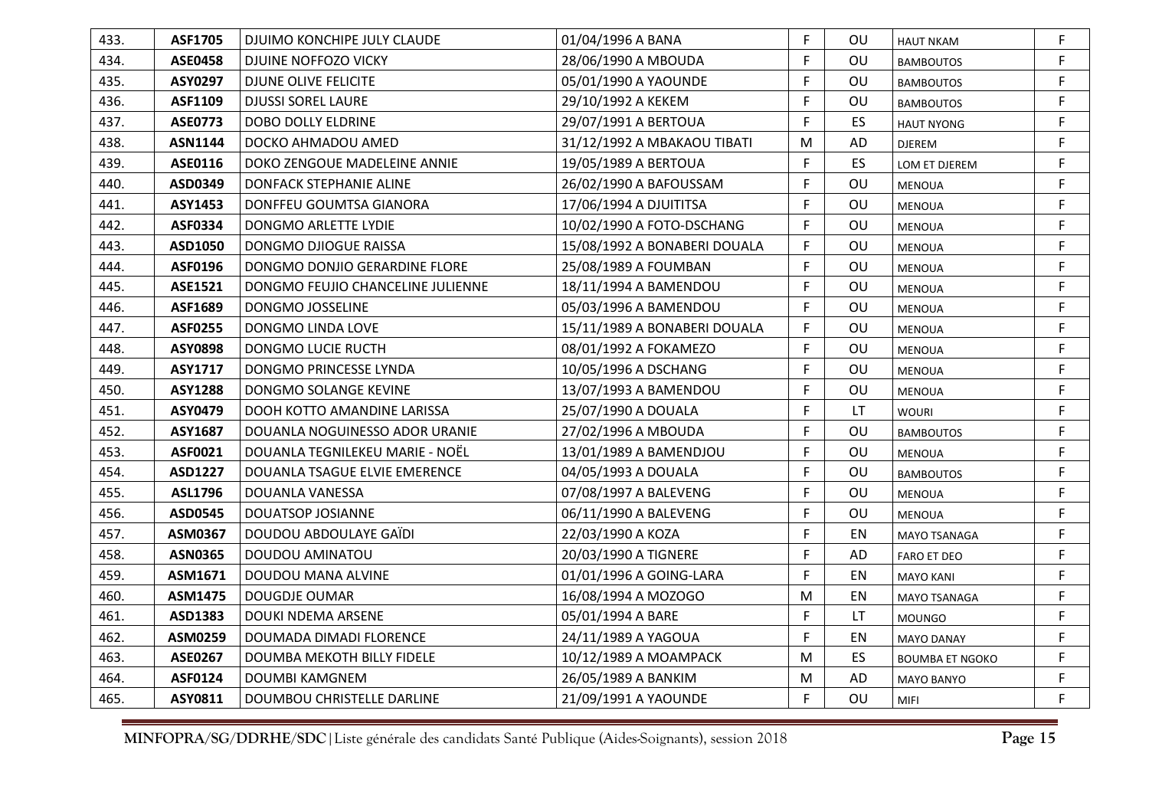| 433. | <b>ASF1705</b> | DJUIMO KONCHIPE JULY CLAUDE       | 01/04/1996 A BANA            | F. | OU        | <b>HAUT NKAM</b>       | F. |
|------|----------------|-----------------------------------|------------------------------|----|-----------|------------------------|----|
| 434. | <b>ASE0458</b> | DJUINE NOFFOZO VICKY              | 28/06/1990 A MBOUDA          | F. | OU        | <b>BAMBOUTOS</b>       | F  |
| 435. | ASY0297        | DJUNE OLIVE FELICITE              | 05/01/1990 A YAOUNDE         | F. | OU        | <b>BAMBOUTOS</b>       | F  |
| 436. | ASF1109        | <b>DJUSSI SOREL LAURE</b>         | 29/10/1992 A KEKEM           | F. | OU        | <b>BAMBOUTOS</b>       | F. |
| 437. | <b>ASE0773</b> | <b>DOBO DOLLY ELDRINE</b>         | 29/07/1991 A BERTOUA         | F. | ES.       | <b>HAUT NYONG</b>      | F. |
| 438. | <b>ASN1144</b> | DOCKO AHMADOU AMED                | 31/12/1992 A MBAKAOU TIBATI  | M  | AD        | <b>DJEREM</b>          | F  |
| 439. | ASE0116        | DOKO ZENGOUE MADELEINE ANNIE      | 19/05/1989 A BERTOUA         | F. | <b>ES</b> | LOM ET DJEREM          | F  |
| 440. | ASD0349        | DONFACK STEPHANIE ALINE           | 26/02/1990 A BAFOUSSAM       | F. | OU        | <b>MENOUA</b>          | F. |
| 441. | <b>ASY1453</b> | DONFFEU GOUMTSA GIANORA           | 17/06/1994 A DJUITITSA       | F. | OU        | <b>MENOUA</b>          | F  |
| 442. | <b>ASF0334</b> | DONGMO ARLETTE LYDIE              | 10/02/1990 A FOTO-DSCHANG    | F. | OU        | <b>MENOUA</b>          | F  |
| 443. | ASD1050        | DONGMO DJIOGUE RAISSA             | 15/08/1992 A BONABERI DOUALA | F  | OU        | MENOUA                 | F. |
| 444. | ASF0196        | DONGMO DONJIO GERARDINE FLORE     | 25/08/1989 A FOUMBAN         | F. | OU        | <b>MENOUA</b>          | F. |
| 445. | <b>ASE1521</b> | DONGMO FEUJIO CHANCELINE JULIENNE | 18/11/1994 A BAMENDOU        | F. | OU        | <b>MENOUA</b>          | F  |
| 446. | ASF1689        | <b>DONGMO JOSSELINE</b>           | 05/03/1996 A BAMENDOU        | F. | OU        | <b>MENOUA</b>          | F  |
| 447. | <b>ASF0255</b> | DONGMO LINDA LOVE                 | 15/11/1989 A BONABERI DOUALA | F. | OU        | <b>MENOUA</b>          | F. |
| 448. | ASY0898        | DONGMO LUCIE RUCTH                | 08/01/1992 A FOKAMEZO        | F. | OU        | <b>MENOUA</b>          | F. |
| 449. | ASY1717        | DONGMO PRINCESSE LYNDA            | 10/05/1996 A DSCHANG         | F. | OU        | <b>MENOUA</b>          | F  |
| 450. | <b>ASY1288</b> | DONGMO SOLANGE KEVINE             | 13/07/1993 A BAMENDOU        | F. | OU        | <b>MENOUA</b>          | F  |
| 451. | ASY0479        | DOOH KOTTO AMANDINE LARISSA       | 25/07/1990 A DOUALA          | F. | <b>LT</b> | <b>WOURI</b>           | F. |
| 452. | ASY1687        | DOUANLA NOGUINESSO ADOR URANIE    | 27/02/1996 A MBOUDA          | F. | OU        | <b>BAMBOUTOS</b>       | F. |
| 453. | ASF0021        | DOUANLA TEGNILEKEU MARIE - NOËL   | 13/01/1989 A BAMENDJOU       | F. | OU        | <b>MENOUA</b>          | F. |
| 454. | ASD1227        | DOUANLA TSAGUE ELVIE EMERENCE     | 04/05/1993 A DOUALA          | F. | OU        | <b>BAMBOUTOS</b>       | F. |
| 455. | ASL1796        | DOUANLA VANESSA                   | 07/08/1997 A BALEVENG        | F. | OU        | <b>MENOUA</b>          | F  |
| 456. | ASD0545        | <b>DOUATSOP JOSIANNE</b>          | 06/11/1990 A BALEVENG        | F. | OU        | <b>MENOUA</b>          | F. |
| 457. | ASM0367        | DOUDOU ABDOULAYE GAÏDI            | 22/03/1990 A KOZA            | F. | EN        | MAYO TSANAGA           | F  |
| 458. | <b>ASN0365</b> | DOUDOU AMINATOU                   | 20/03/1990 A TIGNERE         | F. | AD        | <b>FARO ET DEO</b>     | F  |
| 459. | ASM1671        | DOUDOU MANA ALVINE                | 01/01/1996 A GOING-LARA      | F. | EN        | <b>MAYO KANI</b>       | F. |
| 460. | ASM1475        | <b>DOUGDJE OUMAR</b>              | 16/08/1994 A MOZOGO          | M  | EN        | MAYO TSANAGA           | F. |
| 461. | ASD1383        | <b>DOUKI NDEMA ARSENE</b>         | 05/01/1994 A BARE            | F. | LT.       | <b>MOUNGO</b>          | F  |
| 462. | ASM0259        | DOUMADA DIMADI FLORENCE           | 24/11/1989 A YAGOUA          | F. | EN        | <b>MAYO DANAY</b>      | F. |
| 463. | <b>ASE0267</b> | DOUMBA MEKOTH BILLY FIDELE        | 10/12/1989 A MOAMPACK        | M  | ES.       | <b>BOUMBA ET NGOKO</b> | F. |
| 464. | ASF0124        | <b>DOUMBI KAMGNEM</b>             | 26/05/1989 A BANKIM          | M  | AD        | MAYO BANYO             | F  |
| 465. | ASY0811        | DOUMBOU CHRISTELLE DARLINE        | 21/09/1991 A YAOUNDE         | F. | OU        | <b>MIFI</b>            | F. |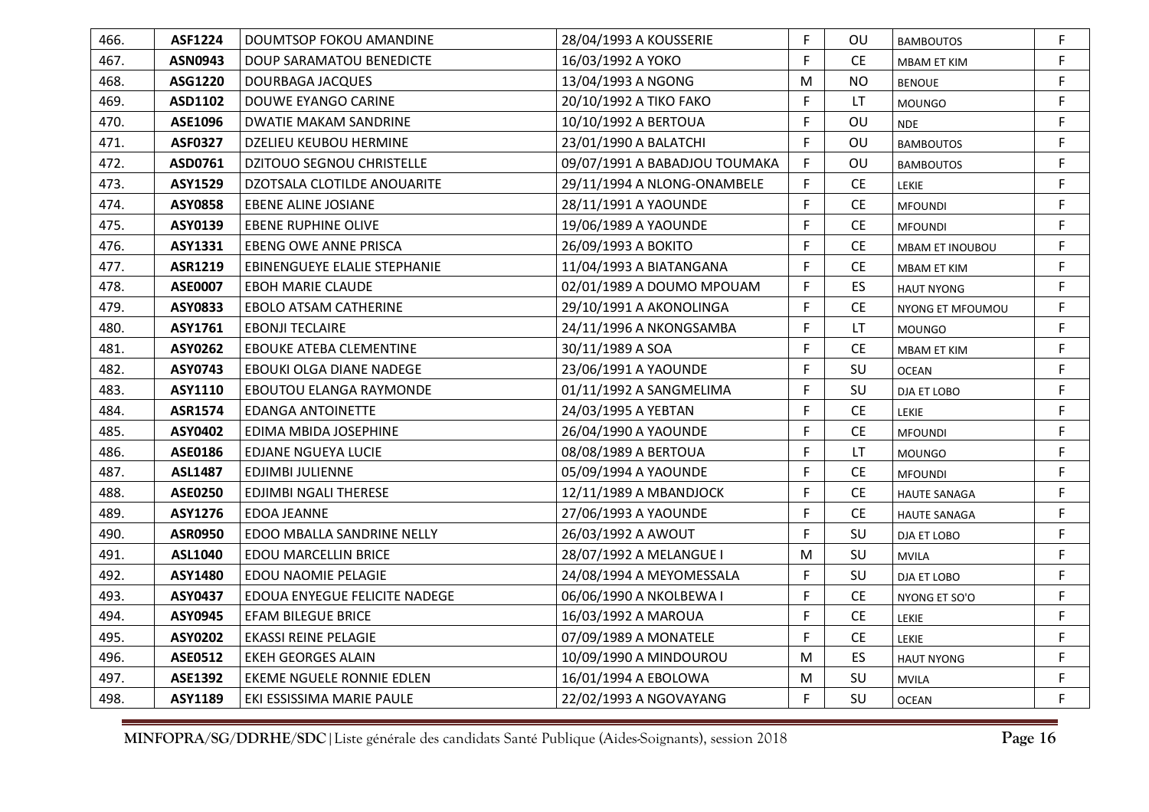| 466. | <b>ASF1224</b> | DOUMTSOP FOKOU AMANDINE          | 28/04/1993 A KOUSSERIE        | F  | OU        | <b>BAMBOUTOS</b>       | F. |
|------|----------------|----------------------------------|-------------------------------|----|-----------|------------------------|----|
| 467. | ASN0943        | DOUP SARAMATOU BENEDICTE         | 16/03/1992 A YOKO             | F. | <b>CE</b> | MBAM ET KIM            | F  |
| 468. | ASG1220        | DOURBAGA JACQUES                 | 13/04/1993 A NGONG            | M  | <b>NO</b> | <b>BENOUE</b>          | F. |
| 469. | ASD1102        | DOUWE EYANGO CARINE              | 20/10/1992 A TIKO FAKO        | F. | LT.       | <b>MOUNGO</b>          | F. |
| 470. | ASE1096        | DWATIE MAKAM SANDRINE            | 10/10/1992 A BERTOUA          | F. | OU        | <b>NDE</b>             | F. |
| 471. | <b>ASF0327</b> | DZELIEU KEUBOU HERMINE           | 23/01/1990 A BALATCHI         | F. | OU        | <b>BAMBOUTOS</b>       | F. |
| 472. | ASD0761        | <b>DZITOUO SEGNOU CHRISTELLE</b> | 09/07/1991 A BABADJOU TOUMAKA | F  | OU        | <b>BAMBOUTOS</b>       | F. |
| 473. | <b>ASY1529</b> | DZOTSALA CLOTILDE ANOUARITE      | 29/11/1994 A NLONG-ONAMBELE   | F. | <b>CE</b> | <b>LEKIE</b>           | F. |
| 474. | <b>ASY0858</b> | <b>EBENE ALINE JOSIANE</b>       | 28/11/1991 A YAOUNDE          | F. | CE        | <b>MFOUNDI</b>         | F. |
| 475. | ASY0139        | EBENE RUPHINE OLIVE              | 19/06/1989 A YAOUNDE          | F. | CE.       | <b>MFOUNDI</b>         | F  |
| 476. | ASY1331        | <b>EBENG OWE ANNE PRISCA</b>     | 26/09/1993 A BOKITO           | F  | <b>CE</b> | <b>MBAM ET INOUBOU</b> | F. |
| 477. | ASR1219        | EBINENGUEYE ELALIE STEPHANIE     | 11/04/1993 A BIATANGANA       | F  | <b>CE</b> | MBAM ET KIM            | F  |
| 478. | <b>ASE0007</b> | <b>EBOH MARIE CLAUDE</b>         | 02/01/1989 A DOUMO MPOUAM     | F  | <b>ES</b> | <b>HAUT NYONG</b>      | F. |
| 479. | ASY0833        | <b>EBOLO ATSAM CATHERINE</b>     | 29/10/1991 A AKONOLINGA       | F. | <b>CE</b> | NYONG ET MFOUMOU       | F. |
| 480. | ASY1761        | <b>EBONJI TECLAIRE</b>           | 24/11/1996 A NKONGSAMBA       | F. | LT.       | <b>MOUNGO</b>          | F. |
| 481. | ASY0262        | <b>EBOUKE ATEBA CLEMENTINE</b>   | 30/11/1989 A SOA              | F. | <b>CE</b> | <b>MBAM ET KIM</b>     | F  |
| 482. | ASY0743        | EBOUKI OLGA DIANE NADEGE         | 23/06/1991 A YAOUNDE          | F  | SU        | <b>OCEAN</b>           | F  |
| 483. | ASY1110        | EBOUTOU ELANGA RAYMONDE          | 01/11/1992 A SANGMELIMA       | F  | SU        | <b>DJA ET LOBO</b>     | F. |
| 484. | <b>ASR1574</b> | <b>EDANGA ANTOINETTE</b>         | 24/03/1995 A YEBTAN           | F  | <b>CE</b> | LEKIE                  | F. |
| 485. | ASY0402        | EDIMA MBIDA JOSEPHINE            | 26/04/1990 A YAOUNDE          | F. | <b>CE</b> | <b>MFOUNDI</b>         | F  |
| 486. | ASE0186        | EDJANE NGUEYA LUCIE              | 08/08/1989 A BERTOUA          | F  | LT        | <b>MOUNGO</b>          | F  |
| 487. | <b>ASL1487</b> | <b>EDJIMBI JULIENNE</b>          | 05/09/1994 A YAOUNDE          | F. | <b>CE</b> | <b>MFOUNDI</b>         | F. |
| 488. | <b>ASE0250</b> | EDJIMBI NGALI THERESE            | 12/11/1989 A MBANDJOCK        | F. | <b>CE</b> | <b>HAUTE SANAGA</b>    | F. |
| 489. | ASY1276        | <b>EDOA JEANNE</b>               | 27/06/1993 A YAOUNDE          | F. | CE        | <b>HAUTE SANAGA</b>    | F. |
| 490. | <b>ASR0950</b> | EDOO MBALLA SANDRINE NELLY       | 26/03/1992 A AWOUT            | F  | SU        | DJA ET LOBO            | F  |
| 491. | <b>ASL1040</b> | <b>EDOU MARCELLIN BRICE</b>      | 28/07/1992 A MELANGUE I       | M  | SU        | <b>MVILA</b>           | F. |
| 492. | ASY1480        | EDOU NAOMIE PELAGIE              | 24/08/1994 A MEYOMESSALA      | F  | SU        | DJA ET LOBO            | F. |
| 493. | ASY0437        | EDOUA ENYEGUE FELICITE NADEGE    | 06/06/1990 A NKOLBEWA I       | F. | <b>CE</b> | NYONG ET SO'O          | F. |
| 494. | ASY0945        | <b>EFAM BILEGUE BRICE</b>        | 16/03/1992 A MAROUA           | F. | <b>CE</b> | LEKIE                  | F  |
| 495. | ASY0202        | <b>EKASSI REINE PELAGIE</b>      | 07/09/1989 A MONATELE         | F  | CE        | LEKIE                  | F. |
| 496. | <b>ASE0512</b> | <b>EKEH GEORGES ALAIN</b>        | 10/09/1990 A MINDOUROU        | M  | ES        | <b>HAUT NYONG</b>      | F. |
| 497. | <b>ASE1392</b> | EKEME NGUELE RONNIE EDLEN        | 16/01/1994 A EBOLOWA          | M  | SU        | <b>MVILA</b>           | F. |
| 498. | <b>ASY1189</b> | EKI ESSISSIMA MARIE PAULE        | 22/02/1993 A NGOVAYANG        | F  | SU        | <b>OCEAN</b>           | F  |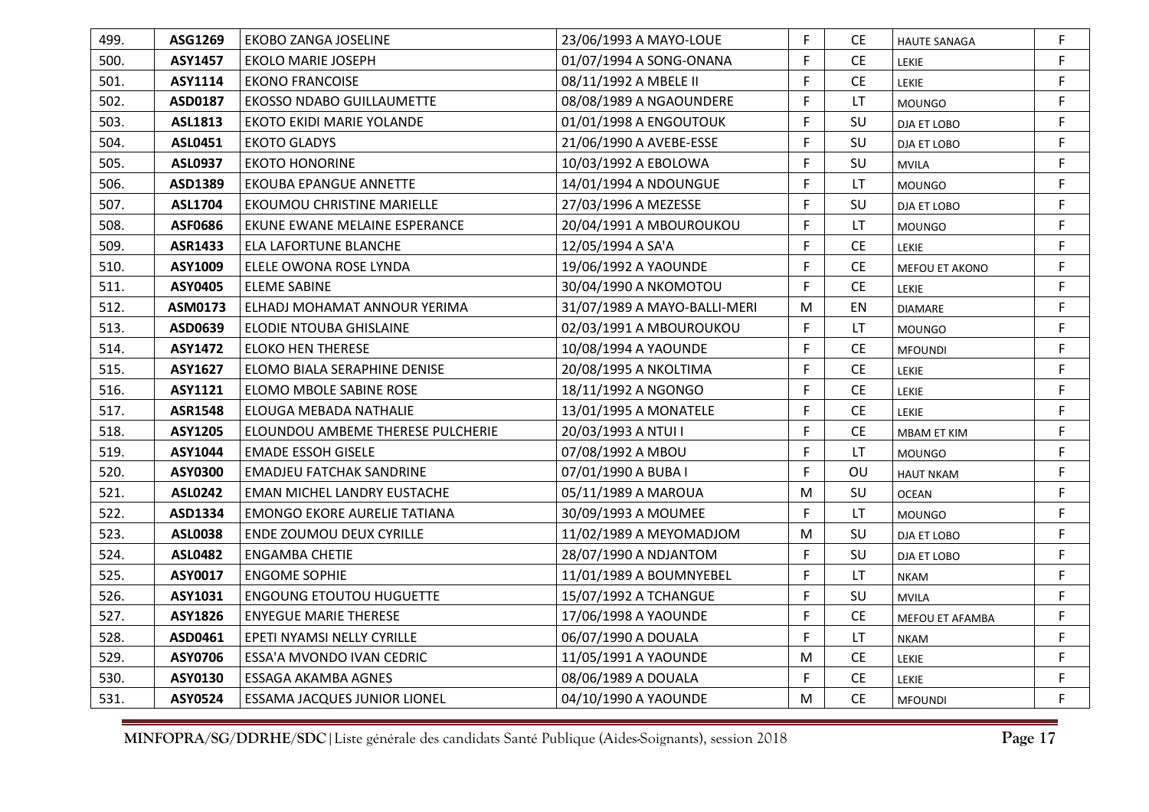| 499. | ASG1269        | <b>EKOBO ZANGA JOSELINE</b>              | 23/06/1993 A MAYO-LOUE       | F. | CE.       | <b>HAUTE SANAGA</b> | F  |
|------|----------------|------------------------------------------|------------------------------|----|-----------|---------------------|----|
| 500. | ASY1457        | <b>EKOLO MARIE JOSEPH</b>                | 01/07/1994 A SONG-ONANA      | F  | <b>CE</b> | LEKIE               | F  |
| 501. | ASY1114        | <b>EKONO FRANCOISE</b>                   | 08/11/1992 A MBELE II        | F  | <b>CE</b> | LEKIE               | F  |
| 502. | ASD0187        | <b>EKOSSO NDABO GUILLAUMETTE</b>         | 08/08/1989 A NGAOUNDERE      | F  | LT.       | <b>MOUNGO</b>       | F. |
| 503. | ASL1813        | EKOTO EKIDI MARIE YOLANDE                | 01/01/1998 A ENGOUTOUK       | F  | SU        | DJA ET LOBO         | F  |
| 504. | ASL0451        | <b>EKOTO GLADYS</b>                      | 21/06/1990 A AVEBE-ESSE      | F  | SU        | DJA ET LOBO         | F  |
| 505. | <b>ASL0937</b> | <b>EKOTO HONORINE</b>                    | 10/03/1992 A EBOLOWA         | F  | SU        | <b>MVILA</b>        | F  |
| 506. | ASD1389        | <b>EKOUBA EPANGUE ANNETTE</b>            | 14/01/1994 A NDOUNGUE        | F  | LT.       | <b>MOUNGO</b>       | F. |
| 507. | <b>ASL1704</b> | EKOUMOU CHRISTINE MARIELLE               | 27/03/1996 A MEZESSE         | F  | SU        | DJA ET LOBO         | F  |
| 508. | ASF0686        | EKUNE EWANE MELAINE ESPERANCE            | 20/04/1991 A MBOUROUKOU      | F  | LT        | <b>MOUNGO</b>       | F  |
| 509. | <b>ASR1433</b> | <b>ELA LAFORTUNE BLANCHE</b>             | 12/05/1994 A SA'A            | F  | <b>CE</b> | LEKIE               | F. |
| 510. | ASY1009        | ELELE OWONA ROSE LYNDA                   | 19/06/1992 A YAOUNDE         | F  | <b>CE</b> | MEFOU ET AKONO      | F  |
| 511. | ASY0405        | ELEME SABINE                             | 30/04/1990 A NKOMOTOU        | F  | CE        | LEKIE               | F  |
| 512. | ASM0173        | ELHADJ MOHAMAT ANNOUR YERIMA             | 31/07/1989 A MAYO-BALLI-MERI | M  | EN        | <b>DIAMARE</b>      | F  |
| 513. | ASD0639        | ELODIE NTOUBA GHISLAINE                  | 02/03/1991 A MBOUROUKOU      | F. | LT        | <b>MOUNGO</b>       | F  |
| 514. | <b>ASY1472</b> | <b>ELOKO HEN THERESE</b>                 | 10/08/1994 A YAOUNDE         | F  | <b>CE</b> | <b>MFOUNDI</b>      | F. |
| 515. | ASY1627        | ELOMO BIALA SERAPHINE DENISE             | 20/08/1995 A NKOLTIMA        | F  | CE        | <b>LEKIE</b>        | F  |
| 516. | ASY1121        | ELOMO MBOLE SABINE ROSE                  | 18/11/1992 A NGONGO          | F  | <b>CE</b> | LEKIE               | F  |
| 517. | <b>ASR1548</b> | <b>ELOUGA MEBADA NATHALIE</b>            | 13/01/1995 A MONATELE        | F  | <b>CE</b> | LEKIE               | F. |
| 518. | ASY1205        | <b>ELOUNDOU AMBEME THERESE PULCHERIE</b> | 20/03/1993 A NTUI I          | F  | <b>CE</b> | MBAM ET KIM         | F  |
| 519. | ASY1044        | <b>EMADE ESSOH GISELE</b>                | 07/08/1992 A MBOU            | F  | LT        | <b>MOUNGO</b>       | F  |
| 520. | ASY0300        | <b>EMADJEU FATCHAK SANDRINE</b>          | 07/01/1990 A BUBA I          | F  | OU        | <b>HAUT NKAM</b>    | F  |
| 521. | <b>ASL0242</b> | <b>EMAN MICHEL LANDRY EUSTACHE</b>       | 05/11/1989 A MAROUA          | M  | SU        | <b>OCEAN</b>        | F. |
| 522. | ASD1334        | <b>EMONGO EKORE AURELIE TATIANA</b>      | 30/09/1993 A MOUMEE          | F  | LT.       | <b>MOUNGO</b>       | F. |
| 523. | <b>ASL0038</b> | ENDE ZOUMOU DEUX CYRILLE                 | 11/02/1989 A MEYOMADJOM      | M  | SU        | DJA ET LOBO         | F  |
| 524. | <b>ASL0482</b> | <b>ENGAMBA CHETIE</b>                    | 28/07/1990 A NDJANTOM        | F  | SU        | DJA ET LOBO         | F  |
| 525. | ASY0017        | <b>ENGOME SOPHIE</b>                     | 11/01/1989 A BOUMNYEBEL      | F  | LT.       | <b>NKAM</b>         | F. |
| 526. | ASY1031        | <b>ENGOUNG ETOUTOU HUGUETTE</b>          | 15/07/1992 A TCHANGUE        | F  | SU        | <b>MVILA</b>        | F  |
| 527. | ASY1826        | <b>ENYEGUE MARIE THERESE</b>             | 17/06/1998 A YAOUNDE         | F  | CE        | MEFOU ET AFAMBA     | F  |
| 528. | ASD0461        | EPETI NYAMSI NELLY CYRILLE               | 06/07/1990 A DOUALA          | F  | LT        | <b>NKAM</b>         | F. |
| 529. | ASY0706        | ESSA'A MVONDO IVAN CEDRIC                | 11/05/1991 A YAOUNDE         | M  | <b>CE</b> | LEKIE               | F. |
| 530. | ASY0130        | <b>ESSAGA AKAMBA AGNES</b>               | 08/06/1989 A DOUALA          | F  | CE        | LEKIE               | F  |
| 531. | <b>ASY0524</b> | <b>ESSAMA JACQUES JUNIOR LIONEL</b>      | 04/10/1990 A YAOUNDE         | M  | <b>CE</b> | <b>MFOUNDI</b>      | F  |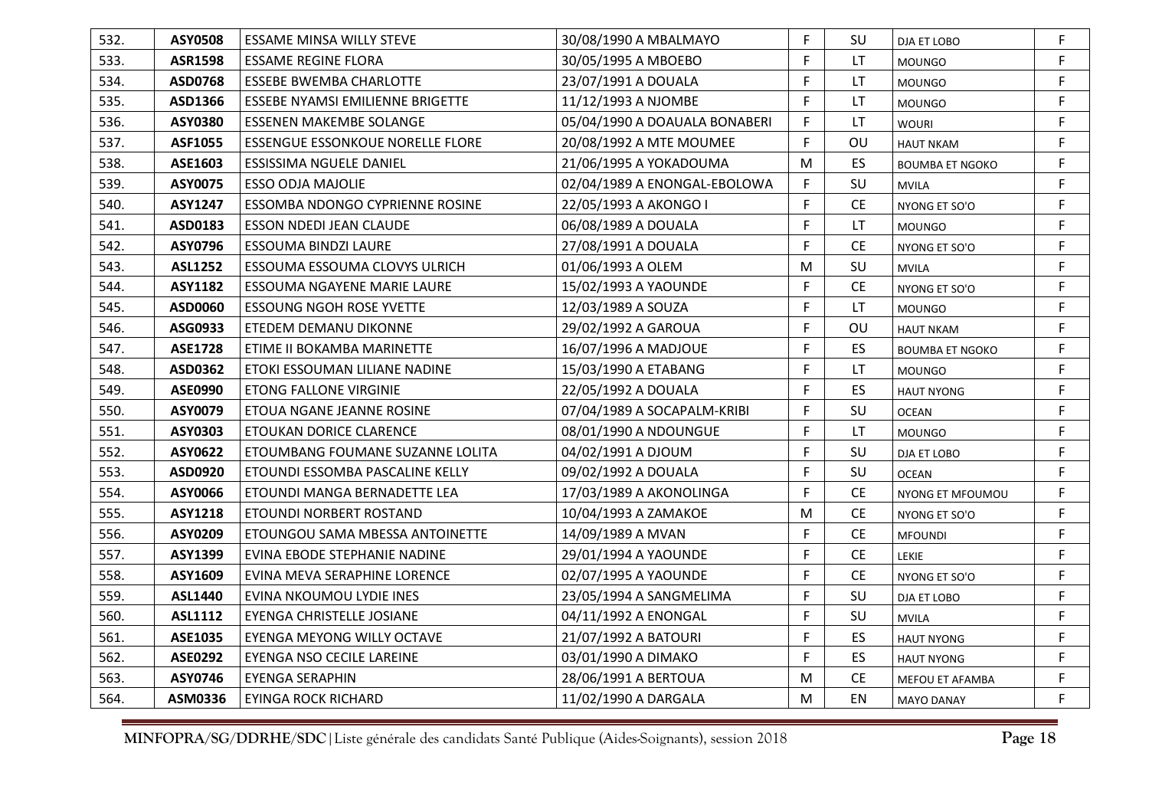| 532. | <b>ASY0508</b> | ESSAME MINSA WILLY STEVE                | 30/08/1990 A MBALMAYO         | F. | SU        | DJA ET LOBO            | F. |
|------|----------------|-----------------------------------------|-------------------------------|----|-----------|------------------------|----|
| 533. | <b>ASR1598</b> | ESSAME REGINE FLORA                     | 30/05/1995 A MBOEBO           | F. | LT.       | <b>MOUNGO</b>          | F  |
| 534. | ASD0768        | <b>ESSEBE BWEMBA CHARLOTTE</b>          | 23/07/1991 A DOUALA           | F. | LT.       | <b>MOUNGO</b>          | F  |
| 535. | ASD1366        | ESSEBE NYAMSI EMILIENNE BRIGETTE        | 11/12/1993 A NJOMBE           | F. | LT.       | <b>MOUNGO</b>          | F. |
| 536. | <b>ASY0380</b> | <b>ESSENEN MAKEMBE SOLANGE</b>          | 05/04/1990 A DOAUALA BONABERI | F. | LT        | <b>WOURI</b>           | F. |
| 537. | <b>ASF1055</b> | <b>ESSENGUE ESSONKOUE NORELLE FLORE</b> | 20/08/1992 A MTE MOUMEE       | F. | OU        | <b>HAUT NKAM</b>       | F. |
| 538. | ASE1603        | ESSISSIMA NGUELE DANIEL                 | 21/06/1995 A YOKADOUMA        | M  | <b>ES</b> | <b>BOUMBA ET NGOKO</b> | F. |
| 539. | ASY0075        | <b>ESSO ODJA MAJOLIE</b>                | 02/04/1989 A ENONGAL-EBOLOWA  | F. | SU        | <b>MVILA</b>           | F. |
| 540. | <b>ASY1247</b> | ESSOMBA NDONGO CYPRIENNE ROSINE         | 22/05/1993 A AKONGO I         | F. | CE        | NYONG ET SO'O          | F. |
| 541. | ASD0183        | ESSON NDEDI JEAN CLAUDE                 | 06/08/1989 A DOUALA           | F. | LT.       | <b>MOUNGO</b>          | F  |
| 542. | ASY0796        | ESSOUMA BINDZI LAURE                    | 27/08/1991 A DOUALA           | F. | <b>CE</b> | NYONG ET SO'O          | F. |
| 543. | <b>ASL1252</b> | ESSOUMA ESSOUMA CLOVYS ULRICH           | 01/06/1993 A OLEM             | M  | SU        | <b>MVILA</b>           | F. |
| 544. | <b>ASY1182</b> | ESSOUMA NGAYENE MARIE LAURE             | 15/02/1993 A YAOUNDE          | F. | <b>CE</b> | NYONG ET SO'O          | F. |
| 545. | ASD0060        | <b>ESSOUNG NGOH ROSE YVETTE</b>         | 12/03/1989 A SOUZA            | F. | LT.       | <b>MOUNGO</b>          | F  |
| 546. | ASG0933        | ETEDEM DEMANU DIKONNE                   | 29/02/1992 A GAROUA           | F. | OU        | <b>HAUT NKAM</b>       | F. |
| 547. | <b>ASE1728</b> | ETIME II BOKAMBA MARINETTE              | 16/07/1996 A MADJOUE          | F. | ES        | <b>BOUMBA ET NGOKO</b> | F. |
| 548. | ASD0362        | ETOKI ESSOUMAN LILIANE NADINE           | 15/03/1990 A ETABANG          | F. | LT        | <b>MOUNGO</b>          | F  |
| 549. | <b>ASE0990</b> | ETONG FALLONE VIRGINIE                  | 22/05/1992 A DOUALA           | F  | ES.       | <b>HAUT NYONG</b>      | F. |
| 550. | ASY0079        | ETOUA NGANE JEANNE ROSINE               | 07/04/1989 A SOCAPALM-KRIBI   | F. | SU        | <b>OCEAN</b>           | F. |
| 551. | ASY0303        | ETOUKAN DORICE CLARENCE                 | 08/01/1990 A NDOUNGUE         | F. | <b>LT</b> | <b>MOUNGO</b>          | F. |
| 552. | ASY0622        | ETOUMBANG FOUMANE SUZANNE LOLITA        | 04/02/1991 A DJOUM            | F  | SU        | DJA ET LOBO            | F  |
| 553. | ASD0920        | ETOUNDI ESSOMBA PASCALINE KELLY         | 09/02/1992 A DOUALA           | F. | SU        | <b>OCEAN</b>           | F  |
| 554. | ASY0066        | ETOUNDI MANGA BERNADETTE LEA            | 17/03/1989 A AKONOLINGA       | F  | <b>CE</b> | NYONG ET MFOUMOU       | F. |
| 555. | <b>ASY1218</b> | ETOUNDI NORBERT ROSTAND                 | 10/04/1993 A ZAMAKOE          | M  | <b>CE</b> | NYONG ET SO'O          | F. |
| 556. | ASY0209        | ETOUNGOU SAMA MBESSA ANTOINETTE         | 14/09/1989 A MVAN             | F. | <b>CE</b> | <b>MFOUNDI</b>         | F  |
| 557. | ASY1399        | EVINA EBODE STEPHANIE NADINE            | 29/01/1994 A YAOUNDE          | F. | <b>CE</b> | LEKIE                  | F  |
| 558. | ASY1609        | EVINA MEVA SERAPHINE LORENCE            | 02/07/1995 A YAOUNDE          | F. | <b>CE</b> | NYONG ET SO'O          | F. |
| 559. | <b>ASL1440</b> | EVINA NKOUMOU LYDIE INES                | 23/05/1994 A SANGMELIMA       | F. | SU        | DJA ET LOBO            | F. |
| 560. | ASL1112        | EYENGA CHRISTELLE JOSIANE               | 04/11/1992 A ENONGAL          | F  | SU        | <b>MVILA</b>           | F. |
| 561. | ASE1035        | EYENGA MEYONG WILLY OCTAVE              | 21/07/1992 A BATOURI          | F. | <b>ES</b> | <b>HAUT NYONG</b>      | F  |
| 562. | <b>ASE0292</b> | EYENGA NSO CECILE LAREINE               | 03/01/1990 A DIMAKO           | F  | ES.       | <b>HAUT NYONG</b>      | F  |
| 563. | ASY0746        | <b>EYENGA SERAPHIN</b>                  | 28/06/1991 A BERTOUA          | M  | <b>CE</b> | MEFOU ET AFAMBA        | F  |
| 564. | ASM0336        | EYINGA ROCK RICHARD                     | 11/02/1990 A DARGALA          | M  | EN        | <b>MAYO DANAY</b>      | F  |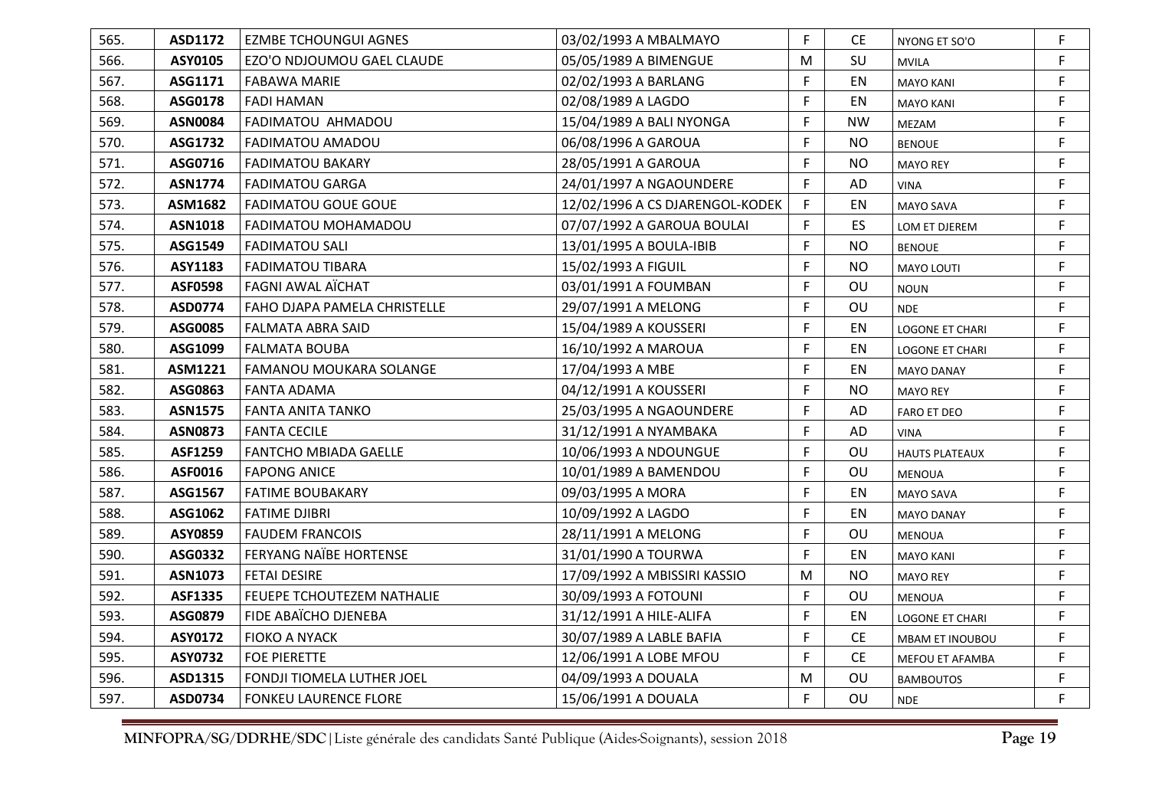| 565. | ASD1172        | <b>EZMBE TCHOUNGUI AGNES</b>  | 03/02/1993 A MBALMAYO           | F  | CE.       | NYONG ET SO'O          | F  |
|------|----------------|-------------------------------|---------------------------------|----|-----------|------------------------|----|
| 566. | ASY0105        | EZO'O NDJOUMOU GAEL CLAUDE    | 05/05/1989 A BIMENGUE           | M  | SU        | <b>MVILA</b>           | F. |
| 567. | ASG1171        | <b>FABAWA MARIE</b>           | 02/02/1993 A BARLANG            | F  | EN        | <b>MAYO KANI</b>       | F  |
| 568. | ASG0178        | <b>FADI HAMAN</b>             | 02/08/1989 A LAGDO              | F  | EN        | <b>MAYO KANI</b>       | F. |
| 569. | <b>ASN0084</b> | FADIMATOU AHMADOU             | 15/04/1989 A BALI NYONGA        | F  | <b>NW</b> | MEZAM                  | F. |
| 570. | ASG1732        | FADIMATOU AMADOU              | 06/08/1996 A GAROUA             | F  | <b>NO</b> | <b>BENOUE</b>          | F  |
| 571. | ASG0716        | <b>FADIMATOU BAKARY</b>       | 28/05/1991 A GAROUA             | F  | <b>NO</b> | <b>MAYO REY</b>        | F. |
| 572. | <b>ASN1774</b> | <b>FADIMATOU GARGA</b>        | 24/01/1997 A NGAOUNDERE         | F  | AD        | <b>VINA</b>            | F  |
| 573. | ASM1682        | <b>FADIMATOU GOUE GOUE</b>    | 12/02/1996 A CS DJARENGOL-KODEK | F  | EN        | <b>MAYO SAVA</b>       | F  |
| 574. | <b>ASN1018</b> | FADIMATOU MOHAMADOU           | 07/07/1992 A GAROUA BOULAI      | F. | ES        | LOM ET DJEREM          | F. |
| 575. | ASG1549        | <b>FADIMATOU SALI</b>         | 13/01/1995 A BOULA-IBIB         | F  | <b>NO</b> | <b>BENOUE</b>          | F  |
| 576. | ASY1183        | <b>FADIMATOU TIBARA</b>       | 15/02/1993 A FIGUIL             | F  | <b>NO</b> | <b>MAYO LOUTI</b>      | F. |
| 577. | <b>ASF0598</b> | <b>FAGNI AWAL AÏCHAT</b>      | 03/01/1991 A FOUMBAN            | F  | OU        | <b>NOUN</b>            | F  |
| 578. | ASD0774        | FAHO DJAPA PAMELA CHRISTELLE  | 29/07/1991 A MELONG             | F  | OU        | <b>NDE</b>             | F. |
| 579. | ASG0085        | <b>FALMATA ABRA SAID</b>      | 15/04/1989 A KOUSSERI           | F  | EN        | <b>LOGONE ET CHARI</b> | F. |
| 580. | ASG1099        | <b>FALMATA BOUBA</b>          | 16/10/1992 A MAROUA             | F  | EN        | <b>LOGONE ET CHARI</b> | F. |
| 581. | ASM1221        | FAMANOU MOUKARA SOLANGE       | 17/04/1993 A MBE                | F  | EN        | <b>MAYO DANAY</b>      | F  |
| 582. | ASG0863        | <b>FANTA ADAMA</b>            | 04/12/1991 A KOUSSERI           | F. | <b>NO</b> | <b>MAYO REY</b>        | F  |
| 583. | <b>ASN1575</b> | <b>FANTA ANITA TANKO</b>      | 25/03/1995 A NGAOUNDERE         | F  | AD        | <b>FARO ET DEO</b>     | F. |
| 584. | <b>ASN0873</b> | <b>FANTA CECILE</b>           | 31/12/1991 A NYAMBAKA           | F  | AD        | <b>VINA</b>            | F. |
| 585. | ASF1259        | <b>FANTCHO MBIADA GAELLE</b>  | 10/06/1993 A NDOUNGUE           | F  | OU        | <b>HAUTS PLATEAUX</b>  | F  |
| 586. | ASF0016        | <b>FAPONG ANICE</b>           | 10/01/1989 A BAMENDOU           | F  | OU        | <b>MENOUA</b>          | F. |
| 587. | ASG1567        | <b>FATIME BOUBAKARY</b>       | 09/03/1995 A MORA               | F  | EN        | <b>MAYO SAVA</b>       | F. |
| 588. | ASG1062        | <b>FATIME DJIBRI</b>          | 10/09/1992 A LAGDO              | F. | EN        | <b>MAYO DANAY</b>      | F. |
| 589. | ASY0859        | <b>FAUDEM FRANCOIS</b>        | 28/11/1991 A MELONG             | F  | OU        | <b>MENOUA</b>          | F. |
| 590. | ASG0332        | <b>FERYANG NAÏBE HORTENSE</b> | 31/01/1990 A TOURWA             | F. | EN        | <b>MAYO KANI</b>       | F. |
| 591. | <b>ASN1073</b> | <b>FETAI DESIRE</b>           | 17/09/1992 A MBISSIRI KASSIO    | M  | <b>NO</b> | <b>MAYO REY</b>        | F. |
| 592. | ASF1335        | FEUEPE TCHOUTEZEM NATHALIE    | 30/09/1993 A FOTOUNI            | F. | OU        | <b>MENOUA</b>          | F. |
| 593. | ASG0879        | FIDE ABAÏCHO DJENEBA          | 31/12/1991 A HILE-ALIFA         | F  | EN        | <b>LOGONE ET CHARI</b> | F. |
| 594. | ASY0172        | <b>FIOKO A NYACK</b>          | 30/07/1989 A LABLE BAFIA        | F  | CE        | <b>MBAM ET INOUBOU</b> | F  |
| 595. | <b>ASY0732</b> | <b>FOE PIERETTE</b>           | 12/06/1991 A LOBE MFOU          | F  | <b>CE</b> | MEFOU ET AFAMBA        | F. |
| 596. | ASD1315        | FONDJI TIOMELA LUTHER JOEL    | 04/09/1993 A DOUALA             | M  | OU        | <b>BAMBOUTOS</b>       | F. |
| 597. | ASD0734        | <b>FONKEU LAURENCE FLORE</b>  | 15/06/1991 A DOUALA             | F  | OU        | <b>NDE</b>             | F. |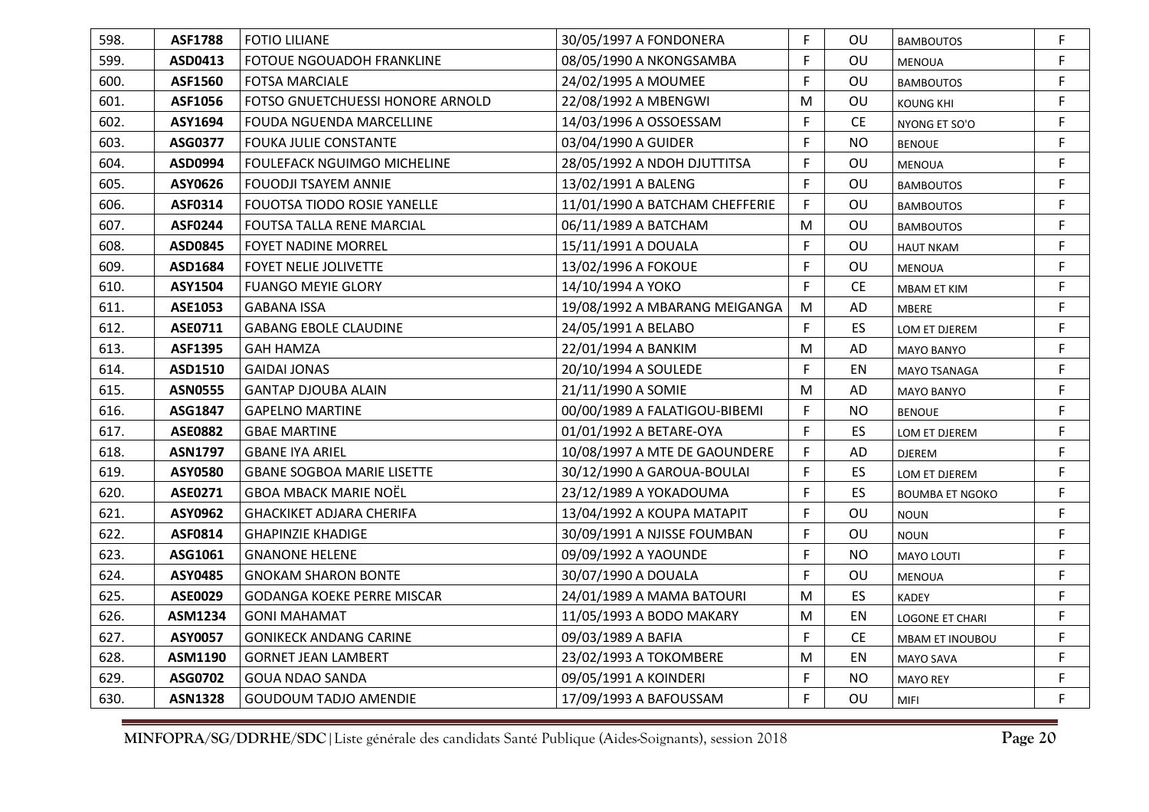| 598. | <b>ASF1788</b> | <b>FOTIO LILIANE</b>               | 30/05/1997 A FONDONERA         | F         | OU        | <b>BAMBOUTOS</b>       | F           |
|------|----------------|------------------------------------|--------------------------------|-----------|-----------|------------------------|-------------|
| 599. | ASD0413        | FOTOUE NGOUADOH FRANKLINE          | 08/05/1990 A NKONGSAMBA        | F         | OU        | <b>MENOUA</b>          | F.          |
| 600. | ASF1560        | <b>FOTSA MARCIALE</b>              | 24/02/1995 A MOUMEE            | F.        | OU        | <b>BAMBOUTOS</b>       | F.          |
| 601. | ASF1056        | FOTSO GNUETCHUESSI HONORE ARNOLD   | 22/08/1992 A MBENGWI           | M         | OU        | <b>KOUNG KHI</b>       | F.          |
| 602. | ASY1694        | FOUDA NGUENDA MARCELLINE           | 14/03/1996 A OSSOESSAM         | F         | <b>CE</b> | NYONG ET SO'O          | F           |
| 603. | ASG0377        | <b>FOUKA JULIE CONSTANTE</b>       | 03/04/1990 A GUIDER            | F         | <b>NO</b> | <b>BENOUE</b>          | F.          |
| 604. | ASD0994        | <b>FOULEFACK NGUIMGO MICHELINE</b> | 28/05/1992 A NDOH DJUTTITSA    | F         | OU        | <b>MENOUA</b>          | F.          |
| 605. | ASY0626        | <b>FOUODJI TSAYEM ANNIE</b>        | 13/02/1991 A BALENG            | F         | OU        | <b>BAMBOUTOS</b>       | F           |
| 606. | <b>ASF0314</b> | <b>FOUOTSA TIODO ROSIE YANELLE</b> | 11/01/1990 A BATCHAM CHEFFERIE | F         | OU        | <b>BAMBOUTOS</b>       | F           |
| 607. | <b>ASF0244</b> | FOUTSA TALLA RENE MARCIAL          | 06/11/1989 A BATCHAM           | ${\sf M}$ | OU        | <b>BAMBOUTOS</b>       | F.          |
| 608. | ASD0845        | <b>FOYET NADINE MORREL</b>         | 15/11/1991 A DOUALA            | F         | OU        | <b>HAUT NKAM</b>       | F.          |
| 609. | ASD1684        | FOYET NELIE JOLIVETTE              | 13/02/1996 A FOKOUE            | F         | OU        | <b>MENOUA</b>          | F.          |
| 610. | ASY1504        | <b>FUANGO MEYIE GLORY</b>          | 14/10/1994 A YOKO              | F         | CE        | <b>MBAM ET KIM</b>     | $\mathsf F$ |
| 611. | ASE1053        | <b>GABANA ISSA</b>                 | 19/08/1992 A MBARANG MEIGANGA  | M         | AD        | <b>MBERE</b>           | F.          |
| 612. | ASE0711        | <b>GABANG EBOLE CLAUDINE</b>       | 24/05/1991 A BELABO            | F         | ES        | LOM ET DJEREM          | F.          |
| 613. | <b>ASF1395</b> | <b>GAH HAMZA</b>                   | 22/01/1994 A BANKIM            | M         | AD        | <b>MAYO BANYO</b>      | F.          |
| 614. | ASD1510        | <b>GAIDAI JONAS</b>                | 20/10/1994 A SOULEDE           | F         | EN        | MAYO TSANAGA           | F           |
| 615. | <b>ASN0555</b> | <b>GANTAP DJOUBA ALAIN</b>         | 21/11/1990 A SOMIE             | M         | AD        | <b>MAYO BANYO</b>      | F.          |
| 616. | ASG1847        | <b>GAPELNO MARTINE</b>             | 00/00/1989 A FALATIGOU-BIBEMI  | F         | <b>NO</b> | <b>BENOUE</b>          | F.          |
| 617. | <b>ASE0882</b> | <b>GBAE MARTINE</b>                | 01/01/1992 A BETARE-OYA        | F.        | ES        | LOM ET DJEREM          | F.          |
| 618. | <b>ASN1797</b> | <b>GBANE IYA ARIEL</b>             | 10/08/1997 A MTE DE GAOUNDERE  | F         | AD        | <b>DJEREM</b>          | F.          |
| 619. | ASY0580        | <b>GBANE SOGBOA MARIE LISETTE</b>  | 30/12/1990 A GAROUA-BOULAI     | F.        | ES        | LOM ET DJEREM          | F.          |
| 620. | ASE0271        | <b>GBOA MBACK MARIE NOËL</b>       | 23/12/1989 A YOKADOUMA         | F         | ES        | <b>BOUMBA ET NGOKO</b> | F           |
| 621. | ASY0962        | GHACKIKET ADJARA CHERIFA           | 13/04/1992 A KOUPA MATAPIT     | F         | OU        | <b>NOUN</b>            | F.          |
| 622. | ASF0814        | <b>GHAPINZIE KHADIGE</b>           | 30/09/1991 A NJISSE FOUMBAN    | F         | OU        | <b>NOUN</b>            | F           |
| 623. | ASG1061        | <b>GNANONE HELENE</b>              | 09/09/1992 A YAOUNDE           | F.        | <b>NO</b> | MAYO LOUTI             | F.          |
| 624. | ASY0485        | <b>GNOKAM SHARON BONTE</b>         | 30/07/1990 A DOUALA            | F         | OU        | <b>MENOUA</b>          | F           |
| 625. | ASE0029        | <b>GODANGA KOEKE PERRE MISCAR</b>  | 24/01/1989 A MAMA BATOURI      | M         | <b>ES</b> | <b>KADEY</b>           | F           |
| 626. | ASM1234        | <b>GONI MAHAMAT</b>                | 11/05/1993 A BODO MAKARY       | M         | EN        | <b>LOGONE ET CHARI</b> | F.          |
| 627. | ASY0057        | <b>GONIKECK ANDANG CARINE</b>      | 09/03/1989 A BAFIA             | F         | <b>CE</b> | <b>MBAM ET INOUBOU</b> | F.          |
| 628. | ASM1190        | <b>GORNET JEAN LAMBERT</b>         | 23/02/1993 A TOKOMBERE         | M         | EN        | <b>MAYO SAVA</b>       | F.          |
| 629. | ASG0702        | <b>GOUA NDAO SANDA</b>             | 09/05/1991 A KOINDERI          | F         | <b>NO</b> | <b>MAYO REY</b>        | F           |
| 630. | <b>ASN1328</b> | <b>GOUDOUM TADJO AMENDIE</b>       | 17/09/1993 A BAFOUSSAM         | F.        | OU        | <b>MIFI</b>            | F.          |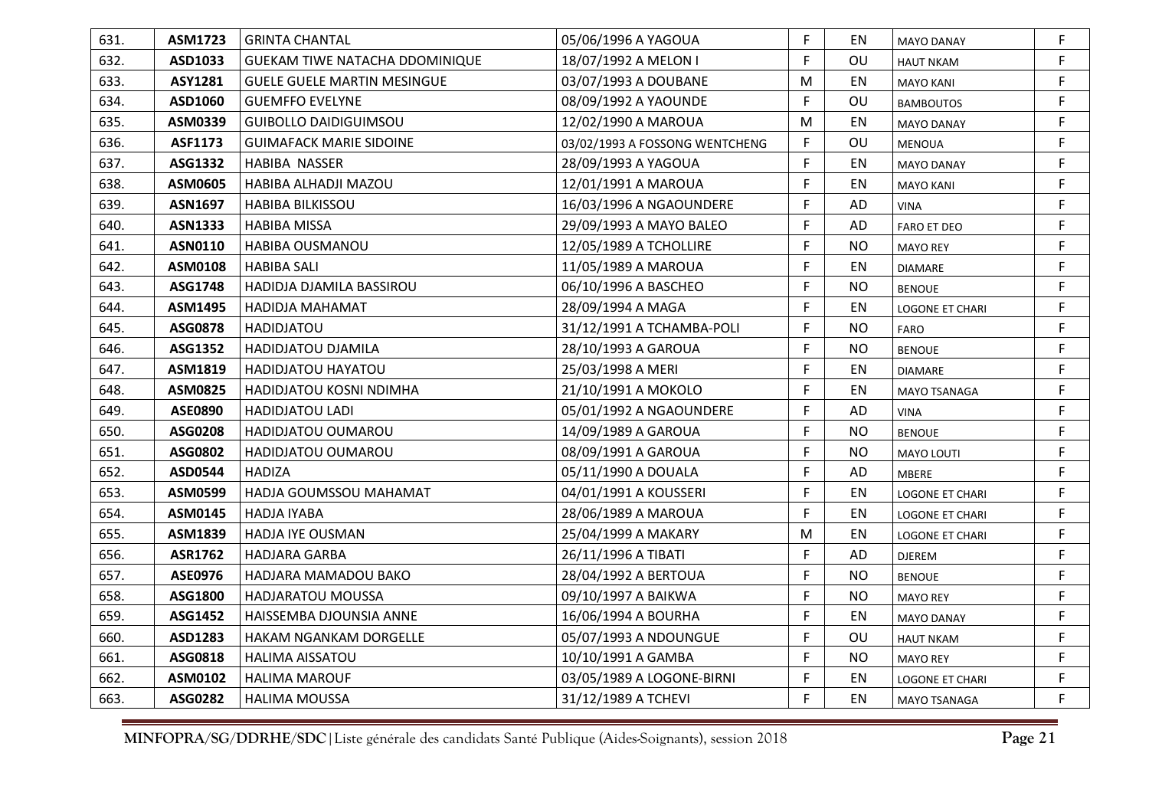| 631. | ASM1723        | <b>GRINTA CHANTAL</b>              | 05/06/1996 A YAGOUA            | F. | EN        | <b>MAYO DANAY</b>      | F. |
|------|----------------|------------------------------------|--------------------------------|----|-----------|------------------------|----|
| 632. | ASD1033        | GUEKAM TIWE NATACHA DDOMINIQUE     | 18/07/1992 A MELON I           | F  | OU        | <b>HAUT NKAM</b>       | F. |
| 633. | <b>ASY1281</b> | <b>GUELE GUELE MARTIN MESINGUE</b> | 03/07/1993 A DOUBANE           | M  | EN        | <b>MAYO KANI</b>       | F. |
| 634. | ASD1060        | <b>GUEMFFO EVELYNE</b>             | 08/09/1992 A YAOUNDE           | F  | OU        | <b>BAMBOUTOS</b>       | F. |
| 635. | ASM0339        | <b>GUIBOLLO DAIDIGUIMSOU</b>       | 12/02/1990 A MAROUA            | M  | ΕN        | MAYO DANAY             | F  |
| 636. | ASF1173        | <b>GUIMAFACK MARIE SIDOINE</b>     | 03/02/1993 A FOSSONG WENTCHENG | F  | OU        | <b>MENOUA</b>          | F. |
| 637. | ASG1332        | <b>HABIBA NASSER</b>               | 28/09/1993 A YAGOUA            | F  | EN        | <b>MAYO DANAY</b>      | F. |
| 638. | ASM0605        | HABIBA ALHADJI MAZOU               | 12/01/1991 A MAROUA            | F  | EN        | <b>MAYO KANI</b>       | F. |
| 639. | <b>ASN1697</b> | <b>HABIBA BILKISSOU</b>            | 16/03/1996 A NGAOUNDERE        | F  | AD        | <b>VINA</b>            | F. |
| 640. | <b>ASN1333</b> | <b>HABIBA MISSA</b>                | 29/09/1993 A MAYO BALEO        | F  | AD        | <b>FARO ET DEO</b>     | F. |
| 641. | <b>ASN0110</b> | HABIBA OUSMANOU                    | 12/05/1989 A TCHOLLIRE         | F  | <b>NO</b> | <b>MAYO REY</b>        | F. |
| 642. | ASM0108        | <b>HABIBA SALI</b>                 | 11/05/1989 A MAROUA            | F  | EN        | <b>DIAMARE</b>         | F  |
| 643. | ASG1748        | HADIDJA DJAMILA BASSIROU           | 06/10/1996 A BASCHEO           | F  | <b>NO</b> | <b>BENOUE</b>          | F. |
| 644. | ASM1495        | HADIDJA MAHAMAT                    | 28/09/1994 A MAGA              | F  | EN        | <b>LOGONE ET CHARI</b> | F. |
| 645. | <b>ASG0878</b> | <b>HADIDJATOU</b>                  | 31/12/1991 A TCHAMBA-POLI      | F  | <b>NO</b> | FARO                   | F. |
| 646. | ASG1352        | HADIDJATOU DJAMILA                 | 28/10/1993 A GAROUA            | F  | <b>NO</b> | <b>BENOUE</b>          | F. |
| 647. | ASM1819        | HADIDJATOU HAYATOU                 | 25/03/1998 A MERI              | F  | EN        | <b>DIAMARE</b>         | F. |
| 648. | <b>ASM0825</b> | HADIDJATOU KOSNI NDIMHA            | 21/10/1991 A MOKOLO            | F  | EN        | MAYO TSANAGA           | F  |
| 649. | <b>ASE0890</b> | <b>HADIDJATOU LADI</b>             | 05/01/1992 A NGAOUNDERE        | F  | AD        | <b>VINA</b>            | F. |
| 650. | ASG0208        | HADIDJATOU OUMAROU                 | 14/09/1989 A GAROUA            | F  | <b>NO</b> | <b>BENOUE</b>          | F. |
| 651. | ASG0802        | HADIDJATOU OUMAROU                 | 08/09/1991 A GAROUA            | F  | <b>NO</b> | <b>MAYO LOUTI</b>      | F  |
| 652. | <b>ASD0544</b> | <b>HADIZA</b>                      | 05/11/1990 A DOUALA            | F  | AD        | <b>MBERE</b>           | F. |
| 653. | ASM0599        | HADJA GOUMSSOU MAHAMAT             | 04/01/1991 A KOUSSERI          | F  | EN        | <b>LOGONE ET CHARI</b> | F  |
| 654. | ASM0145        | <b>HADJA IYABA</b>                 | 28/06/1989 A MAROUA            | F. | EN        | <b>LOGONE ET CHARI</b> | F. |
| 655. | ASM1839        | <b>HADJA IYE OUSMAN</b>            | 25/04/1999 A MAKARY            | M  | EN        | LOGONE ET CHARI        | F  |
| 656. | <b>ASR1762</b> | <b>HADJARA GARBA</b>               | 26/11/1996 A TIBATI            | F. | AD        | <b>DJEREM</b>          | F. |
| 657. | <b>ASE0976</b> | HADJARA MAMADOU BAKO               | 28/04/1992 A BERTOUA           | F  | <b>NO</b> | <b>BENOUE</b>          | F. |
| 658. | ASG1800        | <b>HADJARATOU MOUSSA</b>           | 09/10/1997 A BAIKWA            | F  | <b>NO</b> | <b>MAYO REY</b>        | F. |
| 659. | ASG1452        | HAISSEMBA DJOUNSIA ANNE            | 16/06/1994 A BOURHA            | F  | EN        | <b>MAYO DANAY</b>      | F. |
| 660. | ASD1283        | <b>HAKAM NGANKAM DORGELLE</b>      | 05/07/1993 A NDOUNGUE          | F  | OU        | <b>HAUT NKAM</b>       | F. |
| 661. | ASG0818        | <b>HALIMA AISSATOU</b>             | 10/10/1991 A GAMBA             | F  | <b>NO</b> | <b>MAYO REY</b>        | F. |
| 662. | ASM0102        | <b>HALIMA MAROUF</b>               | 03/05/1989 A LOGONE-BIRNI      | F  | EN        | <b>LOGONE ET CHARI</b> | F  |
| 663. | ASG0282        | <b>HALIMA MOUSSA</b>               | 31/12/1989 A TCHEVI            | F  | EN        | <b>MAYO TSANAGA</b>    | F. |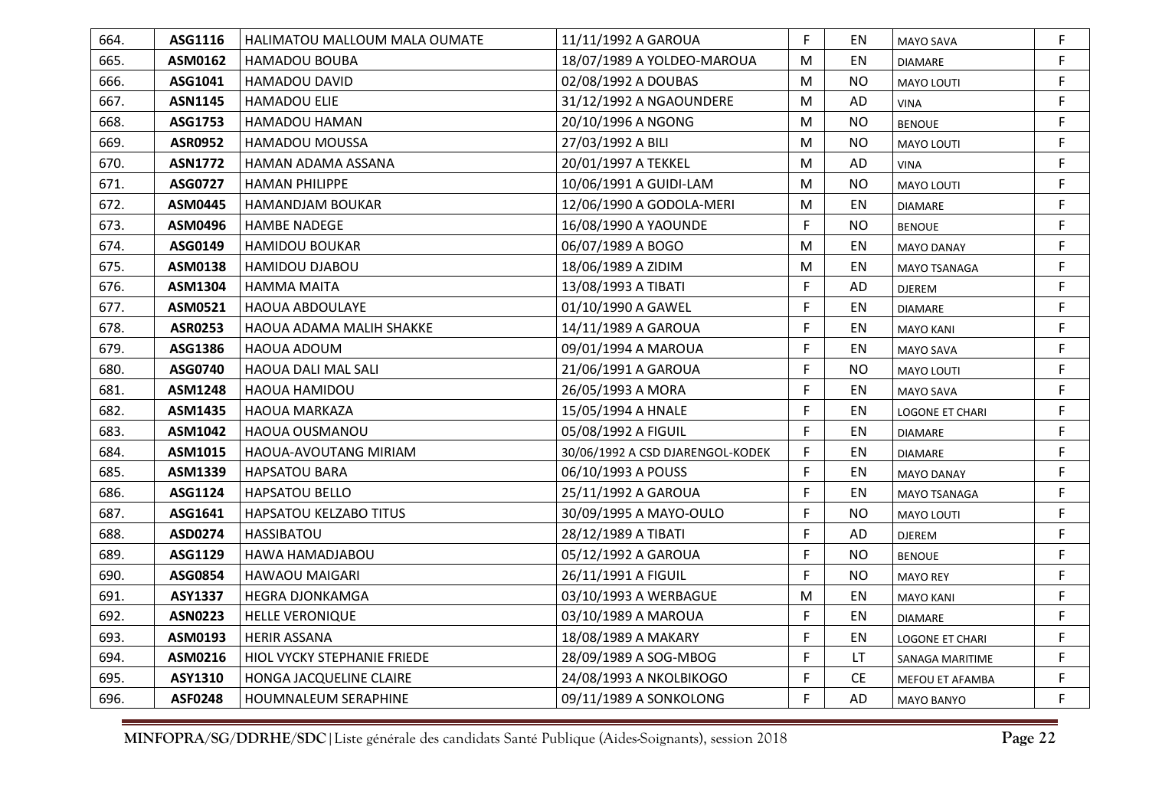| 664. | ASG1116        | <b>HALIMATOU MALLOUM MALA OUMATE</b> | 11/11/1992 A GAROUA              | F. | EN        | MAYO SAVA              | F  |
|------|----------------|--------------------------------------|----------------------------------|----|-----------|------------------------|----|
| 665. | ASM0162        | <b>HAMADOU BOUBA</b>                 | 18/07/1989 A YOLDEO-MAROUA       | M  | EN        | <b>DIAMARE</b>         | F  |
| 666. | ASG1041        | HAMADOU DAVID                        | 02/08/1992 A DOUBAS              | M  | <b>NO</b> | <b>MAYO LOUTI</b>      | F  |
| 667. | <b>ASN1145</b> | <b>HAMADOU ELIE</b>                  | 31/12/1992 A NGAOUNDERE          | M  | AD        | <b>VINA</b>            | F  |
| 668. | ASG1753        | HAMADOU HAMAN                        | 20/10/1996 A NGONG               | M  | <b>NO</b> | <b>BENOUE</b>          | F  |
| 669. | <b>ASR0952</b> | <b>HAMADOU MOUSSA</b>                | 27/03/1992 A BILI                | M  | <b>NO</b> | <b>MAYO LOUTI</b>      | F  |
| 670. | <b>ASN1772</b> | HAMAN ADAMA ASSANA                   | 20/01/1997 A TEKKEL              | M  | AD        | <b>VINA</b>            | F  |
| 671. | ASG0727        | <b>HAMAN PHILIPPE</b>                | 10/06/1991 A GUIDI-LAM           | M  | <b>NO</b> | <b>MAYO LOUTI</b>      | F  |
| 672. | <b>ASM0445</b> | <b>HAMANDJAM BOUKAR</b>              | 12/06/1990 A GODOLA-MERI         | M  | EN        | <b>DIAMARE</b>         | F  |
| 673. | ASM0496        | <b>HAMBE NADEGE</b>                  | 16/08/1990 A YAOUNDE             | F. | <b>NO</b> | <b>BENOUE</b>          | F  |
| 674. | ASG0149        | <b>HAMIDOU BOUKAR</b>                | 06/07/1989 A BOGO                | M  | EN        | <b>MAYO DANAY</b>      | F. |
| 675. | ASM0138        | HAMIDOU DJABOU                       | 18/06/1989 A ZIDIM               | M  | EN        | MAYO TSANAGA           | F. |
| 676. | ASM1304        | <b>HAMMA MAITA</b>                   | 13/08/1993 A TIBATI              | F  | AD        | <b>DJEREM</b>          | F  |
| 677. | ASM0521        | <b>HAOUA ABDOULAYE</b>               | 01/10/1990 A GAWEL               | F. | EN        | <b>DIAMARE</b>         | F  |
| 678. | <b>ASR0253</b> | HAOUA ADAMA MALIH SHAKKE             | 14/11/1989 A GAROUA              | F. | EN        | <b>MAYO KANI</b>       | F  |
| 679. | ASG1386        | HAOUA ADOUM                          | 09/01/1994 A MAROUA              | F. | EN        | MAYO SAVA              | F  |
| 680. | ASG0740        | <b>HAOUA DALI MAL SALI</b>           | 21/06/1991 A GAROUA              | F  | NO.       | <b>MAYO LOUTI</b>      | F  |
| 681. | <b>ASM1248</b> | HAOUA HAMIDOU                        | 26/05/1993 A MORA                | F  | EN        | <b>MAYO SAVA</b>       | F  |
| 682. | ASM1435        | <b>HAOUA MARKAZA</b>                 | 15/05/1994 A HNALE               | F. | <b>EN</b> | <b>LOGONE ET CHARI</b> | F  |
| 683. | ASM1042        | HAOUA OUSMANOU                       | 05/08/1992 A FIGUIL              | F. | EN        | <b>DIAMARE</b>         | F. |
| 684. | ASM1015        | HAOUA-AVOUTANG MIRIAM                | 30/06/1992 A CSD DJARENGOL-KODEK | F  | EN        | <b>DIAMARE</b>         | F  |
| 685. | ASM1339        | <b>HAPSATOU BARA</b>                 | 06/10/1993 A POUSS               | F. | EN        | <b>MAYO DANAY</b>      | F  |
| 686. | ASG1124        | <b>HAPSATOU BELLO</b>                | 25/11/1992 A GAROUA              | F  | EN        | MAYO TSANAGA           | F  |
| 687. | ASG1641        | HAPSATOU KELZABO TITUS               | 30/09/1995 A MAYO-OULO           | F. | <b>NO</b> | <b>MAYO LOUTI</b>      | F  |
| 688. | ASD0274        | <b>HASSIBATOU</b>                    | 28/12/1989 A TIBATI              | F. | AD        | <b>DJEREM</b>          | F  |
| 689. | ASG1129        | HAWA HAMADJABOU                      | 05/12/1992 A GAROUA              | F. | <b>NO</b> | <b>BENOUE</b>          | F  |
| 690. | ASG0854        | <b>HAWAOU MAIGARI</b>                | 26/11/1991 A FIGUIL              | F. | <b>NO</b> | <b>MAYO REY</b>        | F. |
| 691. | <b>ASY1337</b> | <b>HEGRA DJONKAMGA</b>               | 03/10/1993 A WERBAGUE            | M  | EN        | <b>MAYO KANI</b>       | F. |
| 692. | <b>ASN0223</b> | <b>HELLE VERONIQUE</b>               | 03/10/1989 A MAROUA              | F. | EN        | <b>DIAMARE</b>         | F  |
| 693. | ASM0193        | <b>HERIR ASSANA</b>                  | 18/08/1989 A MAKARY              | F. | EN        | <b>LOGONE ET CHARI</b> | F  |
| 694. | ASM0216        | HIOL VYCKY STEPHANIE FRIEDE          | 28/09/1989 A SOG-MBOG            | F  | LT.       | SANAGA MARITIME        | F  |
| 695. | ASY1310        | HONGA JACQUELINE CLAIRE              | 24/08/1993 A NKOLBIKOGO          | F  | <b>CE</b> | MEFOU ET AFAMBA        | F  |
| 696. | <b>ASF0248</b> | HOUMNALEUM SERAPHINE                 | 09/11/1989 A SONKOLONG           | F. | AD        | <b>MAYO BANYO</b>      | F  |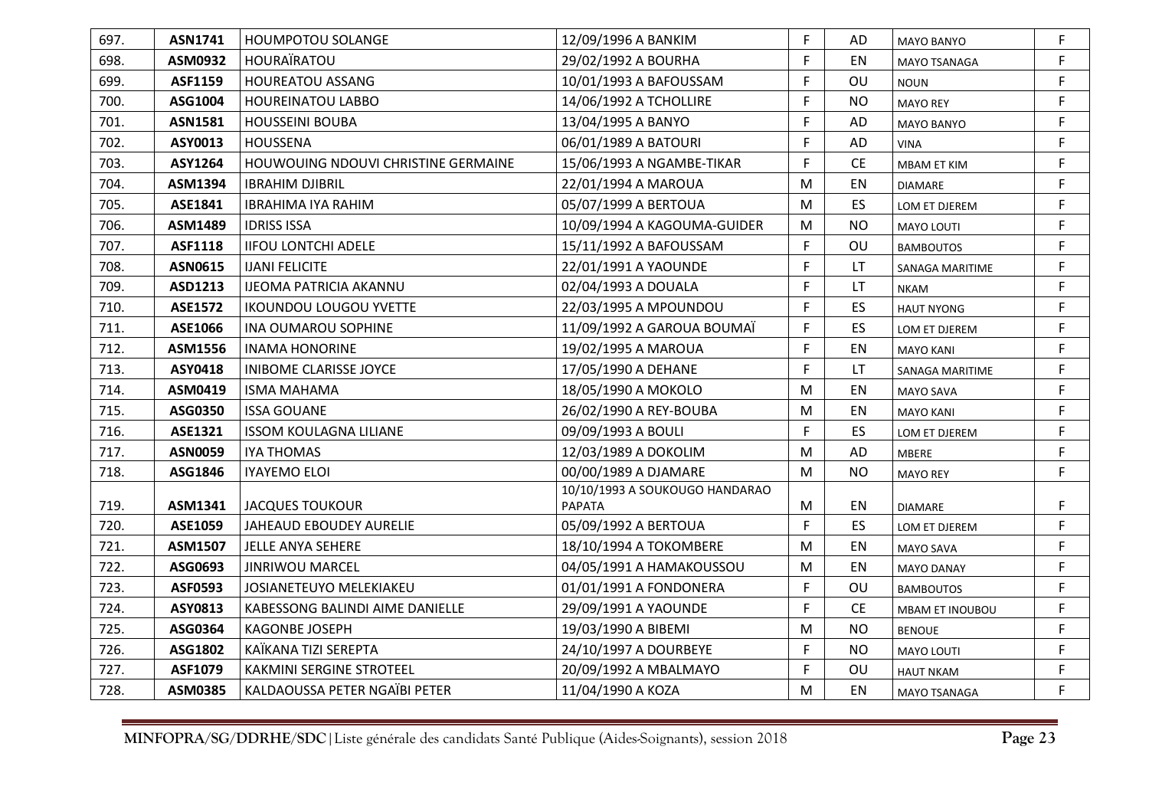| 697. | ASN1741        | <b>HOUMPOTOU SOLANGE</b>            | 12/09/1996 A BANKIM            | F         | AD        | MAYO BANYO          | F           |
|------|----------------|-------------------------------------|--------------------------------|-----------|-----------|---------------------|-------------|
| 698. | ASM0932        | <b>HOURAÏRATOU</b>                  | 29/02/1992 A BOURHA            | F         | EN        | <b>MAYO TSANAGA</b> | F.          |
| 699. | ASF1159        | <b>HOUREATOU ASSANG</b>             | 10/01/1993 A BAFOUSSAM         | F         | OU        | <b>NOUN</b>         | F.          |
| 700. | ASG1004        | <b>HOUREINATOU LABBO</b>            | 14/06/1992 A TCHOLLIRE         | F         | <b>NO</b> | <b>MAYO REY</b>     | F.          |
| 701. | <b>ASN1581</b> | <b>HOUSSEINI BOUBA</b>              | 13/04/1995 A BANYO             | F         | AD        | <b>MAYO BANYO</b>   | F           |
| 702. | ASY0013        | <b>HOUSSENA</b>                     | 06/01/1989 A BATOURI           | F         | AD        | <b>VINA</b>         | F.          |
| 703. | ASY1264        | HOUWOUING NDOUVI CHRISTINE GERMAINE | 15/06/1993 A NGAMBE-TIKAR      | F         | <b>CE</b> | MBAM ET KIM         | F.          |
| 704. | ASM1394        | <b>IBRAHIM DJIBRIL</b>              | 22/01/1994 A MAROUA            | M         | EN        | <b>DIAMARE</b>      | F.          |
| 705. | ASE1841        | <b>IBRAHIMA IYA RAHIM</b>           | 05/07/1999 A BERTOUA           | M         | ES        | LOM ET DJEREM       | F           |
| 706. | ASM1489        | <b>IDRISS ISSA</b>                  | 10/09/1994 A KAGOUMA-GUIDER    | M         | <b>NO</b> | <b>MAYO LOUTI</b>   | F           |
| 707. | ASF1118        | <b>IIFOU LONTCHI ADELE</b>          | 15/11/1992 A BAFOUSSAM         | F         | OU        | <b>BAMBOUTOS</b>    | F.          |
| 708. | ASN0615        | <b>IJANI FELICITE</b>               | 22/01/1991 A YAOUNDE           | F         | LT.       | SANAGA MARITIME     | F.          |
| 709. | ASD1213        | <b>IJEOMA PATRICIA AKANNU</b>       | 02/04/1993 A DOUALA            | F         | LT.       | <b>NKAM</b>         | F.          |
| 710. | <b>ASE1572</b> | <b>IKOUNDOU LOUGOU YVETTE</b>       | 22/03/1995 A MPOUNDOU          | F         | ES        | <b>HAUT NYONG</b>   | F           |
| 711. | ASE1066        | <b>INA OUMAROU SOPHINE</b>          | 11/09/1992 A GAROUA BOUMAÏ     | F         | <b>ES</b> | LOM ET DJEREM       | F           |
| 712. | ASM1556        | <b>INAMA HONORINE</b>               | 19/02/1995 A MAROUA            | F         | EN        | <b>MAYO KANI</b>    | F.          |
| 713. | ASY0418        | <b>INIBOME CLARISSE JOYCE</b>       | 17/05/1990 A DEHANE            | F         | <b>LT</b> | SANAGA MARITIME     | F.          |
| 714. | ASM0419        | <b>ISMA MAHAMA</b>                  | 18/05/1990 A MOKOLO            | M         | EN        | <b>MAYO SAVA</b>    | F.          |
| 715. | ASG0350        | <b>ISSA GOUANE</b>                  | 26/02/1990 A REY-BOUBA         | M         | EN        | <b>MAYO KANI</b>    | F           |
| 716. | ASE1321        | <b>ISSOM KOULAGNA LILIANE</b>       | 09/09/1993 A BOULI             | F.        | ES        | LOM ET DJEREM       | F.          |
| 717. | <b>ASN0059</b> | <b>IYA THOMAS</b>                   | 12/03/1989 A DOKOLIM           | M         | AD        | <b>MBERE</b>        | F.          |
| 718. | ASG1846        | <b>IYAYEMO ELOI</b>                 | 00/00/1989 A DJAMARE           | ${\sf M}$ | <b>NO</b> | <b>MAYO REY</b>     | F.          |
|      |                |                                     | 10/10/1993 A SOUKOUGO HANDARAO |           |           |                     |             |
| 719. | ASM1341        | JACQUES TOUKOUR                     | <b>PAPATA</b>                  | M         | EN        | <b>DIAMARE</b>      | F.          |
| 720. | ASE1059        | JAHEAUD EBOUDEY AURELIE             | 05/09/1992 A BERTOUA           | F.        | ES.       | LOM ET DJEREM       | F.          |
| 721. | ASM1507        | JELLE ANYA SEHERE                   | 18/10/1994 A TOKOMBERE         | M         | EN        | <b>MAYO SAVA</b>    | F           |
| 722. | ASG0693        | <b>JINRIWOU MARCEL</b>              | 04/05/1991 A HAMAKOUSSOU       | M         | EN        | <b>MAYO DANAY</b>   | F.          |
| 723. | <b>ASF0593</b> | JOSIANETEUYO MELEKIAKEU             | 01/01/1991 A FONDONERA         | F         | OU        | <b>BAMBOUTOS</b>    | F.          |
| 724. | ASY0813        | KABESSONG BALINDI AIME DANIELLE     | 29/09/1991 A YAOUNDE           | F         | <b>CE</b> | MBAM ET INOUBOU     | F           |
| 725. | ASG0364        | <b>KAGONBE JOSEPH</b>               | 19/03/1990 A BIBEMI            | M         | <b>NO</b> | <b>BENOUE</b>       | F.          |
| 726. | ASG1802        | KAÏKANA TIZI SEREPTA                | 24/10/1997 A DOURBEYE          | F         | <b>NO</b> | <b>MAYO LOUTI</b>   | F.          |
| 727. | ASF1079        | <b>KAKMINI SERGINE STROTEEL</b>     | 20/09/1992 A MBALMAYO          | F         | OU        | <b>HAUT NKAM</b>    | $\mathsf F$ |
| 728. | <b>ASM0385</b> | KALDAOUSSA PETER NGAÏBI PETER       | 11/04/1990 A KOZA              | M         | EN        | MAYO TSANAGA        | F.          |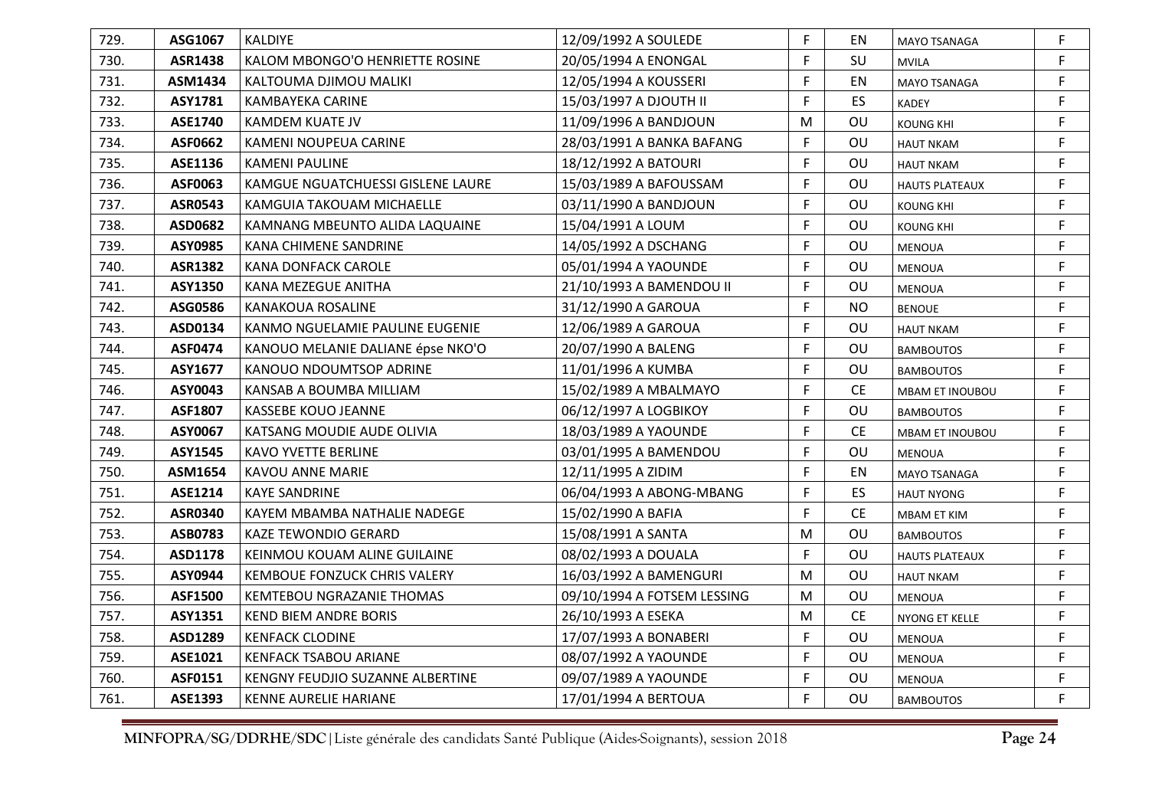| 729. | ASG1067        | <b>KALDIYE</b>                    | 12/09/1992 A SOULEDE        | F. | EN        | <b>MAYO TSANAGA</b>    | F. |
|------|----------------|-----------------------------------|-----------------------------|----|-----------|------------------------|----|
| 730. | <b>ASR1438</b> | KALOM MBONGO'O HENRIETTE ROSINE   | 20/05/1994 A ENONGAL        | F. | SU        | <b>MVILA</b>           | F  |
| 731. | ASM1434        | KALTOUMA DJIMOU MALIKI            | 12/05/1994 A KOUSSERI       | F. | EN        | <b>MAYO TSANAGA</b>    | F  |
| 732. | ASY1781        | KAMBAYEKA CARINE                  | 15/03/1997 A DJOUTH II      | F  | ES.       | KADEY                  | F. |
| 733. | <b>ASE1740</b> | KAMDEM KUATE JV                   | 11/09/1996 A BANDJOUN       | M  | OU        | <b>KOUNG KHI</b>       | F  |
| 734. | ASF0662        | KAMENI NOUPEUA CARINE             | 28/03/1991 A BANKA BAFANG   | F. | OU        | <b>HAUT NKAM</b>       | F. |
| 735. | ASE1136        | <b>KAMENI PAULINE</b>             | 18/12/1992 A BATOURI        | F. | OU        | <b>HAUT NKAM</b>       | F  |
| 736. | ASF0063        | KAMGUE NGUATCHUESSI GISLENE LAURE | 15/03/1989 A BAFOUSSAM      | F. | OU        | <b>HAUTS PLATEAUX</b>  | F. |
| 737. | <b>ASR0543</b> | KAMGUIA TAKOUAM MICHAELLE         | 03/11/1990 A BANDJOUN       | F  | OU        | <b>KOUNG KHI</b>       | F  |
| 738. | ASD0682        | KAMNANG MBEUNTO ALIDA LAQUAINE    | 15/04/1991 A LOUM           | F  | OU        | <b>KOUNG KHI</b>       | F  |
| 739. | ASY0985        | KANA CHIMENE SANDRINE             | 14/05/1992 A DSCHANG        | F. | OU        | MENOUA                 | F. |
| 740. | <b>ASR1382</b> | KANA DONFACK CAROLE               | 05/01/1994 A YAOUNDE        | F. | OU        | <b>MENOUA</b>          | F. |
| 741. | <b>ASY1350</b> | KANA MEZEGUE ANITHA               | 21/10/1993 A BAMENDOU II    | F  | OU        | <b>MENOUA</b>          | F  |
| 742. | ASG0586        | <b>KANAKOUA ROSALINE</b>          | 31/12/1990 A GAROUA         | F. | <b>NO</b> | <b>BENOUE</b>          | F  |
| 743. | ASD0134        | KANMO NGUELAMIE PAULINE EUGENIE   | 12/06/1989 A GAROUA         | F  | OU        | <b>HAUT NKAM</b>       | F  |
| 744. | <b>ASF0474</b> | KANOUO MELANIE DALIANE épse NKO'O | 20/07/1990 A BALENG         | F. | OU        | <b>BAMBOUTOS</b>       | F. |
| 745. | ASY1677        | KANOUO NDOUMTSOP ADRINE           | 11/01/1996 A KUMBA          | F. | OU        | <b>BAMBOUTOS</b>       | F  |
| 746. | ASY0043        | KANSAB A BOUMBA MILLIAM           | 15/02/1989 A MBALMAYO       | F  | <b>CE</b> | <b>MBAM ET INOUBOU</b> | F  |
| 747. | <b>ASF1807</b> | KASSEBE KOUO JEANNE               | 06/12/1997 A LOGBIKOY       | F  | OU        | <b>BAMBOUTOS</b>       | F  |
| 748. | ASY0067        | KATSANG MOUDIE AUDE OLIVIA        | 18/03/1989 A YAOUNDE        | F. | <b>CE</b> | MBAM ET INOUBOU        | F. |
| 749. | ASY1545        | KAVO YVETTE BERLINE               | 03/01/1995 A BAMENDOU       | F. | OU        | <b>MENOUA</b>          | F  |
| 750. | ASM1654        | <b>KAVOU ANNE MARIE</b>           | 12/11/1995 A ZIDIM          | F. | EN        | <b>MAYO TSANAGA</b>    | F  |
| 751. | ASE1214        | <b>KAYE SANDRINE</b>              | 06/04/1993 A ABONG-MBANG    | F  | ES.       | <b>HAUT NYONG</b>      | F. |
| 752. | ASR0340        | KAYEM MBAMBA NATHALIE NADEGE      | 15/02/1990 A BAFIA          | F. | <b>CE</b> | MBAM ET KIM            | F. |
| 753. | ASB0783        | <b>KAZE TEWONDIO GERARD</b>       | 15/08/1991 A SANTA          | M  | OU        | <b>BAMBOUTOS</b>       | F. |
| 754. | ASD1178        | KEINMOU KOUAM ALINE GUILAINE      | 08/02/1993 A DOUALA         | F. | OU        | <b>HAUTS PLATEAUX</b>  | F. |
| 755. | ASY0944        | KEMBOUE FONZUCK CHRIS VALERY      | 16/03/1992 A BAMENGURI      | M  | OU        | <b>HAUT NKAM</b>       | F. |
| 756. | ASF1500        | KEMTEBOU NGRAZANIE THOMAS         | 09/10/1994 A FOTSEM LESSING | M  | OU        | <b>MENOUA</b>          | F. |
| 757. | ASY1351        | <b>KEND BIEM ANDRE BORIS</b>      | 26/10/1993 A ESEKA          | M  | <b>CE</b> | NYONG ET KELLE         | F. |
| 758. | ASD1289        | <b>KENFACK CLODINE</b>            | 17/07/1993 A BONABERI       | F. | OU        | <b>MENOUA</b>          | F. |
| 759. | ASE1021        | <b>KENFACK TSABOU ARIANE</b>      | 08/07/1992 A YAOUNDE        | F  | OU        | <b>MENOUA</b>          | F  |
| 760. | ASF0151        | KENGNY FEUDJIO SUZANNE ALBERTINE  | 09/07/1989 A YAOUNDE        | F. | OU        | MENOUA                 | F. |
| 761. | ASE1393        | KENNE AURELIE HARIANE             | 17/01/1994 A BERTOUA        | F. | OU        | <b>BAMBOUTOS</b>       | F  |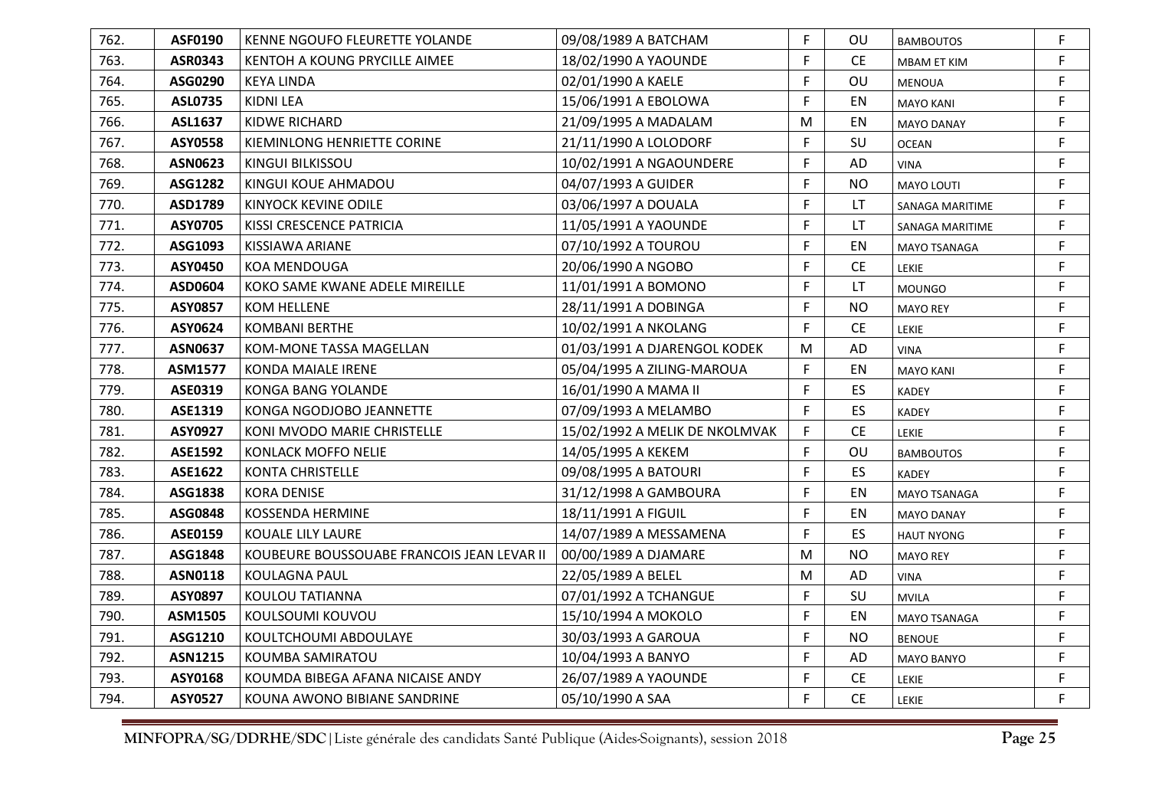| 762. | <b>ASF0190</b> | KENNE NGOUFO FLEURETTE YOLANDE             | 09/08/1989 A BATCHAM           | F  | OU.       | <b>BAMBOUTOS</b>   | F  |
|------|----------------|--------------------------------------------|--------------------------------|----|-----------|--------------------|----|
| 763. | ASR0343        | KENTOH A KOUNG PRYCILLE AIMEE              | 18/02/1990 A YAOUNDE           | F  | <b>CE</b> | <b>MBAM ET KIM</b> | F. |
| 764. | ASG0290        | <b>KEYA LINDA</b>                          | 02/01/1990 A KAELE             | F  | OU        | MENOUA             | F  |
| 765. | <b>ASL0735</b> | KIDNI LEA                                  | 15/06/1991 A EBOLOWA           | F  | EN        | <b>MAYO KANI</b>   | F. |
| 766. | <b>ASL1637</b> | <b>KIDWE RICHARD</b>                       | 21/09/1995 A MADALAM           | M  | EN        | <b>MAYO DANAY</b>  | F  |
| 767. | <b>ASY0558</b> | KIEMINLONG HENRIETTE CORINE                | 21/11/1990 A LOLODORF          | F  | SU        | <b>OCEAN</b>       | F  |
| 768. | <b>ASN0623</b> | KINGUI BILKISSOU                           | 10/02/1991 A NGAOUNDERE        | F  | AD        | <b>VINA</b>        | F  |
| 769. | <b>ASG1282</b> | KINGUI KOUE AHMADOU                        | 04/07/1993 A GUIDER            | F  | <b>NO</b> | <b>MAYO LOUTI</b>  | F. |
| 770. | ASD1789        | <b>KINYOCK KEVINE ODILE</b>                | 03/06/1997 A DOUALA            | F  | LT.       | SANAGA MARITIME    | F  |
| 771. | <b>ASY0705</b> | KISSI CRESCENCE PATRICIA                   | 11/05/1991 A YAOUNDE           | F  | LT        | SANAGA MARITIME    | F. |
| 772. | ASG1093        | KISSIAWA ARIANE                            | 07/10/1992 A TOUROU            | F  | EN        | MAYO TSANAGA       | F. |
| 773. | <b>ASY0450</b> | <b>KOA MENDOUGA</b>                        | 20/06/1990 A NGOBO             | F  | <b>CE</b> | LEKIE              | F. |
| 774. | ASD0604        | KOKO SAME KWANE ADELE MIREILLE             | 11/01/1991 A BOMONO            | F  | LT        | <b>MOUNGO</b>      | F  |
| 775. | <b>ASY0857</b> | <b>KOM HELLENE</b>                         | 28/11/1991 A DOBINGA           | F  | <b>NO</b> | <b>MAYO REY</b>    | F  |
| 776. | ASY0624        | <b>KOMBANI BERTHE</b>                      | 10/02/1991 A NKOLANG           | F  | <b>CE</b> | LEKIE              | F  |
| 777. | <b>ASN0637</b> | KOM-MONE TASSA MAGELLAN                    | 01/03/1991 A DJARENGOL KODEK   | M  | AD        | <b>VINA</b>        | F. |
| 778. | <b>ASM1577</b> | KONDA MAIALE IRENE                         | 05/04/1995 A ZILING-MAROUA     | F  | EN        | <b>MAYO KANI</b>   | F  |
| 779. | ASE0319        | <b>KONGA BANG YOLANDE</b>                  | 16/01/1990 A MAMA II           | F  | ES        | <b>KADEY</b>       | F  |
| 780. | ASE1319        | KONGA NGODJOBO JEANNETTE                   | 07/09/1993 A MELAMBO           | F. | ES        | <b>KADEY</b>       | F  |
| 781. | ASY0927        | KONI MVODO MARIE CHRISTELLE                | 15/02/1992 A MELIK DE NKOLMVAK | F  | <b>CE</b> | LEKIE              | F. |
| 782. | <b>ASE1592</b> | KONLACK MOFFO NELIE                        | 14/05/1995 A KEKEM             | F  | OU        | <b>BAMBOUTOS</b>   | F  |
| 783. | <b>ASE1622</b> | <b>KONTA CHRISTELLE</b>                    | 09/08/1995 A BATOURI           | F  | <b>ES</b> | <b>KADEY</b>       | F. |
| 784. | ASG1838        | <b>KORA DENISE</b>                         | 31/12/1998 A GAMBOURA          | F  | EN        | MAYO TSANAGA       | F  |
| 785. | ASG0848        | <b>KOSSENDA HERMINE</b>                    | 18/11/1991 A FIGUIL            | F  | EN        | <b>MAYO DANAY</b>  | F. |
| 786. | ASE0159        | KOUALE LILY LAURE                          | 14/07/1989 A MESSAMENA         | F  | ES.       | <b>HAUT NYONG</b>  | F  |
| 787. | ASG1848        | KOUBEURE BOUSSOUABE FRANCOIS JEAN LEVAR II | 00/00/1989 A DJAMARE           | M  | <b>NO</b> | <b>MAYO REY</b>    | F  |
| 788. | <b>ASN0118</b> | <b>KOULAGNA PAUL</b>                       | 22/05/1989 A BELEL             | M  | AD        | <b>VINA</b>        | F. |
| 789. | ASY0897        | KOULOU TATIANNA                            | 07/01/1992 A TCHANGUE          | F  | SU        | <b>MVILA</b>       | F. |
| 790. | ASM1505        | KOULSOUMI KOUVOU                           | 15/10/1994 A MOKOLO            | F  | EN        | MAYO TSANAGA       | F  |
| 791. | ASG1210        | KOULTCHOUMI ABDOULAYE                      | 30/03/1993 A GAROUA            | F  | <b>NO</b> | <b>BENOUE</b>      | F  |
| 792. | <b>ASN1215</b> | KOUMBA SAMIRATOU                           | 10/04/1993 A BANYO             | F  | AD        | <b>MAYO BANYO</b>  | F  |
| 793. | ASY0168        | KOUMDA BIBEGA AFANA NICAISE ANDY           | 26/07/1989 A YAOUNDE           | F  | <b>CE</b> | LEKIE              | F  |
| 794. | <b>ASY0527</b> | KOUNA AWONO BIBIANE SANDRINE               | 05/10/1990 A SAA               | F  | <b>CE</b> | LEKIE              | F  |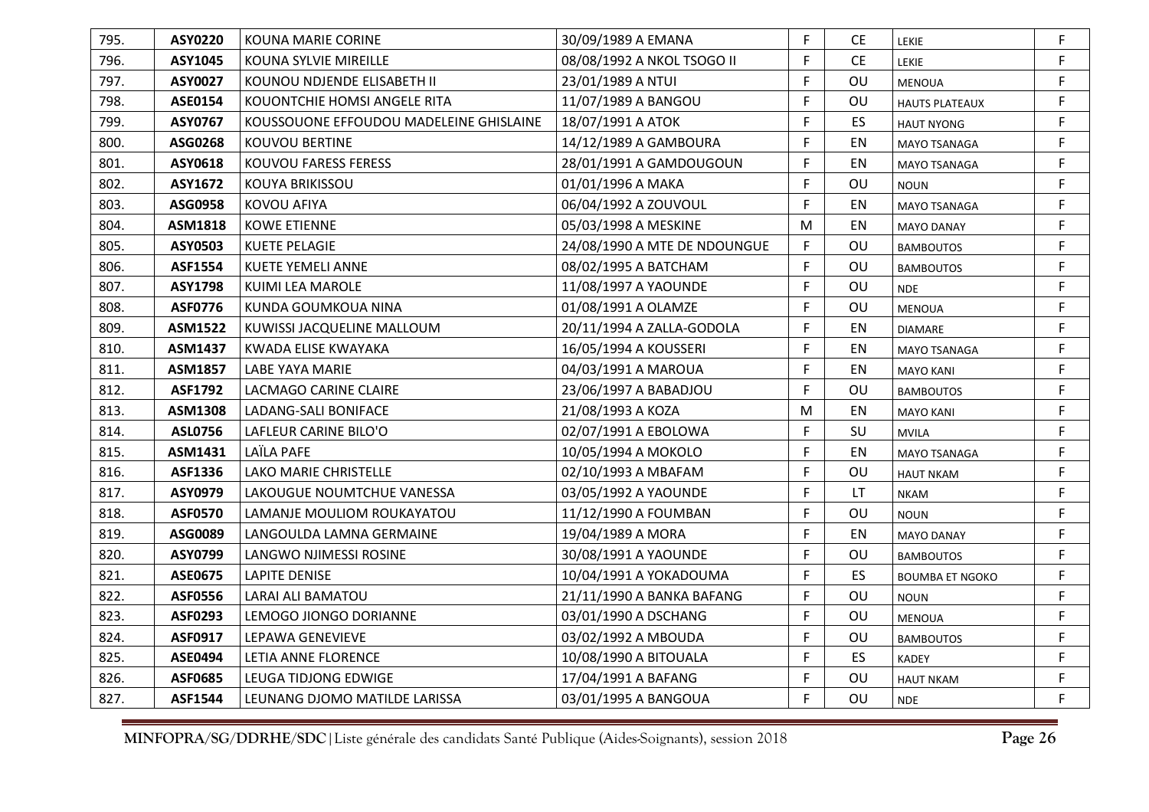| 795. | <b>ASY0220</b> | <b>KOUNA MARIE CORINE</b>               | 30/09/1989 A EMANA           | F. | <b>CE</b> | <b>LEKIE</b>           | F  |
|------|----------------|-----------------------------------------|------------------------------|----|-----------|------------------------|----|
| 796. | ASY1045        | KOUNA SYLVIE MIREILLE                   | 08/08/1992 A NKOL TSOGO II   | F  | <b>CE</b> | LEKIE                  | F  |
| 797. | ASY0027        | KOUNOU NDJENDE ELISABETH II             | 23/01/1989 A NTUI            | F. | OU        | MENOUA                 | F  |
| 798. | ASE0154        | KOUONTCHIE HOMSI ANGELE RITA            | 11/07/1989 A BANGOU          | F  | OU        | <b>HAUTS PLATEAUX</b>  | F  |
| 799. | ASY0767        | KOUSSOUONE EFFOUDOU MADELEINE GHISLAINE | 18/07/1991 A ATOK            | F  | ES        | <b>HAUT NYONG</b>      | F  |
| 800. | ASG0268        | KOUVOU BERTINE                          | 14/12/1989 A GAMBOURA        | F  | EN        | <b>MAYO TSANAGA</b>    | F. |
| 801. | ASY0618        | KOUVOU FARESS FERESS                    | 28/01/1991 A GAMDOUGOUN      | F  | EN        | MAYO TSANAGA           | F  |
| 802. | ASY1672        | <b>KOUYA BRIKISSOU</b>                  | 01/01/1996 A MAKA            | F  | OU        | <b>NOUN</b>            | F. |
| 803. | ASG0958        | <b>KOVOU AFIYA</b>                      | 06/04/1992 A ZOUVOUL         | F  | EN        | MAYO TSANAGA           | F  |
| 804. | <b>ASM1818</b> | <b>KOWE ETIENNE</b>                     | 05/03/1998 A MESKINE         | M  | EN        | <b>MAYO DANAY</b>      | F  |
| 805. | ASY0503        | <b>KUETE PELAGIE</b>                    | 24/08/1990 A MTE DE NDOUNGUE | F  | OU        | <b>BAMBOUTOS</b>       | F. |
| 806. | ASF1554        | <b>KUETE YEMELI ANNE</b>                | 08/02/1995 A BATCHAM         | F  | OU        | <b>BAMBOUTOS</b>       | F. |
| 807. | ASY1798        | KUIMI LEA MAROLE                        | 11/08/1997 A YAOUNDE         | F  | OU        | <b>NDE</b>             | F  |
| 808. | <b>ASF0776</b> | KUNDA GOUMKOUA NINA                     | 01/08/1991 A OLAMZE          | F. | OU        | <b>MENOUA</b>          | F  |
| 809. | ASM1522        | KUWISSI JACQUELINE MALLOUM              | 20/11/1994 A ZALLA-GODOLA    | F. | EN        | <b>DIAMARE</b>         | F  |
| 810. | ASM1437        | KWADA ELISE KWAYAKA                     | 16/05/1994 A KOUSSERI        | F  | EN        | MAYO TSANAGA           | F  |
| 811. | <b>ASM1857</b> | LABE YAYA MARIE                         | 04/03/1991 A MAROUA          | F. | EN        | <b>MAYO KANI</b>       | F  |
| 812. | <b>ASF1792</b> | LACMAGO CARINE CLAIRE                   | 23/06/1997 A BABADJOU        | F  | OU        | <b>BAMBOUTOS</b>       | F  |
| 813. | ASM1308        | LADANG-SALI BONIFACE                    | 21/08/1993 A KOZA            | M  | <b>EN</b> | <b>MAYO KANI</b>       | F  |
| 814. | ASL0756        | LAFLEUR CARINE BILO'O                   | 02/07/1991 A EBOLOWA         | F. | SU        | <b>MVILA</b>           | F. |
| 815. | ASM1431        | LAÏLA PAFE                              | 10/05/1994 A MOKOLO          | F  | EN        | MAYO TSANAGA           | F  |
| 816. | ASF1336        | <b>LAKO MARIE CHRISTELLE</b>            | 02/10/1993 A MBAFAM          | F. | OU        | <b>HAUT NKAM</b>       | F  |
| 817. | ASY0979        | LAKOUGUE NOUMTCHUE VANESSA              | 03/05/1992 A YAOUNDE         | F. | LT        | <b>NKAM</b>            | F  |
| 818. | <b>ASF0570</b> | LAMANJE MOULIOM ROUKAYATOU              | 11/12/1990 A FOUMBAN         | F. | OU        | <b>NOUN</b>            | F. |
| 819. | ASG0089        | LANGOULDA LAMNA GERMAINE                | 19/04/1989 A MORA            | F. | EN        | <b>MAYO DANAY</b>      | F  |
| 820. | ASY0799        | LANGWO NJIMESSI ROSINE                  | 30/08/1991 A YAOUNDE         | F. | OU        | <b>BAMBOUTOS</b>       | F  |
| 821. | <b>ASE0675</b> | <b>LAPITE DENISE</b>                    | 10/04/1991 A YOKADOUMA       | F. | ES        | <b>BOUMBA ET NGOKO</b> | F  |
| 822. | <b>ASF0556</b> | <b>LARAI ALI BAMATOU</b>                | 21/11/1990 A BANKA BAFANG    | F. | OU        | <b>NOUN</b>            | F. |
| 823. | ASF0293        | LEMOGO JIONGO DORIANNE                  | 03/01/1990 A DSCHANG         | F. | OU        | <b>MENOUA</b>          | F  |
| 824. | ASF0917        | LEPAWA GENEVIEVE                        | 03/02/1992 A MBOUDA          | F. | OU        | <b>BAMBOUTOS</b>       | F  |
| 825. | ASE0494        | LETIA ANNE FLORENCE                     | 10/08/1990 A BITOUALA        | F  | ES        | <b>KADEY</b>           | F  |
| 826. | <b>ASF0685</b> | LEUGA TIDJONG EDWIGE                    | 17/04/1991 A BAFANG          | F  | OU        | <b>HAUT NKAM</b>       | F  |
| 827. | <b>ASF1544</b> | LEUNANG DJOMO MATILDE LARISSA           | 03/01/1995 A BANGOUA         | F. | OU        | <b>NDE</b>             | F  |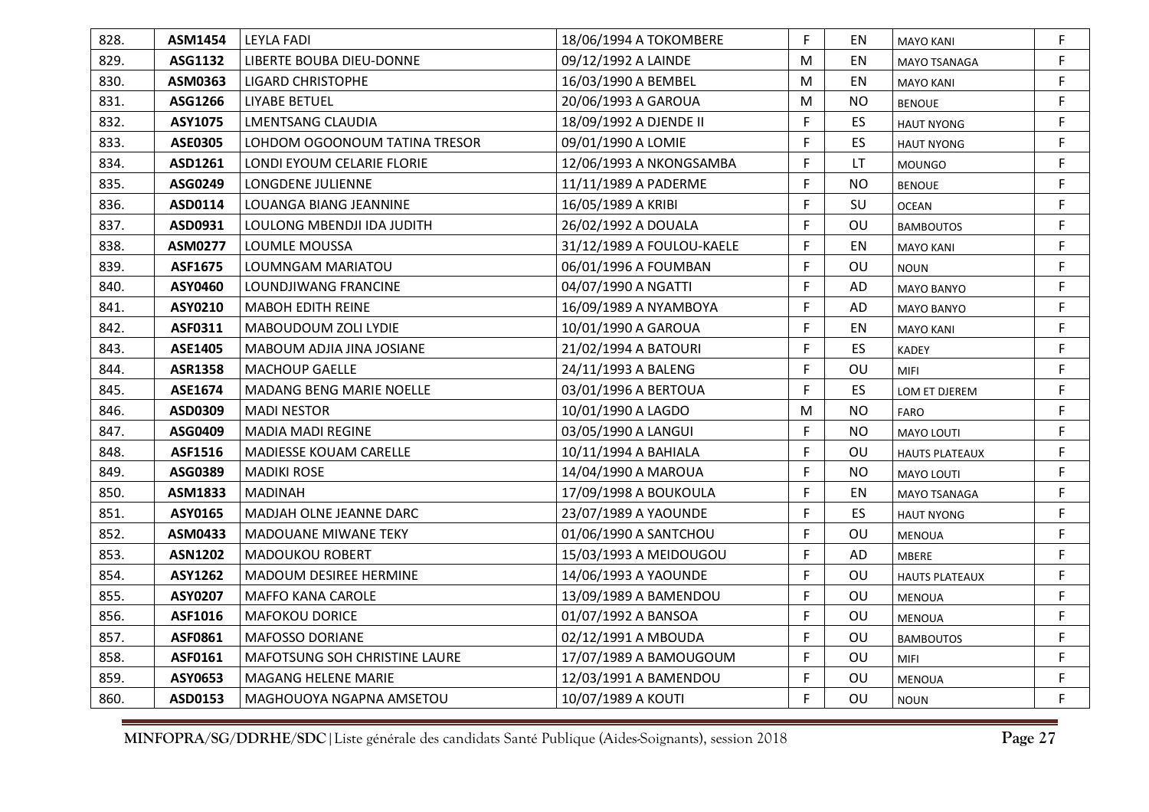| 828. | ASM1454        | <b>LEYLA FADI</b>                    | 18/06/1994 A TOKOMBERE    | F. | EN        | <b>MAYO KANI</b>      | F  |
|------|----------------|--------------------------------------|---------------------------|----|-----------|-----------------------|----|
| 829. | ASG1132        | LIBERTE BOUBA DIEU-DONNE             | 09/12/1992 A LAINDE       | M  | EN        | <b>MAYO TSANAGA</b>   | F. |
| 830. | ASM0363        | LIGARD CHRISTOPHE                    | 16/03/1990 A BEMBEL       | M  | EN        | <b>MAYO KANI</b>      | F. |
| 831. | ASG1266        | <b>LIYABE BETUEL</b>                 | 20/06/1993 A GAROUA       | M  | <b>NO</b> | <b>BENOUE</b>         | F. |
| 832. | ASY1075        | LMENTSANG CLAUDIA                    | 18/09/1992 A DJENDE II    | F  | <b>ES</b> | <b>HAUT NYONG</b>     | F. |
| 833. | <b>ASE0305</b> | LOHDOM OGOONOUM TATINA TRESOR        | 09/01/1990 A LOMIE        | F  | ES        | <b>HAUT NYONG</b>     | F  |
| 834. | ASD1261        | LONDI EYOUM CELARIE FLORIE           | 12/06/1993 A NKONGSAMBA   | F  | LT.       | <b>MOUNGO</b>         | F. |
| 835. | ASG0249        | LONGDENE JULIENNE                    | 11/11/1989 A PADERME      | F  | <b>NO</b> | <b>BENOUE</b>         | F  |
| 836. | ASD0114        | LOUANGA BIANG JEANNINE               | 16/05/1989 A KRIBI        | F  | SU        | <b>OCEAN</b>          | F  |
| 837. | ASD0931        | LOULONG MBENDJI IDA JUDITH           | 26/02/1992 A DOUALA       | F  | OU        | <b>BAMBOUTOS</b>      | F. |
| 838. | ASM0277        | LOUMLE MOUSSA                        | 31/12/1989 A FOULOU-KAELE | F  | EN        | <b>MAYO KANI</b>      | F  |
| 839. | ASF1675        | LOUMNGAM MARIATOU                    | 06/01/1996 A FOUMBAN      | F  | OU        | <b>NOUN</b>           | F. |
| 840. | <b>ASY0460</b> | LOUNDJIWANG FRANCINE                 | 04/07/1990 A NGATTI       | F  | AD        | <b>MAYO BANYO</b>     | F  |
| 841. | ASY0210        | <b>MABOH EDITH REINE</b>             | 16/09/1989 A NYAMBOYA     | F  | AD        | <b>MAYO BANYO</b>     | F. |
| 842. | ASF0311        | MABOUDOUM ZOLI LYDIE                 | 10/01/1990 A GAROUA       | F  | EN        | <b>MAYO KANI</b>      | F. |
| 843. | ASE1405        | MABOUM ADJIA JINA JOSIANE            | 21/02/1994 A BATOURI      | F. | ES        | <b>KADEY</b>          | F. |
| 844. | <b>ASR1358</b> | <b>MACHOUP GAELLE</b>                | 24/11/1993 A BALENG       | F  | OU        | <b>MIFI</b>           | F  |
| 845. | ASE1674        | MADANG BENG MARIE NOELLE             | 03/01/1996 A BERTOUA      | F. | ES        | LOM ET DJEREM         | F  |
| 846. | ASD0309        | <b>MADI NESTOR</b>                   | 10/01/1990 A LAGDO        | M  | <b>NO</b> | <b>FARO</b>           | F. |
| 847. | ASG0409        | <b>MADIA MADI REGINE</b>             | 03/05/1990 A LANGUI       | F  | <b>NO</b> | <b>MAYO LOUTI</b>     | F. |
| 848. | ASF1516        | <b>MADIESSE KOUAM CARELLE</b>        | 10/11/1994 A BAHIALA      | F  | OU        | <b>HAUTS PLATEAUX</b> | F. |
| 849. | ASG0389        | <b>MADIKI ROSE</b>                   | 14/04/1990 A MAROUA       | F. | <b>NO</b> | <b>MAYO LOUTI</b>     | F. |
| 850. | ASM1833        | <b>MADINAH</b>                       | 17/09/1998 A BOUKOULA     | F  | EN        | MAYO TSANAGA          | F. |
| 851. | ASY0165        | MADJAH OLNE JEANNE DARC              | 23/07/1989 A YAOUNDE      | F. | ES        | <b>HAUT NYONG</b>     | F. |
| 852. | ASM0433        | MADOUANE MIWANE TEKY                 | 01/06/1990 A SANTCHOU     | F  | OU        | <b>MENOUA</b>         | F. |
| 853. | <b>ASN1202</b> | <b>MADOUKOU ROBERT</b>               | 15/03/1993 A MEIDOUGOU    | F. | AD        | <b>MBERE</b>          | F. |
| 854. | ASY1262        | MADOUM DESIREE HERMINE               | 14/06/1993 A YAOUNDE      | F  | OU        | <b>HAUTS PLATEAUX</b> | F. |
| 855. | ASY0207        | <b>MAFFO KANA CAROLE</b>             | 13/09/1989 A BAMENDOU     | F. | OU        | <b>MENOUA</b>         | F. |
| 856. | ASF1016        | <b>MAFOKOU DORICE</b>                | 01/07/1992 A BANSOA       | F  | OU        | <b>MENOUA</b>         | F. |
| 857. | ASF0861        | <b>MAFOSSO DORIANE</b>               | 02/12/1991 A MBOUDA       | F  | OU        | <b>BAMBOUTOS</b>      | F. |
| 858. | ASF0161        | <b>MAFOTSUNG SOH CHRISTINE LAURE</b> | 17/07/1989 A BAMOUGOUM    | F  | OU        | <b>MIFI</b>           | F. |
| 859. | ASY0653        | <b>MAGANG HELENE MARIE</b>           | 12/03/1991 A BAMENDOU     | F  | OU        | <b>MENOUA</b>         | F  |
| 860. | ASD0153        | MAGHOUOYA NGAPNA AMSETOU             | 10/07/1989 A KOUTI        | F  | OU        | <b>NOUN</b>           | F. |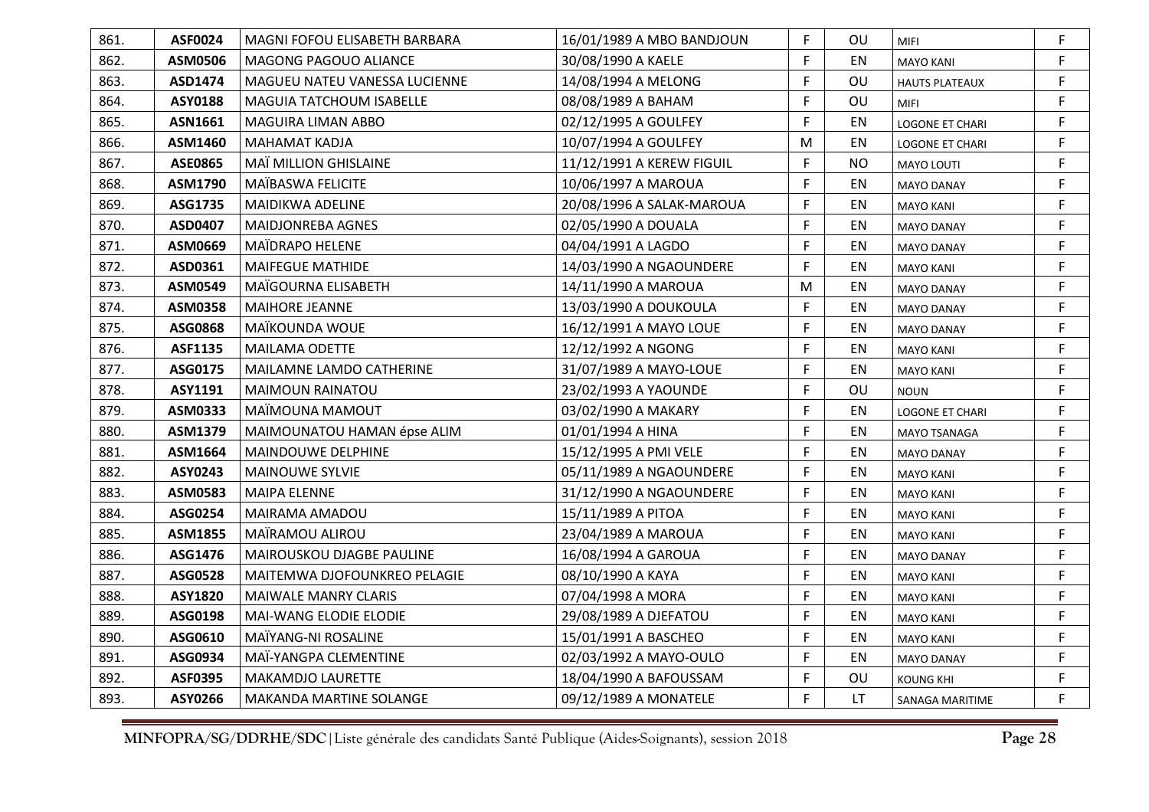| 861. | ASF0024        | MAGNI FOFOU ELISABETH BARBARA  | 16/01/1989 A MBO BANDJOUN | F         | OU        | <b>MIFI</b>            | F  |
|------|----------------|--------------------------------|---------------------------|-----------|-----------|------------------------|----|
| 862. | <b>ASM0506</b> | <b>MAGONG PAGOUO ALIANCE</b>   | 30/08/1990 A KAELE        | F         | EN        | <b>MAYO KANI</b>       | F. |
| 863. | ASD1474        | MAGUEU NATEU VANESSA LUCIENNE  | 14/08/1994 A MELONG       | F.        | OU        | <b>HAUTS PLATEAUX</b>  | F. |
| 864. | ASY0188        | MAGUIA TATCHOUM ISABELLE       | 08/08/1989 A BAHAM        | F         | OU        | <b>MIFI</b>            | F. |
| 865. | ASN1661        | <b>MAGUIRA LIMAN ABBO</b>      | 02/12/1995 A GOULFEY      | F         | EN        | <b>LOGONE ET CHARI</b> | F. |
| 866. | ASM1460        | <b>MAHAMAT KADJA</b>           | 10/07/1994 A GOULFEY      | ${\sf M}$ | EN        | <b>LOGONE ET CHARI</b> | F  |
| 867. | <b>ASE0865</b> | MAÏ MILLION GHISLAINE          | 11/12/1991 A KEREW FIGUIL | F         | <b>NO</b> | <b>MAYO LOUTI</b>      | F. |
| 868. | ASM1790        | MAÏBASWA FELICITE              | 10/06/1997 A MAROUA       | F         | EN        | <b>MAYO DANAY</b>      | F  |
| 869. | ASG1735        | MAIDIKWA ADELINE               | 20/08/1996 A SALAK-MAROUA | F         | EN        | <b>MAYO KANI</b>       | F  |
| 870. | ASD0407        | <b>MAIDJONREBA AGNES</b>       | 02/05/1990 A DOUALA       | F         | EN        | <b>MAYO DANAY</b>      | F  |
| 871. | ASM0669        | MAÏDRAPO HELENE                | 04/04/1991 A LAGDO        | F         | EN        | <b>MAYO DANAY</b>      | F  |
| 872. | ASD0361        | <b>MAIFEGUE MATHIDE</b>        | 14/03/1990 A NGAOUNDERE   | F         | EN        | <b>MAYO KANI</b>       | F. |
| 873. | ASM0549        | MAÏGOURNA ELISABETH            | 14/11/1990 A MAROUA       | M         | EN        | <b>MAYO DANAY</b>      | F  |
| 874. | ASM0358        | MAIHORE JEANNE                 | 13/03/1990 A DOUKOULA     | F         | EN        | <b>MAYO DANAY</b>      | F  |
| 875. | ASG0868        | MAÏKOUNDA WOUE                 | 16/12/1991 A MAYO LOUE    | F         | EN        | <b>MAYO DANAY</b>      | F  |
| 876. | ASF1135        | <b>MAILAMA ODETTE</b>          | 12/12/1992 A NGONG        | F.        | EN        | <b>MAYO KANI</b>       | F. |
| 877. | ASG0175        | MAILAMNE LAMDO CATHERINE       | 31/07/1989 A MAYO-LOUE    | F         | EN        | <b>MAYO KANI</b>       | F  |
| 878. | ASY1191        | MAIMOUN RAINATOU               | 23/02/1993 A YAOUNDE      | F         | OU        | <b>NOUN</b>            | F  |
| 879. | ASM0333        | MAÏMOUNA MAMOUT                | 03/02/1990 A MAKARY       | F         | EN        | <b>LOGONE ET CHARI</b> | F. |
| 880. | ASM1379        | MAIMOUNATOU HAMAN épse ALIM    | 01/01/1994 A HINA         | F         | EN        | MAYO TSANAGA           | F. |
| 881. | ASM1664        | MAINDOUWE DELPHINE             | 15/12/1995 A PMI VELE     | F         | EN        | <b>MAYO DANAY</b>      | F  |
| 882. | ASY0243        | MAINOUWE SYLVIE                | 05/11/1989 A NGAOUNDERE   | F.        | EN        | <b>MAYO KANI</b>       | F. |
| 883. | ASM0583        | <b>MAIPA ELENNE</b>            | 31/12/1990 A NGAOUNDERE   | F         | EN        | <b>MAYO KANI</b>       | F. |
| 884. | ASG0254        | MAIRAMA AMADOU                 | 15/11/1989 A PITOA        | F.        | EN        | <b>MAYO KANI</b>       | F. |
| 885. | ASM1855        | MAÏRAMOU ALIROU                | 23/04/1989 A MAROUA       | F         | EN        | <b>MAYO KANI</b>       | F. |
| 886. | ASG1476        | MAIROUSKOU DJAGBE PAULINE      | 16/08/1994 A GAROUA       | F.        | EN        | <b>MAYO DANAY</b>      | F. |
| 887. | ASG0528        | MAITEMWA DJOFOUNKREO PELAGIE   | 08/10/1990 A KAYA         | F         | EN        | <b>MAYO KANI</b>       | F. |
| 888. | <b>ASY1820</b> | <b>MAIWALE MANRY CLARIS</b>    | 07/04/1998 A MORA         | F         | EN        | <b>MAYO KANI</b>       | F. |
| 889. | ASG0198        | <b>MAI-WANG ELODIE ELODIE</b>  | 29/08/1989 A DJEFATOU     | F         | EN        | <b>MAYO KANI</b>       | F. |
| 890. | ASG0610        | MAÏYANG-NI ROSALINE            | 15/01/1991 A BASCHEO      | F         | EN        | <b>MAYO KANI</b>       | F  |
| 891. | ASG0934        | MAÏ-YANGPA CLEMENTINE          | 02/03/1992 A MAYO-OULO    | F         | EN        | <b>MAYO DANAY</b>      | F. |
| 892. | <b>ASF0395</b> | <b>MAKAMDJO LAURETTE</b>       | 18/04/1990 A BAFOUSSAM    | F         | OU        | <b>KOUNG KHI</b>       | F  |
| 893. | ASY0266        | <b>MAKANDA MARTINE SOLANGE</b> | 09/12/1989 A MONATELE     | F         | <b>LT</b> | SANAGA MARITIME        | F. |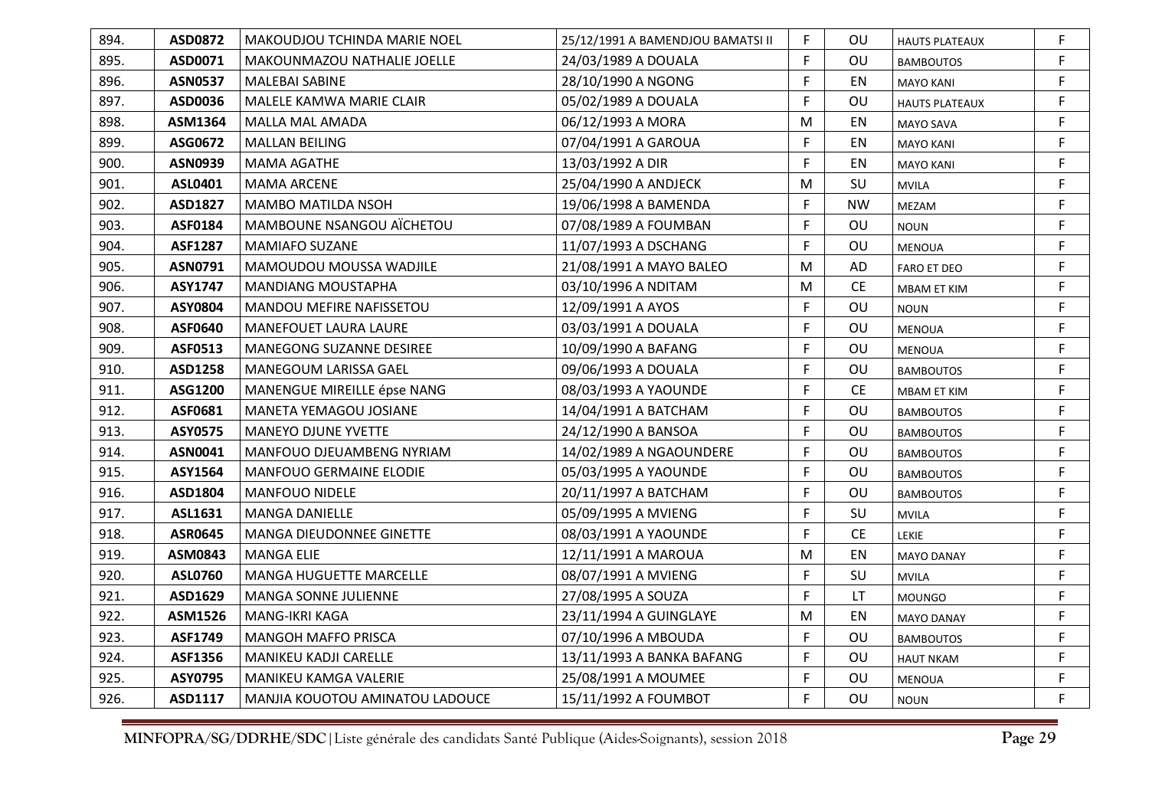| 894. | <b>ASD0872</b> | MAKOUDJOU TCHINDA MARIE NOEL    | 25/12/1991 A BAMENDJOU BAMATSI II | F. | OU.       | <b>HAUTS PLATEAUX</b> | F  |
|------|----------------|---------------------------------|-----------------------------------|----|-----------|-----------------------|----|
| 895. | ASD0071        | MAKOUNMAZOU NATHALIE JOELLE     | 24/03/1989 A DOUALA               | F. | OU        | <b>BAMBOUTOS</b>      | F. |
| 896. | <b>ASN0537</b> | MALEBAI SABINE                  | 28/10/1990 A NGONG                | F. | EN        | <b>MAYO KANI</b>      | F  |
| 897. | ASD0036        | MALELE KAMWA MARIE CLAIR        | 05/02/1989 A DOUALA               | F  | OU        | <b>HAUTS PLATEAUX</b> | F. |
| 898. | ASM1364        | MALLA MAL AMADA                 | 06/12/1993 A MORA                 | M  | EN        | MAYO SAVA             | F  |
| 899. | ASG0672        | <b>MALLAN BEILING</b>           | 07/04/1991 A GAROUA               | F  | EN        | <b>MAYO KANI</b>      | F. |
| 900. | <b>ASN0939</b> | MAMA AGATHE                     | 13/03/1992 A DIR                  | F. | EN        | <b>MAYO KANI</b>      | F. |
| 901. | ASL0401        | <b>MAMA ARCENE</b>              | 25/04/1990 A ANDJECK              | M  | SU        | <b>MVILA</b>          | F  |
| 902. | <b>ASD1827</b> | <b>MAMBO MATILDA NSOH</b>       | 19/06/1998 A BAMENDA              | F  | <b>NW</b> | MEZAM                 | F  |
| 903. | ASF0184        | MAMBOUNE NSANGOU AÏCHETOU       | 07/08/1989 A FOUMBAN              | F. | OU        | <b>NOUN</b>           | F  |
| 904. | <b>ASF1287</b> | <b>MAMIAFO SUZANE</b>           | 11/07/1993 A DSCHANG              | F. | OU        | <b>MENOUA</b>         | F  |
| 905. | ASN0791        | MAMOUDOU MOUSSA WADJILE         | 21/08/1991 A MAYO BALEO           | M  | AD        | <b>FARO ET DEO</b>    | F  |
| 906. | ASY1747        | <b>MANDIANG MOUSTAPHA</b>       | 03/10/1996 A NDITAM               | M  | CE        | MBAM ET KIM           | F  |
| 907. | ASY0804        | MANDOU MEFIRE NAFISSETOU        | 12/09/1991 A AYOS                 | F. | OU        | <b>NOUN</b>           | F  |
| 908. | <b>ASF0640</b> | <b>MANEFOUET LAURA LAURE</b>    | 03/03/1991 A DOUALA               | F. | OU        | <b>MENOUA</b>         | F. |
| 909. | ASF0513        | MANEGONG SUZANNE DESIREE        | 10/09/1990 A BAFANG               | F. | OU        | <b>MENOUA</b>         | F. |
| 910. | ASD1258        | MANEGOUM LARISSA GAEL           | 09/06/1993 A DOUALA               | F  | OU        | <b>BAMBOUTOS</b>      | F  |
| 911. | ASG1200        | MANENGUE MIREILLE épse NANG     | 08/03/1993 A YAOUNDE              | F. | CE        | <b>MBAM ET KIM</b>    | F  |
| 912. | ASF0681        | MANETA YEMAGOU JOSIANE          | 14/04/1991 A BATCHAM              | F. | OU        | <b>BAMBOUTOS</b>      | F. |
| 913. | <b>ASY0575</b> | <b>MANEYO DJUNE YVETTE</b>      | 24/12/1990 A BANSOA               | F. | OU        | <b>BAMBOUTOS</b>      | F. |
| 914. | ASN0041        | MANFOUO DJEUAMBENG NYRIAM       | 14/02/1989 A NGAOUNDERE           | F  | OU        | <b>BAMBOUTOS</b>      | F  |
| 915. | ASY1564        | <b>MANFOUO GERMAINE ELODIE</b>  | 05/03/1995 A YAOUNDE              | F. | OU        | <b>BAMBOUTOS</b>      | F. |
| 916. | ASD1804        | <b>MANFOUO NIDELE</b>           | 20/11/1997 A BATCHAM              | F  | OU        | <b>BAMBOUTOS</b>      | F  |
| 917. | ASL1631        | <b>MANGA DANIELLE</b>           | 05/09/1995 A MVIENG               | F  | SU        | <b>MVILA</b>          | F  |
| 918. | <b>ASR0645</b> | MANGA DIEUDONNEE GINETTE        | 08/03/1991 A YAOUNDE              | F. | CE        | <b>LEKIE</b>          | F  |
| 919. | ASM0843        | <b>MANGA ELIE</b>               | 12/11/1991 A MAROUA               | M  | EN        | <b>MAYO DANAY</b>     | F  |
| 920. | <b>ASL0760</b> | MANGA HUGUETTE MARCELLE         | 08/07/1991 A MVIENG               | F  | SU        | <b>MVILA</b>          | F  |
| 921. | ASD1629        | <b>MANGA SONNE JULIENNE</b>     | 27/08/1995 A SOUZA                | F  | LT.       | <b>MOUNGO</b>         | F  |
| 922. | ASM1526        | MANG-IKRI KAGA                  | 23/11/1994 A GUINGLAYE            | M  | EN        | <b>MAYO DANAY</b>     | F. |
| 923. | ASF1749        | <b>MANGOH MAFFO PRISCA</b>      | 07/10/1996 A MBOUDA               | F. | OU        | <b>BAMBOUTOS</b>      | F  |
| 924. | ASF1356        | MANIKEU KADJI CARELLE           | 13/11/1993 A BANKA BAFANG         | F  | OU        | <b>HAUT NKAM</b>      | F. |
| 925. | ASY0795        | MANIKEU KAMGA VALERIE           | 25/08/1991 A MOUMEE               | F  | OU        | MENOUA                | F  |
| 926. | ASD1117        | MANJIA KOUOTOU AMINATOU LADOUCE | 15/11/1992 A FOUMBOT              | F. | OU        | <b>NOUN</b>           | F  |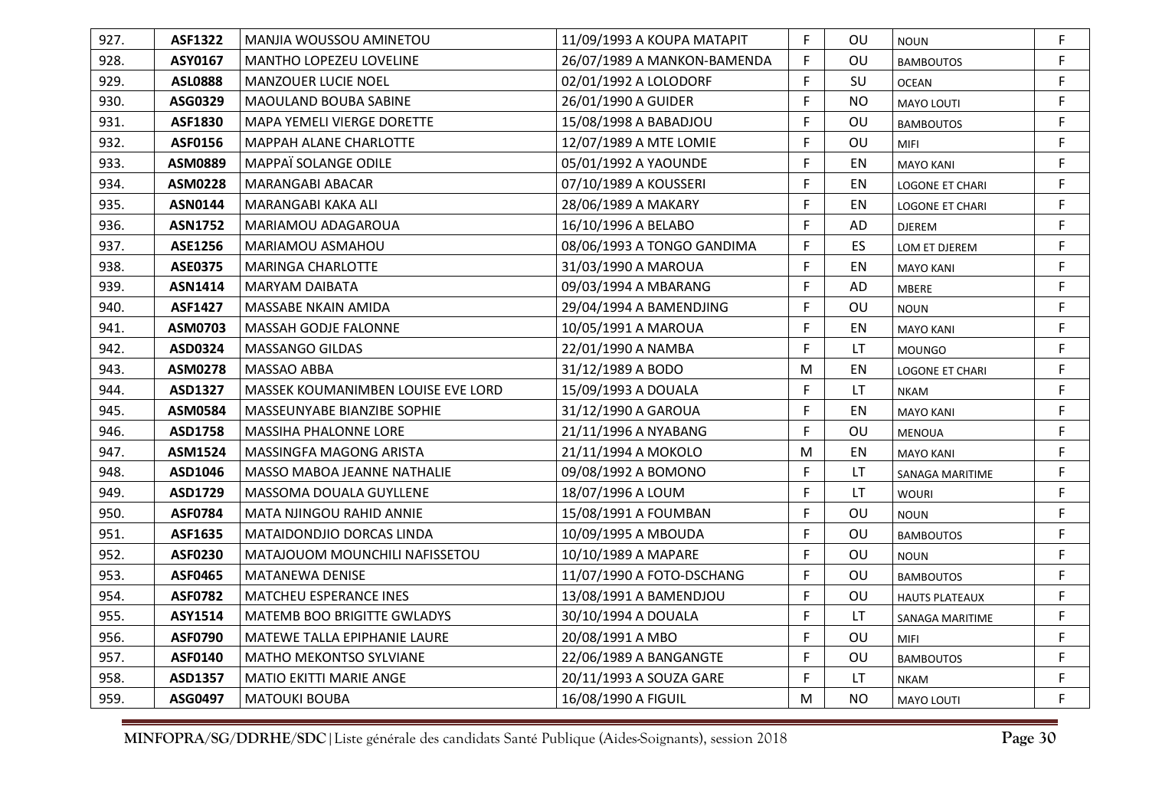| 927. | <b>ASF1322</b> | MANJIA WOUSSOU AMINETOU            | 11/09/1993 A KOUPA MATAPIT  | F. | OU        | <b>NOUN</b>            | F  |
|------|----------------|------------------------------------|-----------------------------|----|-----------|------------------------|----|
| 928. | ASY0167        | MANTHO LOPEZEU LOVELINE            | 26/07/1989 A MANKON-BAMENDA | F. | OU        | <b>BAMBOUTOS</b>       | F  |
| 929. | <b>ASL0888</b> | <b>MANZOUER LUCIE NOEL</b>         | 02/01/1992 A LOLODORF       | F  | SU        | <b>OCEAN</b>           | F  |
| 930. | ASG0329        | MAOULAND BOUBA SABINE              | 26/01/1990 A GUIDER         | F. | <b>NO</b> | <b>MAYO LOUTI</b>      | F. |
| 931. | ASF1830        | MAPA YEMELI VIERGE DORETTE         | 15/08/1998 A BABADJOU       | F. | OU        | <b>BAMBOUTOS</b>       | F  |
| 932. | <b>ASF0156</b> | <b>MAPPAH ALANE CHARLOTTE</b>      | 12/07/1989 A MTE LOMIE      | F  | OU        | <b>MIFI</b>            | F  |
| 933. | ASM0889        | MAPPAÏ SOLANGE ODILE               | 05/01/1992 A YAOUNDE        | F  | EN        | <b>MAYO KANI</b>       | F  |
| 934. | <b>ASM0228</b> | <b>MARANGABI ABACAR</b>            | 07/10/1989 A KOUSSERI       | F. | EN        | <b>LOGONE ET CHARI</b> | F. |
| 935. | <b>ASN0144</b> | MARANGABI KAKA ALI                 | 28/06/1989 A MAKARY         | F. | EN        | <b>LOGONE ET CHARI</b> | F  |
| 936. | <b>ASN1752</b> | MARIAMOU ADAGAROUA                 | 16/10/1996 A BELABO         | F  | AD        | DJEREM                 | F  |
| 937. | ASE1256        | MARIAMOU ASMAHOU                   | 08/06/1993 A TONGO GANDIMA  | F. | ES        | LOM ET DJEREM          | F  |
| 938. | <b>ASE0375</b> | <b>MARINGA CHARLOTTE</b>           | 31/03/1990 A MAROUA         | F  | EN        | <b>MAYO KANI</b>       | F  |
| 939. | <b>ASN1414</b> | <b>MARYAM DAIBATA</b>              | 09/03/1994 A MBARANG        | F  | AD        | <b>MBERE</b>           | F  |
| 940. | <b>ASF1427</b> | MASSABE NKAIN AMIDA                | 29/04/1994 A BAMENDJING     | F. | OU        | <b>NOUN</b>            | F  |
| 941. | ASM0703        | <b>MASSAH GODJE FALONNE</b>        | 10/05/1991 A MAROUA         | F. | EN        | <b>MAYO KANI</b>       | F. |
| 942. | ASD0324        | <b>MASSANGO GILDAS</b>             | 22/01/1990 A NAMBA          | F  | LT        | <b>MOUNGO</b>          | F. |
| 943. | <b>ASM0278</b> | MASSAO ABBA                        | 31/12/1989 A BODO           | M  | EN        | <b>LOGONE ET CHARI</b> | F  |
| 944. | ASD1327        | MASSEK KOUMANIMBEN LOUISE EVE LORD | 15/09/1993 A DOUALA         | F. | LT        | <b>NKAM</b>            | F. |
| 945. | ASM0584        | MASSEUNYABE BIANZIBE SOPHIE        | 31/12/1990 A GAROUA         | F. | EN        | <b>MAYO KANI</b>       | F. |
| 946. | ASD1758        | <b>MASSIHA PHALONNE LORE</b>       | 21/11/1996 A NYABANG        | F. | OU        | <b>MENOUA</b>          | F. |
| 947. | ASM1524        | MASSINGFA MAGONG ARISTA            | 21/11/1994 A MOKOLO         | M  | EN        | <b>MAYO KANI</b>       | F  |
| 948. | ASD1046        | MASSO MABOA JEANNE NATHALIE        | 09/08/1992 A BOMONO         | F. | LT.       | SANAGA MARITIME        | F  |
| 949. | ASD1729        | MASSOMA DOUALA GUYLLENE            | 18/07/1996 A LOUM           | F. | LT.       | <b>WOURI</b>           | F  |
| 950. | ASF0784        | MATA NJINGOU RAHID ANNIE           | 15/08/1991 A FOUMBAN        | F. | OU        | <b>NOUN</b>            | F  |
| 951. | ASF1635        | MATAIDONDJIO DORCAS LINDA          | 10/09/1995 A MBOUDA         | F. | OU        | <b>BAMBOUTOS</b>       | F  |
| 952. | <b>ASF0230</b> | MATAJOUOM MOUNCHILI NAFISSETOU     | 10/10/1989 A MAPARE         | F. | OU        | NOUN                   | F  |
| 953. | <b>ASF0465</b> | MATANEWA DENISE                    | 11/07/1990 A FOTO-DSCHANG   | F. | OU        | <b>BAMBOUTOS</b>       | F. |
| 954. | <b>ASF0782</b> | <b>MATCHEU ESPERANCE INES</b>      | 13/08/1991 A BAMENDJOU      | F. | OU        | <b>HAUTS PLATEAUX</b>  | F. |
| 955. | ASY1514        | MATEMB BOO BRIGITTE GWLADYS        | 30/10/1994 A DOUALA         | F. | LT.       | SANAGA MARITIME        | F  |
| 956. | <b>ASF0790</b> | MATEWE TALLA EPIPHANIE LAURE       | 20/08/1991 A MBO            | F. | OU        | <b>MIFI</b>            | F  |
| 957. | ASF0140        | <b>MATHO MEKONTSO SYLVIANE</b>     | 22/06/1989 A BANGANGTE      | F  | OU        | <b>BAMBOUTOS</b>       | F  |
| 958. | ASD1357        | <b>MATIO EKITTI MARIE ANGE</b>     | 20/11/1993 A SOUZA GARE     | F. | LT.       | <b>NKAM</b>            | F  |
| 959. | ASG0497        | <b>MATOUKI BOUBA</b>               | 16/08/1990 A FIGUIL         | M  | <b>NO</b> | <b>MAYO LOUTI</b>      | F. |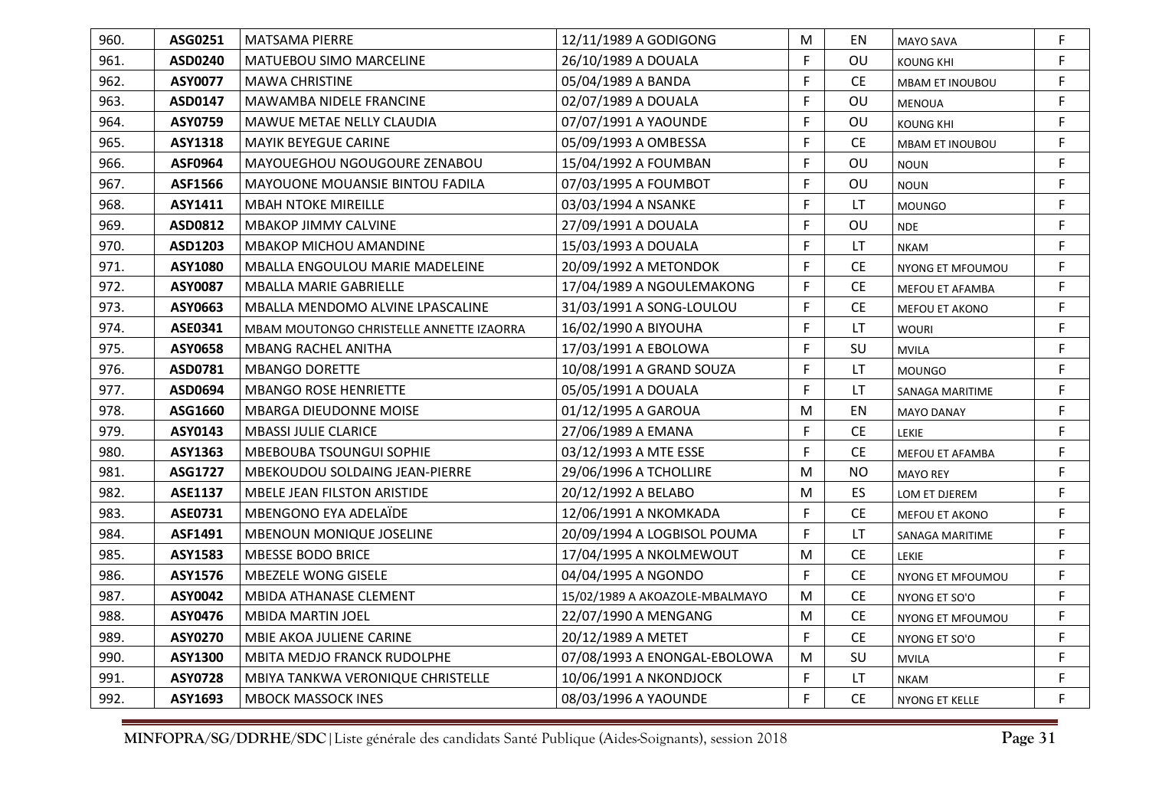| 960. | ASG0251        | MATSAMA PIERRE                           | 12/11/1989 A GODIGONG          | M  | EN                            | <b>MAYO SAVA</b>       | F  |
|------|----------------|------------------------------------------|--------------------------------|----|-------------------------------|------------------------|----|
| 961. | ASD0240        | <b>MATUEBOU SIMO MARCELINE</b>           | 26/10/1989 A DOUALA            | F  | OU                            | <b>KOUNG KHI</b>       | F  |
| 962. | <b>ASY0077</b> | <b>MAWA CHRISTINE</b>                    | 05/04/1989 A BANDA             | F  | <b>CE</b>                     | <b>MBAM ET INOUBOU</b> | F  |
| 963. | ASD0147        | MAWAMBA NIDELE FRANCINE                  | 02/07/1989 A DOUALA            | F  | OU                            | <b>MENOUA</b>          | F. |
| 964. | ASY0759        | MAWUE METAE NELLY CLAUDIA                | 07/07/1991 A YAOUNDE           | F  | OU                            | <b>KOUNG KHI</b>       | F  |
| 965. | <b>ASY1318</b> | <b>MAYIK BEYEGUE CARINE</b>              | 05/09/1993 A OMBESSA           | F  | <b>CE</b>                     | MBAM ET INOUBOU        | F  |
| 966. | <b>ASF0964</b> | MAYOUEGHOU NGOUGOURE ZENABOU             | 15/04/1992 A FOUMBAN           | F  | OU                            | <b>NOUN</b>            | F  |
| 967. | ASF1566        | <b>MAYOUONE MOUANSIE BINTOU FADILA</b>   | 07/03/1995 A FOUMBOT           | F  | OU                            | <b>NOUN</b>            | F  |
| 968. | ASY1411        | <b>MBAH NTOKE MIREILLE</b>               | 03/03/1994 A NSANKE            | F  | LT.                           | <b>MOUNGO</b>          | F  |
| 969. | ASD0812        | <b>MBAKOP JIMMY CALVINE</b>              | 27/09/1991 A DOUALA            | F  | OU                            | <b>NDE</b>             | F  |
| 970. | ASD1203        | <b>MBAKOP MICHOU AMANDINE</b>            | 15/03/1993 A DOUALA            | F  | LT                            | <b>NKAM</b>            | F. |
| 971. | <b>ASY1080</b> | <b>MBALLA ENGOULOU MARIE MADELEINE</b>   | 20/09/1992 A METONDOK          | F  | <b>CE</b>                     | NYONG ET MFOUMOU       | F. |
| 972. | <b>ASY0087</b> | <b>MBALLA MARIE GABRIELLE</b>            | 17/04/1989 A NGOULEMAKONG      | F  | <b>CE</b>                     | MEFOU ET AFAMBA        | F  |
| 973. | ASY0663        | MBALLA MENDOMO ALVINE LPASCALINE         | 31/03/1991 A SONG-LOULOU       | F  | <b>CE</b>                     | MEFOU ET AKONO         | F  |
| 974. | ASE0341        | MBAM MOUTONGO CHRISTELLE ANNETTE IZAORRA | 16/02/1990 A BIYOUHA           | F  | LT.                           | <b>WOURI</b>           | F. |
| 975. | ASY0658        | <b>MBANG RACHEL ANITHA</b>               | 17/03/1991 A EBOLOWA           | F  | SU                            | <b>MVILA</b>           | F  |
| 976. | ASD0781        | <b>MBANGO DORETTE</b>                    | 10/08/1991 A GRAND SOUZA       | F  | LT.                           | <b>MOUNGO</b>          | F  |
| 977. | ASD0694        | <b>MBANGO ROSE HENRIETTE</b>             | 05/05/1991 A DOUALA            | F  | LT                            | SANAGA MARITIME        | F  |
| 978. | ASG1660        | <b>MBARGA DIEUDONNE MOISE</b>            | 01/12/1995 A GAROUA            | M  | EN                            | <b>MAYO DANAY</b>      | F. |
| 979. | ASY0143        | <b>MBASSI JULIE CLARICE</b>              | 27/06/1989 A EMANA             | F  | <b>CE</b>                     | LEKIE                  | F. |
| 980. | ASY1363        | <b>MBEBOUBA TSOUNGUI SOPHIE</b>          | 03/12/1993 A MTE ESSE          | F  | <b>CE</b>                     | MEFOU ET AFAMBA        | F  |
| 981. | ASG1727        | MBEKOUDOU SOLDAING JEAN-PIERRE           | 29/06/1996 A TCHOLLIRE         | M  | <b>NO</b>                     | <b>MAYO REY</b>        | F  |
| 982. | <b>ASE1137</b> | <b>MBELE JEAN FILSTON ARISTIDE</b>       | 20/12/1992 A BELABO            | M  | ES.                           | LOM ET DJEREM          | F  |
| 983. | ASE0731        | MBENGONO EYA ADELAÏDE                    | 12/06/1991 A NKOMKADA          | F  | <b>CE</b>                     | MEFOU ET AKONO         | F  |
| 984. | ASF1491        | <b>MBENOUN MONIQUE JOSELINE</b>          | 20/09/1994 A LOGBISOL POUMA    | F  | LT.                           | SANAGA MARITIME        | F  |
| 985. | <b>ASY1583</b> | <b>MBESSE BODO BRICE</b>                 | 17/04/1995 A NKOLMEWOUT        | M  | $\mathsf{CE}% _{\mathcal{A}}$ | LEKIE                  | F. |
| 986. | ASY1576        | MBEZELE WONG GISELE                      | 04/04/1995 A NGONDO            | F  | <b>CE</b>                     | NYONG ET MFOUMOU       | F  |
| 987. | ASY0042        | MBIDA ATHANASE CLEMENT                   | 15/02/1989 A AKOAZOLE-MBALMAYO | M  | <b>CE</b>                     | NYONG ET SO'O          | F  |
| 988. | ASY0476        | <b>MBIDA MARTIN JOEL</b>                 | 22/07/1990 A MENGANG           | M  | <b>CE</b>                     | NYONG ET MFOUMOU       | F  |
| 989. | <b>ASY0270</b> | MBIE AKOA JULIENE CARINE                 | 20/12/1989 A METET             | F. | <b>CE</b>                     | NYONG ET SO'O          | F  |
| 990. | ASY1300        | MBITA MEDJO FRANCK RUDOLPHE              | 07/08/1993 A ENONGAL-EBOLOWA   | M  | SU                            | <b>MVILA</b>           | F. |
| 991. | <b>ASY0728</b> | MBIYA TANKWA VERONIQUE CHRISTELLE        | 10/06/1991 A NKONDJOCK         | F  | LT                            | <b>NKAM</b>            | F  |
| 992. | ASY1693        | <b>MBOCK MASSOCK INES</b>                | 08/03/1996 A YAOUNDE           | F. | <b>CE</b>                     | NYONG ET KELLE         | F. |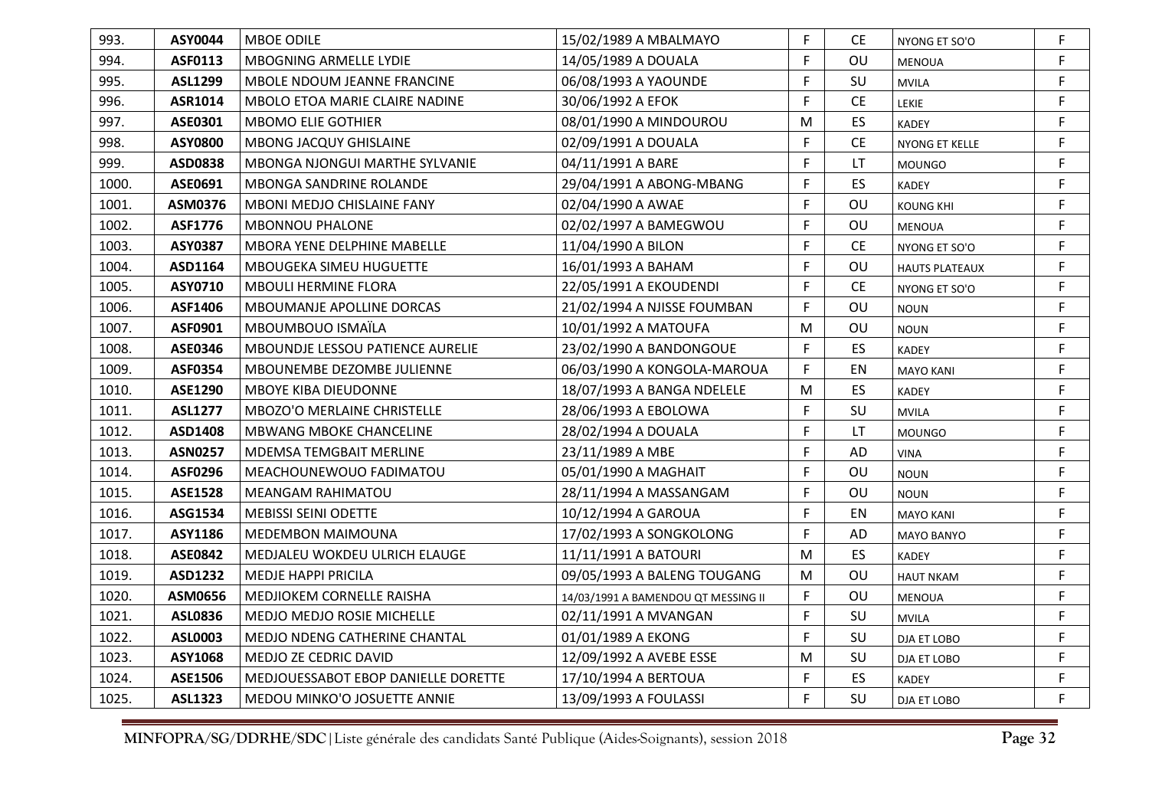| 993.  | ASY0044        | <b>MBOE ODILE</b>                       | 15/02/1989 A MBALMAYO               | F. | <b>CE</b> | NYONG ET SO'O         | F. |
|-------|----------------|-----------------------------------------|-------------------------------------|----|-----------|-----------------------|----|
| 994.  | <b>ASF0113</b> | MBOGNING ARMELLE LYDIE                  | 14/05/1989 A DOUALA                 | F  | OU        | <b>MENOUA</b>         | F. |
| 995.  | <b>ASL1299</b> | MBOLE NDOUM JEANNE FRANCINE             | 06/08/1993 A YAOUNDE                | F. | SU        | <b>MVILA</b>          | F. |
| 996.  | ASR1014        | MBOLO ETOA MARIE CLAIRE NADINE          | 30/06/1992 A EFOK                   | F  | <b>CE</b> | <b>LEKIE</b>          | F. |
| 997.  | ASE0301        | <b>MBOMO ELIE GOTHIER</b>               | 08/01/1990 A MINDOUROU              | M  | ES        | <b>KADEY</b>          | F. |
| 998.  | <b>ASY0800</b> | <b>MBONG JACQUY GHISLAINE</b>           | 02/09/1991 A DOUALA                 | F  | <b>CE</b> | <b>NYONG ET KELLE</b> | F  |
| 999.  | ASD0838        | <b>MBONGA NJONGUI MARTHE SYLVANIE</b>   | 04/11/1991 A BARE                   | F  | LT.       | <b>MOUNGO</b>         | F. |
| 1000. | ASE0691        | <b>MBONGA SANDRINE ROLANDE</b>          | 29/04/1991 A ABONG-MBANG            | F. | <b>ES</b> | <b>KADEY</b>          | F  |
| 1001. | ASM0376        | <b>MBONI MEDJO CHISLAINE FANY</b>       | 02/04/1990 A AWAE                   | F  | OU        | <b>KOUNG KHI</b>      | F. |
| 1002. | ASF1776        | <b>MBONNOU PHALONE</b>                  | 02/02/1997 A BAMEGWOU               | F  | OU        | <b>MENOUA</b>         | F  |
| 1003. | ASY0387        | MBORA YENE DELPHINE MABELLE             | 11/04/1990 A BILON                  | F. | <b>CE</b> | NYONG ET SO'O         | F. |
| 1004. | ASD1164        | <b>MBOUGEKA SIMEU HUGUETTE</b>          | 16/01/1993 A BAHAM                  | F  | OU        | <b>HAUTS PLATEAUX</b> | F  |
| 1005. | ASY0710        | <b>MBOULI HERMINE FLORA</b>             | 22/05/1991 A EKOUDENDI              | F  | <b>CE</b> | NYONG ET SO'O         | F  |
| 1006. | ASF1406        | <b>MBOUMANJE APOLLINE DORCAS</b>        | 21/02/1994 A NJISSE FOUMBAN         | F. | OU        | <b>NOUN</b>           | F  |
| 1007. | ASF0901        | MBOUMBOUO ISMAÏLA                       | 10/01/1992 A MATOUFA                | M  | OU        | <b>NOUN</b>           | F. |
| 1008. | <b>ASE0346</b> | <b>MBOUNDJE LESSOU PATIENCE AURELIE</b> | 23/02/1990 A BANDONGOUE             | F. | ES        | <b>KADEY</b>          | F  |
| 1009. | <b>ASF0354</b> | MBOUNEMBE DEZOMBE JULIENNE              | 06/03/1990 A KONGOLA-MAROUA         | F  | EN        | <b>MAYO KANI</b>      | F  |
| 1010. | ASE1290        | <b>MBOYE KIBA DIEUDONNE</b>             | 18/07/1993 A BANGA NDELELE          | M  | ES        | <b>KADEY</b>          | F. |
| 1011. | <b>ASL1277</b> | <b>MBOZO'O MERLAINE CHRISTELLE</b>      | 28/06/1993 A EBOLOWA                | F  | SU        | <b>MVILA</b>          | F. |
| 1012. | ASD1408        | <b>MBWANG MBOKE CHANCELINE</b>          | 28/02/1994 A DOUALA                 | F. | <b>LT</b> | <b>MOUNGO</b>         | F. |
| 1013. | <b>ASN0257</b> | <b>MDEMSA TEMGBAIT MERLINE</b>          | 23/11/1989 A MBE                    | F  | AD        | <b>VINA</b>           | F  |
| 1014. | <b>ASF0296</b> | MEACHOUNEWOUO FADIMATOU                 | 05/01/1990 A MAGHAIT                | F. | OU        | <b>NOUN</b>           | F. |
| 1015. | <b>ASE1528</b> | <b>MEANGAM RAHIMATOU</b>                | 28/11/1994 A MASSANGAM              | F. | OU        | <b>NOUN</b>           | F  |
| 1016. | ASG1534        | <b>MEBISSI SEINI ODETTE</b>             | 10/12/1994 A GAROUA                 | F. | EN        | <b>MAYO KANI</b>      | F. |
| 1017. | ASY1186        | <b>MEDEMBON MAIMOUNA</b>                | 17/02/1993 A SONGKOLONG             | F. | AD        | <b>MAYO BANYO</b>     | F. |
| 1018. | <b>ASE0842</b> | MEDJALEU WOKDEU ULRICH ELAUGE           | 11/11/1991 A BATOURI                | M  | ES        | <b>KADEY</b>          | F. |
| 1019. | ASD1232        | <b>MEDJE HAPPI PRICILA</b>              | 09/05/1993 A BALENG TOUGANG         | M  | OU        | <b>HAUT NKAM</b>      | F. |
| 1020. | ASM0656        | MEDJIOKEM CORNELLE RAISHA               | 14/03/1991 A BAMENDOU QT MESSING II | F. | OU        | <b>MENOUA</b>         | F. |
| 1021. | <b>ASL0836</b> | <b>MEDJO MEDJO ROSIE MICHELLE</b>       | 02/11/1991 A MVANGAN                | F. | SU        | <b>MVILA</b>          | F. |
| 1022. | ASL0003        | MEDJO NDENG CATHERINE CHANTAL           | 01/01/1989 A EKONG                  | F. | SU        | DJA ET LOBO           | F. |
| 1023. | ASY1068        | MEDJO ZE CEDRIC DAVID                   | 12/09/1992 A AVEBE ESSE             | M  | SU        | DJA ET LOBO           | F. |
| 1024. | ASE1506        | MEDJOUESSABOT EBOP DANIELLE DORETTE     | 17/10/1994 A BERTOUA                | F  | ES        | KADEY                 | F  |
| 1025. | <b>ASL1323</b> | MEDOU MINKO'O JOSUETTE ANNIE            | 13/09/1993 A FOULASSI               | F. | SU        | DJA ET LOBO           | F. |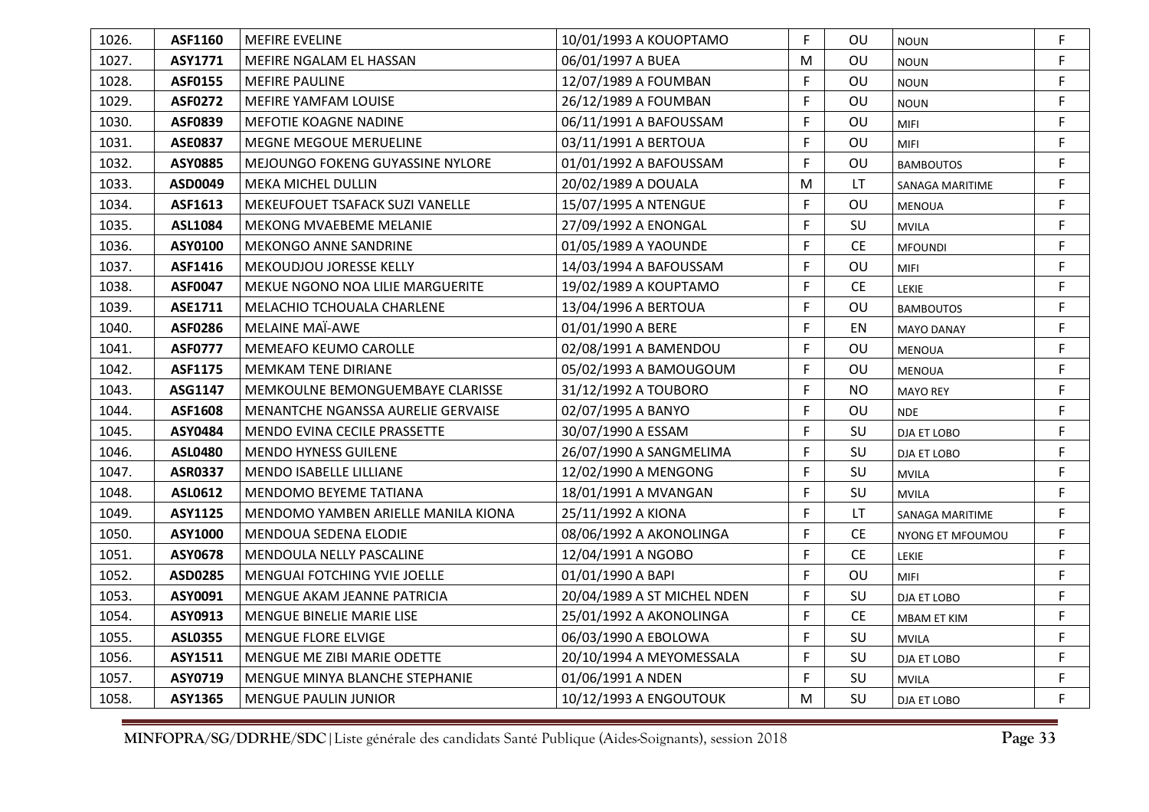| 1026. | ASF1160        | <b>MEFIRE EVELINE</b>               | 10/01/1993 A KOUOPTAMO      | F. | ΟU        | <b>NOUN</b>        | F  |
|-------|----------------|-------------------------------------|-----------------------------|----|-----------|--------------------|----|
| 1027. | ASY1771        | MEFIRE NGALAM EL HASSAN             | 06/01/1997 A BUEA           | M  | OU        | <b>NOUN</b>        | F. |
| 1028. | <b>ASF0155</b> | <b>MEFIRE PAULINE</b>               | 12/07/1989 A FOUMBAN        | F  | OU        | <b>NOUN</b>        | F. |
| 1029. | <b>ASF0272</b> | <b>MEFIRE YAMFAM LOUISE</b>         | 26/12/1989 A FOUMBAN        | F  | OU        | <b>NOUN</b>        | F  |
| 1030. | <b>ASF0839</b> | <b>MEFOTIE KOAGNE NADINE</b>        | 06/11/1991 A BAFOUSSAM      | F  | OU        | <b>MIFI</b>        | F  |
| 1031. | <b>ASE0837</b> | MEGNE MEGOUE MERUELINE              | 03/11/1991 A BERTOUA        | F. | OU        | <b>MIFI</b>        | F  |
| 1032. | <b>ASY0885</b> | MEJOUNGO FOKENG GUYASSINE NYLORE    | 01/01/1992 A BAFOUSSAM      | F  | OU        | <b>BAMBOUTOS</b>   | F  |
| 1033. | ASD0049        | <b>MEKA MICHEL DULLIN</b>           | 20/02/1989 A DOUALA         | M  | LT.       | SANAGA MARITIME    | F. |
| 1034. | ASF1613        | MEKEUFOUET TSAFACK SUZI VANELLE     | 15/07/1995 A NTENGUE        | F  | OU        | MENOUA             | F  |
| 1035. | <b>ASL1084</b> | <b>MEKONG MVAEBEME MELANIE</b>      | 27/09/1992 A ENONGAL        | F. | SU        | <b>MVILA</b>       | F. |
| 1036. | ASY0100        | <b>MEKONGO ANNE SANDRINE</b>        | 01/05/1989 A YAOUNDE        | F. | <b>CE</b> | <b>MFOUNDI</b>     | F. |
| 1037. | ASF1416        | <b>MEKOUDJOU JORESSE KELLY</b>      | 14/03/1994 A BAFOUSSAM      | F. | OU        | <b>MIFI</b>        | F. |
| 1038. | <b>ASF0047</b> | MEKUE NGONO NOA LILIE MARGUERITE    | 19/02/1989 A KOUPTAMO       | F  | <b>CE</b> | <b>LEKIE</b>       | F  |
| 1039. | ASE1711        | MELACHIO TCHOUALA CHARLENE          | 13/04/1996 A BERTOUA        | F. | OU        | <b>BAMBOUTOS</b>   | F  |
| 1040. | <b>ASF0286</b> | MELAINE MAÏ-AWE                     | 01/01/1990 A BERE           | F. | EN        | <b>MAYO DANAY</b>  | F. |
| 1041. | <b>ASF0777</b> | MEMEAFO KEUMO CAROLLE               | 02/08/1991 A BAMENDOU       | F. | OU        | <b>MENOUA</b>      | F. |
| 1042. | <b>ASF1175</b> | <b>MEMKAM TENE DIRIANE</b>          | 05/02/1993 A BAMOUGOUM      | F. | OU        | <b>MENOUA</b>      | F. |
| 1043. | ASG1147        | MEMKOULNE BEMONGUEMBAYE CLARISSE    | 31/12/1992 A TOUBORO        | F  | <b>NO</b> | <b>MAYO REY</b>    | F. |
| 1044. | ASF1608        | MENANTCHE NGANSSA AURELIE GERVAISE  | 02/07/1995 A BANYO          | F. | OU        | <b>NDE</b>         | F. |
| 1045. | ASY0484        | MENDO EVINA CECILE PRASSETTE        | 30/07/1990 A ESSAM          | F. | SU        | DJA ET LOBO        | F. |
| 1046. | <b>ASL0480</b> | <b>MENDO HYNESS GUILENE</b>         | 26/07/1990 A SANGMELIMA     | F  | SU        | DJA ET LOBO        | F  |
| 1047. | <b>ASR0337</b> | <b>MENDO ISABELLE LILLIANE</b>      | 12/02/1990 A MENGONG        | F. | SU        | <b>MVILA</b>       | F. |
| 1048. | ASL0612        | MENDOMO BEYEME TATIANA              | 18/01/1991 A MVANGAN        | F. | SU        | <b>MVILA</b>       | F. |
| 1049. | ASY1125        | MENDOMO YAMBEN ARIELLE MANILA KIONA | 25/11/1992 A KIONA          | F. | LT        | SANAGA MARITIME    | F. |
| 1050. | ASY1000        | MENDOUA SEDENA ELODIE               | 08/06/1992 A AKONOLINGA     | F. | <b>CE</b> | NYONG ET MFOUMOU   | F. |
| 1051. | ASY0678        | MENDOULA NELLY PASCALINE            | 12/04/1991 A NGOBO          | F. | <b>CE</b> | LEKIE              | F. |
| 1052. | ASD0285        | MENGUAI FOTCHING YVIE JOELLE        | 01/01/1990 A BAPI           | F. | OU        | <b>MIFI</b>        | F. |
| 1053. | ASY0091        | MENGUE AKAM JEANNE PATRICIA         | 20/04/1989 A ST MICHEL NDEN | F. | SU        | DJA ET LOBO        | F. |
| 1054. | ASY0913        | <b>MENGUE BINELIE MARIE LISE</b>    | 25/01/1992 A AKONOLINGA     | F. | <b>CE</b> | <b>MBAM ET KIM</b> | F. |
| 1055. | <b>ASL0355</b> | MENGUE FLORE ELVIGE                 | 06/03/1990 A EBOLOWA        | F  | SU        | <b>MVILA</b>       | F. |
| 1056. | ASY1511        | MENGUE ME ZIBI MARIE ODETTE         | 20/10/1994 A MEYOMESSALA    | F. | SU        | DJA ET LOBO        | F. |
| 1057. | ASY0719        | MENGUE MINYA BLANCHE STEPHANIE      | 01/06/1991 A NDEN           | F  | SU        | <b>MVILA</b>       | F  |
| 1058. | ASY1365        | <b>MENGUE PAULIN JUNIOR</b>         | 10/12/1993 A ENGOUTOUK      | M  | SU        | DJA ET LOBO        | F. |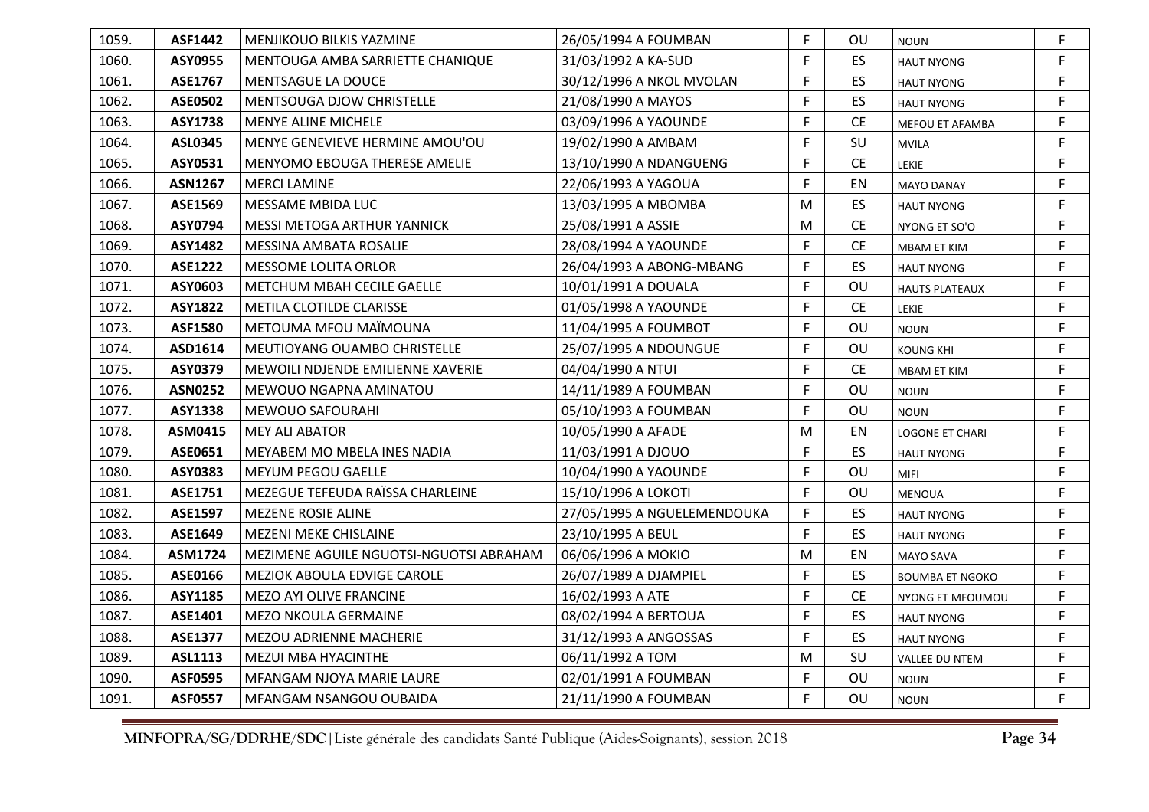| 1059. | <b>ASF1442</b> | MENJIKOUO BILKIS YAZMINE                | 26/05/1994 A FOUMBAN        | F. | OU        | <b>NOUN</b>            | F. |
|-------|----------------|-----------------------------------------|-----------------------------|----|-----------|------------------------|----|
| 1060. | ASY0955        | MENTOUGA AMBA SARRIETTE CHANIQUE        | 31/03/1992 A KA-SUD         | F  | ES.       | <b>HAUT NYONG</b>      | F  |
| 1061. | ASE1767        | MENTSAGUE LA DOUCE                      | 30/12/1996 A NKOL MVOLAN    | F. | ES.       | <b>HAUT NYONG</b>      | F  |
| 1062. | <b>ASE0502</b> | <b>MENTSOUGA DJOW CHRISTELLE</b>        | 21/08/1990 A MAYOS          | F. | ES.       | <b>HAUT NYONG</b>      | F. |
| 1063. | <b>ASY1738</b> | <b>MENYE ALINE MICHELE</b>              | 03/09/1996 A YAOUNDE        | F. | CE.       | <b>MEFOU ET AFAMBA</b> | F. |
| 1064. | <b>ASL0345</b> | MENYE GENEVIEVE HERMINE AMOU'OU         | 19/02/1990 A AMBAM          | F  | SU        | <b>MVILA</b>           | F. |
| 1065. | ASY0531        | <b>MENYOMO EBOUGA THERESE AMELIE</b>    | 13/10/1990 A NDANGUENG      | F. | <b>CE</b> | LEKIE                  | F. |
| 1066. | <b>ASN1267</b> | <b>MERCI LAMINE</b>                     | 22/06/1993 A YAGOUA         | F  | EN        | <b>MAYO DANAY</b>      | F. |
| 1067. | ASE1569        | <b>MESSAME MBIDA LUC</b>                | 13/03/1995 A MBOMBA         | M  | ES.       | <b>HAUT NYONG</b>      | F. |
| 1068. | ASY0794        | MESSI METOGA ARTHUR YANNICK             | 25/08/1991 A ASSIE          | M  | <b>CE</b> | NYONG ET SO'O          | F. |
| 1069. | ASY1482        | MESSINA AMBATA ROSALIE                  | 28/08/1994 A YAOUNDE        | F  | <b>CE</b> | MBAM ET KIM            | F  |
| 1070. | <b>ASE1222</b> | MESSOME LOLITA ORLOR                    | 26/04/1993 A ABONG-MBANG    | F. | ES.       | <b>HAUT NYONG</b>      | F. |
| 1071. | ASY0603        | METCHUM MBAH CECILE GAELLE              | 10/01/1991 A DOUALA         | F  | OU.       | <b>HAUTS PLATEAUX</b>  | F  |
| 1072. | <b>ASY1822</b> | METILA CLOTILDE CLARISSE                | 01/05/1998 A YAOUNDE        | F. | <b>CE</b> | LEKIE                  | F  |
| 1073. | <b>ASF1580</b> | METOUMA MFOU MAIMOUNA                   | 11/04/1995 A FOUMBOT        | F. | OU        | <b>NOUN</b>            | F  |
| 1074. | ASD1614        | MEUTIOYANG OUAMBO CHRISTELLE            | 25/07/1995 A NDOUNGUE       | F. | OU        | <b>KOUNG KHI</b>       | F. |
| 1075. | ASY0379        | MEWOILI NDJENDE EMILIENNE XAVERIE       | 04/04/1990 A NTUI           | F. | <b>CE</b> | <b>MBAM ET KIM</b>     | F  |
| 1076. | <b>ASN0252</b> | MEWOUO NGAPNA AMINATOU                  | 14/11/1989 A FOUMBAN        | F. | OU        | <b>NOUN</b>            | F  |
| 1077. | <b>ASY1338</b> | MEWOUO SAFOURAHI                        | 05/10/1993 A FOUMBAN        | F. | OU        | <b>NOUN</b>            | F. |
| 1078. | ASM0415        | <b>MEY ALI ABATOR</b>                   | 10/05/1990 A AFADE          | M  | EN        | <b>LOGONE ET CHARI</b> | F. |
| 1079. | ASE0651        | MEYABEM MO MBELA INES NADIA             | 11/03/1991 A DJOUO          | F  | ES.       | <b>HAUT NYONG</b>      | F  |
| 1080. | ASY0383        | MEYUM PEGOU GAELLE                      | 10/04/1990 A YAOUNDE        | F. | OU        | <b>MIFI</b>            | F. |
| 1081. | ASE1751        | MEZEGUE TEFEUDA RAÏSSA CHARLEINE        | 15/10/1996 A LOKOTI         | F. | OU        | <b>MENOUA</b>          | F. |
| 1082. | <b>ASE1597</b> | <b>MEZENE ROSIE ALINE</b>               | 27/05/1995 A NGUELEMENDOUKA | F. | ES.       | <b>HAUT NYONG</b>      | F. |
| 1083. | ASE1649        | <b>MEZENI MEKE CHISLAINE</b>            | 23/10/1995 A BEUL           | F. | ES.       | <b>HAUT NYONG</b>      | F. |
| 1084. | ASM1724        | MEZIMENE AGUILE NGUOTSI-NGUOTSI ABRAHAM | 06/06/1996 A MOKIO          | M  | EN        | <b>MAYO SAVA</b>       | F. |
| 1085. | ASE0166        | MEZIOK ABOULA EDVIGE CAROLE             | 26/07/1989 A DJAMPIEL       | F. | ES.       | <b>BOUMBA ET NGOKO</b> | F  |
| 1086. | ASY1185        | MEZO AYI OLIVE FRANCINE                 | 16/02/1993 A ATE            | F. | <b>CE</b> | NYONG ET MFOUMOU       | F  |
| 1087. | ASE1401        | <b>MEZO NKOULA GERMAINE</b>             | 08/02/1994 A BERTOUA        | F. | ES.       | <b>HAUT NYONG</b>      | F  |
| 1088. | <b>ASE1377</b> | MEZOU ADRIENNE MACHERIE                 | 31/12/1993 A ANGOSSAS       | F. | ES.       | <b>HAUT NYONG</b>      | F. |
| 1089. | ASL1113        | MEZUI MBA HYACINTHE                     | 06/11/1992 A TOM            | M  | SU        | VALLEE DU NTEM         | F. |
| 1090. | <b>ASF0595</b> | MFANGAM NJOYA MARIE LAURE               | 02/01/1991 A FOUMBAN        | F. | OU        | <b>NOUN</b>            | F  |
| 1091. | <b>ASF0557</b> | MFANGAM NSANGOU OUBAIDA                 | 21/11/1990 A FOUMBAN        | F  | OU        | <b>NOUN</b>            | F. |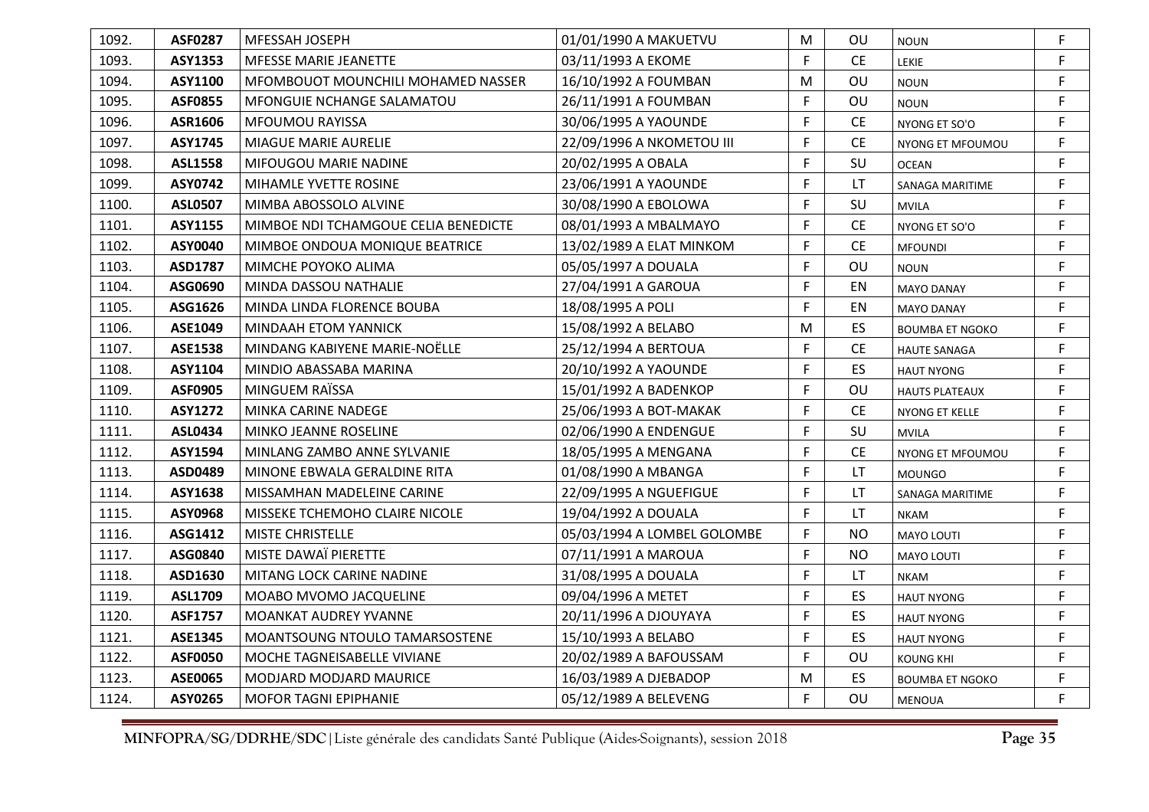| 1092. | <b>ASF0287</b> | MFESSAH JOSEPH                       | 01/01/1990 A MAKUETVU       | M  | <b>OU</b> | <b>NOUN</b>            | F  |
|-------|----------------|--------------------------------------|-----------------------------|----|-----------|------------------------|----|
| 1093. | ASY1353        | <b>MFESSE MARIE JEANETTE</b>         | 03/11/1993 A EKOME          | F  | <b>CE</b> | <b>LEKIE</b>           | F  |
| 1094. | ASY1100        | MFOMBOUOT MOUNCHILI MOHAMED NASSER   | 16/10/1992 A FOUMBAN        | M  | OU        | <b>NOUN</b>            | F  |
| 1095. | <b>ASF0855</b> | MFONGUIE NCHANGE SALAMATOU           | 26/11/1991 A FOUMBAN        | F  | OU        | <b>NOUN</b>            | F. |
| 1096. | ASR1606        | MFOUMOU RAYISSA                      | 30/06/1995 A YAOUNDE        | F  | <b>CE</b> | NYONG ET SO'O          | F  |
| 1097. | <b>ASY1745</b> | <b>MIAGUE MARIE AURELIE</b>          | 22/09/1996 A NKOMETOU III   | F  | <b>CE</b> | NYONG ET MFOUMOU       | F  |
| 1098. | <b>ASL1558</b> | MIFOUGOU MARIE NADINE                | 20/02/1995 A OBALA          | F  | SU        | <b>OCEAN</b>           | F  |
| 1099. | ASY0742        | MIHAMLE YVETTE ROSINE                | 23/06/1991 A YAOUNDE        | F  | LT        | SANAGA MARITIME        | F  |
| 1100. | <b>ASL0507</b> | MIMBA ABOSSOLO ALVINE                | 30/08/1990 A EBOLOWA        | F  | SU        | <b>MVILA</b>           | F  |
| 1101. | ASY1155        | MIMBOE NDI TCHAMGOUE CELIA BENEDICTE | 08/01/1993 A MBALMAYO       | F  | <b>CE</b> | NYONG ET SO'O          | F  |
| 1102. | <b>ASY0040</b> | MIMBOE ONDOUA MONIQUE BEATRICE       | 13/02/1989 A ELAT MINKOM    | F  | <b>CE</b> | <b>MFOUNDI</b>         | F. |
| 1103. | ASD1787        | MIMCHE POYOKO ALIMA                  | 05/05/1997 A DOUALA         | F  | OU        | <b>NOUN</b>            | F. |
| 1104. | ASG0690        | MINDA DASSOU NATHALIE                | 27/04/1991 A GAROUA         | F  | EN        | <b>MAYO DANAY</b>      | F  |
| 1105. | ASG1626        | MINDA LINDA FLORENCE BOUBA           | 18/08/1995 A POLI           | F  | EN        | <b>MAYO DANAY</b>      | F  |
| 1106. | ASE1049        | <b>MINDAAH ETOM YANNICK</b>          | 15/08/1992 A BELABO         | M  | <b>ES</b> | <b>BOUMBA ET NGOKO</b> | F. |
| 1107. | <b>ASE1538</b> | MINDANG KABIYENE MARIE-NOËLLE        | 25/12/1994 A BERTOUA        | F  | <b>CE</b> | <b>HAUTE SANAGA</b>    | F  |
| 1108. | ASY1104        | MINDIO ABASSABA MARINA               | 20/10/1992 A YAOUNDE        | F  | <b>ES</b> | <b>HAUT NYONG</b>      | F  |
| 1109. | <b>ASF0905</b> | MINGUEM RAÏSSA                       | 15/01/1992 A BADENKOP       | F  | OU        | <b>HAUTS PLATEAUX</b>  | F  |
| 1110. | <b>ASY1272</b> | MINKA CARINE NADEGE                  | 25/06/1993 A BOT-MAKAK      | F  | <b>CE</b> | NYONG ET KELLE         | F. |
| 1111. | ASL0434        | MINKO JEANNE ROSELINE                | 02/06/1990 A ENDENGUE       | F  | SU        | <b>MVILA</b>           | F. |
| 1112. | ASY1594        | MINLANG ZAMBO ANNE SYLVANIE          | 18/05/1995 A MENGANA        | F  | CE        | NYONG ET MFOUMOU       | F. |
| 1113. | ASD0489        | MINONE EBWALA GERALDINE RITA         | 01/08/1990 A MBANGA         | F  | LT        | <b>MOUNGO</b>          | F  |
| 1114. | ASY1638        | MISSAMHAN MADELEINE CARINE           | 22/09/1995 A NGUEFIGUE      | F  | LT.       | SANAGA MARITIME        | F  |
| 1115. | ASY0968        | MISSEKE TCHEMOHO CLAIRE NICOLE       | 19/04/1992 A DOUALA         | F  | LT.       | <b>NKAM</b>            | F  |
| 1116. | ASG1412        | <b>MISTE CHRISTELLE</b>              | 05/03/1994 A LOMBEL GOLOMBE | F  | <b>NO</b> | <b>MAYO LOUTI</b>      | F  |
| 1117. | ASG0840        | MISTE DAWAÏ PIERETTE                 | 07/11/1991 A MAROUA         | F  | <b>NO</b> | MAYO LOUTI             | F  |
| 1118. | ASD1630        | MITANG LOCK CARINE NADINE            | 31/08/1995 A DOUALA         | F  | LT        | <b>NKAM</b>            | F  |
| 1119. | <b>ASL1709</b> | MOABO MVOMO JACQUELINE               | 09/04/1996 A METET          | F  | ES.       | <b>HAUT NYONG</b>      | F  |
| 1120. | <b>ASF1757</b> | <b>MOANKAT AUDREY YVANNE</b>         | 20/11/1996 A DJOUYAYA       | F  | ES        | <b>HAUT NYONG</b>      | F  |
| 1121. | ASE1345        | MOANTSOUNG NTOULO TAMARSOSTENE       | 15/10/1993 A BELABO         | F  | ES.       | <b>HAUT NYONG</b>      | F  |
| 1122. | <b>ASF0050</b> | MOCHE TAGNEISABELLE VIVIANE          | 20/02/1989 A BAFOUSSAM      | F  | OU        | <b>KOUNG KHI</b>       | F. |
| 1123. | <b>ASE0065</b> | <b>MODJARD MODJARD MAURICE</b>       | 16/03/1989 A DJEBADOP       | M  | ES.       | <b>BOUMBA ET NGOKO</b> | F  |
| 1124. | ASY0265        | MOFOR TAGNI EPIPHANIE                | 05/12/1989 A BELEVENG       | F. | OU        | <b>MENOUA</b>          | F  |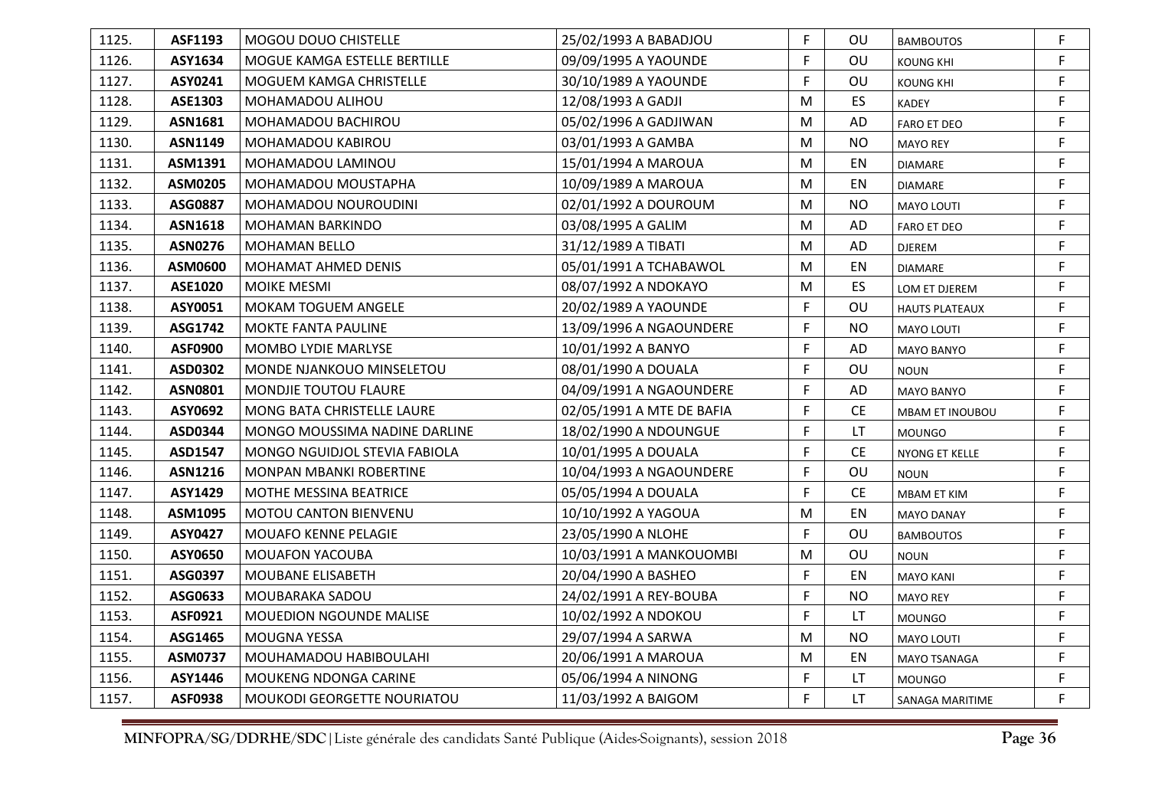| 1125. | ASF1193        | MOGOU DOUO CHISTELLE             | 25/02/1993 A BABADJOU     | F. | OU.       | <b>BAMBOUTOS</b>      | F. |
|-------|----------------|----------------------------------|---------------------------|----|-----------|-----------------------|----|
| 1126. | ASY1634        | MOGUE KAMGA ESTELLE BERTILLE     | 09/09/1995 A YAOUNDE      | F. | OU        | <b>KOUNG KHI</b>      | F  |
| 1127. | ASY0241        | MOGUEM KAMGA CHRISTELLE          | 30/10/1989 A YAOUNDE      | F. | OU        | <b>KOUNG KHI</b>      | F  |
| 1128. | ASE1303        | MOHAMADOU ALIHOU                 | 12/08/1993 A GADJI        | M  | ES.       | <b>KADEY</b>          | F. |
| 1129. | <b>ASN1681</b> | MOHAMADOU BACHIROU               | 05/02/1996 A GADJIWAN     | M  | AD        | <b>FARO ET DEO</b>    | F. |
| 1130. | <b>ASN1149</b> | MOHAMADOU KABIROU                | 03/01/1993 A GAMBA        | M  | NO.       | <b>MAYO REY</b>       | F. |
| 1131. | ASM1391        | MOHAMADOU LAMINOU                | 15/01/1994 A MAROUA       | M  | EN        | <b>DIAMARE</b>        | F. |
| 1132. | ASM0205        | MOHAMADOU MOUSTAPHA              | 10/09/1989 A MAROUA       | M  | EN        | <b>DIAMARE</b>        | F. |
| 1133. | ASG0887        | MOHAMADOU NOUROUDINI             | 02/01/1992 A DOUROUM      | M  | <b>NO</b> | MAYO LOUTI            | F. |
| 1134. | <b>ASN1618</b> | <b>MOHAMAN BARKINDO</b>          | 03/08/1995 A GALIM        | M  | AD        | <b>FARO ET DEO</b>    | F  |
| 1135. | <b>ASN0276</b> | <b>MOHAMAN BELLO</b>             | 31/12/1989 A TIBATI       | M  | AD        | DJEREM                | F  |
| 1136. | ASM0600        | <b>MOHAMAT AHMED DENIS</b>       | 05/01/1991 A TCHABAWOL    | M  | EN        | <b>DIAMARE</b>        | F. |
| 1137. | <b>ASE1020</b> | <b>MOIKE MESMI</b>               | 08/07/1992 A NDOKAYO      | M  | ES.       | LOM ET DJEREM         | F. |
| 1138. | ASY0051        | MOKAM TOGUEM ANGELE              | 20/02/1989 A YAOUNDE      | F. | OU        | <b>HAUTS PLATEAUX</b> | F  |
| 1139. | ASG1742        | <b>MOKTE FANTA PAULINE</b>       | 13/09/1996 A NGAOUNDERE   | F. | NO.       | <b>MAYO LOUTI</b>     | F. |
| 1140. | <b>ASF0900</b> | <b>MOMBO LYDIE MARLYSE</b>       | 10/01/1992 A BANYO        | F. | AD        | MAYO BANYO            | F. |
| 1141. | ASD0302        | <b>MONDE NJANKOUO MINSELETOU</b> | 08/01/1990 A DOUALA       | F. | OU        | <b>NOUN</b>           | F  |
| 1142. | <b>ASN0801</b> | MONDJIE TOUTOU FLAURE            | 04/09/1991 A NGAOUNDERE   | F  | AD        | <b>MAYO BANYO</b>     | F  |
| 1143. | ASY0692        | MONG BATA CHRISTELLE LAURE       | 02/05/1991 A MTE DE BAFIA | F  | <b>CE</b> | MBAM ET INOUBOU       | F. |
| 1144. | ASD0344        | MONGO MOUSSIMA NADINE DARLINE    | 18/02/1990 A NDOUNGUE     | F. | LT.       | <b>MOUNGO</b>         | F. |
| 1145. | <b>ASD1547</b> | MONGO NGUIDJOL STEVIA FABIOLA    | 10/01/1995 A DOUALA       | F  | <b>CE</b> | NYONG ET KELLE        | F  |
| 1146. | <b>ASN1216</b> | MONPAN MBANKI ROBERTINE          | 10/04/1993 A NGAOUNDERE   | F. | OU        | <b>NOUN</b>           | F  |
| 1147. | ASY1429        | MOTHE MESSINA BEATRICE           | 05/05/1994 A DOUALA       | F  | <b>CE</b> | MBAM ET KIM           | F. |
| 1148. | ASM1095        | MOTOU CANTON BIENVENU            | 10/10/1992 A YAGOUA       | M  | EN        | <b>MAYO DANAY</b>     | F. |
| 1149. | ASY0427        | MOUAFO KENNE PELAGIE             | 23/05/1990 A NLOHE        | F. | OU        | <b>BAMBOUTOS</b>      | F. |
| 1150. | ASY0650        | <b>MOUAFON YACOUBA</b>           | 10/03/1991 A MANKOUOMBI   | M  | OU        | <b>NOUN</b>           | F  |
| 1151. | ASG0397        | MOUBANE ELISABETH                | 20/04/1990 A BASHEO       | F. | EN        | <b>MAYO KANI</b>      | F. |
| 1152. | ASG0633        | MOUBARAKA SADOU                  | 24/02/1991 A REY-BOUBA    | F. | <b>NO</b> | <b>MAYO REY</b>       | F. |
| 1153. | ASF0921        | <b>MOUEDION NGOUNDE MALISE</b>   | 10/02/1992 A NDOKOU       | F. | LT        | <b>MOUNGO</b>         | F. |
| 1154. | ASG1465        | <b>MOUGNA YESSA</b>              | 29/07/1994 A SARWA        | M  | <b>NO</b> | <b>MAYO LOUTI</b>     | F  |
| 1155. | ASM0737        | MOUHAMADOU HABIBOULAHI           | 20/06/1991 A MAROUA       | M  | EN        | MAYO TSANAGA          | F  |
| 1156. | ASY1446        | MOUKENG NDONGA CARINE            | 05/06/1994 A NINONG       | F  | LT        | <b>MOUNGO</b>         | F. |
| 1157. | <b>ASF0938</b> | MOUKODI GEORGETTE NOURIATOU      | 11/03/1992 A BAIGOM       | F. | LT        | SANAGA MARITIME       | F. |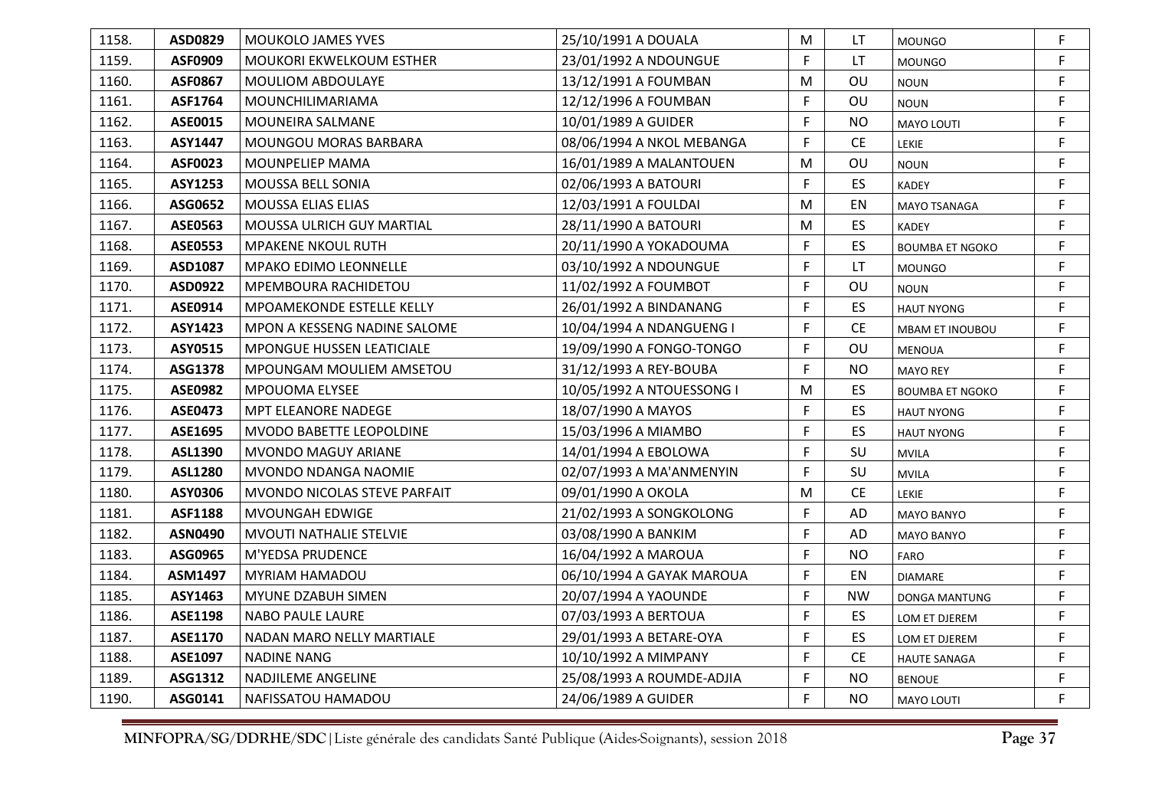| 1158. | ASD0829        | <b>MOUKOLO JAMES YVES</b>        | 25/10/1991 A DOUALA       | M  | LT                            | <b>MOUNGO</b>          | F  |
|-------|----------------|----------------------------------|---------------------------|----|-------------------------------|------------------------|----|
| 1159. | ASF0909        | MOUKORI EKWELKOUM ESTHER         | 23/01/1992 A NDOUNGUE     | F. | LT.                           | <b>MOUNGO</b>          | F  |
| 1160. | <b>ASF0867</b> | MOULIOM ABDOULAYE                | 13/12/1991 A FOUMBAN      | M  | OU                            | <b>NOUN</b>            | F  |
| 1161. | ASF1764        | <b>MOUNCHILIMARIAMA</b>          | 12/12/1996 A FOUMBAN      | F. | OU                            | <b>NOUN</b>            | F  |
| 1162. | ASE0015        | MOUNEIRA SALMANE                 | 10/01/1989 A GUIDER       | F  | <b>NO</b>                     | <b>MAYO LOUTI</b>      | F. |
| 1163. | ASY1447        | <b>MOUNGOU MORAS BARBARA</b>     | 08/06/1994 A NKOL MEBANGA | F  | <b>CE</b>                     | <b>LEKIE</b>           | F  |
| 1164. | ASF0023        | MOUNPELIEP MAMA                  | 16/01/1989 A MALANTOUEN   | M  | OU                            | <b>NOUN</b>            | F  |
| 1165. | <b>ASY1253</b> | MOUSSA BELL SONIA                | 02/06/1993 A BATOURI      | F. | ES                            | <b>KADEY</b>           | F  |
| 1166. | ASG0652        | MOUSSA ELIAS ELIAS               | 12/03/1991 A FOULDAI      | M  | EN                            | MAYO TSANAGA           | F  |
| 1167. | ASE0563        | <b>MOUSSA ULRICH GUY MARTIAL</b> | 28/11/1990 A BATOURI      | M  | <b>ES</b>                     | <b>KADEY</b>           | F  |
| 1168. | <b>ASE0553</b> | <b>MPAKENE NKOUL RUTH</b>        | 20/11/1990 A YOKADOUMA    | F  | ES                            | <b>BOUMBA ET NGOKO</b> | F  |
| 1169. | ASD1087        | <b>MPAKO EDIMO LEONNELLE</b>     | 03/10/1992 A NDOUNGUE     | F  | LT.                           | <b>MOUNGO</b>          | F. |
| 1170. | ASD0922        | <b>MPEMBOURA RACHIDETOU</b>      | 11/02/1992 A FOUMBOT      | F  | OU                            | <b>NOUN</b>            | F  |
| 1171. | ASE0914        | MPOAMEKONDE ESTELLE KELLY        | 26/01/1992 A BINDANANG    | F  | ES                            | <b>HAUT NYONG</b>      | F  |
| 1172. | ASY1423        | MPON A KESSENG NADINE SALOME     | 10/04/1994 A NDANGUENG I  | F. | $\mathsf{CE}% _{\mathcal{A}}$ | MBAM ET INOUBOU        | F  |
| 1173. | ASY0515        | MPONGUE HUSSEN LEATICIALE        | 19/09/1990 A FONGO-TONGO  | F  | OU                            | <b>MENOUA</b>          | F  |
| 1174. | ASG1378        | <b>MPOUNGAM MOULIEM AMSETOU</b>  | 31/12/1993 A REY-BOUBA    | F. | <b>NO</b>                     | <b>MAYO REY</b>        | F  |
| 1175. | <b>ASE0982</b> | MPOUOMA ELYSEE                   | 10/05/1992 A NTOUESSONG I | M  | ES.                           | <b>BOUMBA ET NGOKO</b> | F  |
| 1176. | <b>ASE0473</b> | MPT ELEANORE NADEGE              | 18/07/1990 A MAYOS        | F  | ES                            | <b>HAUT NYONG</b>      | F  |
| 1177. | ASE1695        | MVODO BABETTE LEOPOLDINE         | 15/03/1996 A MIAMBO       | F  | ES                            | <b>HAUT NYONG</b>      | F. |
| 1178. | ASL1390        | MVONDO MAGUY ARIANE              | 14/01/1994 A EBOLOWA      | F. | SU                            | <b>MVILA</b>           | F  |
| 1179. | <b>ASL1280</b> | MVONDO NDANGA NAOMIE             | 02/07/1993 A MA'ANMENYIN  | F  | SU                            | <b>MVILA</b>           | F  |
| 1180. | ASY0306        | MVONDO NICOLAS STEVE PARFAIT     | 09/01/1990 A OKOLA        | M  | <b>CE</b>                     | LEKIE                  | F  |
| 1181. | <b>ASF1188</b> | MVOUNGAH EDWIGE                  | 21/02/1993 A SONGKOLONG   | F. | AD                            | MAYO BANYO             | F  |
| 1182. | <b>ASN0490</b> | MVOUTI NATHALIE STELVIE          | 03/08/1990 A BANKIM       | F  | AD                            | <b>MAYO BANYO</b>      | F  |
| 1183. | ASG0965        | M'YEDSA PRUDENCE                 | 16/04/1992 A MAROUA       | F. | <b>NO</b>                     | <b>FARO</b>            | F  |
| 1184. | ASM1497        | <b>MYRIAM HAMADOU</b>            | 06/10/1994 A GAYAK MAROUA | F. | EN                            | <b>DIAMARE</b>         | F. |
| 1185. | ASY1463        | MYUNE DZABUH SIMEN               | 20/07/1994 A YAOUNDE      | F. | <b>NW</b>                     | DONGA MANTUNG          | F. |
| 1186. | ASE1198        | <b>NABO PAULE LAURE</b>          | 07/03/1993 A BERTOUA      | F. | ES.                           | LOM ET DJEREM          | F  |
| 1187. | ASE1170        | NADAN MARO NELLY MARTIALE        | 29/01/1993 A BETARE-OYA   | F. | ES.                           | LOM ET DJEREM          | F  |
| 1188. | ASE1097        | <b>NADINE NANG</b>               | 10/10/1992 A MIMPANY      | F. | <b>CE</b>                     | <b>HAUTE SANAGA</b>    | F  |
| 1189. | ASG1312        | NADJILEME ANGELINE               | 25/08/1993 A ROUMDE-ADJIA | F  | <b>NO</b>                     | <b>BENOUE</b>          | F  |
| 1190. | ASG0141        | NAFISSATOU HAMADOU               | 24/06/1989 A GUIDER       | F. | <b>NO</b>                     | <b>MAYO LOUTI</b>      | F  |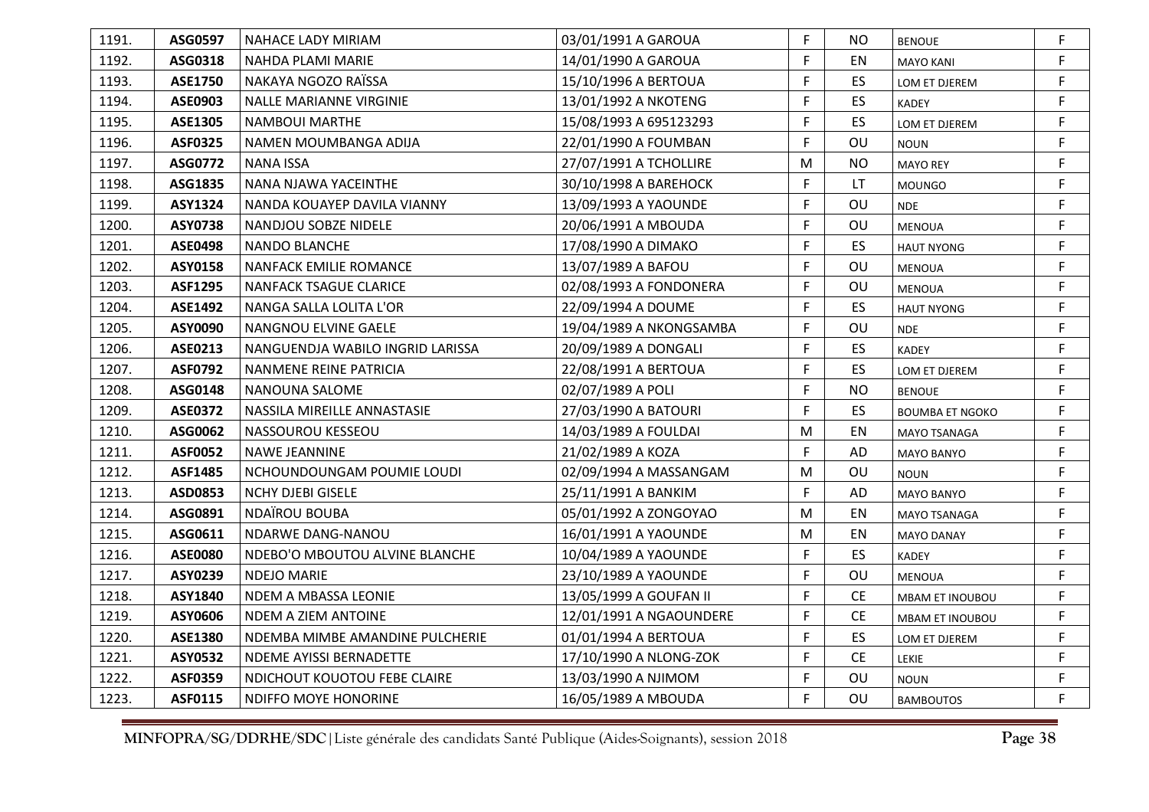| 1191. | ASG0597        | <b>NAHACE LADY MIRIAM</b>        | 03/01/1991 A GAROUA     | F. | NO.       | <b>BENOUE</b>          | F  |
|-------|----------------|----------------------------------|-------------------------|----|-----------|------------------------|----|
| 1192. | ASG0318        | NAHDA PLAMI MARIE                | 14/01/1990 A GAROUA     | F  | EN        | <b>MAYO KANI</b>       | F. |
| 1193. | <b>ASE1750</b> | NAKAYA NGOZO RAÏSSA              | 15/10/1996 A BERTOUA    | F  | ES        | LOM ET DJEREM          | F. |
| 1194. | ASE0903        | <b>NALLE MARIANNE VIRGINIE</b>   | 13/01/1992 A NKOTENG    | F  | ES.       | <b>KADEY</b>           | F  |
| 1195. | <b>ASE1305</b> | NAMBOUI MARTHE                   | 15/08/1993 A 695123293  | F  | <b>ES</b> | LOM ET DJEREM          | F  |
| 1196. | <b>ASF0325</b> | NAMEN MOUMBANGA ADIJA            | 22/01/1990 A FOUMBAN    | F  | OU        | <b>NOUN</b>            | F  |
| 1197. | ASG0772        | <b>NANA ISSA</b>                 | 27/07/1991 A TCHOLLIRE  | M  | <b>NO</b> | <b>MAYO REY</b>        | F. |
| 1198. | ASG1835        | NANA NJAWA YACEINTHE             | 30/10/1998 A BAREHOCK   | F  | LT.       | <b>MOUNGO</b>          | F  |
| 1199. | ASY1324        | NANDA KOUAYEP DAVILA VIANNY      | 13/09/1993 A YAOUNDE    | F  | OU        | <b>NDE</b>             | F. |
| 1200. | <b>ASY0738</b> | NANDJOU SOBZE NIDELE             | 20/06/1991 A MBOUDA     | F  | OU        | <b>MENOUA</b>          | F  |
| 1201. | <b>ASE0498</b> | NANDO BLANCHE                    | 17/08/1990 A DIMAKO     | F. | <b>ES</b> | <b>HAUT NYONG</b>      | F. |
| 1202. | ASY0158        | NANFACK EMILIE ROMANCE           | 13/07/1989 A BAFOU      | F  | OU        | <b>MENOUA</b>          | F  |
| 1203. | <b>ASF1295</b> | NANFACK TSAGUE CLARICE           | 02/08/1993 A FONDONERA  | F  | OU        | <b>MENOUA</b>          | F  |
| 1204. | <b>ASE1492</b> | NANGA SALLA LOLITA L'OR          | 22/09/1994 A DOUME      | F. | ES        | <b>HAUT NYONG</b>      | F  |
| 1205. | ASY0090        | NANGNOU ELVINE GAELE             | 19/04/1989 A NKONGSAMBA | F  | OU        | <b>NDE</b>             | F. |
| 1206. | ASE0213        | NANGUENDJA WABILO INGRID LARISSA | 20/09/1989 A DONGALI    | F. | ES        | <b>KADEY</b>           | F  |
| 1207. | <b>ASF0792</b> | NANMENE REINE PATRICIA           | 22/08/1991 A BERTOUA    | F  | <b>ES</b> | LOM ET DJEREM          | F  |
| 1208. | ASG0148        | NANOUNA SALOME                   | 02/07/1989 A POLI       | F. | <b>NO</b> | <b>BENOUE</b>          | F. |
| 1209. | <b>ASE0372</b> | NASSILA MIREILLE ANNASTASIE      | 27/03/1990 A BATOURI    | F  | ES        | <b>BOUMBA ET NGOKO</b> | F. |
| 1210. | ASG0062        | NASSOUROU KESSEOU                | 14/03/1989 A FOULDAI    | M  | EN        | MAYO TSANAGA           | F. |
| 1211. | <b>ASF0052</b> | NAWE JEANNINE                    | 21/02/1989 A KOZA       | F  | AD        | MAYO BANYO             | F  |
| 1212. | <b>ASF1485</b> | NCHOUNDOUNGAM POUMIE LOUDI       | 02/09/1994 A MASSANGAM  | M  | OU        | <b>NOUN</b>            | F. |
| 1213. | ASD0853        | <b>NCHY DJEBI GISELE</b>         | 25/11/1991 A BANKIM     | F  | AD        | <b>MAYO BANYO</b>      | F  |
| 1214. | ASG0891        | <b>NDAÏROU BOUBA</b>             | 05/01/1992 A ZONGOYAO   | M  | EN        | <b>MAYO TSANAGA</b>    | F. |
| 1215. | ASG0611        | NDARWE DANG-NANOU                | 16/01/1991 A YAOUNDE    | M  | EN        | <b>MAYO DANAY</b>      | F. |
| 1216. | <b>ASE0080</b> | NDEBO'O MBOUTOU ALVINE BLANCHE   | 10/04/1989 A YAOUNDE    | F. | ES        | KADEY                  | F. |
| 1217. | ASY0239        | <b>NDEJO MARIE</b>               | 23/10/1989 A YAOUNDE    | F. | OU        | <b>MENOUA</b>          | F. |
| 1218. | ASY1840        | NDEM A MBASSA LEONIE             | 13/05/1999 A GOUFAN II  | F. | <b>CE</b> | <b>MBAM ET INOUBOU</b> | F  |
| 1219. | ASY0606        | NDEM A ZIEM ANTOINE              | 12/01/1991 A NGAOUNDERE | F  | <b>CE</b> | MBAM ET INOUBOU        | F. |
| 1220. | ASE1380        | NDEMBA MIMBE AMANDINE PULCHERIE  | 01/01/1994 A BERTOUA    | F  | ES        | LOM ET DJEREM          | F  |
| 1221. | ASY0532        | NDEME AYISSI BERNADETTE          | 17/10/1990 A NLONG-ZOK  | F  | <b>CE</b> | <b>LEKIE</b>           | F  |
| 1222. | <b>ASF0359</b> | NDICHOUT KOUOTOU FEBE CLAIRE     | 13/03/1990 A NJIMOM     | F  | OU        | <b>NOUN</b>            | F  |
| 1223. | ASF0115        | NDIFFO MOYE HONORINE             | 16/05/1989 A MBOUDA     | F  | OU        | <b>BAMBOUTOS</b>       | F. |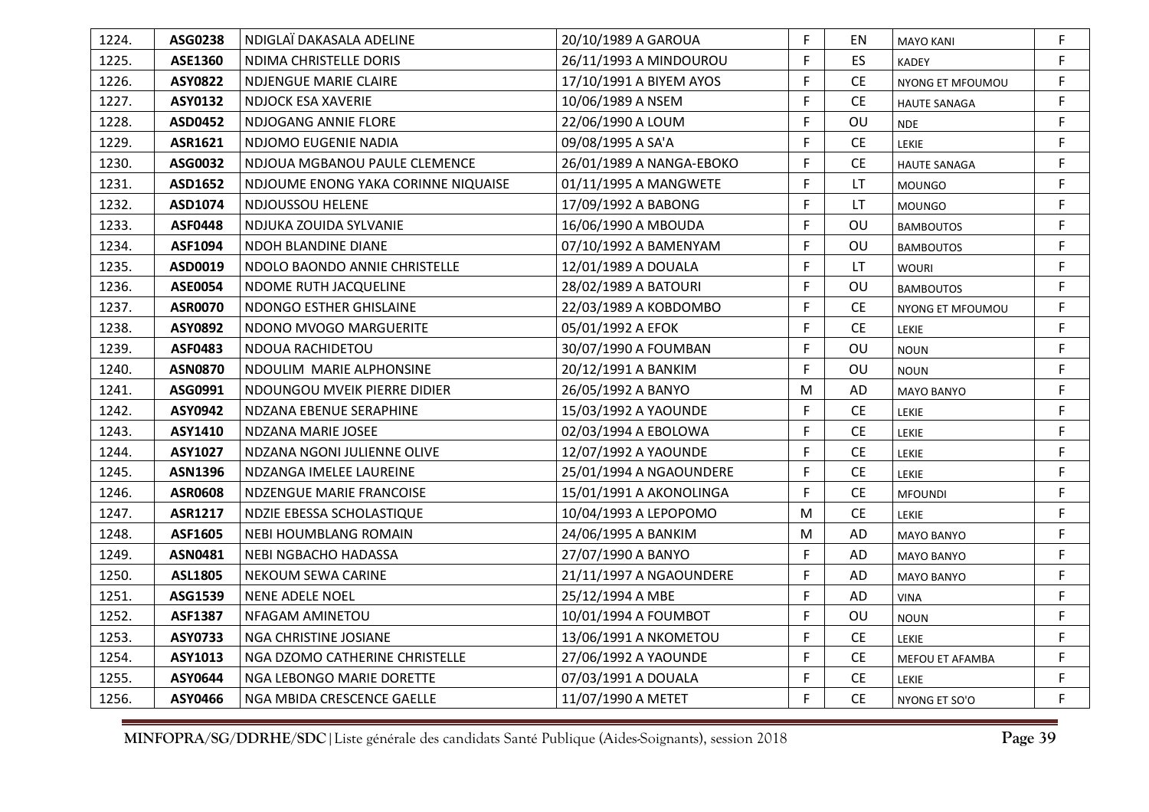| 1224. | ASG0238        | NDIGLAÏ DAKASALA ADELINE            | 20/10/1989 A GAROUA      | F.           | ΕN        | <b>MAYO KANI</b>    | F  |
|-------|----------------|-------------------------------------|--------------------------|--------------|-----------|---------------------|----|
| 1225. | ASE1360        | NDIMA CHRISTELLE DORIS              | 26/11/1993 A MINDOUROU   | F            | ES.       | <b>KADEY</b>        | F. |
| 1226. | <b>ASY0822</b> | <b>NDJENGUE MARIE CLAIRE</b>        | 17/10/1991 A BIYEM AYOS  | F            | <b>CE</b> | NYONG ET MFOUMOU    | F  |
| 1227. | ASY0132        | NDJOCK ESA XAVERIE                  | 10/06/1989 A NSEM        | F            | <b>CE</b> | <b>HAUTE SANAGA</b> | F. |
| 1228. | <b>ASD0452</b> | NDJOGANG ANNIE FLORE                | 22/06/1990 A LOUM        | F            | OU        | <b>NDE</b>          | F. |
| 1229. | ASR1621        | NDJOMO EUGENIE NADIA                | 09/08/1995 A SA'A        | F            | <b>CE</b> | <b>LEKIE</b>        | F  |
| 1230. | ASG0032        | NDJOUA MGBANOU PAULE CLEMENCE       | 26/01/1989 A NANGA-EBOKO | F            | <b>CE</b> | <b>HAUTE SANAGA</b> | F. |
| 1231. | ASD1652        | NDJOUME ENONG YAKA CORINNE NIQUAISE | 01/11/1995 A MANGWETE    | F            | LT.       | <b>MOUNGO</b>       | F  |
| 1232. | ASD1074        | <b>NDJOUSSOU HELENE</b>             | 17/09/1992 A BABONG      | F            | <b>LT</b> | <b>MOUNGO</b>       | F. |
| 1233. | <b>ASF0448</b> | NDJUKA ZOUIDA SYLVANIE              | 16/06/1990 A MBOUDA      | F            | OU        | <b>BAMBOUTOS</b>    | F. |
| 1234. | ASF1094        | NDOH BLANDINE DIANE                 | 07/10/1992 A BAMENYAM    | F            | OU        | <b>BAMBOUTOS</b>    | F  |
| 1235. | ASD0019        | NDOLO BAONDO ANNIE CHRISTELLE       | 12/01/1989 A DOUALA      | F            | LT        | <b>WOURI</b>        | F. |
| 1236. | <b>ASE0054</b> | NDOME RUTH JACQUELINE               | 28/02/1989 A BATOURI     | $\mathsf{F}$ | OU        | <b>BAMBOUTOS</b>    | F  |
| 1237. | <b>ASR0070</b> | NDONGO ESTHER GHISLAINE             | 22/03/1989 A KOBDOMBO    | F            | <b>CE</b> | NYONG ET MFOUMOU    | F  |
| 1238. | ASY0892        | NDONO MVOGO MARGUERITE              | 05/01/1992 A EFOK        | F            | CE        | LEKIE               | F  |
| 1239. | <b>ASF0483</b> | <b>NDOUA RACHIDETOU</b>             | 30/07/1990 A FOUMBAN     | F            | OU        | <b>NOUN</b>         | F  |
| 1240. | <b>ASN0870</b> | NDOULIM MARIE ALPHONSINE            | 20/12/1991 A BANKIM      | F            | OU        | <b>NOUN</b>         | F  |
| 1241. | ASG0991        | NDOUNGOU MVEIK PIERRE DIDIER        | 26/05/1992 A BANYO       | M            | AD        | <b>MAYO BANYO</b>   | F  |
| 1242. | ASY0942        | <b>NDZANA EBENUE SERAPHINE</b>      | 15/03/1992 A YAOUNDE     | F            | CE        | LEKIE               | F. |
| 1243. | ASY1410        | <b>NDZANA MARIE JOSEE</b>           | 02/03/1994 A EBOLOWA     | F            | <b>CE</b> | LEKIE               | F. |
| 1244. | ASY1027        | NDZANA NGONI JULIENNE OLIVE         | 12/07/1992 A YAOUNDE     | F            | <b>CE</b> | LEKIE               | F. |
| 1245. | <b>ASN1396</b> | NDZANGA IMELEE LAUREINE             | 25/01/1994 A NGAOUNDERE  | F            | <b>CE</b> | LEKIE               | F. |
| 1246. | <b>ASR0608</b> | <b>NDZENGUE MARIE FRANCOISE</b>     | 15/01/1991 A AKONOLINGA  | F            | <b>CE</b> | <b>MFOUNDI</b>      | F  |
| 1247. | <b>ASR1217</b> | <b>NDZIE EBESSA SCHOLASTIQUE</b>    | 10/04/1993 A LEPOPOMO    | M            | <b>CE</b> | LEKIE               | F  |
| 1248. | ASF1605        | NEBI HOUMBLANG ROMAIN               | 24/06/1995 A BANKIM      | M            | AD        | <b>MAYO BANYO</b>   | F  |
| 1249. | ASN0481        | NEBI NGBACHO HADASSA                | 27/07/1990 A BANYO       | F            | AD        | <b>MAYO BANYO</b>   | F. |
| 1250. | ASL1805        | NEKOUM SEWA CARINE                  | 21/11/1997 A NGAOUNDERE  | F            | AD        | MAYO BANYO          | F. |
| 1251. | ASG1539        | NENE ADELE NOEL                     | 25/12/1994 A MBE         | F            | AD        | <b>VINA</b>         | F  |
| 1252. | <b>ASF1387</b> | NFAGAM AMINETOU                     | 10/01/1994 A FOUMBOT     | F            | OU        | <b>NOUN</b>         | F  |
| 1253. | ASY0733        | NGA CHRISTINE JOSIANE               | 13/06/1991 A NKOMETOU    | F            | <b>CE</b> | LEKIE               | F  |
| 1254. | ASY1013        | NGA DZOMO CATHERINE CHRISTELLE      | 27/06/1992 A YAOUNDE     | F            | <b>CE</b> | MEFOU ET AFAMBA     | F  |
| 1255. | ASY0644        | NGA LEBONGO MARIE DORETTE           | 07/03/1991 A DOUALA      | F            | CE        | <b>LEKIE</b>        | F  |
| 1256. | ASY0466        | NGA MBIDA CRESCENCE GAELLE          | 11/07/1990 A METET       | F            | <b>CE</b> | NYONG ET SO'O       | F. |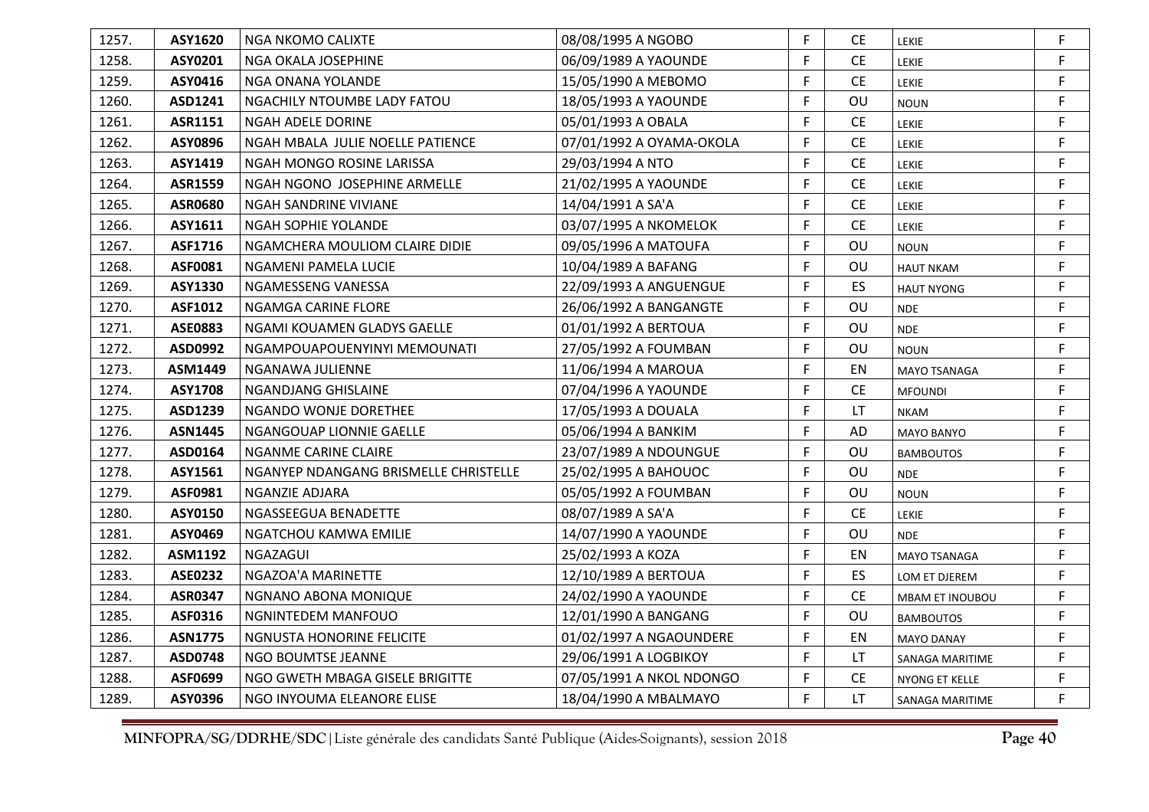| 1257. | ASY1620        | l NGA NKOMO CALIXTE                   | 08/08/1995 A NGOBO       | F  | <b>CE</b>                     | LEKIE                  | F  |
|-------|----------------|---------------------------------------|--------------------------|----|-------------------------------|------------------------|----|
| 1258. | ASY0201        | NGA OKALA JOSEPHINE                   | 06/09/1989 A YAOUNDE     | F  | <b>CE</b>                     | LEKIE                  | F. |
| 1259. | ASY0416        | I NGA ONANA YOLANDE                   | 15/05/1990 A MEBOMO      | F  | CE                            | LEKIE                  | F  |
| 1260. | ASD1241        | NGACHILY NTOUMBE LADY FATOU           | 18/05/1993 A YAOUNDE     | F  | OU                            | <b>NOUN</b>            | F  |
| 1261. | ASR1151        | NGAH ADELE DORINE                     | 05/01/1993 A OBALA       | F  | $\mathsf{CE}% _{\mathcal{A}}$ | LEKIE                  | F  |
| 1262. | ASY0896        | NGAH MBALA JULIE NOELLE PATIENCE      | 07/01/1992 A OYAMA-OKOLA | F  | <b>CE</b>                     | LEKIE                  | F  |
| 1263. | ASY1419        | NGAH MONGO ROSINE LARISSA             | 29/03/1994 A NTO         | F  | $\mathsf{CE}% _{\mathcal{A}}$ | LEKIE                  | F  |
| 1264. | <b>ASR1559</b> | NGAH NGONO JOSEPHINE ARMELLE          | 21/02/1995 A YAOUNDE     | F  | <b>CE</b>                     | LEKIE                  | F. |
| 1265. | <b>ASR0680</b> | NGAH SANDRINE VIVIANE                 | 14/04/1991 A SA'A        | F  | <b>CE</b>                     | LEKIE                  | F  |
| 1266. | ASY1611        | NGAH SOPHIE YOLANDE                   | 03/07/1995 A NKOMELOK    | F  | <b>CE</b>                     | LEKIE                  | F. |
| 1267. | ASF1716        | NGAMCHERA MOULIOM CLAIRE DIDIE        | 09/05/1996 A MATOUFA     | F  | OU                            | <b>NOUN</b>            | F  |
| 1268. | ASF0081        | NGAMENI PAMELA LUCIE                  | 10/04/1989 A BAFANG      | F  | OU                            | <b>HAUT NKAM</b>       | F  |
| 1269. | ASY1330        | NGAMESSENG VANESSA                    | 22/09/1993 A ANGUENGUE   | F  | ES.                           | <b>HAUT NYONG</b>      | F  |
| 1270. | ASF1012        | NGAMGA CARINE FLORE                   | 26/06/1992 A BANGANGTE   | F  | OU                            | <b>NDE</b>             | F  |
| 1271. | <b>ASE0883</b> | NGAMI KOUAMEN GLADYS GAELLE           | 01/01/1992 A BERTOUA     | F  | OU                            | <b>NDE</b>             | F. |
| 1272. | ASD0992        | NGAMPOUAPOUENYINYI MEMOUNATI          | 27/05/1992 A FOUMBAN     | F  | OU                            | <b>NOUN</b>            | F  |
| 1273. | ASM1449        | NGANAWA JULIENNE                      | 11/06/1994 A MAROUA      | F  | EN                            | <b>MAYO TSANAGA</b>    | F  |
| 1274. | <b>ASY1708</b> | <b>NGANDJANG GHISLAINE</b>            | 07/04/1996 A YAOUNDE     | F  | <b>CE</b>                     | <b>MFOUNDI</b>         | F  |
| 1275. | ASD1239        | NGANDO WONJE DORETHEE                 | 17/05/1993 A DOUALA      | F  | LT                            | <b>NKAM</b>            | F  |
| 1276. | <b>ASN1445</b> | NGANGOUAP LIONNIE GAELLE              | 05/06/1994 A BANKIM      | F  | AD                            | <b>MAYO BANYO</b>      | F. |
| 1277. | ASD0164        | <b>NGANME CARINE CLAIRE</b>           | 23/07/1989 A NDOUNGUE    | F  | <b>OU</b>                     | <b>BAMBOUTOS</b>       | F  |
| 1278. | ASY1561        | NGANYEP NDANGANG BRISMELLE CHRISTELLE | 25/02/1995 A BAHOUOC     | F  | OU                            | <b>NDE</b>             | F  |
| 1279. | ASF0981        | NGANZIE ADJARA                        | 05/05/1992 A FOUMBAN     | F  | OU                            | <b>NOUN</b>            | F  |
| 1280. | ASY0150        | NGASSEEGUA BENADETTE                  | 08/07/1989 A SA'A        | F  | <b>CE</b>                     | LEKIE                  | F  |
| 1281. | ASY0469        | NGATCHOU KAMWA EMILIE                 | 14/07/1990 A YAOUNDE     | F  | OU                            | <b>NDE</b>             | F  |
| 1282. | ASM1192        | NGAZAGUI                              | 25/02/1993 A KOZA        | F  | EN                            | <b>MAYO TSANAGA</b>    | F  |
| 1283. | <b>ASE0232</b> | NGAZOA'A MARINETTE                    | 12/10/1989 A BERTOUA     | F  | ES.                           | LOM ET DJEREM          | F  |
| 1284. | <b>ASR0347</b> | NGNANO ABONA MONIQUE                  | 24/02/1990 A YAOUNDE     | F  | <b>CE</b>                     | <b>MBAM ET INOUBOU</b> | F  |
| 1285. | ASF0316        | NGNINTEDEM MANFOUO                    | 12/01/1990 A BANGANG     | F  | OU                            | <b>BAMBOUTOS</b>       | F  |
| 1286. | <b>ASN1775</b> | NGNUSTA HONORINE FELICITE             | 01/02/1997 A NGAOUNDERE  | F  | EN                            | <b>MAYO DANAY</b>      | F  |
| 1287. | <b>ASD0748</b> | NGO BOUMTSE JEANNE                    | 29/06/1991 A LOGBIKOY    | F  | LT                            | SANAGA MARITIME        | F. |
| 1288. | ASF0699        | NGO GWETH MBAGA GISELE BRIGITTE       | 07/05/1991 A NKOL NDONGO | F  | CE                            | NYONG ET KELLE         | F. |
| 1289. | ASY0396        | NGO INYOUMA ELEANORE ELISE            | 18/04/1990 A MBALMAYO    | F. | LT.                           | SANAGA MARITIME        | F. |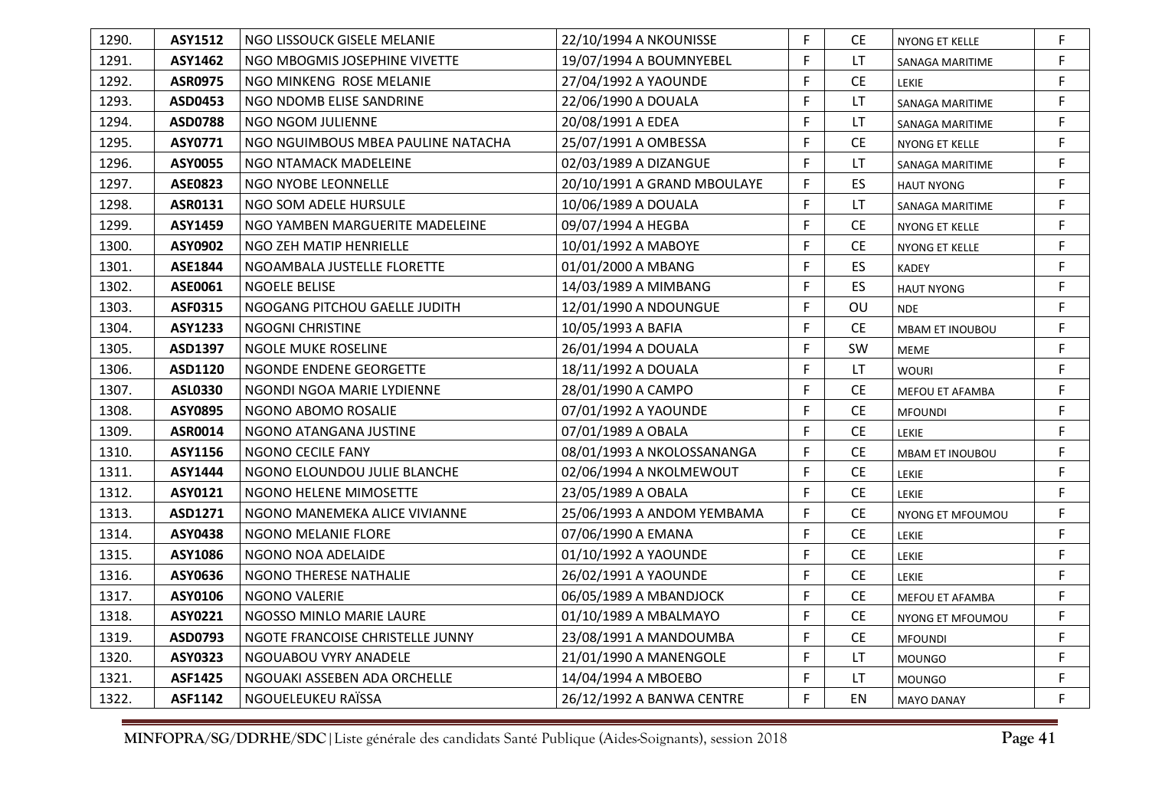| 1290. | ASY1512        | NGO LISSOUCK GISELE MELANIE        | 22/10/1994 A NKOUNISSE      | F. | CE.       | NYONG ET KELLE         | F  |
|-------|----------------|------------------------------------|-----------------------------|----|-----------|------------------------|----|
| 1291. | <b>ASY1462</b> | NGO MBOGMIS JOSEPHINE VIVETTE      | 19/07/1994 A BOUMNYEBEL     | F. | LT        | SANAGA MARITIME        | F  |
| 1292. | <b>ASR0975</b> | NGO MINKENG ROSE MELANIE           | 27/04/1992 A YAOUNDE        | F. | <b>CE</b> | <b>LEKIE</b>           | F  |
| 1293. | ASD0453        | NGO NDOMB ELISE SANDRINE           | 22/06/1990 A DOUALA         | F. | LT.       | SANAGA MARITIME        | F. |
| 1294. | <b>ASD0788</b> | NGO NGOM JULIENNE                  | 20/08/1991 A EDEA           | F  | LT        | SANAGA MARITIME        | F  |
| 1295. | ASY0771        | NGO NGUIMBOUS MBEA PAULINE NATACHA | 25/07/1991 A OMBESSA        | F. | <b>CE</b> | NYONG ET KELLE         | F. |
| 1296. | ASY0055        | NGO NTAMACK MADELEINE              | 02/03/1989 A DIZANGUE       | F. | LT.       | SANAGA MARITIME        | F. |
| 1297. | <b>ASE0823</b> | NGO NYOBE LEONNELLE                | 20/10/1991 A GRAND MBOULAYE | F. | ES.       | <b>HAUT NYONG</b>      | F. |
| 1298. | <b>ASR0131</b> | NGO SOM ADELE HURSULE              | 10/06/1989 A DOUALA         | F. | LT.       | SANAGA MARITIME        | F  |
| 1299. | <b>ASY1459</b> | NGO YAMBEN MARGUERITE MADELEINE    | 09/07/1994 A HEGBA          | F. | <b>CE</b> | NYONG ET KELLE         | F. |
| 1300. | ASY0902        | NGO ZEH MATIP HENRIELLE            | 10/01/1992 A MABOYE         | F  | CE        | NYONG ET KELLE         | F. |
| 1301. | ASE1844        | NGOAMBALA JUSTELLE FLORETTE        | 01/01/2000 A MBANG          | F. | ES.       | <b>KADEY</b>           | F. |
| 1302. | ASE0061        | <b>NGOELE BELISE</b>               | 14/03/1989 A MIMBANG        | F. | ES.       | <b>HAUT NYONG</b>      | F  |
| 1303. | ASF0315        | NGOGANG PITCHOU GAELLE JUDITH      | 12/01/1990 A NDOUNGUE       | F. | OU        | <b>NDE</b>             | F  |
| 1304. | <b>ASY1233</b> | <b>NGOGNI CHRISTINE</b>            | 10/05/1993 A BAFIA          | F. | <b>CE</b> | <b>MBAM ET INOUBOU</b> | F. |
| 1305. | ASD1397        | <b>NGOLE MUKE ROSELINE</b>         | 26/01/1994 A DOUALA         | F. | SW        | <b>MEME</b>            | F. |
| 1306. | ASD1120        | NGONDE ENDENE GEORGETTE            | 18/11/1992 A DOUALA         | F  | LT.       | <b>WOURI</b>           | F  |
| 1307. | <b>ASL0330</b> | NGONDI NGOA MARIE LYDIENNE         | 28/01/1990 A CAMPO          | F. | <b>CE</b> | <b>MEFOU ET AFAMBA</b> | F  |
| 1308. | <b>ASY0895</b> | NGONO ABOMO ROSALIE                | 07/01/1992 A YAOUNDE        | F. | <b>CE</b> | <b>MFOUNDI</b>         | F. |
| 1309. | ASR0014        | NGONO ATANGANA JUSTINE             | 07/01/1989 A OBALA          | F. | <b>CE</b> | LEKIE                  | F. |
| 1310. | ASY1156        | NGONO CECILE FANY                  | 08/01/1993 A NKOLOSSANANGA  | F. | CE.       | <b>MBAM ET INOUBOU</b> | F. |
| 1311. | <b>ASY1444</b> | NGONO ELOUNDOU JULIE BLANCHE       | 02/06/1994 A NKOLMEWOUT     | F. | <b>CE</b> | LEKIE                  | F  |
| 1312. | ASY0121        | NGONO HELENE MIMOSETTE             | 23/05/1989 A OBALA          | F. | <b>CE</b> | LEKIE                  | F  |
| 1313. | ASD1271        | NGONO MANEMEKA ALICE VIVIANNE      | 25/06/1993 A ANDOM YEMBAMA  | F. | <b>CE</b> | NYONG ET MFOUMOU       | F. |
| 1314. | ASY0438        | NGONO MELANIE FLORE                | 07/06/1990 A EMANA          | F. | <b>CE</b> | LEKIE                  | F. |
| 1315. | ASY1086        | NGONO NOA ADELAIDE                 | 01/10/1992 A YAOUNDE        | F. | CE        | LEKIE                  | F  |
| 1316. | ASY0636        | NGONO THERESE NATHALIE             | 26/02/1991 A YAOUNDE        | F. | CE        | LEKIE                  | F. |
| 1317. | ASY0106        | NGONO VALERIE                      | 06/05/1989 A MBANDJOCK      | F  | <b>CE</b> | MEFOU ET AFAMBA        | F  |
| 1318. | ASY0221        | NGOSSO MINLO MARIE LAURE           | 01/10/1989 A MBALMAYO       | F. | <b>CE</b> | NYONG ET MFOUMOU       | F  |
| 1319. | ASD0793        | NGOTE FRANCOISE CHRISTELLE JUNNY   | 23/08/1991 A MANDOUMBA      | F. | <b>CE</b> | <b>MFOUNDI</b>         | F  |
| 1320. | ASY0323        | NGOUABOU VYRY ANADELE              | 21/01/1990 A MANENGOLE      | F. | LT.       | <b>MOUNGO</b>          | F. |
| 1321. | <b>ASF1425</b> | NGOUAKI ASSEBEN ADA ORCHELLE       | 14/04/1994 A MBOEBO         | F  | LT.       | <b>MOUNGO</b>          | F  |
| 1322. | <b>ASF1142</b> | NGOUELEUKEU RAÏSSA                 | 26/12/1992 A BANWA CENTRE   | F. | EN        | <b>MAYO DANAY</b>      | F. |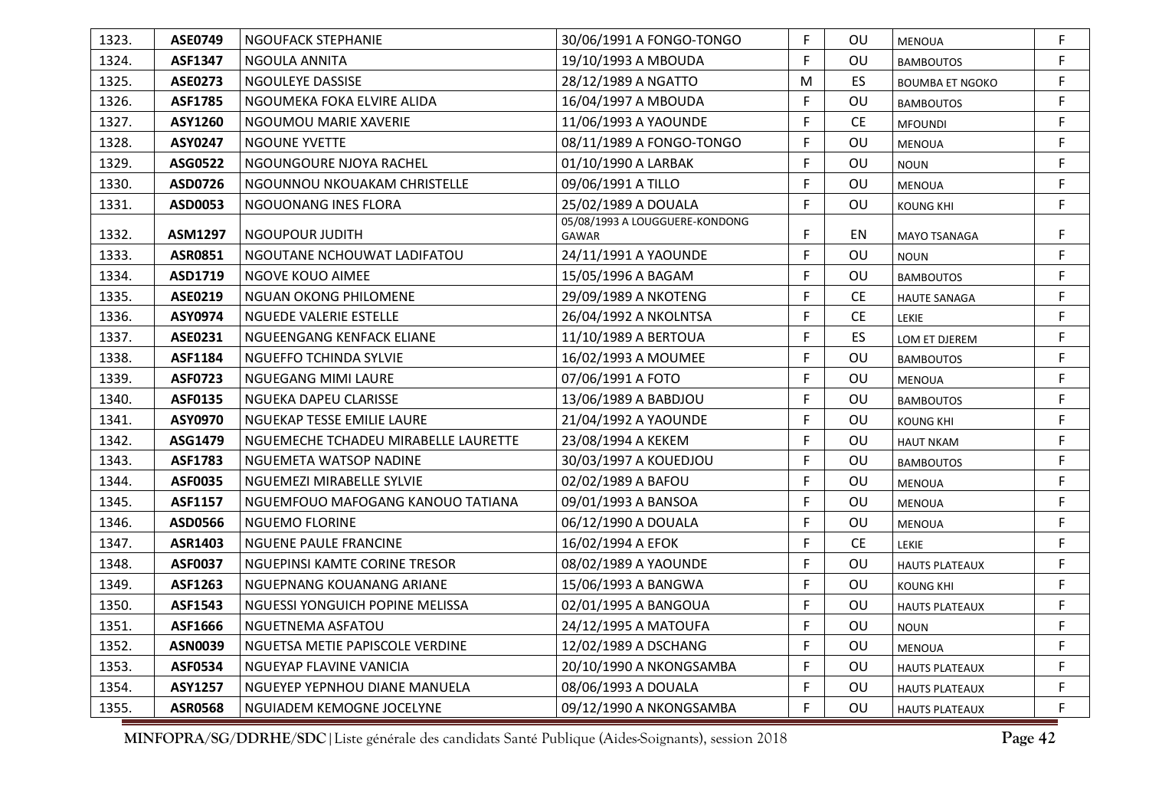| 1323. | <b>ASE0749</b> | NGOUFACK STEPHANIE                   | 30/06/1991 A FONGO-TONGO                | F. | OU        | <b>MENOUA</b>          | F  |
|-------|----------------|--------------------------------------|-----------------------------------------|----|-----------|------------------------|----|
| 1324. | <b>ASF1347</b> | NGOULA ANNITA                        | 19/10/1993 A MBOUDA                     | F  | OU        | <b>BAMBOUTOS</b>       | F  |
| 1325. | <b>ASE0273</b> | NGOULEYE DASSISE                     | 28/12/1989 A NGATTO                     | M  | ES        | <b>BOUMBA ET NGOKO</b> | F  |
| 1326. | <b>ASF1785</b> | NGOUMEKA FOKA ELVIRE ALIDA           | 16/04/1997 A MBOUDA                     | F. | OU        | <b>BAMBOUTOS</b>       | F  |
| 1327. | ASY1260        | NGOUMOU MARIE XAVERIE                | 11/06/1993 A YAOUNDE                    | F  | <b>CE</b> | <b>MFOUNDI</b>         | F  |
| 1328. | ASY0247        | <b>NGOUNE YVETTE</b>                 | 08/11/1989 A FONGO-TONGO                | F  | OU        | MENOUA                 | F  |
| 1329. | ASG0522        | NGOUNGOURE NJOYA RACHEL              | 01/10/1990 A LARBAK                     | F  | OU        | <b>NOUN</b>            | F  |
| 1330. | ASD0726        | NGOUNNOU NKOUAKAM CHRISTELLE         | 09/06/1991 A TILLO                      | F. | OU        | <b>MENOUA</b>          | F. |
| 1331. | ASD0053        | NGOUONANG INES FLORA                 | 25/02/1989 A DOUALA                     | F  | OU        | <b>KOUNG KHI</b>       | F. |
| 1332. | ASM1297        | NGOUPOUR JUDITH                      | 05/08/1993 A LOUGGUERE-KONDONG<br>GAWAR | F  | EN        | MAYO TSANAGA           | F  |
| 1333. | <b>ASR0851</b> | NGOUTANE NCHOUWAT LADIFATOU          | 24/11/1991 A YAOUNDE                    | F. | OU        | <b>NOUN</b>            | F. |
| 1334. | ASD1719        | NGOVE KOUO AIMEE                     | 15/05/1996 A BAGAM                      | F  | OU        | <b>BAMBOUTOS</b>       | F  |
| 1335. | ASE0219        | NGUAN OKONG PHILOMENE                | 29/09/1989 A NKOTENG                    | F. | <b>CE</b> | HAUTE SANAGA           | F  |
| 1336. | ASY0974        | <b>NGUEDE VALERIE ESTELLE</b>        | 26/04/1992 A NKOLNTSA                   | F. | <b>CE</b> | LEKIE                  | F  |
| 1337. | ASE0231        | NGUEENGANG KENFACK ELIANE            | 11/10/1989 A BERTOUA                    | F  | ES        | LOM ET DJEREM          | F. |
| 1338. | ASF1184        | NGUEFFO TCHINDA SYLVIE               | 16/02/1993 A MOUMEE                     | F. | OU        | <b>BAMBOUTOS</b>       | F  |
| 1339. | <b>ASF0723</b> | NGUEGANG MIMI LAURE                  | 07/06/1991 A FOTO                       | F. | OU        | <b>MENOUA</b>          | F  |
| 1340. | ASF0135        | NGUEKA DAPEU CLARISSE                | 13/06/1989 A BABDJOU                    | F. | OU        | <b>BAMBOUTOS</b>       | F  |
| 1341. | ASY0970        | NGUEKAP TESSE EMILIE LAURE           | 21/04/1992 A YAOUNDE                    | F  | OU        | <b>KOUNG KHI</b>       | F  |
| 1342. | ASG1479        | NGUEMECHE TCHADEU MIRABELLE LAURETTE | 23/08/1994 A KEKEM                      | F  | OU        | <b>HAUT NKAM</b>       | F  |
| 1343. | ASF1783        | NGUEMETA WATSOP NADINE               | 30/03/1997 A KOUEDJOU                   | F. | OU        | <b>BAMBOUTOS</b>       | F  |
| 1344. | <b>ASF0035</b> | NGUEMEZI MIRABELLE SYLVIE            | 02/02/1989 A BAFOU                      | F. | OU        | MENOUA                 | F. |
| 1345. | ASF1157        | NGUEMFOUO MAFOGANG KANOUO TATIANA    | 09/01/1993 A BANSOA                     | F. | OU        | <b>MENOUA</b>          | F  |
| 1346. | ASD0566        | <b>NGUEMO FLORINE</b>                | 06/12/1990 A DOUALA                     | F  | OU        | MENOUA                 | F  |
| 1347. | ASR1403        | <b>NGUENE PAULE FRANCINE</b>         | 16/02/1994 A EFOK                       | F. | <b>CE</b> | <b>LEKIE</b>           | F  |
| 1348. | <b>ASF0037</b> | NGUEPINSI KAMTE CORINE TRESOR        | 08/02/1989 A YAOUNDE                    | F. | OU        | <b>HAUTS PLATEAUX</b>  | F. |
| 1349. | ASF1263        | NGUEPNANG KOUANANG ARIANE            | 15/06/1993 A BANGWA                     | F. | OU        | <b>KOUNG KHI</b>       | F. |
| 1350. | ASF1543        | NGUESSI YONGUICH POPINE MELISSA      | 02/01/1995 A BANGOUA                    | F  | OU        | <b>HAUTS PLATEAUX</b>  | F  |
| 1351. | ASF1666        | NGUETNEMA ASFATOU                    | 24/12/1995 A MATOUFA                    | F. | OU        | <b>NOUN</b>            | F  |
| 1352. | <b>ASN0039</b> | NGUETSA METIE PAPISCOLE VERDINE      | 12/02/1989 A DSCHANG                    | F  | OU        | <b>MENOUA</b>          | F. |
| 1353. | ASF0534        | NGUEYAP FLAVINE VANICIA              | 20/10/1990 A NKONGSAMBA                 | F. | OU        | <b>HAUTS PLATEAUX</b>  | F. |
| 1354. | ASY1257        | NGUEYEP YEPNHOU DIANE MANUELA        | 08/06/1993 A DOUALA                     | F  | OU        | <b>HAUTS PLATEAUX</b>  | F  |
| 1355. | <b>ASR0568</b> | NGUIADEM KEMOGNE JOCELYNE            | 09/12/1990 A NKONGSAMBA                 | F. | OU        | <b>HAUTS PLATEAUX</b>  | F  |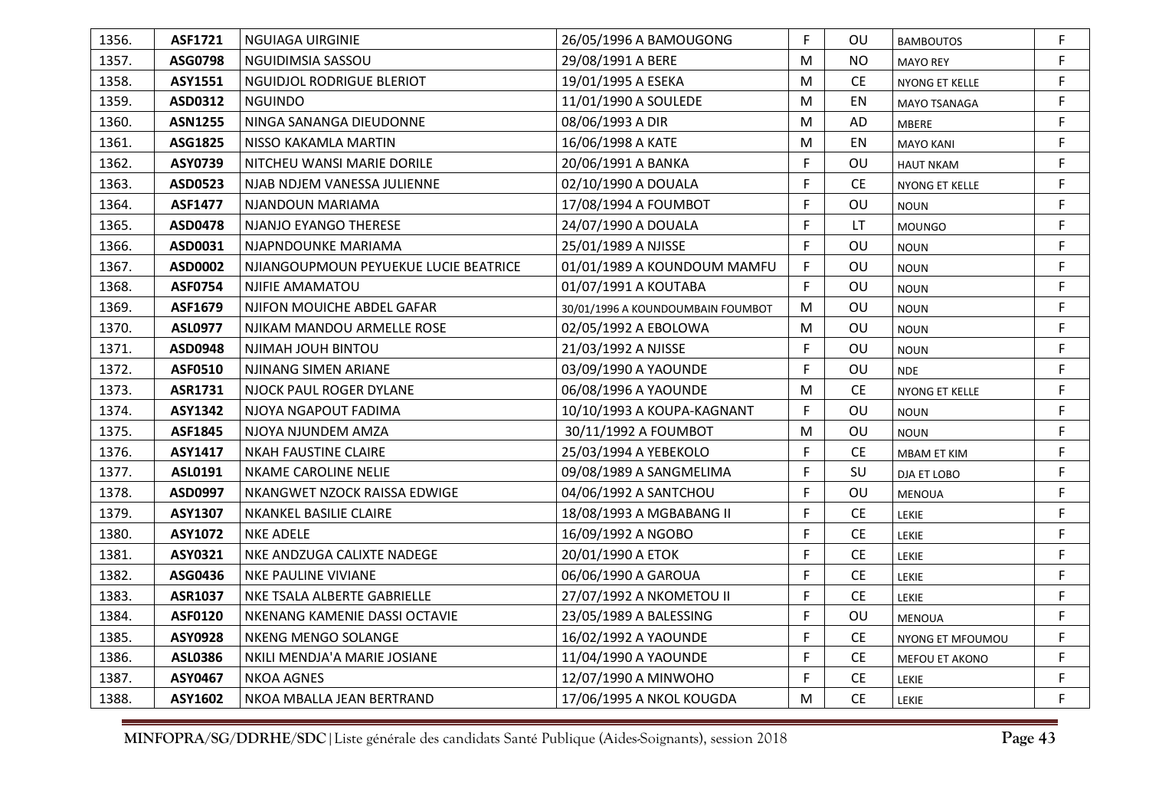| 1356. | ASF1721        | NGUIAGA UIRGINIE                      | 26/05/1996 A BAMOUGONG            | F. | OU.       | <b>BAMBOUTOS</b> | F. |
|-------|----------------|---------------------------------------|-----------------------------------|----|-----------|------------------|----|
| 1357. | ASG0798        | NGUIDIMSIA SASSOU                     | 29/08/1991 A BERE                 | M  | NO.       | <b>MAYO REY</b>  | F  |
| 1358. | ASY1551        | NGUIDJOL RODRIGUE BLERIOT             | 19/01/1995 A ESEKA                | M  | <b>CE</b> | NYONG ET KELLE   | F  |
| 1359. | ASD0312        | <b>NGUINDO</b>                        | 11/01/1990 A SOULEDE              | M  | EN        | MAYO TSANAGA     | F. |
| 1360. | <b>ASN1255</b> | NINGA SANANGA DIEUDONNE               | 08/06/1993 A DIR                  | M  | AD        | MBERE            | F  |
| 1361. | ASG1825        | NISSO KAKAMLA MARTIN                  | 16/06/1998 A KATE                 | M  | EN        | <b>MAYO KANI</b> | F. |
| 1362. | ASY0739        | NITCHEU WANSI MARIE DORILE            | 20/06/1991 A BANKA                | F. | OU        | <b>HAUT NKAM</b> | F  |
| 1363. | ASD0523        | NJAB NDJEM VANESSA JULIENNE           | 02/10/1990 A DOUALA               | F. | <b>CE</b> | NYONG ET KELLE   | F. |
| 1364. | <b>ASF1477</b> | NJANDOUN MARIAMA                      | 17/08/1994 A FOUMBOT              | F  | OU        | <b>NOUN</b>      | F  |
| 1365. | <b>ASD0478</b> | NJANJO EYANGO THERESE                 | 24/07/1990 A DOUALA               | F  | LT        | <b>MOUNGO</b>    | F  |
| 1366. | ASD0031        | NJAPNDOUNKE MARIAMA                   | 25/01/1989 A NJISSE               | F. | OU        | <b>NOUN</b>      | F. |
| 1367. | ASD0002        | NJIANGOUPMOUN PEYUEKUE LUCIE BEATRICE | 01/01/1989 A KOUNDOUM MAMFU       | F. | OU        | <b>NOUN</b>      | F. |
| 1368. | <b>ASF0754</b> | NJIFIE AMAMATOU                       | 01/07/1991 A KOUTABA              | F. | OU        | <b>NOUN</b>      | F  |
| 1369. | ASF1679        | NJIFON MOUICHE ABDEL GAFAR            | 30/01/1996 A KOUNDOUMBAIN FOUMBOT | M  | OU        | <b>NOUN</b>      | F  |
| 1370. | <b>ASL0977</b> | NJIKAM MANDOU ARMELLE ROSE            | 02/05/1992 A EBOLOWA              | M  | OU        | <b>NOUN</b>      | F  |
| 1371. | ASD0948        | NJIMAH JOUH BINTOU                    | 21/03/1992 A NJISSE               | F. | OU        | <b>NOUN</b>      | F. |
| 1372. | <b>ASF0510</b> | NJINANG SIMEN ARIANE                  | 03/09/1990 A YAOUNDE              | F. | OU        | <b>NDE</b>       | F  |
| 1373. | ASR1731        | NJOCK PAUL ROGER DYLANE               | 06/08/1996 A YAOUNDE              | M  | <b>CE</b> | NYONG ET KELLE   | F  |
| 1374. | ASY1342        | NJOYA NGAPOUT FADIMA                  | 10/10/1993 A KOUPA-KAGNANT        | F  | OU        | <b>NOUN</b>      | F. |
| 1375. | ASF1845        | NJOYA NJUNDEM AMZA                    | 30/11/1992 A FOUMBOT              | M  | OU        | <b>NOUN</b>      | F. |
| 1376. | ASY1417        | <b>NKAH FAUSTINE CLAIRE</b>           | 25/03/1994 A YEBEKOLO             | F. | <b>CE</b> | MBAM ET KIM      | F  |
| 1377. | ASL0191        | <b>NKAME CAROLINE NELIE</b>           | 09/08/1989 A SANGMELIMA           | F. | SU        | DJA ET LOBO      | F  |
| 1378. | ASD0997        | NKANGWET NZOCK RAISSA EDWIGE          | 04/06/1992 A SANTCHOU             | F  | OU        | <b>MENOUA</b>    | F. |
| 1379. | ASY1307        | <b>NKANKEL BASILIE CLAIRE</b>         | 18/08/1993 A MGBABANG II          | F. | <b>CE</b> | LEKIE            | F. |
| 1380. | ASY1072        | <b>NKE ADELE</b>                      | 16/09/1992 A NGOBO                | F  | <b>CE</b> | <b>LEKIE</b>     | F  |
| 1381. | ASY0321        | NKE ANDZUGA CALIXTE NADEGE            | 20/01/1990 A ETOK                 | F. | <b>CE</b> | <b>LEKIE</b>     | F. |
| 1382. | ASG0436        | NKE PAULINE VIVIANE                   | 06/06/1990 A GAROUA               | F. | <b>CE</b> | <b>LEKIE</b>     | F. |
| 1383. | <b>ASR1037</b> | NKE TSALA ALBERTE GABRIELLE           | 27/07/1992 A NKOMETOU II          | F. | CE        | LEKIE            | F. |
| 1384. | <b>ASF0120</b> | NKENANG KAMENIE DASSI OCTAVIE         | 23/05/1989 A BALESSING            | F  | OU        | <b>MENOUA</b>    | F. |
| 1385. | ASY0928        | NKENG MENGO SOLANGE                   | 16/02/1992 A YAOUNDE              | F. | CE        | NYONG ET MFOUMOU | F. |
| 1386. | ASL0386        | NKILI MENDJA'A MARIE JOSIANE          | 11/04/1990 A YAOUNDE              | F  | <b>CE</b> | MEFOU ET AKONO   | F  |
| 1387. | ASY0467        | <b>NKOA AGNES</b>                     | 12/07/1990 A MINWOHO              | F. | <b>CE</b> | LEKIE            | F  |
| 1388. | ASY1602        | NKOA MBALLA JEAN BERTRAND             | 17/06/1995 A NKOL KOUGDA          | M  | <b>CE</b> | <b>LEKIE</b>     | F  |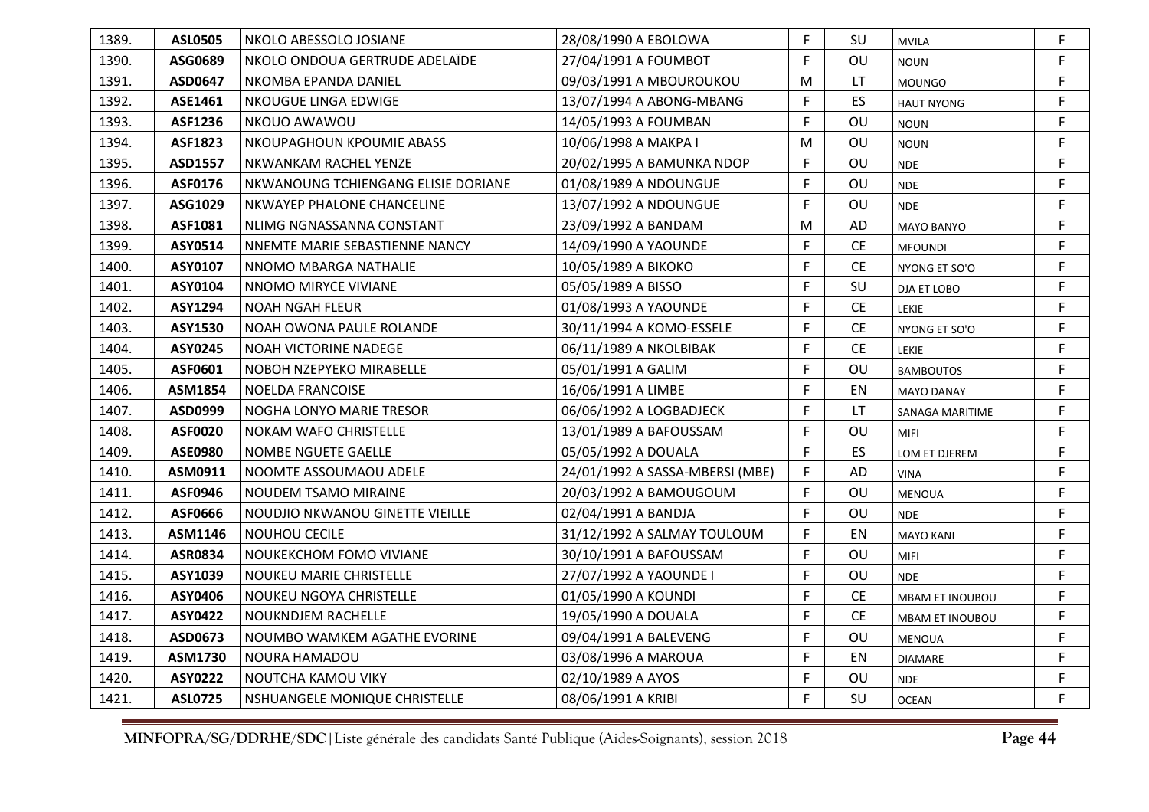| 1389. | <b>ASL0505</b> | NKOLO ABESSOLO JOSIANE              | 28/08/1990 A EBOLOWA            | F. | SU        | <b>MVILA</b>           | F  |
|-------|----------------|-------------------------------------|---------------------------------|----|-----------|------------------------|----|
| 1390. | ASG0689        | NKOLO ONDOUA GERTRUDE ADELAIDE      | 27/04/1991 A FOUMBOT            | F  | OU        | <b>NOUN</b>            | F. |
| 1391. | ASD0647        | NKOMBA EPANDA DANIEL                | 09/03/1991 A MBOUROUKOU         | M  | LT        | <b>MOUNGO</b>          | F. |
| 1392. | ASE1461        | NKOUGUE LINGA EDWIGE                | 13/07/1994 A ABONG-MBANG        | F. | ES.       | <b>HAUT NYONG</b>      | F. |
| 1393. | ASF1236        | NKOUO AWAWOU                        | 14/05/1993 A FOUMBAN            | F  | OU        | <b>NOUN</b>            | F. |
| 1394. | <b>ASF1823</b> | NKOUPAGHOUN KPOUMIE ABASS           | 10/06/1998 A MAKPA I            | M  | OU        | <b>NOUN</b>            | F  |
| 1395. | ASD1557        | NKWANKAM RACHEL YENZE               | 20/02/1995 A BAMUNKA NDOP       | F  | OU        | <b>NDE</b>             | F. |
| 1396. | <b>ASF0176</b> | NKWANOUNG TCHIENGANG ELISIE DORIANE | 01/08/1989 A NDOUNGUE           | F. | OU        | <b>NDE</b>             | F  |
| 1397. | ASG1029        | NKWAYEP PHALONE CHANCELINE          | 13/07/1992 A NDOUNGUE           | F. | OU        | <b>NDE</b>             | F. |
| 1398. | ASF1081        | NLIMG NGNASSANNA CONSTANT           | 23/09/1992 A BANDAM             | M  | AD        | <b>MAYO BANYO</b>      | F  |
| 1399. | ASY0514        | NNEMTE MARIE SEBASTIENNE NANCY      | 14/09/1990 A YAOUNDE            | F. | <b>CE</b> | <b>MFOUNDI</b>         | F. |
| 1400. | ASY0107        | NNOMO MBARGA NATHALIE               | 10/05/1989 A BIKOKO             | F  | <b>CE</b> | NYONG ET SO'O          | F  |
| 1401. | ASY0104        | NNOMO MIRYCE VIVIANE                | 05/05/1989 A BISSO              | F  | SU        | DJA ET LOBO            | F  |
| 1402. | ASY1294        | <b>NOAH NGAH FLEUR</b>              | 01/08/1993 A YAOUNDE            | F. | <b>CE</b> | <b>LEKIE</b>           | F  |
| 1403. | ASY1530        | NOAH OWONA PAULE ROLANDE            | 30/11/1994 A KOMO-ESSELE        | F  | <b>CE</b> | NYONG ET SO'O          | F. |
| 1404. | ASY0245        | <b>NOAH VICTORINE NADEGE</b>        | 06/11/1989 A NKOLBIBAK          | F. | <b>CE</b> | LEKIE                  | F  |
| 1405. | ASF0601        | NOBOH NZEPYEKO MIRABELLE            | 05/01/1991 A GALIM              | F  | OU        | <b>BAMBOUTOS</b>       | F  |
| 1406. | <b>ASM1854</b> | <b>NOELDA FRANCOISE</b>             | 16/06/1991 A LIMBE              | F. | EN        | <b>MAYO DANAY</b>      | F. |
| 1407. | ASD0999        | NOGHA LONYO MARIE TRESOR            | 06/06/1992 A LOGBADJECK         | F  | LT.       | SANAGA MARITIME        | F. |
| 1408. | <b>ASF0020</b> | NOKAM WAFO CHRISTELLE               | 13/01/1989 A BAFOUSSAM          | F. | OU        | <b>MIFI</b>            | F. |
| 1409. | <b>ASE0980</b> | NOMBE NGUETE GAELLE                 | 05/05/1992 A DOUALA             | F. | ES        | LOM ET DJEREM          | F  |
| 1410. | ASM0911        | NOOMTE ASSOUMAOU ADELE              | 24/01/1992 A SASSA-MBERSI (MBE) | F  | AD        | <b>VINA</b>            | F. |
| 1411. | ASF0946        | NOUDEM TSAMO MIRAINE                | 20/03/1992 A BAMOUGOUM          | F. | OU        | <b>MENOUA</b>          | F  |
| 1412. | ASF0666        | NOUDJIO NKWANOU GINETTE VIEILLE     | 02/04/1991 A BANDJA             | F. | OU        | <b>NDE</b>             | F. |
| 1413. | ASM1146        | NOUHOU CECILE                       | 31/12/1992 A SALMAY TOULOUM     | F. | EN        | <b>MAYO KANI</b>       | F. |
| 1414. | <b>ASR0834</b> | NOUKEKCHOM FOMO VIVIANE             | 30/10/1991 A BAFOUSSAM          | F. | OU        | MIFI                   | F. |
| 1415. | ASY1039        | NOUKEU MARIE CHRISTELLE             | 27/07/1992 A YAOUNDE I          | F. | OU        | <b>NDE</b>             | F. |
| 1416. | ASY0406        | NOUKEU NGOYA CHRISTELLE             | 01/05/1990 A KOUNDI             | F. | <b>CE</b> | <b>MBAM ET INOUBOU</b> | F. |
| 1417. | <b>ASY0422</b> | NOUKNDJEM RACHELLE                  | 19/05/1990 A DOUALA             | F  | <b>CE</b> | MBAM ET INOUBOU        | F. |
| 1418. | ASD0673        | NOUMBO WAMKEM AGATHE EVORINE        | 09/04/1991 A BALEVENG           | F. | OU        | <b>MENOUA</b>          | F  |
| 1419. | ASM1730        | NOURA HAMADOU                       | 03/08/1996 A MAROUA             | F  | EN        | <b>DIAMARE</b>         | F. |
| 1420. | <b>ASY0222</b> | NOUTCHA KAMOU VIKY                  | 02/10/1989 A AYOS               | F  | OU        | <b>NDE</b>             | F  |
| 1421. | <b>ASL0725</b> | NSHUANGELE MONIQUE CHRISTELLE       | 08/06/1991 A KRIBI              | F. | SU        | <b>OCEAN</b>           | F. |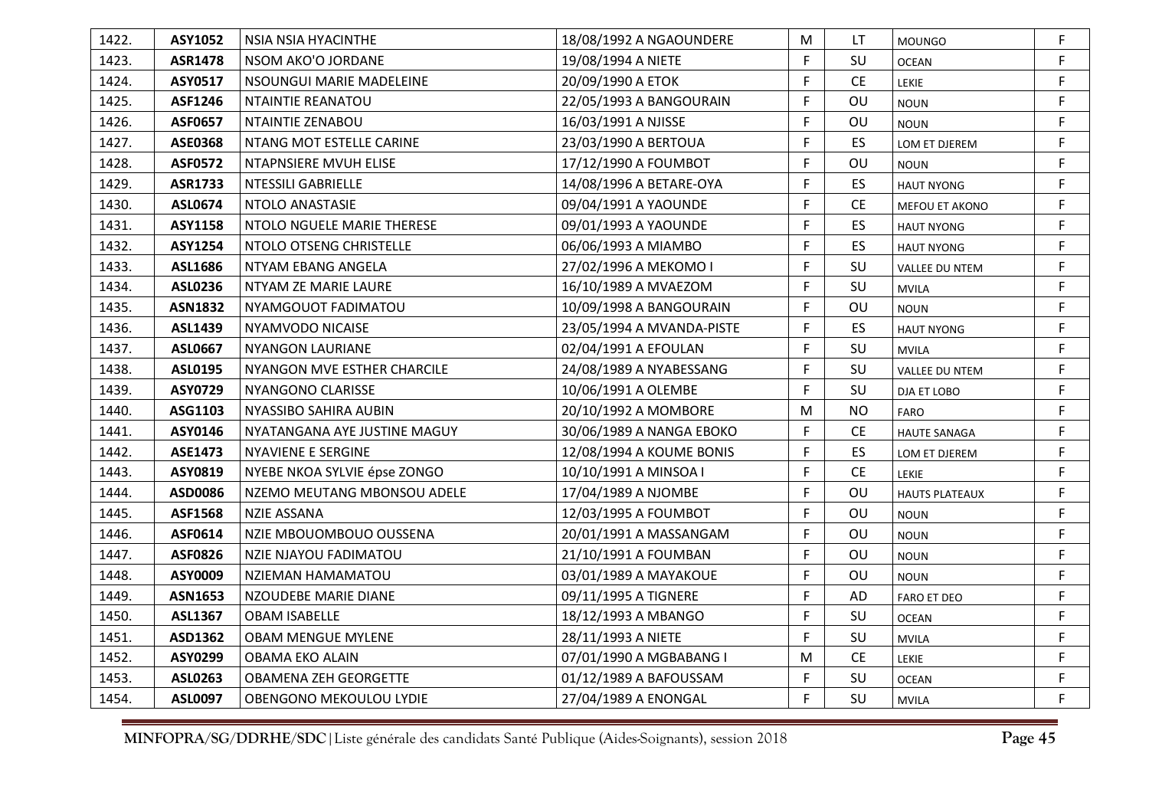| 1422. | ASY1052        | NSIA NSIA HYACINTHE          | 18/08/1992 A NGAOUNDERE   | M  | LT                            | <b>MOUNGO</b>         | F  |
|-------|----------------|------------------------------|---------------------------|----|-------------------------------|-----------------------|----|
| 1423. | <b>ASR1478</b> | NSOM AKO'O JORDANE           | 19/08/1994 A NIETE        | F. | SU                            | <b>OCEAN</b>          | F. |
| 1424. | ASY0517        | NSOUNGUI MARIE MADELEINE     | 20/09/1990 A ETOK         | F. | CE                            | LEKIE                 | F. |
| 1425. | ASF1246        | <b>NTAINTIE REANATOU</b>     | 22/05/1993 A BANGOURAIN   | F  | OU                            | <b>NOUN</b>           | F. |
| 1426. | <b>ASF0657</b> | NTAINTIE ZENABOU             | 16/03/1991 A NJISSE       | F  | OU                            | <b>NOUN</b>           | F. |
| 1427. | <b>ASE0368</b> | NTANG MOT ESTELLE CARINE     | 23/03/1990 A BERTOUA      | F  | ES                            | LOM ET DJEREM         | F  |
| 1428. | <b>ASF0572</b> | NTAPNSIERE MVUH ELISE        | 17/12/1990 A FOUMBOT      | F  | OU                            | <b>NOUN</b>           | F. |
| 1429. | ASR1733        | NTESSILI GABRIELLE           | 14/08/1996 A BETARE-OYA   | F  | <b>ES</b>                     | <b>HAUT NYONG</b>     | F  |
| 1430. | <b>ASL0674</b> | NTOLO ANASTASIE              | 09/04/1991 A YAOUNDE      | F  | CE                            | MEFOU ET AKONO        | F. |
| 1431. | ASY1158        | NTOLO NGUELE MARIE THERESE   | 09/01/1993 A YAOUNDE      | F  | ES                            | <b>HAUT NYONG</b>     | F  |
| 1432. | ASY1254        | NTOLO OTSENG CHRISTELLE      | 06/06/1993 A MIAMBO       | F. | <b>ES</b>                     | <b>HAUT NYONG</b>     | F. |
| 1433. | ASL1686        | NTYAM EBANG ANGELA           | 27/02/1996 A MEKOMO I     | F  | SU                            | VALLEE DU NTEM        | F  |
| 1434. | <b>ASL0236</b> | NTYAM ZE MARIE LAURE         | 16/10/1989 A MVAEZOM      | F  | SU                            | <b>MVILA</b>          | F  |
| 1435. | <b>ASN1832</b> | NYAMGOUOT FADIMATOU          | 10/09/1998 A BANGOURAIN   | F  | OU                            | <b>NOUN</b>           | F  |
| 1436. | ASL1439        | NYAMVODO NICAISE             | 23/05/1994 A MVANDA-PISTE | F  | <b>ES</b>                     | <b>HAUT NYONG</b>     | F. |
| 1437. | <b>ASL0667</b> | <b>NYANGON LAURIANE</b>      | 02/04/1991 A EFOULAN      | F. | SU                            | <b>MVILA</b>          | F  |
| 1438. | ASL0195        | NYANGON MVE ESTHER CHARCILE  | 24/08/1989 A NYABESSANG   | F  | SU                            | VALLEE DU NTEM        | F  |
| 1439. | <b>ASY0729</b> | NYANGONO CLARISSE            | 10/06/1991 A OLEMBE       | F. | SU                            | DJA ET LOBO           | F. |
| 1440. | ASG1103        | NYASSIBO SAHIRA AUBIN        | 20/10/1992 A MOMBORE      | M  | <b>NO</b>                     | <b>FARO</b>           | F. |
| 1441. | ASY0146        | NYATANGANA AYE JUSTINE MAGUY | 30/06/1989 A NANGA EBOKO  | F. | CE                            | <b>HAUTE SANAGA</b>   | F. |
| 1442. | ASE1473        | <b>NYAVIENE E SERGINE</b>    | 12/08/1994 A KOUME BONIS  | F. | <b>ES</b>                     | LOM ET DJEREM         | F  |
| 1443. | ASY0819        | NYEBE NKOA SYLVIE épse ZONGO | 10/10/1991 A MINSOA I     | F  | $\mathsf{CE}% _{\mathcal{A}}$ | LEKIE                 | F. |
| 1444. | ASD0086        | NZEMO MEUTANG MBONSOU ADELE  | 17/04/1989 A NJOMBE       | F  | OU                            | <b>HAUTS PLATEAUX</b> | F  |
| 1445. | <b>ASF1568</b> | <b>NZIE ASSANA</b>           | 12/03/1995 A FOUMBOT      | F. | OU                            | <b>NOUN</b>           | F. |
| 1446. | ASF0614        | NZIE MBOUOMBOUO OUSSENA      | 20/01/1991 A MASSANGAM    | F  | OU                            | <b>NOUN</b>           | F. |
| 1447. | <b>ASF0826</b> | NZIE NJAYOU FADIMATOU        | 21/10/1991 A FOUMBAN      | F. | OU                            | <b>NOUN</b>           | F. |
| 1448. | ASY0009        | NZIEMAN HAMAMATOU            | 03/01/1989 A MAYAKOUE     | F. | OU                            | <b>NOUN</b>           | F. |
| 1449. | <b>ASN1653</b> | NZOUDEBE MARIE DIANE         | 09/11/1995 A TIGNERE      | F. | AD                            | <b>FARO ET DEO</b>    | F. |
| 1450. | <b>ASL1367</b> | <b>OBAM ISABELLE</b>         | 18/12/1993 A MBANGO       | F  | SU                            | <b>OCEAN</b>          | F. |
| 1451. | ASD1362        | <b>OBAM MENGUE MYLENE</b>    | 28/11/1993 A NIETE        | F  | SU                            | <b>MVILA</b>          | F  |
| 1452. | ASY0299        | OBAMA EKO ALAIN              | 07/01/1990 A MGBABANG I   | M  | <b>CE</b>                     | <b>LEKIE</b>          | F. |
| 1453. | ASL0263        | <b>OBAMENA ZEH GEORGETTE</b> | 01/12/1989 A BAFOUSSAM    | F  | SU                            | <b>OCEAN</b>          | F  |
| 1454. | <b>ASL0097</b> | OBENGONO MEKOULOU LYDIE      | 27/04/1989 A ENONGAL      | F. | SU                            | <b>MVILA</b>          | F. |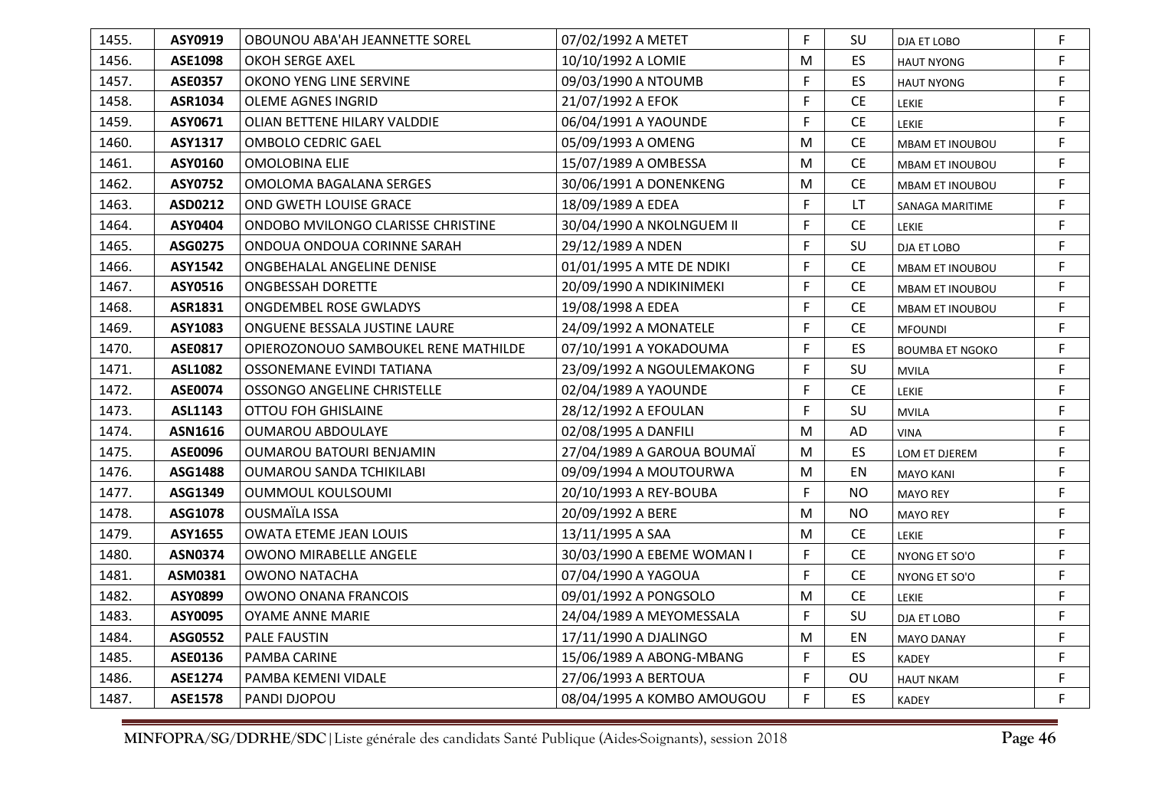| 1455. | ASY0919        | OBOUNOU ABA'AH JEANNETTE SOREL       | 07/02/1992 A METET         | F. | SU        | DJA ET LOBO            | F  |
|-------|----------------|--------------------------------------|----------------------------|----|-----------|------------------------|----|
| 1456. | <b>ASE1098</b> | OKOH SERGE AXEL                      | 10/10/1992 A LOMIE         | M  | ES.       | <b>HAUT NYONG</b>      | F. |
| 1457. | <b>ASE0357</b> | OKONO YENG LINE SERVINE              | 09/03/1990 A NTOUMB        | F  | <b>ES</b> | <b>HAUT NYONG</b>      | F. |
| 1458. | ASR1034        | <b>OLEME AGNES INGRID</b>            | 21/07/1992 A EFOK          | F  | CE.       | <b>LEKIE</b>           | F. |
| 1459. | ASY0671        | <b>OLIAN BETTENE HILARY VALDDIE</b>  | 06/04/1991 A YAOUNDE       | F  | CE        | <b>LEKIE</b>           | F  |
| 1460. | <b>ASY1317</b> | <b>OMBOLO CEDRIC GAEL</b>            | 05/09/1993 A OMENG         | M  | <b>CE</b> | <b>MBAM ET INOUBOU</b> | F. |
| 1461. | ASY0160        | <b>OMOLOBINA ELIE</b>                | 15/07/1989 A OMBESSA       | M  | <b>CE</b> | <b>MBAM ET INOUBOU</b> | F. |
| 1462. | <b>ASY0752</b> | OMOLOMA BAGALANA SERGES              | 30/06/1991 A DONENKENG     | M  | <b>CE</b> | <b>MBAM ET INOUBOU</b> | F  |
| 1463. | ASD0212        | <b>OND GWETH LOUISE GRACE</b>        | 18/09/1989 A EDEA          | F  | LT        | SANAGA MARITIME        | F  |
| 1464. | ASY0404        | ONDOBO MVILONGO CLARISSE CHRISTINE   | 30/04/1990 A NKOLNGUEM II  | F. | CE        | LEKIE                  | F. |
| 1465. | ASG0275        | ONDOUA ONDOUA CORINNE SARAH          | 29/12/1989 A NDEN          | F. | SU        | DJA ET LOBO            | F. |
| 1466. | <b>ASY1542</b> | ONGBEHALAL ANGELINE DENISE           | 01/01/1995 A MTE DE NDIKI  | F. | <b>CE</b> | <b>MBAM ET INOUBOU</b> | F. |
| 1467. | ASY0516        | <b>ONGBESSAH DORETTE</b>             | 20/09/1990 A NDIKINIMEKI   | F. | <b>CE</b> | MBAM ET INOUBOU        | F. |
| 1468. | ASR1831        | <b>ONGDEMBEL ROSE GWLADYS</b>        | 19/08/1998 A EDEA          | F. | <b>CE</b> | MBAM ET INOUBOU        | F. |
| 1469. | ASY1083        | ONGUENE BESSALA JUSTINE LAURE        | 24/09/1992 A MONATELE      | F. | <b>CE</b> | <b>MFOUNDI</b>         | F. |
| 1470. | <b>ASE0817</b> | OPIEROZONOUO SAMBOUKEL RENE MATHILDE | 07/10/1991 A YOKADOUMA     | F. | <b>ES</b> | <b>BOUMBA ET NGOKO</b> | F. |
| 1471. | <b>ASL1082</b> | OSSONEMANE EVINDI TATIANA            | 23/09/1992 A NGOULEMAKONG  | F  | SU        | <b>MVILA</b>           | F  |
| 1472. | <b>ASE0074</b> | OSSONGO ANGELINE CHRISTELLE          | 02/04/1989 A YAOUNDE       | F. | CE        | LEKIE                  | F. |
| 1473. | ASL1143        | <b>OTTOU FOH GHISLAINE</b>           | 28/12/1992 A EFOULAN       | F  | SU        | <b>MVILA</b>           | F  |
| 1474. | ASN1616        | <b>OUMAROU ABDOULAYE</b>             | 02/08/1995 A DANFILI       | M  | AD        | <b>VINA</b>            | F. |
| 1475. | <b>ASE0096</b> | OUMAROU BATOURI BENJAMIN             | 27/04/1989 A GAROUA BOUMAÏ | M  | ES        | LOM ET DJEREM          | F  |
| 1476. | ASG1488        | <b>OUMAROU SANDA TCHIKILABI</b>      | 09/09/1994 A MOUTOURWA     | M  | EN        | <b>MAYO KANI</b>       | F. |
| 1477. | ASG1349        | OUMMOUL KOULSOUMI                    | 20/10/1993 A REY-BOUBA     | F  | <b>NO</b> | <b>MAYO REY</b>        | F  |
| 1478. | ASG1078        | <b>OUSMAÏLA ISSA</b>                 | 20/09/1992 A BERE          | M  | <b>NO</b> | <b>MAYO REY</b>        | F. |
| 1479. | ASY1655        | <b>OWATA ETEME JEAN LOUIS</b>        | 13/11/1995 A SAA           | M  | <b>CE</b> | <b>LEKIE</b>           | F  |
| 1480. | <b>ASN0374</b> | <b>OWONO MIRABELLE ANGELE</b>        | 30/03/1990 A EBEME WOMAN I | F. | <b>CE</b> | NYONG ET SO'O          | F. |
| 1481. | ASM0381        | OWONO NATACHA                        | 07/04/1990 A YAGOUA        | F  | <b>CE</b> | NYONG ET SO'O          | F  |
| 1482. | ASY0899        | OWONO ONANA FRANCOIS                 | 09/01/1992 A PONGSOLO      | M  | <b>CE</b> | <b>LEKIE</b>           | F  |
| 1483. | ASY0095        | <b>OYAME ANNE MARIE</b>              | 24/04/1989 A MEYOMESSALA   | F. | SU        | DJA ET LOBO            | F. |
| 1484. | ASG0552        | PALE FAUSTIN                         | 17/11/1990 A DJALINGO      | M  | EN        | <b>MAYO DANAY</b>      | F. |
| 1485. | ASE0136        | PAMBA CARINE                         | 15/06/1989 A ABONG-MBANG   | F. | ES        | <b>KADEY</b>           | F. |
| 1486. | ASE1274        | PAMBA KEMENI VIDALE                  | 27/06/1993 A BERTOUA       | F  | OU        | <b>HAUT NKAM</b>       | F  |
| 1487. | <b>ASE1578</b> | PANDI DJOPOU                         | 08/04/1995 A KOMBO AMOUGOU | F. | <b>ES</b> | <b>KADEY</b>           | F. |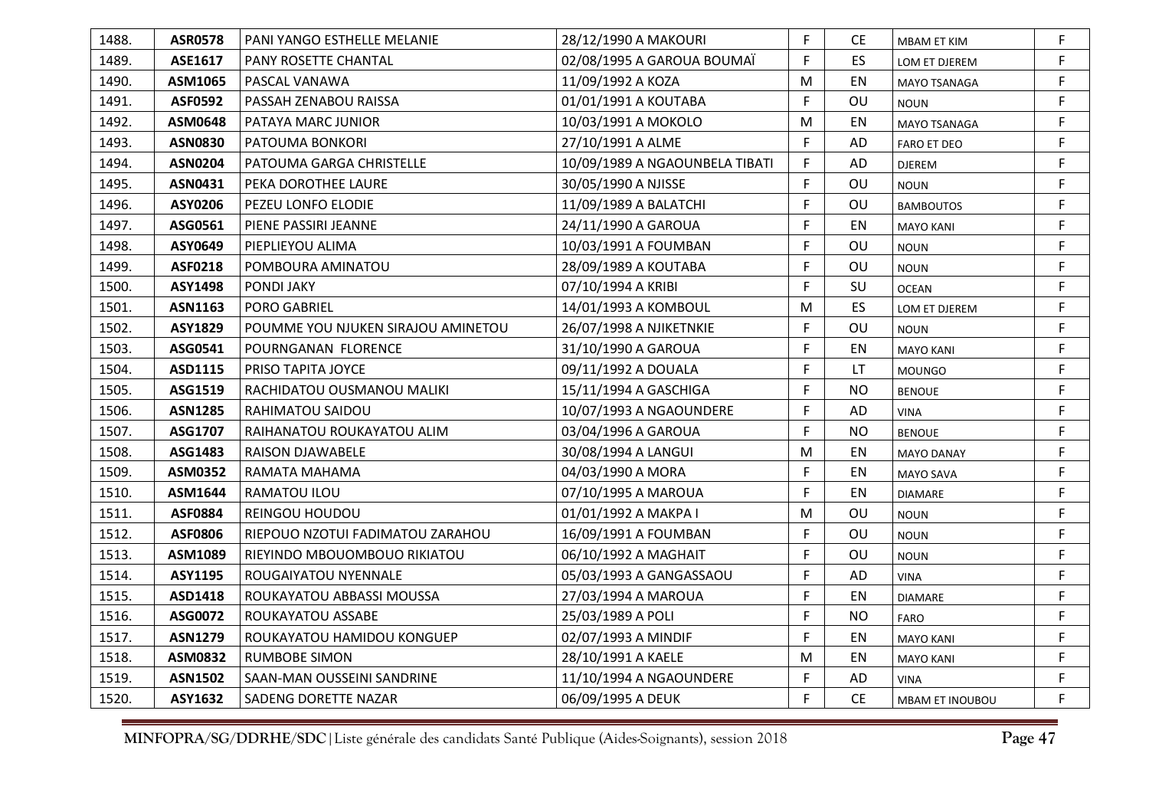| 1488. | <b>ASR0578</b> | <b>PANI YANGO ESTHELLE MELANIE</b> | 28/12/1990 A MAKOURI           | F | CE.       | <b>MBAM ET KIM</b>  | F  |
|-------|----------------|------------------------------------|--------------------------------|---|-----------|---------------------|----|
| 1489. | ASE1617        | PANY ROSETTE CHANTAL               | 02/08/1995 A GAROUA BOUMAÏ     | F | ES.       | LOM ET DJEREM       | F  |
| 1490. | ASM1065        | <b>PASCAL VANAWA</b>               | 11/09/1992 A KOZA              | M | EN        | <b>MAYO TSANAGA</b> | F  |
| 1491. | <b>ASF0592</b> | PASSAH ZENABOU RAISSA              | 01/01/1991 A KOUTABA           | F | OU        | <b>NOUN</b>         | F  |
| 1492. | <b>ASM0648</b> | PATAYA MARC JUNIOR                 | 10/03/1991 A MOKOLO            | M | EN        | <b>MAYO TSANAGA</b> | F  |
| 1493. | <b>ASN0830</b> | PATOUMA BONKORI                    | 27/10/1991 A ALME              | F | AD        | <b>FARO ET DEO</b>  | F  |
| 1494. | <b>ASN0204</b> | PATOUMA GARGA CHRISTELLE           | 10/09/1989 A NGAOUNBELA TIBATI | F | AD        | DJEREM              | F  |
| 1495. | ASN0431        | PEKA DOROTHEE LAURE                | 30/05/1990 A NJISSE            | F | OU        | <b>NOUN</b>         | F. |
| 1496. | ASY0206        | PEZEU LONFO ELODIE                 | 11/09/1989 A BALATCHI          | F | <b>OU</b> | <b>BAMBOUTOS</b>    | F  |
| 1497. | ASG0561        | PIENE PASSIRI JEANNE               | 24/11/1990 A GAROUA            | F | EN        | <b>MAYO KANI</b>    | F  |
| 1498. | ASY0649        | PIEPLIEYOU ALIMA                   | 10/03/1991 A FOUMBAN           | F | OU        | <b>NOUN</b>         | F. |
| 1499. | <b>ASF0218</b> | POMBOURA AMINATOU                  | 28/09/1989 A KOUTABA           | F | OU        | <b>NOUN</b>         | F. |
| 1500. | <b>ASY1498</b> | <b>PONDI JAKY</b>                  | 07/10/1994 A KRIBI             | F | SU        | <b>OCEAN</b>        | F  |
| 1501. | ASN1163        | <b>PORO GABRIEL</b>                | 14/01/1993 A KOMBOUL           | M | ES        | LOM ET DJEREM       | F  |
| 1502. | ASY1829        | POUMME YOU NJUKEN SIRAJOU AMINETOU | 26/07/1998 A NJIKETNKIE        | F | OU        | <b>NOUN</b>         | F  |
| 1503. | ASG0541        | POURNGANAN FLORENCE                | 31/10/1990 A GAROUA            | F | EN        | <b>MAYO KANI</b>    | F  |
| 1504. | ASD1115        | PRISO TAPITA JOYCE                 | 09/11/1992 A DOUALA            | F | LT.       | <b>MOUNGO</b>       | F  |
| 1505. | ASG1519        | RACHIDATOU OUSMANOU MALIKI         | 15/11/1994 A GASCHIGA          | F | <b>NO</b> | <b>BENOUE</b>       | F  |
| 1506. | <b>ASN1285</b> | RAHIMATOU SAIDOU                   | 10/07/1993 A NGAOUNDERE        | F | AD        | <b>VINA</b>         | F  |
| 1507. | ASG1707        | RAIHANATOU ROUKAYATOU ALIM         | 03/04/1996 A GAROUA            | F | <b>NO</b> | <b>BENOUE</b>       | F. |
| 1508. | ASG1483        | <b>RAISON DJAWABELE</b>            | 30/08/1994 A LANGUI            | M | EN        | <b>MAYO DANAY</b>   | F  |
| 1509. | <b>ASM0352</b> | RAMATA MAHAMA                      | 04/03/1990 A MORA              | F | EN        | <b>MAYO SAVA</b>    | F  |
| 1510. | ASM1644        | RAMATOU ILOU                       | 07/10/1995 A MAROUA            | F | EN        | <b>DIAMARE</b>      | F  |
| 1511. | <b>ASF0884</b> | <b>REINGOU HOUDOU</b>              | 01/01/1992 A MAKPA I           | M | OU        | <b>NOUN</b>         | F. |
| 1512. | ASF0806        | RIEPOUO NZOTUI FADIMATOU ZARAHOU   | 16/09/1991 A FOUMBAN           | F | OU        | <b>NOUN</b>         | F  |
| 1513. | ASM1089        | RIEYINDO MBOUOMBOUO RIKIATOU       | 06/10/1992 A MAGHAIT           | F | OU        | <b>NOUN</b>         | F  |
| 1514. | ASY1195        | ROUGAIYATOU NYENNALE               | 05/03/1993 A GANGASSAOU        | F | AD        | <b>VINA</b>         | F. |
| 1515. | ASD1418        | ROUKAYATOU ABBASSI MOUSSA          | 27/03/1994 A MAROUA            | F | EN        | <b>DIAMARE</b>      | F. |
| 1516. | ASG0072        | ROUKAYATOU ASSABE                  | 25/03/1989 A POLI              | F | <b>NO</b> | <b>FARO</b>         | F  |
| 1517. | <b>ASN1279</b> | ROUKAYATOU HAMIDOU KONGUEP         | 02/07/1993 A MINDIF            | F | EN        | <b>MAYO KANI</b>    | F  |
| 1518. | <b>ASM0832</b> | RUMBOBE SIMON                      | 28/10/1991 A KAELE             | M | EN        | <b>MAYO KANI</b>    | F  |
| 1519. | <b>ASN1502</b> | SAAN-MAN OUSSEINI SANDRINE         | 11/10/1994 A NGAOUNDERE        | F | AD        | <b>VINA</b>         | F  |
| 1520. | ASY1632        | SADENG DORETTE NAZAR               | 06/09/1995 A DEUK              | F | <b>CE</b> | MBAM ET INOUBOU     | F  |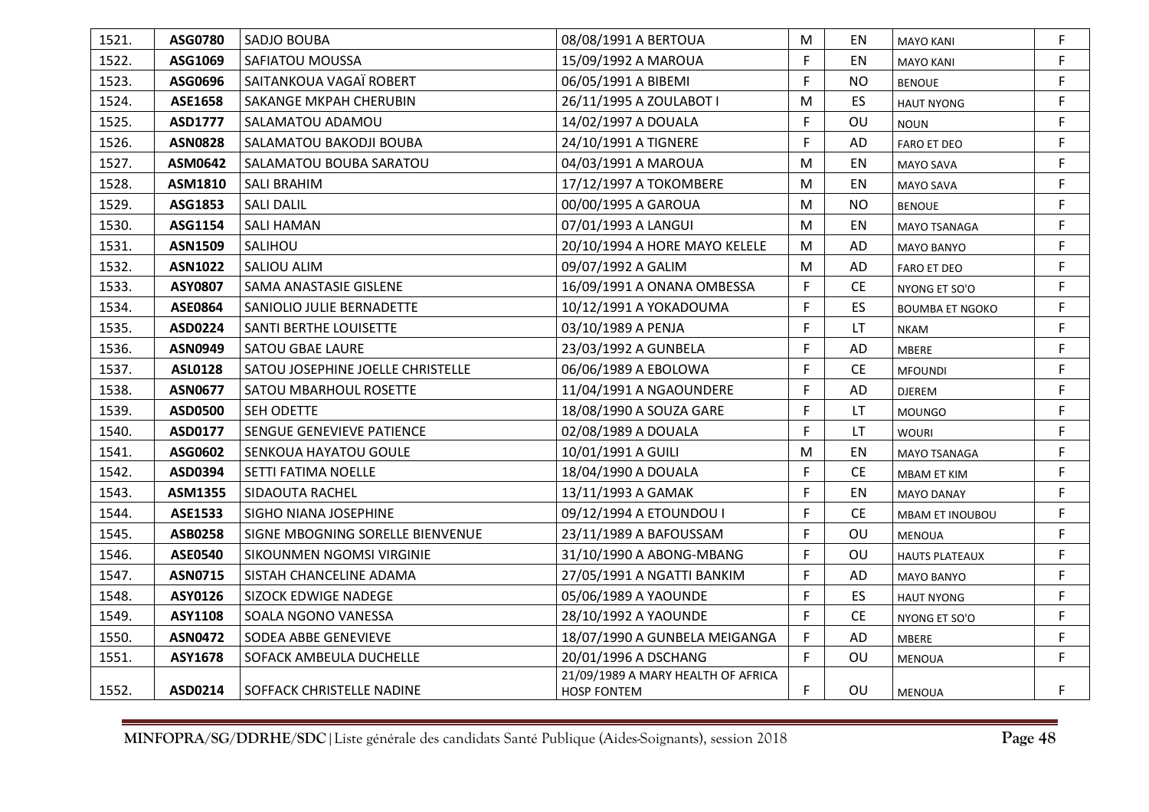| 1521. | ASG0780        | SADJO BOUBA                       | 08/08/1991 A BERTOUA                                     | M  | EN              | <b>MAYO KANI</b>       | F  |
|-------|----------------|-----------------------------------|----------------------------------------------------------|----|-----------------|------------------------|----|
| 1522. | ASG1069        | SAFIATOU MOUSSA                   | 15/09/1992 A MAROUA                                      | F. | EN              | <b>MAYO KANI</b>       | F  |
| 1523. | ASG0696        | SAITANKOUA VAGAÏ ROBERT           | 06/05/1991 A BIBEMI                                      | F  | <b>NO</b>       | <b>BENOUE</b>          | F  |
| 1524. | ASE1658        | SAKANGE MKPAH CHERUBIN            | 26/11/1995 A ZOULABOT I                                  | M  | ES              | <b>HAUT NYONG</b>      | F. |
| 1525. | ASD1777        | SALAMATOU ADAMOU                  | 14/02/1997 A DOUALA                                      | F  | OU              | <b>NOUN</b>            | F  |
| 1526. | <b>ASN0828</b> | SALAMATOU BAKODJI BOUBA           | 24/10/1991 A TIGNERE                                     | F  | AD              | <b>FARO ET DEO</b>     | F  |
| 1527. | ASM0642        | SALAMATOU BOUBA SARATOU           | 04/03/1991 A MAROUA                                      | M  | EN              | MAYO SAVA              | F. |
| 1528. | ASM1810        | <b>SALI BRAHIM</b>                | 17/12/1997 A TOKOMBERE                                   | M  | EN              | MAYO SAVA              | F  |
| 1529. | ASG1853        | <b>SALI DALIL</b>                 | 00/00/1995 A GAROUA                                      | M  | <b>NO</b>       | <b>BENOUE</b>          | F  |
| 1530. | ASG1154        | <b>SALI HAMAN</b>                 | 07/01/1993 A LANGUI                                      | M  | EN              | MAYO TSANAGA           | F. |
| 1531. | <b>ASN1509</b> | SALIHOU                           | 20/10/1994 A HORE MAYO KELELE                            | M  | AD              | <b>MAYO BANYO</b>      | F  |
| 1532. | <b>ASN1022</b> | SALIOU ALIM                       | 09/07/1992 A GALIM                                       | M  | AD              | <b>FARO ET DEO</b>     | F  |
| 1533. | <b>ASY0807</b> | SAMA ANASTASIE GISLENE            | 16/09/1991 A ONANA OMBESSA                               | F. | $\mathsf{CE}\,$ | NYONG ET SO'O          | F  |
| 1534. | ASE0864        | SANIOLIO JULIE BERNADETTE         | 10/12/1991 A YOKADOUMA                                   | F  | ES              | <b>BOUMBA ET NGOKO</b> | F  |
| 1535. | ASD0224        | SANTI BERTHE LOUISETTE            | 03/10/1989 A PENJA                                       | F  | LT.             | <b>NKAM</b>            | F  |
| 1536. | <b>ASN0949</b> | <b>SATOU GBAE LAURE</b>           | 23/03/1992 A GUNBELA                                     | F. | AD              | MBERE                  | F  |
| 1537. | <b>ASL0128</b> | SATOU JOSEPHINE JOELLE CHRISTELLE | 06/06/1989 A EBOLOWA                                     | F. | <b>CE</b>       | <b>MFOUNDI</b>         | F. |
| 1538. | <b>ASN0677</b> | SATOU MBARHOUL ROSETTE            | 11/04/1991 A NGAOUNDERE                                  | F  | AD              | <b>DJEREM</b>          | F  |
| 1539. | ASD0500        | SEH ODETTE                        | 18/08/1990 A SOUZA GARE                                  | F  | LT              | <b>MOUNGO</b>          | F  |
| 1540. | ASD0177        | SENGUE GENEVIEVE PATIENCE         | 02/08/1989 A DOUALA                                      | F. | LT              | <b>WOURI</b>           | F  |
| 1541. | ASG0602        | SENKOUA HAYATOU GOULE             | 10/01/1991 A GUILI                                       | M  | EN              | <b>MAYO TSANAGA</b>    | F  |
| 1542. | ASD0394        | SETTI FATIMA NOELLE               | 18/04/1990 A DOUALA                                      | F. | <b>CE</b>       | MBAM ET KIM            | F  |
| 1543. | ASM1355        | SIDAOUTA RACHEL                   | 13/11/1993 A GAMAK                                       | F  | EN              | <b>MAYO DANAY</b>      | F  |
| 1544. | ASE1533        | SIGHO NIANA JOSEPHINE             | 09/12/1994 A ETOUNDOU I                                  | F  | <b>CE</b>       | MBAM ET INOUBOU        | F  |
| 1545. | ASB0258        | SIGNE MBOGNING SORELLE BIENVENUE  | 23/11/1989 A BAFOUSSAM                                   | F. | OU              | <b>MENOUA</b>          | F  |
| 1546. | <b>ASE0540</b> | SIKOUNMEN NGOMSI VIRGINIE         | 31/10/1990 A ABONG-MBANG                                 | F  | OU              | <b>HAUTS PLATEAUX</b>  | F  |
| 1547. | <b>ASN0715</b> | SISTAH CHANCELINE ADAMA           | 27/05/1991 A NGATTI BANKIM                               | F  | AD              | <b>MAYO BANYO</b>      | F  |
| 1548. | ASY0126        | SIZOCK EDWIGE NADEGE              | 05/06/1989 A YAOUNDE                                     | F. | <b>ES</b>       | <b>HAUT NYONG</b>      | F. |
| 1549. | ASY1108        | SOALA NGONO VANESSA               | 28/10/1992 A YAOUNDE                                     | F  | <b>CE</b>       | NYONG ET SO'O          | F  |
| 1550. | <b>ASN0472</b> | SODEA ABBE GENEVIEVE              | 18/07/1990 A GUNBELA MEIGANGA                            | F. | AD              | MBERE                  | F  |
| 1551. | ASY1678        | SOFACK AMBEULA DUCHELLE           | 20/01/1996 A DSCHANG                                     | F. | OU              | <b>MENOUA</b>          | F. |
| 1552. | ASD0214        | SOFFACK CHRISTELLE NADINE         | 21/09/1989 A MARY HEALTH OF AFRICA<br><b>HOSP FONTEM</b> | F. | OU              | <b>MENOUA</b>          | F  |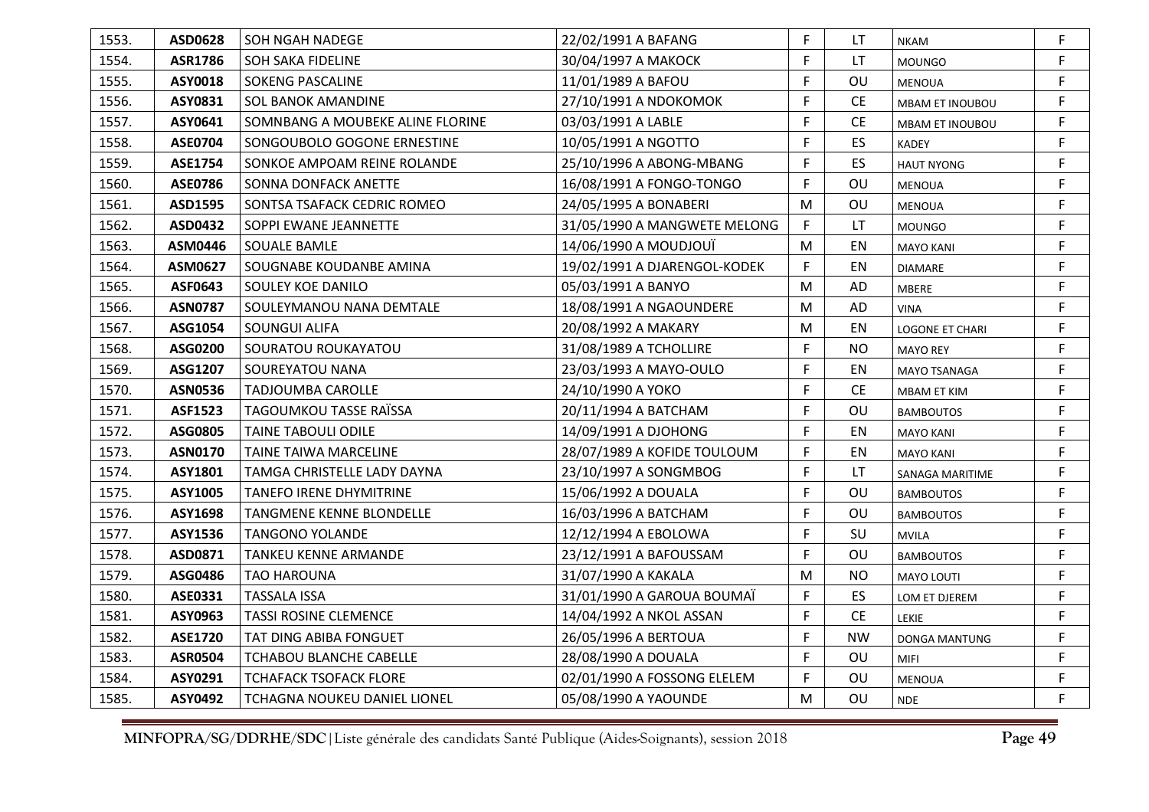| 1553. | ASD0628        | SOH NGAH NADEGE                  | 22/02/1991 A BAFANG          | F. | LT        | <b>NKAM</b>            | F  |
|-------|----------------|----------------------------------|------------------------------|----|-----------|------------------------|----|
| 1554. | <b>ASR1786</b> | <b>SOH SAKA FIDELINE</b>         | 30/04/1997 A MAKOCK          | F. | LT        | <b>MOUNGO</b>          | F  |
| 1555. | ASY0018        | <b>SOKENG PASCALINE</b>          | 11/01/1989 A BAFOU           | F. | OU        | <b>MENOUA</b>          | F  |
| 1556. | ASY0831        | SOL BANOK AMANDINE               | 27/10/1991 A NDOKOMOK        | F. | <b>CE</b> | MBAM ET INOUBOU        | F. |
| 1557. | ASY0641        | SOMNBANG A MOUBEKE ALINE FLORINE | 03/03/1991 A LABLE           | F  | <b>CE</b> | <b>MBAM ET INOUBOU</b> | F  |
| 1558. | <b>ASE0704</b> | SONGOUBOLO GOGONE ERNESTINE      | 10/05/1991 A NGOTTO          | F. | ES.       | <b>KADEY</b>           | F  |
| 1559. | <b>ASE1754</b> | SONKOE AMPOAM REINE ROLANDE      | 25/10/1996 A ABONG-MBANG     | F. | ES.       | <b>HAUT NYONG</b>      | F. |
| 1560. | <b>ASE0786</b> | SONNA DONFACK ANETTE             | 16/08/1991 A FONGO-TONGO     | F. | OU        | <b>MENOUA</b>          | F. |
| 1561. | ASD1595        | SONTSA TSAFACK CEDRIC ROMEO      | 24/05/1995 A BONABERI        | M  | OU        | <b>MENOUA</b>          | F  |
| 1562. | ASD0432        | SOPPI EWANE JEANNETTE            | 31/05/1990 A MANGWETE MELONG | F  | LT        | <b>MOUNGO</b>          | F  |
| 1563. | ASM0446        | SOUALE BAMLE                     | 14/06/1990 A MOUDJOUÏ        | M  | EN        | <b>MAYO KANI</b>       | F. |
| 1564. | ASM0627        | SOUGNABE KOUDANBE AMINA          | 19/02/1991 A DJARENGOL-KODEK | F. | EN        | <b>DIAMARE</b>         | F. |
| 1565. | ASF0643        | SOULEY KOE DANILO                | 05/03/1991 A BANYO           | M  | AD        | MBERE                  | F  |
| 1566. | <b>ASN0787</b> | SOULEYMANOU NANA DEMTALE         | 18/08/1991 A NGAOUNDERE      | M  | AD        | <b>VINA</b>            | F. |
| 1567. | ASG1054        | SOUNGUI ALIFA                    | 20/08/1992 A MAKARY          | M  | EN        | LOGONE ET CHARI        | F  |
| 1568. | ASG0200        | SOURATOU ROUKAYATOU              | 31/08/1989 A TCHOLLIRE       | F. | <b>NO</b> | <b>MAYO REY</b>        | F. |
| 1569. | ASG1207        | SOUREYATOU NANA                  | 23/03/1993 A MAYO-OULO       | F. | EN        | <b>MAYO TSANAGA</b>    | F  |
| 1570. | <b>ASN0536</b> | <b>TADJOUMBA CAROLLE</b>         | 24/10/1990 A YOKO            | F. | <b>CE</b> | MBAM ET KIM            | F  |
| 1571. | <b>ASF1523</b> | TAGOUMKOU TASSE RAÏSSA           | 20/11/1994 A BATCHAM         | F. | OU        | <b>BAMBOUTOS</b>       | F. |
| 1572. | ASG0805        | <b>TAINE TABOULI ODILE</b>       | 14/09/1991 A DJOHONG         | F. | EN        | <b>MAYO KANI</b>       | F. |
| 1573. | <b>ASN0170</b> | TAINE TAIWA MARCELINE            | 28/07/1989 A KOFIDE TOULOUM  | F. | EN        | <b>MAYO KANI</b>       | F  |
| 1574. | ASY1801        | TAMGA CHRISTELLE LADY DAYNA      | 23/10/1997 A SONGMBOG        | F. | LT.       | SANAGA MARITIME        | F  |
| 1575. | ASY1005        | <b>TANEFO IRENE DHYMITRINE</b>   | 15/06/1992 A DOUALA          | F. | OU        | <b>BAMBOUTOS</b>       | F. |
| 1576. | ASY1698        | <b>TANGMENE KENNE BLONDELLE</b>  | 16/03/1996 A BATCHAM         | F. | OU        | <b>BAMBOUTOS</b>       | F. |
| 1577. | ASY1536        | <b>TANGONO YOLANDE</b>           | 12/12/1994 A EBOLOWA         | F. | SU        | <b>MVILA</b>           | F. |
| 1578. | ASD0871        | TANKEU KENNE ARMANDE             | 23/12/1991 A BAFOUSSAM       | F. | OU        | <b>BAMBOUTOS</b>       | F. |
| 1579. | ASG0486        | <b>TAO HAROUNA</b>               | 31/07/1990 A KAKALA          | M  | <b>NO</b> | <b>MAYO LOUTI</b>      | F. |
| 1580. | ASE0331        | <b>TASSALA ISSA</b>              | 31/01/1990 A GAROUA BOUMAÏ   | F. | ES.       | LOM ET DJEREM          | F. |
| 1581. | ASY0963        | <b>TASSI ROSINE CLEMENCE</b>     | 14/04/1992 A NKOL ASSAN      | F. | <b>CE</b> | <b>LEKIE</b>           | F  |
| 1582. | <b>ASE1720</b> | TAT DING ABIBA FONGUET           | 26/05/1996 A BERTOUA         | F. | <b>NW</b> | DONGA MANTUNG          | F  |
| 1583. | <b>ASR0504</b> | <b>TCHABOU BLANCHE CABELLE</b>   | 28/08/1990 A DOUALA          | F. | OU        | <b>MIFI</b>            | F. |
| 1584. | ASY0291        | TCHAFACK TSOFACK FLORE           | 02/01/1990 A FOSSONG ELELEM  | F  | OU        | MENOUA                 | F  |
| 1585. | ASY0492        | TCHAGNA NOUKEU DANIEL LIONEL     | 05/08/1990 A YAOUNDE         | M  | OU        | <b>NDE</b>             | F  |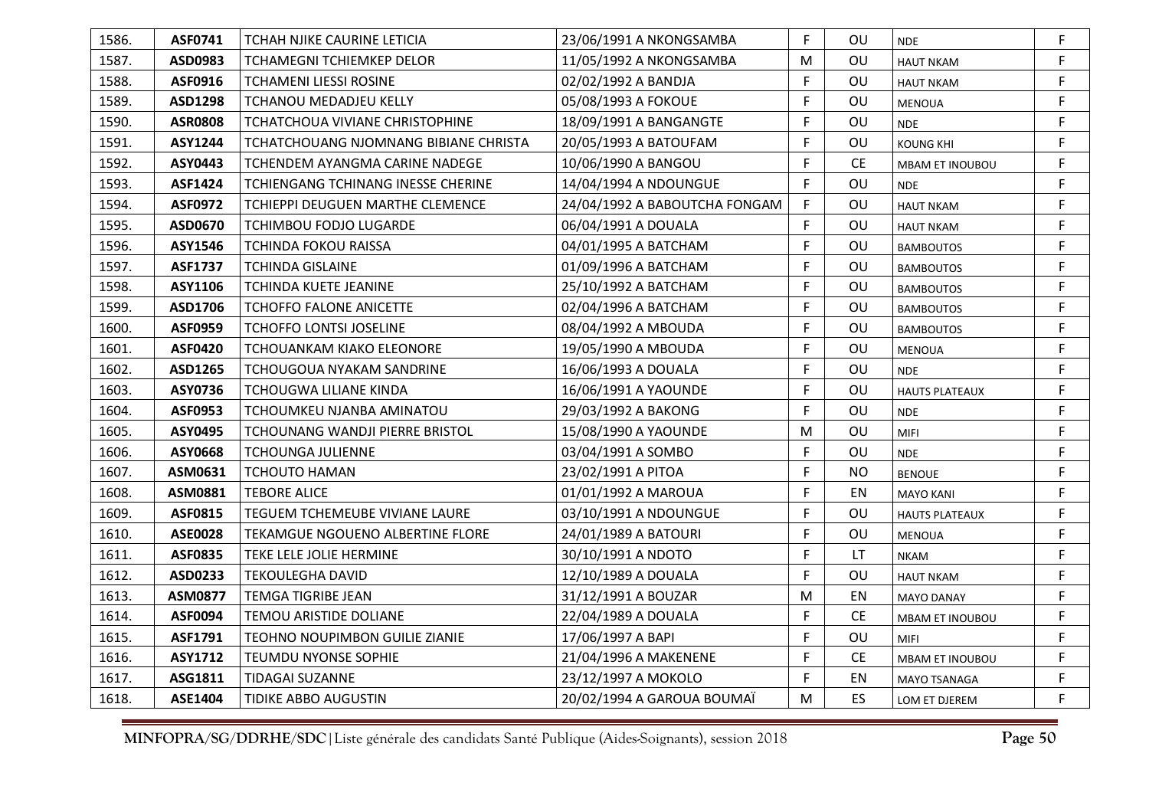| 1586. | <b>ASF0741</b> | TCHAH NJIKE CAURINE LETICIA             | 23/06/1991 A NKONGSAMBA       | F. | OU.       | <b>NDE</b>             | F. |
|-------|----------------|-----------------------------------------|-------------------------------|----|-----------|------------------------|----|
| 1587. | ASD0983        | <b>TCHAMEGNI TCHIEMKEP DELOR</b>        | 11/05/1992 A NKONGSAMBA       | M  | OU        | <b>HAUT NKAM</b>       | F  |
| 1588. | ASF0916        | <b>TCHAMENI LIESSI ROSINE</b>           | 02/02/1992 A BANDJA           | F. | OU        | <b>HAUT NKAM</b>       | F  |
| 1589. | ASD1298        | <b>TCHANOU MEDADJEU KELLY</b>           | 05/08/1993 A FOKOUE           | F. | OU        | <b>MENOUA</b>          | F. |
| 1590. | <b>ASR0808</b> | TCHATCHOUA VIVIANE CHRISTOPHINE         | 18/09/1991 A BANGANGTE        | F. | OU        | <b>NDE</b>             | F. |
| 1591. | <b>ASY1244</b> | TCHATCHOUANG NJOMNANG BIBIANE CHRISTA   | 20/05/1993 A BATOUFAM         | F. | OU        | <b>KOUNG KHI</b>       | F  |
| 1592. | ASY0443        | TCHENDEM AYANGMA CARINE NADEGE          | 10/06/1990 A BANGOU           | F. | <b>CE</b> | <b>MBAM ET INOUBOU</b> | F  |
| 1593. | <b>ASF1424</b> | TCHIENGANG TCHINANG INESSE CHERINE      | 14/04/1994 A NDOUNGUE         | F. | OU        | <b>NDE</b>             | F. |
| 1594. | <b>ASF0972</b> | <b>TCHIEPPI DEUGUEN MARTHE CLEMENCE</b> | 24/04/1992 A BABOUTCHA FONGAM | F. | OU        | <b>HAUT NKAM</b>       | F  |
| 1595. | ASD0670        | TCHIMBOU FODJO LUGARDE                  | 06/04/1991 A DOUALA           | F. | OU        | <b>HAUT NKAM</b>       | F. |
| 1596. | ASY1546        | TCHINDA FOKOU RAISSA                    | 04/01/1995 A BATCHAM          | F. | OU        | <b>BAMBOUTOS</b>       | F. |
| 1597. | <b>ASF1737</b> | <b>TCHINDA GISLAINE</b>                 | 01/09/1996 A BATCHAM          | F. | OU.       | <b>BAMBOUTOS</b>       | F  |
| 1598. | ASY1106        | TCHINDA KUETE JEANINE                   | 25/10/1992 A BATCHAM          | F  | OU        | <b>BAMBOUTOS</b>       | F  |
| 1599. | ASD1706        | TCHOFFO FALONE ANICETTE                 | 02/04/1996 A BATCHAM          | F. | OU.       | <b>BAMBOUTOS</b>       | F  |
| 1600. | <b>ASF0959</b> | <b>TCHOFFO LONTSI JOSELINE</b>          | 08/04/1992 A MBOUDA           | F  | OU        | <b>BAMBOUTOS</b>       | F. |
| 1601. | <b>ASF0420</b> | TCHOUANKAM KIAKO ELEONORE               | 19/05/1990 A MBOUDA           | F. | OU        | <b>MENOUA</b>          | F. |
| 1602. | ASD1265        | TCHOUGOUA NYAKAM SANDRINE               | 16/06/1993 A DOUALA           | F  | OU        | <b>NDE</b>             | F  |
| 1603. | ASY0736        | TCHOUGWA LILIANE KINDA                  | 16/06/1991 A YAOUNDE          | F. | OU        | <b>HAUTS PLATEAUX</b>  | F. |
| 1604. | <b>ASF0953</b> | TCHOUMKEU NJANBA AMINATOU               | 29/03/1992 A BAKONG           | F  | OU        | <b>NDE</b>             | F  |
| 1605. | ASY0495        | TCHOUNANG WANDJI PIERRE BRISTOL         | 15/08/1990 A YAOUNDE          | M  | OU        | <b>MIFI</b>            | F. |
| 1606. | ASY0668        | <b>TCHOUNGA JULIENNE</b>                | 03/04/1991 A SOMBO            | F. | OU        | <b>NDE</b>             | F. |
| 1607. | ASM0631        | <b>TCHOUTO HAMAN</b>                    | 23/02/1991 A PITOA            | F. | NO.       | <b>BENOUE</b>          | F. |
| 1608. | ASM0881        | <b>TEBORE ALICE</b>                     | 01/01/1992 A MAROUA           | F. | EN        | <b>MAYO KANI</b>       | F. |
| 1609. | <b>ASF0815</b> | TEGUEM TCHEMEUBE VIVIANE LAURE          | 03/10/1991 A NDOUNGUE         | F. | OU        | <b>HAUTS PLATEAUX</b>  | F. |
| 1610. | <b>ASE0028</b> | TEKAMGUE NGOUENO ALBERTINE FLORE        | 24/01/1989 A BATOURI          | F. | OU        | <b>MENOUA</b>          | F. |
| 1611. | <b>ASF0835</b> | TEKE LELE JOLIE HERMINE                 | 30/10/1991 A NDOTO            | F. | LT.       | <b>NKAM</b>            | F  |
| 1612. | ASD0233        | TEKOULEGHA DAVID                        | 12/10/1989 A DOUALA           | F. | OU        | <b>HAUT NKAM</b>       | F. |
| 1613. | <b>ASM0877</b> | <b>TEMGA TIGRIBE JEAN</b>               | 31/12/1991 A BOUZAR           | M  | EN        | <b>MAYO DANAY</b>      | F. |
| 1614. | <b>ASF0094</b> | <b>TEMOU ARISTIDE DOLIANE</b>           | 22/04/1989 A DOUALA           | F  | <b>CE</b> | MBAM ET INOUBOU        | F  |
| 1615. | ASF1791        | TEOHNO NOUPIMBON GUILIE ZIANIE          | 17/06/1997 A BAPI             | F. | OU        | <b>MIFI</b>            | F  |
| 1616. | ASY1712        | TEUMDU NYONSE SOPHIE                    | 21/04/1996 A MAKENENE         | F. | <b>CE</b> | MBAM ET INOUBOU        | F. |
| 1617. | ASG1811        | <b>TIDAGAI SUZANNE</b>                  | 23/12/1997 A MOKOLO           | F. | EN        | MAYO TSANAGA           | F. |
| 1618. | ASE1404        | TIDIKE ABBO AUGUSTIN                    | 20/02/1994 A GAROUA BOUMAÏ    | M  | ES.       | LOM ET DJEREM          | F. |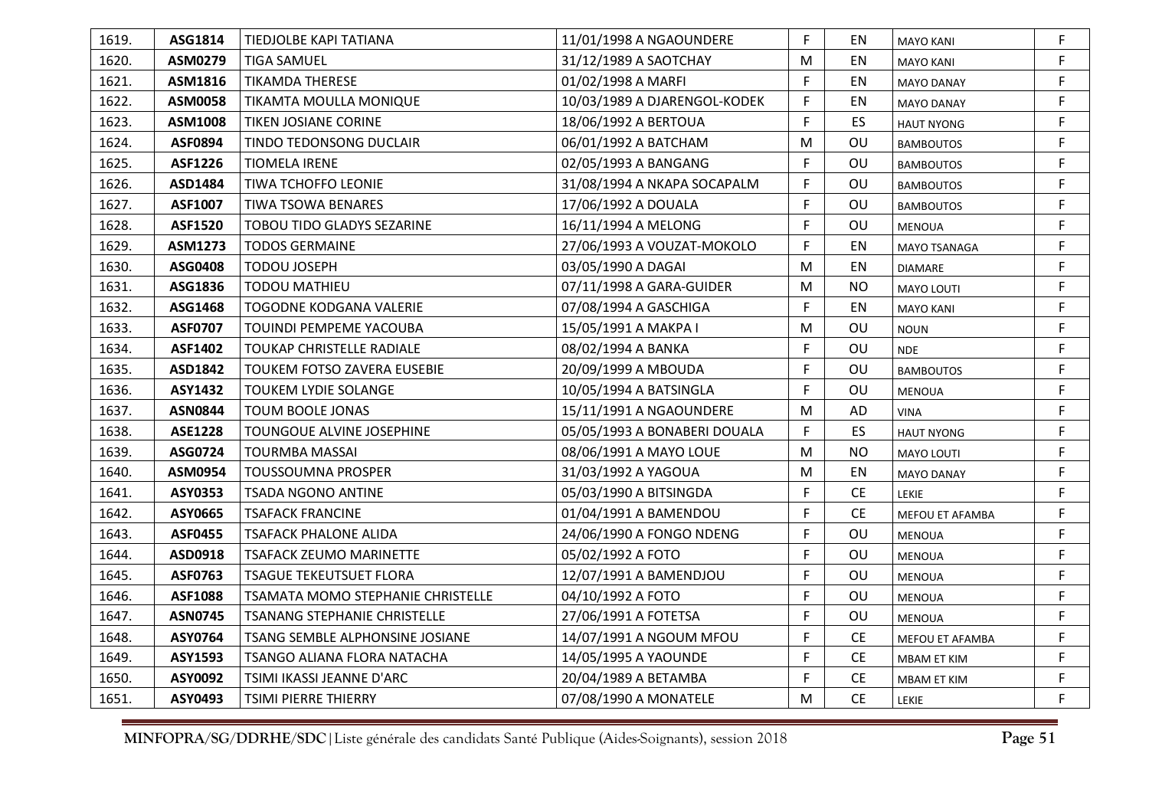| 1619. | ASG1814        | TIEDJOLBE KAPI TATIANA            | 11/01/1998 A NGAOUNDERE      | F. | EN                            | <b>MAYO KANI</b>    | F  |
|-------|----------------|-----------------------------------|------------------------------|----|-------------------------------|---------------------|----|
| 1620. | ASM0279        | <b>TIGA SAMUEL</b>                | 31/12/1989 A SAOTCHAY        | M  | EN                            | <b>MAYO KANI</b>    | F  |
| 1621. | ASM1816        | <b>TIKAMDA THERESE</b>            | 01/02/1998 A MARFI           | F  | EN                            | <b>MAYO DANAY</b>   | F. |
| 1622. | ASM0058        | TIKAMTA MOULLA MONIQUE            | 10/03/1989 A DJARENGOL-KODEK | F. | EN                            | <b>MAYO DANAY</b>   | F. |
| 1623. | ASM1008        | TIKEN JOSIANE CORINE              | 18/06/1992 A BERTOUA         | F  | ES                            | <b>HAUT NYONG</b>   | F  |
| 1624. | <b>ASF0894</b> | TINDO TEDONSONG DUCLAIR           | 06/01/1992 A BATCHAM         | M  | OU                            | <b>BAMBOUTOS</b>    | F  |
| 1625. | ASF1226        | <b>TIOMELA IRENE</b>              | 02/05/1993 A BANGANG         | F. | OU                            | <b>BAMBOUTOS</b>    | F  |
| 1626. | ASD1484        | TIWA TCHOFFO LEONIE               | 31/08/1994 A NKAPA SOCAPALM  | F. | OU                            | <b>BAMBOUTOS</b>    | F. |
| 1627. | ASF1007        | <b>TIWA TSOWA BENARES</b>         | 17/06/1992 A DOUALA          | F. | OU                            | <b>BAMBOUTOS</b>    | F  |
| 1628. | <b>ASF1520</b> | TOBOU TIDO GLADYS SEZARINE        | 16/11/1994 A MELONG          | F. | OU                            | <b>MENOUA</b>       | F  |
| 1629. | ASM1273        | <b>TODOS GERMAINE</b>             | 27/06/1993 A VOUZAT-MOKOLO   | F. | EN                            | <b>MAYO TSANAGA</b> | F. |
| 1630. | ASG0408        | <b>TODOU JOSEPH</b>               | 03/05/1990 A DAGAI           | M  | EN                            | <b>DIAMARE</b>      | F. |
| 1631. | ASG1836        | <b>TODOU MATHIEU</b>              | 07/11/1998 A GARA-GUIDER     | M  | <b>NO</b>                     | <b>MAYO LOUTI</b>   | F  |
| 1632. | ASG1468        | TOGODNE KODGANA VALERIE           | 07/08/1994 A GASCHIGA        | F. | EN                            | <b>MAYO KANI</b>    | F  |
| 1633. | <b>ASF0707</b> | TOUINDI PEMPEME YACOUBA           | 15/05/1991 A MAKPA I         | M  | OU                            | <b>NOUN</b>         | F. |
| 1634. | ASF1402        | TOUKAP CHRISTELLE RADIALE         | 08/02/1994 A BANKA           | F. | OU                            | <b>NDE</b>          | F. |
| 1635. | ASD1842        | TOUKEM FOTSO ZAVERA EUSEBIE       | 20/09/1999 A MBOUDA          | F. | OU                            | <b>BAMBOUTOS</b>    | F  |
| 1636. | ASY1432        | <b>TOUKEM LYDIE SOLANGE</b>       | 10/05/1994 A BATSINGLA       | F. | OU                            | <b>MENOUA</b>       | F  |
| 1637. | <b>ASN0844</b> | TOUM BOOLE JONAS                  | 15/11/1991 A NGAOUNDERE      | M  | AD                            | <b>VINA</b>         | F  |
| 1638. | <b>ASE1228</b> | TOUNGOUE ALVINE JOSEPHINE         | 05/05/1993 A BONABERI DOUALA | F  | ES                            | <b>HAUT NYONG</b>   | F  |
| 1639. | ASG0724        | <b>TOURMBA MASSAI</b>             | 08/06/1991 A MAYO LOUE       | M  | <b>NO</b>                     | <b>MAYO LOUTI</b>   | F  |
| 1640. | ASM0954        | <b>TOUSSOUMNA PROSPER</b>         | 31/03/1992 A YAGOUA          | M  | EN                            | <b>MAYO DANAY</b>   | F  |
| 1641. | ASY0353        | <b>TSADA NGONO ANTINE</b>         | 05/03/1990 A BITSINGDA       | F  | <b>CE</b>                     | LEKIE               | F  |
| 1642. | ASY0665        | <b>TSAFACK FRANCINE</b>           | 01/04/1991 A BAMENDOU        | F  | $\mathsf{CE}% _{\mathcal{A}}$ | MEFOU ET AFAMBA     | F  |
| 1643. | <b>ASF0455</b> | <b>TSAFACK PHALONE ALIDA</b>      | 24/06/1990 A FONGO NDENG     | F  | OU                            | <b>MENOUA</b>       | F  |
| 1644. | ASD0918        | TSAFACK ZEUMO MARINETTE           | 05/02/1992 A FOTO            | F. | OU                            | <b>MENOUA</b>       | F  |
| 1645. | ASF0763        | <b>TSAGUE TEKEUTSUET FLORA</b>    | 12/07/1991 A BAMENDJOU       | F  | OU                            | <b>MENOUA</b>       | F. |
| 1646. | <b>ASF1088</b> | TSAMATA MOMO STEPHANIE CHRISTELLE | 04/10/1992 A FOTO            | F  | OU                            | <b>MENOUA</b>       | F  |
| 1647. | <b>ASN0745</b> | TSANANG STEPHANIE CHRISTELLE      | 27/06/1991 A FOTETSA         | F  | OU                            | <b>MENOUA</b>       | F  |
| 1648. | ASY0764        | TSANG SEMBLE ALPHONSINE JOSIANE   | 14/07/1991 A NGOUM MFOU      | F. | <b>CE</b>                     | MEFOU ET AFAMBA     | F  |
| 1649. | ASY1593        | TSANGO ALIANA FLORA NATACHA       | 14/05/1995 A YAOUNDE         | F  | <b>CE</b>                     | MBAM ET KIM         | F  |
| 1650. | ASY0092        | TSIMI IKASSI JEANNE D'ARC         | 20/04/1989 A BETAMBA         | F  | <b>CE</b>                     | MBAM ET KIM         | F  |
| 1651. | ASY0493        | TSIMI PIERRE THIERRY              | 07/08/1990 A MONATELE        | M  | <b>CE</b>                     | LEKIE               | F  |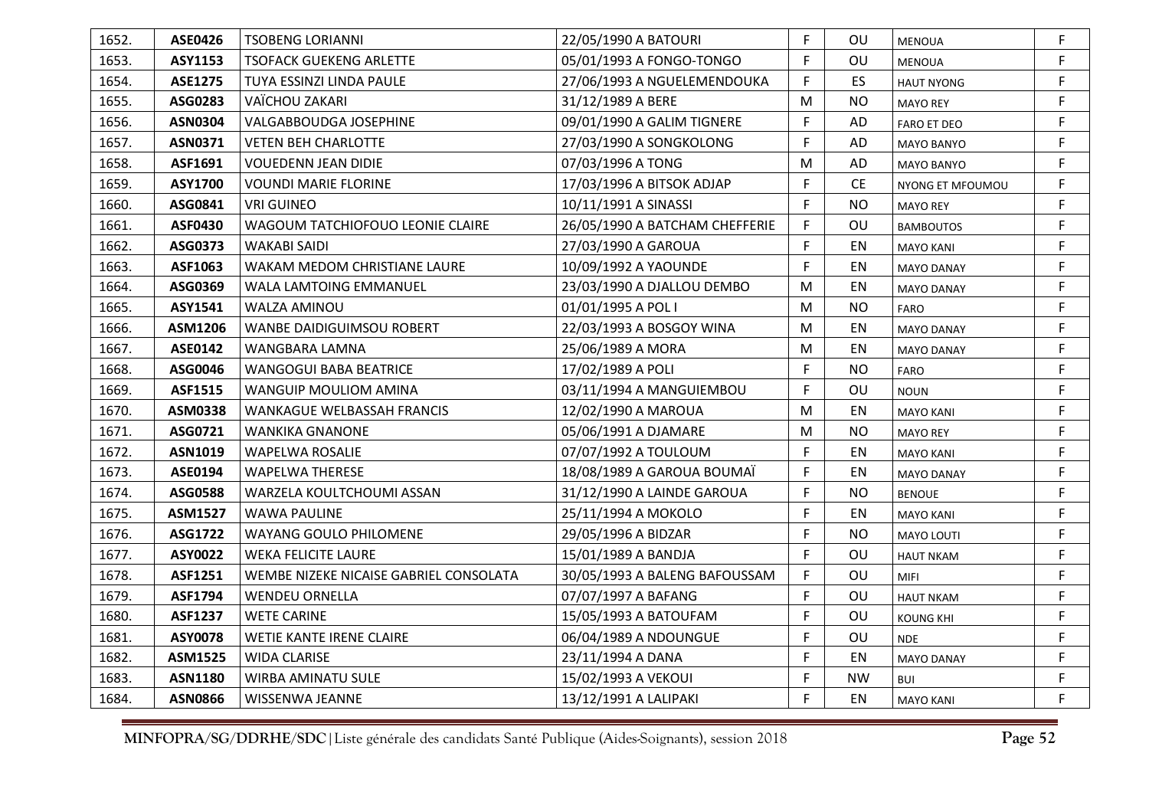| 1652. | <b>ASE0426</b> | <b>TSOBENG LORIANNI</b>                | 22/05/1990 A BATOURI           | F  | <b>OU</b> | <b>MENOUA</b>     | F  |
|-------|----------------|----------------------------------------|--------------------------------|----|-----------|-------------------|----|
| 1653. | ASY1153        | <b>TSOFACK GUEKENG ARLETTE</b>         | 05/01/1993 A FONGO-TONGO       | F  | OU        | <b>MENOUA</b>     | F  |
| 1654. | <b>ASE1275</b> | TUYA ESSINZI LINDA PAULE               | 27/06/1993 A NGUELEMENDOUKA    | F  | ES        | <b>HAUT NYONG</b> | F  |
| 1655. | ASG0283        | VAÏCHOU ZAKARI                         | 31/12/1989 A BERE              | M  | <b>NO</b> | <b>MAYO REY</b>   | F. |
| 1656. | <b>ASN0304</b> | VALGABBOUDGA JOSEPHINE                 | 09/01/1990 A GALIM TIGNERE     | F  | AD        | FARO ET DEO       | F  |
| 1657. | <b>ASN0371</b> | <b>VETEN BEH CHARLOTTE</b>             | 27/03/1990 A SONGKOLONG        | F  | AD        | <b>MAYO BANYO</b> | F  |
| 1658. | ASF1691        | <b>VOUEDENN JEAN DIDIE</b>             | 07/03/1996 A TONG              | M  | AD        | <b>MAYO BANYO</b> | F  |
| 1659. | ASY1700        | <b>VOUNDI MARIE FLORINE</b>            | 17/03/1996 A BITSOK ADJAP      | F  | <b>CE</b> | NYONG ET MFOUMOU  | F. |
| 1660. | ASG0841        | <b>VRI GUINEO</b>                      | 10/11/1991 A SINASSI           | F  | <b>NO</b> | <b>MAYO REY</b>   | F  |
| 1661. | <b>ASF0430</b> | WAGOUM TATCHIOFOUO LEONIE CLAIRE       | 26/05/1990 A BATCHAM CHEFFERIE | F  | OU        | <b>BAMBOUTOS</b>  | F  |
| 1662. | ASG0373        | WAKABI SAIDI                           | 27/03/1990 A GAROUA            | F. | EN        | <b>MAYO KANI</b>  | F  |
| 1663. | ASF1063        | WAKAM MEDOM CHRISTIANE LAURE           | 10/09/1992 A YAOUNDE           | F  | EN        | <b>MAYO DANAY</b> | F. |
| 1664. | ASG0369        | <b>WALA LAMTOING EMMANUEL</b>          | 23/03/1990 A DJALLOU DEMBO     | M  | EN        | <b>MAYO DANAY</b> | F  |
| 1665. | ASY1541        | <b>WALZA AMINOU</b>                    | 01/01/1995 A POL I             | M  | <b>NO</b> | <b>FARO</b>       | F  |
| 1666. | ASM1206        | <b>WANBE DAIDIGUIMSOU ROBERT</b>       | 22/03/1993 A BOSGOY WINA       | M  | EN        | <b>MAYO DANAY</b> | F. |
| 1667. | ASE0142        | WANGBARA LAMNA                         | 25/06/1989 A MORA              | M  | EN        | <b>MAYO DANAY</b> | F. |
| 1668. | ASG0046        | <b>WANGOGUI BABA BEATRICE</b>          | 17/02/1989 A POLI              | F  | <b>NO</b> | <b>FARO</b>       | F  |
| 1669. | <b>ASF1515</b> | WANGUIP MOULIOM AMINA                  | 03/11/1994 A MANGUIEMBOU       | F  | OU        | <b>NOUN</b>       | F  |
| 1670. | ASM0338        | <b>WANKAGUE WELBASSAH FRANCIS</b>      | 12/02/1990 A MAROUA            | M  | EN        | <b>MAYO KANI</b>  | F. |
| 1671. | ASG0721        | <b>WANKIKA GNANONE</b>                 | 05/06/1991 A DJAMARE           | M  | <b>NO</b> | <b>MAYO REY</b>   | F  |
| 1672. | <b>ASN1019</b> | WAPELWA ROSALIE                        | 07/07/1992 A TOULOUM           | F  | EN        | <b>MAYO KANI</b>  | F  |
| 1673. | ASE0194        | <b>WAPELWA THERESE</b>                 | 18/08/1989 A GAROUA BOUMAÏ     | F  | EN        | <b>MAYO DANAY</b> | F  |
| 1674. | ASG0588        | WARZELA KOULTCHOUMI ASSAN              | 31/12/1990 A LAINDE GAROUA     | F  | <b>NO</b> | <b>BENOUE</b>     | F  |
| 1675. | <b>ASM1527</b> | <b>WAWA PAULINE</b>                    | 25/11/1994 A MOKOLO            | F. | EN        | <b>MAYO KANI</b>  | F. |
| 1676. | ASG1722        | <b>WAYANG GOULO PHILOMENE</b>          | 29/05/1996 A BIDZAR            | F  | <b>NO</b> | <b>MAYO LOUTI</b> | F  |
| 1677. | ASY0022        | <b>WEKA FELICITE LAURE</b>             | 15/01/1989 A BANDJA            | F  | OU        | <b>HAUT NKAM</b>  | F  |
| 1678. | ASF1251        | WEMBE NIZEKE NICAISE GABRIEL CONSOLATA | 30/05/1993 A BALENG BAFOUSSAM  | F  | OU        | <b>MIFI</b>       | F. |
| 1679. | <b>ASF1794</b> | <b>WENDEU ORNELLA</b>                  | 07/07/1997 A BAFANG            | F  | OU        | <b>HAUT NKAM</b>  | F. |
| 1680. | <b>ASF1237</b> | <b>WETE CARINE</b>                     | 15/05/1993 A BATOUFAM          | F  | OU        | <b>KOUNG KHI</b>  | F  |
| 1681. | <b>ASY0078</b> | WETIE KANTE IRENE CLAIRE               | 06/04/1989 A NDOUNGUE          | F  | OU        | <b>NDE</b>        | F  |
| 1682. | ASM1525        | <b>WIDA CLARISE</b>                    | 23/11/1994 A DANA              | F  | EN        | <b>MAYO DANAY</b> | F  |
| 1683. | <b>ASN1180</b> | <b>WIRBA AMINATU SULE</b>              | 15/02/1993 A VEKOUI            | F  | <b>NW</b> | <b>BUI</b>        | F  |
| 1684. | <b>ASN0866</b> | WISSENWA JEANNE                        | 13/12/1991 A LALIPAKI          | F  | EN        | <b>MAYO KANI</b>  | F. |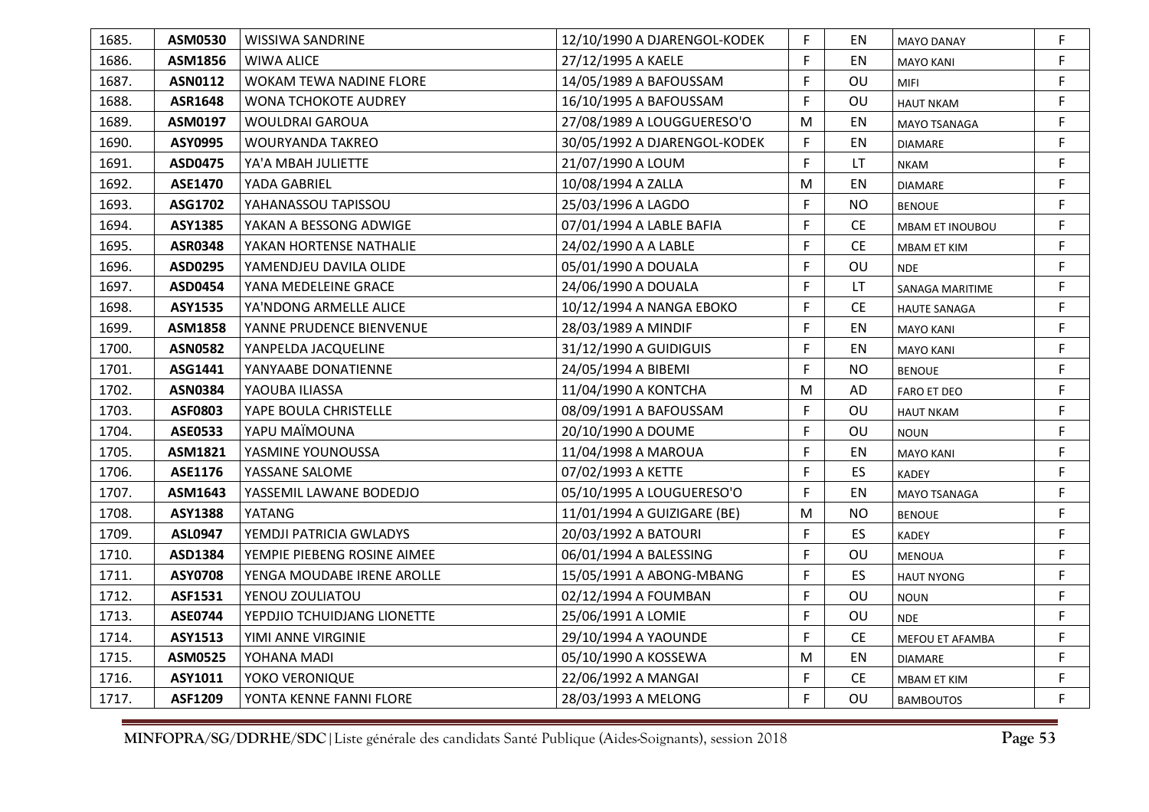| 1685. | ASM0530        | <b>WISSIWA SANDRINE</b>     | 12/10/1990 A DJARENGOL-KODEK | F. | EN        | <b>MAYO DANAY</b>      | F  |
|-------|----------------|-----------------------------|------------------------------|----|-----------|------------------------|----|
| 1686. | ASM1856        | <b>WIWA ALICE</b>           | 27/12/1995 A KAELE           | F  | EN        | <b>MAYO KANI</b>       | F. |
| 1687. | <b>ASN0112</b> | WOKAM TEWA NADINE FLORE     | 14/05/1989 A BAFOUSSAM       | F. | OU        | <b>MIFI</b>            | F  |
| 1688. | ASR1648        | <b>WONA TCHOKOTE AUDREY</b> | 16/10/1995 A BAFOUSSAM       | F  | OU        | <b>HAUT NKAM</b>       | F. |
| 1689. | ASM0197        | <b>WOULDRAI GAROUA</b>      | 27/08/1989 A LOUGGUERESO'O   | M  | EN        | MAYO TSANAGA           | F. |
| 1690. | ASY0995        | WOURYANDA TAKREO            | 30/05/1992 A DJARENGOL-KODEK | F  | EN        | <b>DIAMARE</b>         | F  |
| 1691. | ASD0475        | YA'A MBAH JULIETTE          | 21/07/1990 A LOUM            | F  | LT.       | <b>NKAM</b>            | F. |
| 1692. | <b>ASE1470</b> | YADA GABRIEL                | 10/08/1994 A ZALLA           | M  | EN        | <b>DIAMARE</b>         | F. |
| 1693. | ASG1702        | YAHANASSOU TAPISSOU         | 25/03/1996 A LAGDO           | F  | <b>NO</b> | <b>BENOUE</b>          | F  |
| 1694. | <b>ASY1385</b> | YAKAN A BESSONG ADWIGE      | 07/01/1994 A LABLE BAFIA     | F  | <b>CE</b> | <b>MBAM ET INOUBOU</b> | F  |
| 1695. | <b>ASR0348</b> | YAKAN HORTENSE NATHALIE     | 24/02/1990 A A LABLE         | F  | <b>CE</b> | MBAM ET KIM            | F  |
| 1696. | ASD0295        | YAMENDJEU DAVILA OLIDE      | 05/01/1990 A DOUALA          | F  | OU        | <b>NDE</b>             | F. |
| 1697. | ASD0454        | YANA MEDELEINE GRACE        | 24/06/1990 A DOUALA          | F  | LT.       | SANAGA MARITIME        | F  |
| 1698. | <b>ASY1535</b> | YA'NDONG ARMELLE ALICE      | 10/12/1994 A NANGA EBOKO     | F  | <b>CE</b> | <b>HAUTE SANAGA</b>    | F. |
| 1699. | ASM1858        | YANNE PRUDENCE BIENVENUE    | 28/03/1989 A MINDIF          | F  | EN        | <b>MAYO KANI</b>       | F. |
| 1700. | <b>ASN0582</b> | YANPELDA JACQUELINE         | 31/12/1990 A GUIDIGUIS       | F. | EN        | <b>MAYO KANI</b>       | F. |
| 1701. | ASG1441        | YANYAABE DONATIENNE         | 24/05/1994 A BIBEMI          | F  | <b>NO</b> | <b>BENOUE</b>          | F  |
| 1702. | <b>ASN0384</b> | YAOUBA ILIASSA              | 11/04/1990 A KONTCHA         | M  | AD        | <b>FARO ET DEO</b>     | F  |
| 1703. | ASF0803        | YAPE BOULA CHRISTELLE       | 08/09/1991 A BAFOUSSAM       | F  | OU        | <b>HAUT NKAM</b>       | F. |
| 1704. | <b>ASE0533</b> | YAPU MAÏMOUNA               | 20/10/1990 A DOUME           | F  | OU        | <b>NOUN</b>            | F. |
| 1705. | ASM1821        | YASMINE YOUNOUSSA           | 11/04/1998 A MAROUA          | F  | EN        | <b>MAYO KANI</b>       | F. |
| 1706. | ASE1176        | YASSANE SALOME              | 07/02/1993 A KETTE           | F. | ES        | <b>KADEY</b>           | F. |
| 1707. | ASM1643        | YASSEMIL LAWANE BODEDJO     | 05/10/1995 A LOUGUERESO'O    | F  | EN        | MAYO TSANAGA           | F. |
| 1708. | <b>ASY1388</b> | YATANG                      | 11/01/1994 A GUIZIGARE (BE)  | M  | <b>NO</b> | <b>BENOUE</b>          | F. |
| 1709. | <b>ASL0947</b> | YEMDJI PATRICIA GWLADYS     | 20/03/1992 A BATOURI         | F  | <b>ES</b> | KADEY                  | F. |
| 1710. | ASD1384        | YEMPIE PIEBENG ROSINE AIMEE | 06/01/1994 A BALESSING       | F. | OU        | <b>MENOUA</b>          | F. |
| 1711. | <b>ASY0708</b> | YENGA MOUDABE IRENE AROLLE  | 15/05/1991 A ABONG-MBANG     | F  | ES        | <b>HAUT NYONG</b>      | F. |
| 1712. | ASF1531        | YENOU ZOULIATOU             | 02/12/1994 A FOUMBAN         | F. | OU        | <b>NOUN</b>            | F. |
| 1713. | <b>ASE0744</b> | YEPDJIO TCHUIDJANG LIONETTE | 25/06/1991 A LOMIE           | F  | OU        | <b>NDE</b>             | F. |
| 1714. | <b>ASY1513</b> | YIMI ANNE VIRGINIE          | 29/10/1994 A YAOUNDE         | F. | CE        | MEFOU ET AFAMBA        | F  |
| 1715. | ASM0525        | YOHANA MADI                 | 05/10/1990 A KOSSEWA         | M  | EN        | <b>DIAMARE</b>         | F. |
| 1716. | ASY1011        | YOKO VERONIQUE              | 22/06/1992 A MANGAI          | F  | <b>CE</b> | <b>MBAM ET KIM</b>     | F. |
| 1717. | ASF1209        | YONTA KENNE FANNI FLORE     | 28/03/1993 A MELONG          | F  | OU        | <b>BAMBOUTOS</b>       | F. |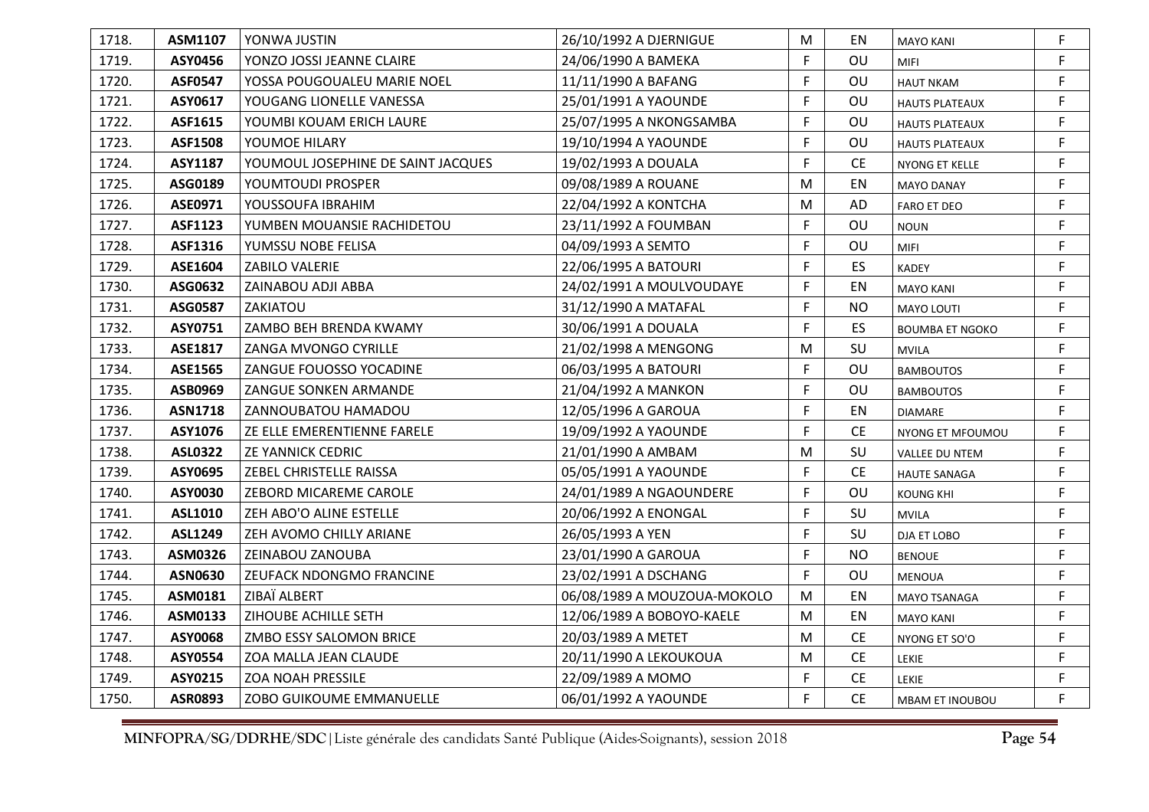| 1718. | ASM1107        | YONWA JUSTIN                       | 26/10/1992 A DJERNIGUE      | M  | EN        | <b>MAYO KANI</b>       | F  |
|-------|----------------|------------------------------------|-----------------------------|----|-----------|------------------------|----|
| 1719. | ASY0456        | YONZO JOSSI JEANNE CLAIRE          | 24/06/1990 A BAMEKA         | F  | OU        | <b>MIFI</b>            | F  |
| 1720. | <b>ASF0547</b> | YOSSA POUGOUALEU MARIE NOEL        | 11/11/1990 A BAFANG         | F. | OU        | <b>HAUT NKAM</b>       | F  |
| 1721. | ASY0617        | YOUGANG LIONELLE VANESSA           | 25/01/1991 A YAOUNDE        | F. | OU        | <b>HAUTS PLATEAUX</b>  | F  |
| 1722. | ASF1615        | YOUMBI KOUAM ERICH LAURE           | 25/07/1995 A NKONGSAMBA     | F. | OU        | <b>HAUTS PLATEAUX</b>  | F  |
| 1723. | <b>ASF1508</b> | YOUMOE HILARY                      | 19/10/1994 A YAOUNDE        | F  | OU        | <b>HAUTS PLATEAUX</b>  | F  |
| 1724. | ASY1187        | YOUMOUL JOSEPHINE DE SAINT JACQUES | 19/02/1993 A DOUALA         | F  | <b>CE</b> | NYONG ET KELLE         | F  |
| 1725. | ASG0189        | YOUMTOUDI PROSPER                  | 09/08/1989 A ROUANE         | M  | EN        | <b>MAYO DANAY</b>      | F. |
| 1726. | ASE0971        | YOUSSOUFA IBRAHIM                  | 22/04/1992 A KONTCHA        | M  | AD        | <b>FARO ET DEO</b>     | F  |
| 1727. | <b>ASF1123</b> | YUMBEN MOUANSIE RACHIDETOU         | 23/11/1992 A FOUMBAN        | F. | OU        | <b>NOUN</b>            | F  |
| 1728. | ASF1316        | YUMSSU NOBE FELISA                 | 04/09/1993 A SEMTO          | F. | OU        | <b>MIFI</b>            | F. |
| 1729. | ASE1604        | ZABILO VALERIE                     | 22/06/1995 A BATOURI        | F  | ES        | <b>KADEY</b>           | F  |
| 1730. | ASG0632        | ZAINABOU ADJI ABBA                 | 24/02/1991 A MOULVOUDAYE    | F  | EN        | <b>MAYO KANI</b>       | F  |
| 1731. | <b>ASG0587</b> | ZAKIATOU                           | 31/12/1990 A MATAFAL        | F. | <b>NO</b> | <b>MAYO LOUTI</b>      | F  |
| 1732. | ASY0751        | ZAMBO BEH BRENDA KWAMY             | 30/06/1991 A DOUALA         | F. | ES        | <b>BOUMBA ET NGOKO</b> | F. |
| 1733. | ASE1817        | <b>ZANGA MVONGO CYRILLE</b>        | 21/02/1998 A MENGONG        | M  | SU        | <b>MVILA</b>           | F. |
| 1734. | <b>ASE1565</b> | ZANGUE FOUOSSO YOCADINE            | 06/03/1995 A BATOURI        | F  | OU        | <b>BAMBOUTOS</b>       | F  |
| 1735. | ASB0969        | ZANGUE SONKEN ARMANDE              | 21/04/1992 A MANKON         | F. | OU        | <b>BAMBOUTOS</b>       | F  |
| 1736. | <b>ASN1718</b> | ZANNOUBATOU HAMADOU                | 12/05/1996 A GAROUA         | F  | EN        | <b>DIAMARE</b>         | F. |
| 1737. | ASY1076        | ZE ELLE EMERENTIENNE FARELE        | 19/09/1992 A YAOUNDE        | F. | CE        | NYONG ET MFOUMOU       | F. |
| 1738. | <b>ASL0322</b> | ZE YANNICK CEDRIC                  | 21/01/1990 A AMBAM          | M  | SU        | VALLEE DU NTEM         | F  |
| 1739. | ASY0695        | ZEBEL CHRISTELLE RAISSA            | 05/05/1991 A YAOUNDE        | F. | <b>CE</b> | <b>HAUTE SANAGA</b>    | F  |
| 1740. | ASY0030        | ZEBORD MICAREME CAROLE             | 24/01/1989 A NGAOUNDERE     | F. | OU        | <b>KOUNG KHI</b>       | F  |
| 1741. | ASL1010        | ZEH ABO'O ALINE ESTELLE            | 20/06/1992 A ENONGAL        | F. | SU        | <b>MVILA</b>           | F  |
| 1742. | ASL1249        | ZEH AVOMO CHILLY ARIANE            | 26/05/1993 A YEN            | F. | SU        | DJA ET LOBO            | F  |
| 1743. | ASM0326        | ZEINABOU ZANOUBA                   | 23/01/1990 A GAROUA         | F. | <b>NO</b> | <b>BENOUE</b>          | F  |
| 1744. | <b>ASN0630</b> | ZEUFACK NDONGMO FRANCINE           | 23/02/1991 A DSCHANG        | F. | OU        | <b>MENOUA</b>          | F. |
| 1745. | ASM0181        | ZIBAÏ ALBERT                       | 06/08/1989 A MOUZOUA-MOKOLO | M  | EN        | MAYO TSANAGA           | F. |
| 1746. | ASM0133        | ZIHOUBE ACHILLE SETH               | 12/06/1989 A BOBOYO-KAELE   | M  | EN        | <b>MAYO KANI</b>       | F  |
| 1747. | ASY0068        | ZMBO ESSY SALOMON BRICE            | 20/03/1989 A METET          | M  | CE        | NYONG ET SO'O          | F  |
| 1748. | ASY0554        | ZOA MALLA JEAN CLAUDE              | 20/11/1990 A LEKOUKOUA      | M  | CE        | LEKIE                  | F  |
| 1749. | ASY0215        | ZOA NOAH PRESSILE                  | 22/09/1989 A MOMO           | F  | <b>CE</b> | LEKIE                  | F  |
| 1750. | <b>ASR0893</b> | ZOBO GUIKOUME EMMANUELLE           | 06/01/1992 A YAOUNDE        | F. | <b>CE</b> | MBAM ET INOUBOU        | F. |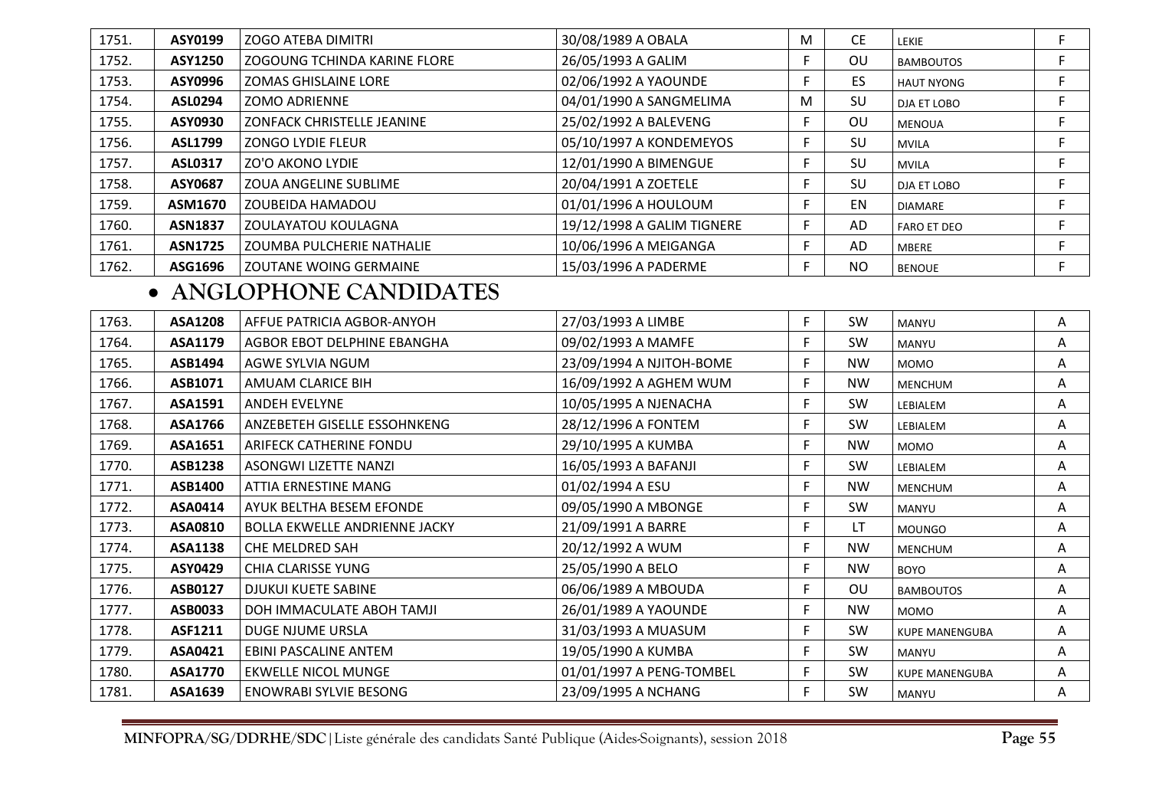| 1751. | ASY0199        | <b>ZOGO ATEBA DIMITRI</b>     | 30/08/1989 A OBALA         | М | <b>CE</b> | LEKIE              |  |
|-------|----------------|-------------------------------|----------------------------|---|-----------|--------------------|--|
| 1752. | <b>ASY1250</b> | ZOGOUNG TCHINDA KARINE FLORE  | 26/05/1993 A GALIM         |   | OU        | <b>BAMBOUTOS</b>   |  |
| 1753. | ASY0996        | <b>ZOMAS GHISLAINE LORE</b>   | 02/06/1992 A YAOUNDE       |   | ES        | <b>HAUT NYONG</b>  |  |
| 1754. | <b>ASL0294</b> | <b>ZOMO ADRIENNE</b>          | 04/01/1990 A SANGMELIMA    | М | SU        | DJA ET LOBO        |  |
| 1755. | ASY0930        | ZONFACK CHRISTELLE JEANINE    | 25/02/1992 A BALEVENG      |   | <b>OU</b> | <b>MENOUA</b>      |  |
| 1756. | <b>ASL1799</b> | <b>ZONGO LYDIE FLEUR</b>      | 05/10/1997 A KONDEMEYOS    |   | SU        | <b>MVILA</b>       |  |
| 1757. | <b>ASL0317</b> | <b>ZO'O AKONO LYDIE</b>       | 12/01/1990 A BIMENGUE      |   | SU        | <b>MVILA</b>       |  |
| 1758. | ASY0687        | <b>ZOUA ANGELINE SUBLIME</b>  | 20/04/1991 A ZOETELE       |   | SU        | DJA ET LOBO        |  |
| 1759. | ASM1670        | ZOUBEIDA HAMADOU              | 01/01/1996 A HOULOUM       |   | EN        | <b>DIAMARE</b>     |  |
| 1760. | <b>ASN1837</b> | ZOULAYATOU KOULAGNA           | 19/12/1998 A GALIM TIGNERE |   | AD        | <b>FARO ET DEO</b> |  |
| 1761. | <b>ASN1725</b> | ZOUMBA PULCHERIE NATHALIE     | 10/06/1996 A MEIGANGA      |   | AD        | <b>MBERE</b>       |  |
| 1762. | ASG1696        | <b>ZOUTANE WOING GERMAINE</b> | 15/03/1996 A PADERME       |   | NO.       | <b>BENOUE</b>      |  |

## • **ANGLOPHONE CANDIDATES**

| 1763. | <b>ASA1208</b> | AFFUE PATRICIA AGBOR-ANYOH           | 27/03/1993 A LIMBE       | F | <b>SW</b> | <b>MANYU</b>          | Α |
|-------|----------------|--------------------------------------|--------------------------|---|-----------|-----------------------|---|
| 1764. | ASA1179        | AGBOR EBOT DELPHINE EBANGHA          | 09/02/1993 A MAMFE       | F | SW        | MANYU                 | Α |
| 1765. | ASB1494        | AGWE SYLVIA NGUM                     | 23/09/1994 A NJITOH-BOME | F | <b>NW</b> | <b>MOMO</b>           | A |
| 1766. | ASB1071        | AMUAM CLARICE BIH                    | 16/09/1992 A AGHEM WUM   | F | <b>NW</b> | <b>MENCHUM</b>        | Α |
| 1767. | ASA1591        | ANDEH EVELYNE                        | 10/05/1995 A NJENACHA    | F | SW        | LEBIALEM              | Α |
| 1768. | ASA1766        | ANZEBETEH GISELLE ESSOHNKENG         | 28/12/1996 A FONTEM      | F | SW        | LEBIALEM              | A |
| 1769. | ASA1651        | ARIFECK CATHERINE FONDU              | 29/10/1995 A KUMBA       | F | <b>NW</b> | <b>MOMO</b>           | Α |
| 1770. | <b>ASB1238</b> | ASONGWI LIZETTE NANZI                | 16/05/1993 A BAFANJI     | Е | SW        | LEBIALEM              | Α |
| 1771. | ASB1400        | ATTIA ERNESTINE MANG                 | 01/02/1994 A ESU         | F | <b>NW</b> | <b>MENCHUM</b>        | Α |
| 1772. | ASA0414        | AYUK BELTHA BESEM EFONDE             | 09/05/1990 A MBONGE      | Е | <b>SW</b> | MANYU                 | Α |
| 1773. | ASA0810        | <b>BOLLA EKWELLE ANDRIENNE JACKY</b> | 21/09/1991 A BARRE       | F | LT        | <b>MOUNGO</b>         | Α |
| 1774. | ASA1138        | CHE MELDRED SAH                      | 20/12/1992 A WUM         | F | <b>NW</b> | <b>MENCHUM</b>        | Α |
| 1775. | <b>ASY0429</b> | <b>CHIA CLARISSE YUNG</b>            | 25/05/1990 A BELO        | Е | <b>NW</b> | <b>BOYO</b>           | Α |
| 1776. | ASB0127        | <b>DJUKUI KUETE SABINE</b>           | 06/06/1989 A MBOUDA      | Е | OU        | <b>BAMBOUTOS</b>      | Α |
| 1777. | ASB0033        | DOH IMMACULATE ABOH TAMJI            | 26/01/1989 A YAOUNDE     | Е | <b>NW</b> | <b>MOMO</b>           | Α |
| 1778. | ASF1211        | DUGE NJUME URSLA                     | 31/03/1993 A MUASUM      | Е | SW        | <b>KUPE MANENGUBA</b> | Α |
| 1779. | ASA0421        | EBINI PASCALINE ANTEM                | 19/05/1990 A KUMBA       | Е | SW        | MANYU                 | Α |
| 1780. | <b>ASA1770</b> | <b>EKWELLE NICOL MUNGE</b>           | 01/01/1997 A PENG-TOMBEL | Е | SW        | <b>KUPE MANENGUBA</b> | Α |
| 1781. | ASA1639        | <b>ENOWRABI SYLVIE BESONG</b>        | 23/09/1995 A NCHANG      | F | SW        | MANYU                 | A |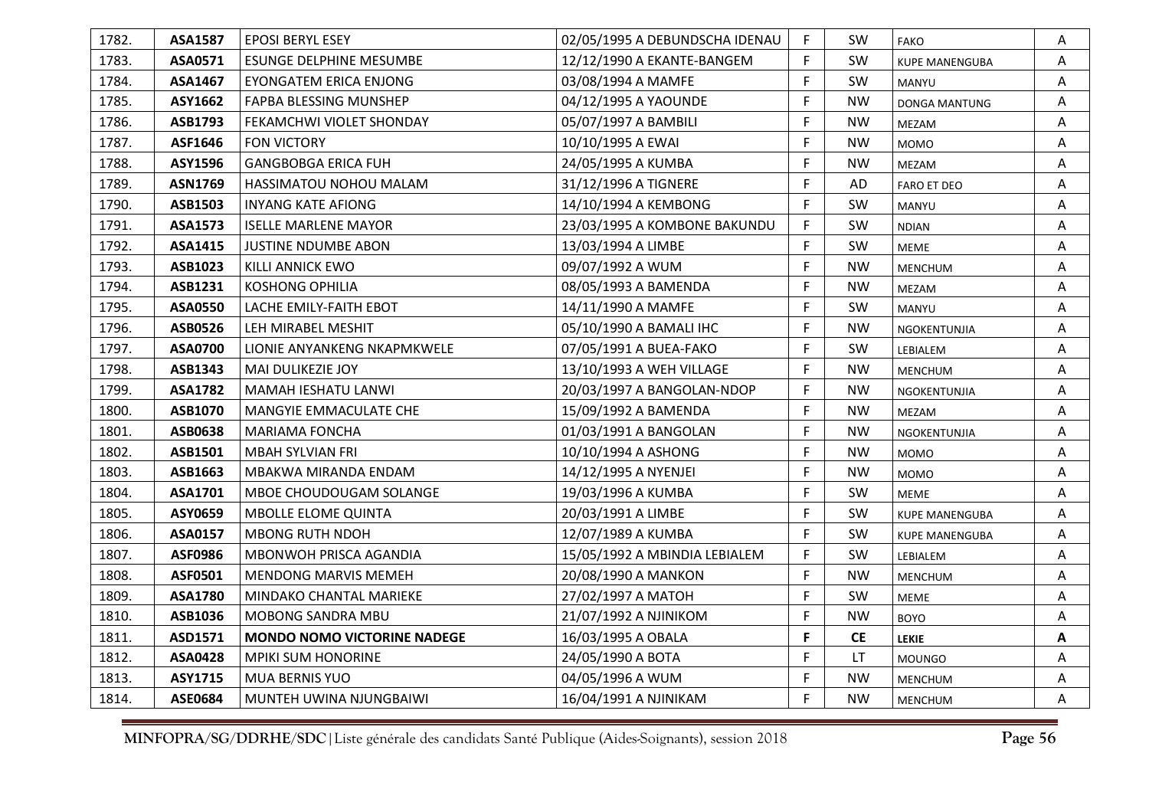| 1782. | ASA1587        | <b>EPOSI BERYL ESEY</b>            | 02/05/1995 A DEBUNDSCHA IDENAU | F. | <b>SW</b> | <b>FAKO</b>           | A |
|-------|----------------|------------------------------------|--------------------------------|----|-----------|-----------------------|---|
| 1783. | ASA0571        | ESUNGE DELPHINE MESUMBE            | 12/12/1990 A EKANTE-BANGEM     | F. | SW.       | <b>KUPE MANENGUBA</b> | A |
| 1784. | ASA1467        | <b>EYONGATEM ERICA ENJONG</b>      | 03/08/1994 A MAMFE             | F. | SW        | MANYU                 | Α |
| 1785. | ASY1662        | FAPBA BLESSING MUNSHEP             | 04/12/1995 A YAOUNDE           | F  | <b>NW</b> | <b>DONGA MANTUNG</b>  | A |
| 1786. | ASB1793        | FEKAMCHWI VIOLET SHONDAY           | 05/07/1997 A BAMBILI           | F  | <b>NW</b> | MEZAM                 | Α |
| 1787. | ASF1646        | <b>FON VICTORY</b>                 | 10/10/1995 A EWAI              | F  | <b>NW</b> | <b>MOMO</b>           | Α |
| 1788. | ASY1596        | <b>GANGBOBGA ERICA FUH</b>         | 24/05/1995 A KUMBA             | F. | <b>NW</b> | MEZAM                 | Α |
| 1789. | <b>ASN1769</b> | <b>HASSIMATOU NOHOU MALAM</b>      | 31/12/1996 A TIGNERE           | F. | AD        | <b>FARO ET DEO</b>    | Α |
| 1790. | ASB1503        | <b>INYANG KATE AFIONG</b>          | 14/10/1994 A KEMBONG           | F. | <b>SW</b> | MANYU                 | Α |
| 1791. | <b>ASA1573</b> | <b>ISELLE MARLENE MAYOR</b>        | 23/03/1995 A KOMBONE BAKUNDU   | F  | SW        | <b>NDIAN</b>          | A |
| 1792. | ASA1415        | <b>JUSTINE NDUMBE ABON</b>         | 13/03/1994 A LIMBE             | F. | SW        | <b>MEME</b>           | Α |
| 1793. | ASB1023        | KILLI ANNICK EWO                   | 09/07/1992 A WUM               | F. | <b>NW</b> | <b>MENCHUM</b>        | Α |
| 1794. | ASB1231        | <b>KOSHONG OPHILIA</b>             | 08/05/1993 A BAMENDA           | F. | <b>NW</b> | MEZAM                 | Α |
| 1795. | <b>ASA0550</b> | LACHE EMILY-FAITH EBOT             | 14/11/1990 A MAMFE             | F  | <b>SW</b> | MANYU                 | Α |
| 1796. | ASB0526        | LEH MIRABEL MESHIT                 | 05/10/1990 A BAMALI IHC        | F. | <b>NW</b> | NGOKENTUNJIA          | Α |
| 1797. | ASA0700        | LIONIE ANYANKENG NKAPMKWELE        | 07/05/1991 A BUEA-FAKO         | F. | SW        | LEBIALEM              | Α |
| 1798. | ASB1343        | MAI DULIKEZIE JOY                  | 13/10/1993 A WEH VILLAGE       | F. | <b>NW</b> | <b>MENCHUM</b>        | Α |
| 1799. | <b>ASA1782</b> | <b>MAMAH IESHATU LANWI</b>         | 20/03/1997 A BANGOLAN-NDOP     | F. | <b>NW</b> | NGOKENTUNJIA          | A |
| 1800. | <b>ASB1070</b> | <b>MANGYIE EMMACULATE CHE</b>      | 15/09/1992 A BAMENDA           | F  | <b>NW</b> | MEZAM                 | Α |
| 1801. | ASB0638        | <b>MARIAMA FONCHA</b>              | 01/03/1991 A BANGOLAN          | F. | <b>NW</b> | NGOKENTUNJIA          | Α |
| 1802. | ASB1501        | <b>MBAH SYLVIAN FRI</b>            | 10/10/1994 A ASHONG            | F  | <b>NW</b> | <b>MOMO</b>           | Α |
| 1803. | ASB1663        | MBAKWA MIRANDA ENDAM               | 14/12/1995 A NYENJEI           | F  | <b>NW</b> | <b>MOMO</b>           | Α |
| 1804. | ASA1701        | MBOE CHOUDOUGAM SOLANGE            | 19/03/1996 A KUMBA             | F. | SW        | <b>MEME</b>           | Α |
| 1805. | ASY0659        | <b>MBOLLE ELOME QUINTA</b>         | 20/03/1991 A LIMBE             | F. | SW        | <b>KUPE MANENGUBA</b> | Α |
| 1806. | ASA0157        | <b>MBONG RUTH NDOH</b>             | 12/07/1989 A KUMBA             | F. | <b>SW</b> | <b>KUPE MANENGUBA</b> | A |
| 1807. | <b>ASF0986</b> | MBONWOH PRISCA AGANDIA             | 15/05/1992 A MBINDIA LEBIALEM  | F. | SW        | LEBIALEM              | Α |
| 1808. | ASF0501        | <b>MENDONG MARVIS MEMEH</b>        | 20/08/1990 A MANKON            | F  | <b>NW</b> | <b>MENCHUM</b>        | Α |
| 1809. | ASA1780        | MINDAKO CHANTAL MARIEKE            | 27/02/1997 A MATOH             | F. | SW        | <b>MEME</b>           | Α |
| 1810. | ASB1036        | <b>MOBONG SANDRA MBU</b>           | 21/07/1992 A NJINIKOM          | F  | <b>NW</b> | <b>BOYO</b>           | A |
| 1811. | ASD1571        | <b>MONDO NOMO VICTORINE NADEGE</b> | 16/03/1995 A OBALA             | F. | <b>CE</b> | <b>LEKIE</b>          | A |
| 1812. | <b>ASA0428</b> | <b>MPIKI SUM HONORINE</b>          | 24/05/1990 A BOTA              | F. | LT.       | <b>MOUNGO</b>         | Α |
| 1813. | ASY1715        | <b>MUA BERNIS YUO</b>              | 04/05/1996 A WUM               | F. | <b>NW</b> | <b>MENCHUM</b>        | Α |
| 1814. | ASE0684        | MUNTEH UWINA NJUNGBAIWI            | 16/04/1991 A NJINIKAM          | F. | <b>NW</b> | <b>MENCHUM</b>        | A |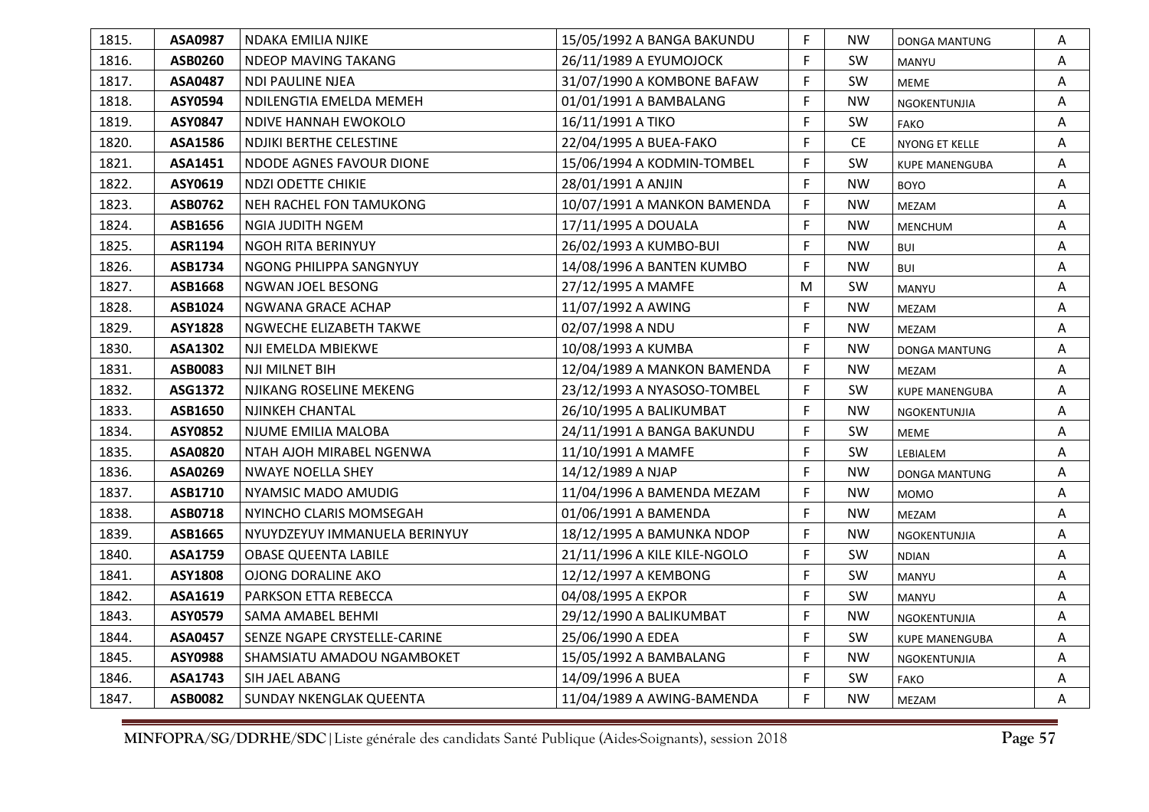| 1815. | ASA0987        | NDAKA EMILIA NJIKE            | 15/05/1992 A BANGA BAKUNDU   | F. | <b>NW</b> | <b>DONGA MANTUNG</b>  | Α |
|-------|----------------|-------------------------------|------------------------------|----|-----------|-----------------------|---|
| 1816. | ASB0260        | NDEOP MAVING TAKANG           | 26/11/1989 A EYUMOJOCK       | F. | <b>SW</b> | MANYU                 | Α |
| 1817. | ASA0487        | NDI PAULINE NJEA              | 31/07/1990 A KOMBONE BAFAW   | F. | SW        | <b>MEME</b>           | Α |
| 1818. | ASY0594        | NDILENGTIA EMELDA MEMEH       | 01/01/1991 A BAMBALANG       | F  | <b>NW</b> | NGOKENTUNJIA          | Α |
| 1819. | ASY0847        | NDIVE HANNAH EWOKOLO          | 16/11/1991 A TIKO            | F  | SW        | <b>FAKO</b>           | Α |
| 1820. | ASA1586        | NDJIKI BERTHE CELESTINE       | 22/04/1995 A BUEA-FAKO       | F  | <b>CE</b> | NYONG ET KELLE        | Α |
| 1821. | ASA1451        | NDODE AGNES FAVOUR DIONE      | 15/06/1994 A KODMIN-TOMBEL   | F. | SW        | <b>KUPE MANENGUBA</b> | Α |
| 1822. | ASY0619        | <b>NDZI ODETTE CHIKIE</b>     | 28/01/1991 A ANJIN           | F  | <b>NW</b> | <b>BOYO</b>           | Α |
| 1823. | ASB0762        | NEH RACHEL FON TAMUKONG       | 10/07/1991 A MANKON BAMENDA  | F. | <b>NW</b> | MEZAM                 | A |
| 1824. | ASB1656        | <b>NGIA JUDITH NGEM</b>       | 17/11/1995 A DOUALA          | F. | <b>NW</b> | <b>MENCHUM</b>        | Α |
| 1825. | ASR1194        | NGOH RITA BERINYUY            | 26/02/1993 A KUMBO-BUI       | F. | <b>NW</b> | <b>BUI</b>            | Α |
| 1826. | ASB1734        | NGONG PHILIPPA SANGNYUY       | 14/08/1996 A BANTEN KUMBO    | F  | <b>NW</b> | <b>BUI</b>            | A |
| 1827. | ASB1668        | NGWAN JOEL BESONG             | 27/12/1995 A MAMFE           | M  | <b>SW</b> | MANYU                 | Α |
| 1828. | ASB1024        | NGWANA GRACE ACHAP            | 11/07/1992 A AWING           | F. | <b>NW</b> | MEZAM                 | A |
| 1829. | <b>ASY1828</b> | NGWECHE ELIZABETH TAKWE       | 02/07/1998 A NDU             | F. | <b>NW</b> | MEZAM                 | A |
| 1830. | ASA1302        | NJI EMELDA MBIEKWE            | 10/08/1993 A KUMBA           | F. | <b>NW</b> | <b>DONGA MANTUNG</b>  | Α |
| 1831. | ASB0083        | NJI MILNET BIH                | 12/04/1989 A MANKON BAMENDA  | F. | <b>NW</b> | MEZAM                 | Α |
| 1832. | ASG1372        | NJIKANG ROSELINE MEKENG       | 23/12/1993 A NYASOSO-TOMBEL  | F. | SW        | <b>KUPE MANENGUBA</b> | A |
| 1833. | ASB1650        | NJINKEH CHANTAL               | 26/10/1995 A BALIKUMBAT      | F. | <b>NW</b> | NGOKENTUNJIA          | Α |
| 1834. | ASY0852        | NJUME EMILIA MALOBA           | 24/11/1991 A BANGA BAKUNDU   | F. | SW        | <b>MEME</b>           | Α |
| 1835. | <b>ASA0820</b> | NTAH AJOH MIRABEL NGENWA      | 11/10/1991 A MAMFE           | F. | SW        | LEBIALEM              | A |
| 1836. | ASA0269        | <b>NWAYE NOELLA SHEY</b>      | 14/12/1989 A NJAP            | F. | <b>NW</b> | <b>DONGA MANTUNG</b>  | Α |
| 1837. | ASB1710        | NYAMSIC MADO AMUDIG           | 11/04/1996 A BAMENDA MEZAM   | F  | <b>NW</b> | <b>MOMO</b>           | Α |
| 1838. | ASB0718        | NYINCHO CLARIS MOMSEGAH       | 01/06/1991 A BAMENDA         | F. | <b>NW</b> | MEZAM                 | Α |
| 1839. | ASB1665        | NYUYDZEYUY IMMANUELA BERINYUY | 18/12/1995 A BAMUNKA NDOP    | F. | <b>NW</b> | NGOKENTUNJIA          | Α |
| 1840. | ASA1759        | <b>OBASE QUEENTA LABILE</b>   | 21/11/1996 A KILE KILE-NGOLO | F. | SW        | <b>NDIAN</b>          | Α |
| 1841. | ASY1808        | <b>OJONG DORALINE AKO</b>     | 12/12/1997 A KEMBONG         | F  | SW        | MANYU                 | Α |
| 1842. | ASA1619        | PARKSON ETTA REBECCA          | 04/08/1995 A EKPOR           | F  | SW        | MANYU                 | A |
| 1843. | ASY0579        | SAMA AMABEL BEHMI             | 29/12/1990 A BALIKUMBAT      | F  | <b>NW</b> | NGOKENTUNJIA          | A |
| 1844. | <b>ASA0457</b> | SENZE NGAPE CRYSTELLE-CARINE  | 25/06/1990 A EDEA            | F. | SW        | KUPE MANENGUBA        | Α |
| 1845. | ASY0988        | SHAMSIATU AMADOU NGAMBOKET    | 15/05/1992 A BAMBALANG       | F. | <b>NW</b> | NGOKENTUNJIA          | Α |
| 1846. | ASA1743        | SIH JAEL ABANG                | 14/09/1996 A BUEA            | F  | SW        | <b>FAKO</b>           | Α |
| 1847. | <b>ASB0082</b> | SUNDAY NKENGLAK QUEENTA       | 11/04/1989 A AWING-BAMENDA   | F. | <b>NW</b> | <b>MEZAM</b>          | Α |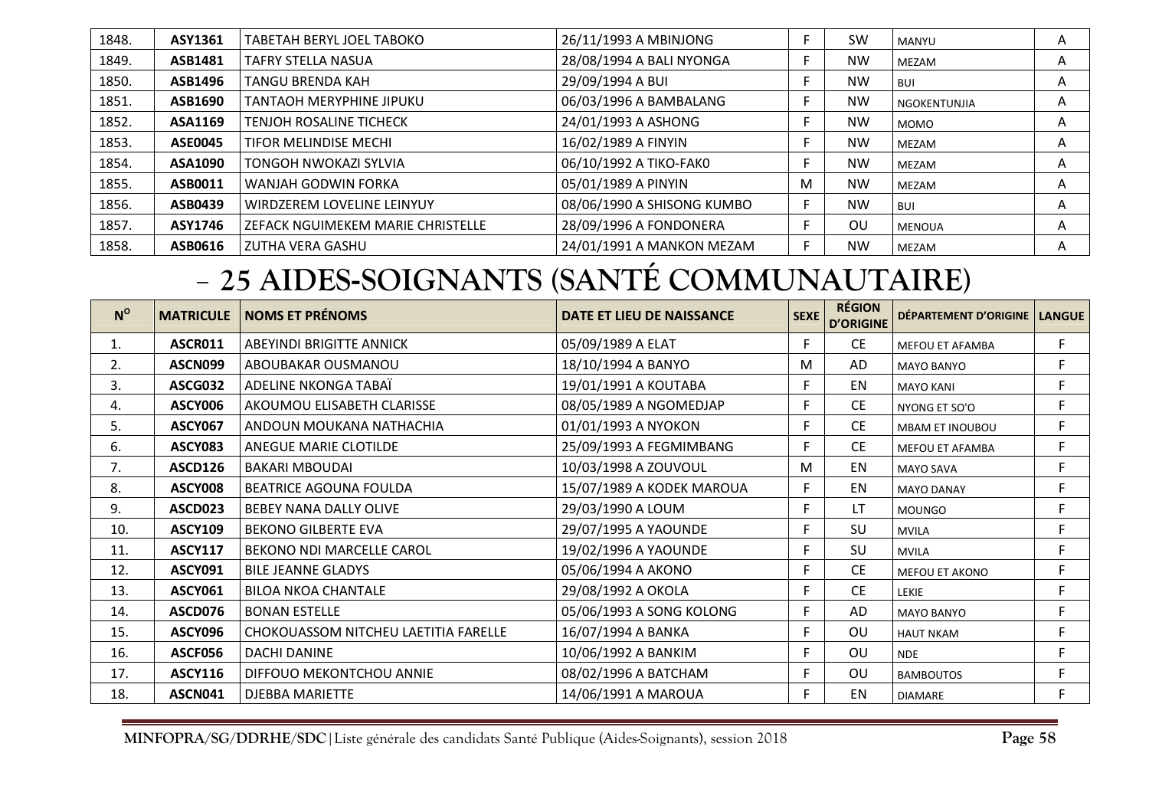| 1848. | ASY1361        | TABETAH BERYL JOEL TABOKO         | 26/11/1993 A MBINJONG      |   | <b>SW</b> | <b>MANYU</b>   | A |
|-------|----------------|-----------------------------------|----------------------------|---|-----------|----------------|---|
| 1849. | ASB1481        | TAFRY STELLA NASUA                | 28/08/1994 A BALI NYONGA   |   | <b>NW</b> | MEZAM          | A |
| 1850. | <b>ASB1496</b> | <b>TANGU BRENDA KAH</b>           | 29/09/1994 A BUI           |   | <b>NW</b> | <b>BUI</b>     | A |
| 1851. | ASB1690        | <b>TANTAOH MERYPHINE JIPUKU</b>   | 06/03/1996 A BAMBALANG     |   | <b>NW</b> | l NGOKENTUNJIA | A |
| 1852. | ASA1169        | <b>TENJOH ROSALINE TICHECK</b>    | 24/01/1993 A ASHONG        |   | <b>NW</b> | <b>MOMO</b>    | A |
| 1853. | <b>ASE0045</b> | TIFOR MELINDISE MECHI             | 16/02/1989 A FINYIN        |   | <b>NW</b> | MEZAM          | A |
| 1854. | ASA1090        | TONGOH NWOKAZI SYLVIA             | 06/10/1992 A TIKO-FAK0     |   | <b>NW</b> | MEZAM          | A |
| 1855. | ASB0011        | WANJAH GODWIN FORKA               | 05/01/1989 A PINYIN        | M | <b>NW</b> | MEZAM          | A |
| 1856. | ASB0439        | WIRDZEREM LOVELINE LEINYUY        | 08/06/1990 A SHISONG KUMBO |   | <b>NW</b> | <b>BUI</b>     | A |
| 1857. | ASY1746        | ZEFACK NGUIMEKEM MARIE CHRISTELLE | 28/09/1996 A FONDONERA     |   | OU        | <b>MENOUA</b>  | Α |
| 1858. | ASB0616        | ZUTHA VERA GASHU                  | 24/01/1991 A MANKON MEZAM  |   | <b>NW</b> | <b>MEZAM</b>   | A |

### -**25 AIDES-SOIGNANTS (SANTÉ COMMUNAUTAIRE)**

| $N^{\rm o}$ | <b>MATRICULE</b> | <b>NOMS ET PRÉNOMS</b>               | DATE ET LIEU DE NAISSANCE | SEXE | <b>RÉGION</b><br><b>D'ORIGINE</b> | DÉPARTEMENT D'ORIGINE  | <b>LANGUE</b> |
|-------------|------------------|--------------------------------------|---------------------------|------|-----------------------------------|------------------------|---------------|
| 1.          | <b>ASCR011</b>   | ABEYINDI BRIGITTE ANNICK             | 05/09/1989 A ELAT         | F    | <b>CE</b>                         | <b>MEFOU ET AFAMBA</b> | F             |
| 2.          | ASCN099          | ABOUBAKAR OUSMANOU                   | 18/10/1994 A BANYO        | M    | AD                                | <b>MAYO BANYO</b>      | F             |
| 3.          | <b>ASCG032</b>   | ADELINE NKONGA TABAÏ                 | 19/01/1991 A KOUTABA      | F    | EN                                | <b>MAYO KANI</b>       | F             |
| 4.          | <b>ASCY006</b>   | AKOUMOU ELISABETH CLARISSE           | 08/05/1989 A NGOMEDJAP    | F    | <b>CE</b>                         | NYONG ET SO'O          | F.            |
| 5.          | <b>ASCY067</b>   | ANDOUN MOUKANA NATHACHIA             | 01/01/1993 A NYOKON       | F    | <b>CE</b>                         | <b>MBAM ET INOUBOU</b> | F             |
| 6.          | <b>ASCY083</b>   | ANEGUE MARIE CLOTILDE                | 25/09/1993 A FEGMIMBANG   | F    | <b>CE</b>                         | <b>MEFOU ET AFAMBA</b> | F             |
| 7.          | <b>ASCD126</b>   | <b>BAKARI MBOUDAI</b>                | 10/03/1998 A ZOUVOUL      | м    | EN                                | <b>MAYO SAVA</b>       | F             |
| 8.          | <b>ASCY008</b>   | <b>BEATRICE AGOUNA FOULDA</b>        | 15/07/1989 A KODEK MAROUA | F    | EN                                | <b>MAYO DANAY</b>      | F             |
| 9.          | ASCD023          | BEBEY NANA DALLY OLIVE               | 29/03/1990 A LOUM         | F    | LT                                | <b>MOUNGO</b>          | F             |
| 10.         | <b>ASCY109</b>   | <b>BEKONO GILBERTE EVA</b>           | 29/07/1995 A YAOUNDE      | F    | SU                                | <b>MVILA</b>           | F             |
| 11.         | <b>ASCY117</b>   | BEKONO NDI MARCELLE CAROL            | 19/02/1996 A YAOUNDE      | F    | SU                                | <b>MVILA</b>           | F             |
| 12.         | <b>ASCY091</b>   | <b>BILE JEANNE GLADYS</b>            | 05/06/1994 A AKONO        | F    | <b>CE</b>                         | <b>MEFOU ET AKONO</b>  | F             |
| 13.         | <b>ASCY061</b>   | <b>BILOA NKOA CHANTALE</b>           | 29/08/1992 A OKOLA        | F    | <b>CE</b>                         | <b>LEKIE</b>           | F             |
| 14.         | <b>ASCD076</b>   | <b>BONAN ESTELLE</b>                 | 05/06/1993 A SONG KOLONG  | F    | AD                                | <b>MAYO BANYO</b>      | F             |
| 15.         | ASCY096          | CHOKOUASSOM NITCHEU LAETITIA FARELLE | 16/07/1994 A BANKA        | F    | OU                                | <b>HAUT NKAM</b>       | F             |
| 16.         | ASCF056          | DACHI DANINE                         | 10/06/1992 A BANKIM       | F    | OU                                | <b>NDE</b>             | F             |
| 17.         | <b>ASCY116</b>   | DIFFOUO MEKONTCHOU ANNIE             | 08/02/1996 A BATCHAM      | F    | OU                                | <b>BAMBOUTOS</b>       | F             |
| 18.         | ASCN041          | <b>DJEBBA MARIETTE</b>               | 14/06/1991 A MAROUA       | F    | EN                                | <b>DIAMARE</b>         | F.            |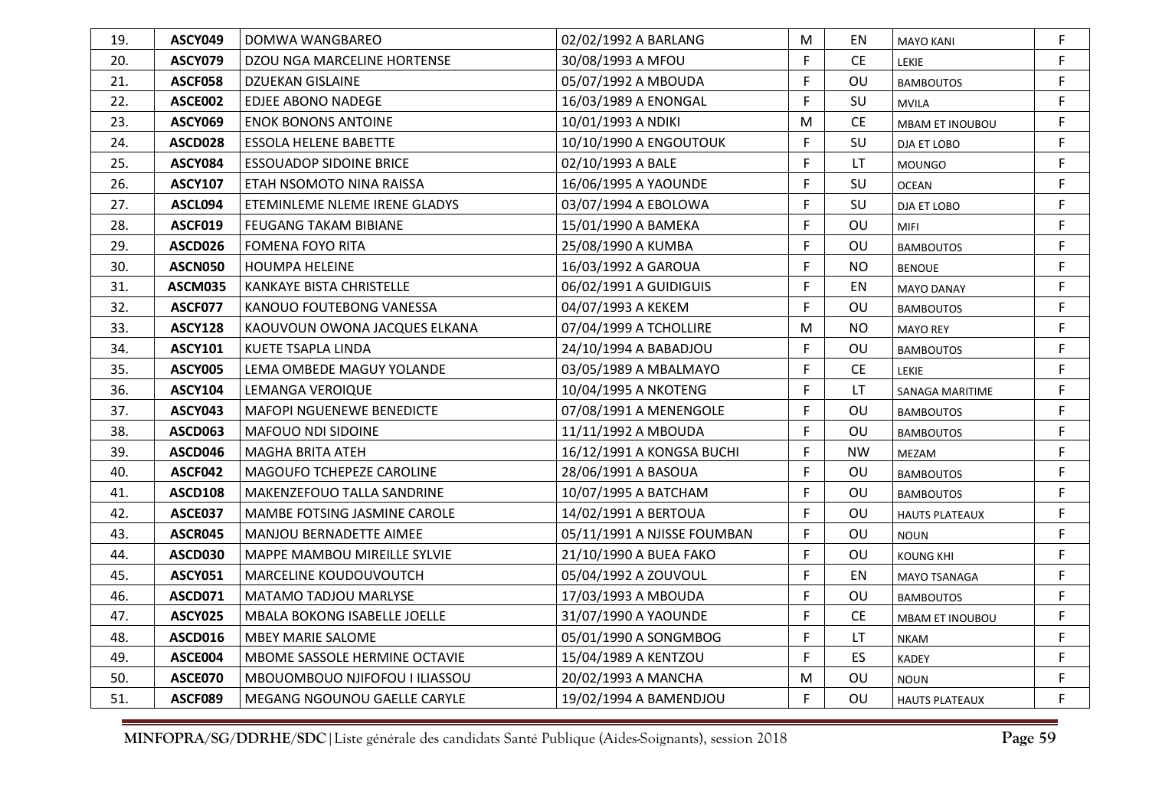| 19. | ASCY049        | DOMWA WANGBAREO                  | 02/02/1992 A BARLANG        | M  | EN        | <b>MAYO KANI</b>       | F.          |
|-----|----------------|----------------------------------|-----------------------------|----|-----------|------------------------|-------------|
| 20. | <b>ASCY079</b> | DZOU NGA MARCELINE HORTENSE      | 30/08/1993 A MFOU           | F  | <b>CE</b> | <b>LEKIE</b>           | F.          |
| 21. | <b>ASCF058</b> | <b>DZUEKAN GISLAINE</b>          | 05/07/1992 A MBOUDA         | F  | OU        | <b>BAMBOUTOS</b>       | $\mathsf F$ |
| 22. | <b>ASCE002</b> | <b>EDJEE ABONO NADEGE</b>        | 16/03/1989 A ENONGAL        | F  | SU        | <b>MVILA</b>           | F.          |
| 23. | <b>ASCY069</b> | <b>ENOK BONONS ANTOINE</b>       | 10/01/1993 A NDIKI          | M  | <b>CE</b> | <b>MBAM ET INOUBOU</b> | F.          |
| 24. | ASCD028        | <b>ESSOLA HELENE BABETTE</b>     | 10/10/1990 A ENGOUTOUK      | F  | SU        | DJA ET LOBO            | F.          |
| 25. | <b>ASCY084</b> | <b>ESSOUADOP SIDOINE BRICE</b>   | 02/10/1993 A BALE           | F  | LT        | <b>MOUNGO</b>          | F.          |
| 26. | <b>ASCY107</b> | ETAH NSOMOTO NINA RAISSA         | 16/06/1995 A YAOUNDE        | F  | SU        | <b>OCEAN</b>           | F           |
| 27. | ASCL094        | ETEMINLEME NLEME IRENE GLADYS    | 03/07/1994 A EBOLOWA        | F  | SU        | DJA ET LOBO            | F.          |
| 28. | <b>ASCF019</b> | FEUGANG TAKAM BIBIANE            | 15/01/1990 A BAMEKA         | F  | OU        | <b>MIFI</b>            | F           |
| 29. | ASCD026        | <b>FOMENA FOYO RITA</b>          | 25/08/1990 A KUMBA          | F  | OU        | <b>BAMBOUTOS</b>       | F.          |
| 30. | <b>ASCN050</b> | <b>HOUMPA HELEINE</b>            | 16/03/1992 A GAROUA         | F  | <b>NO</b> | <b>BENOUE</b>          | F.          |
| 31. | <b>ASCM035</b> | <b>KANKAYE BISTA CHRISTELLE</b>  | 06/02/1991 A GUIDIGUIS      | F  | EN        | <b>MAYO DANAY</b>      | F           |
| 32. | ASCF077        | KANOUO FOUTEBONG VANESSA         | 04/07/1993 A KEKEM          | F  | OU        | <b>BAMBOUTOS</b>       | F           |
| 33. | <b>ASCY128</b> | KAOUVOUN OWONA JACQUES ELKANA    | 07/04/1999 A TCHOLLIRE      | M  | <b>NO</b> | <b>MAYO REY</b>        | F.          |
| 34. | <b>ASCY101</b> | <b>KUETE TSAPLA LINDA</b>        | 24/10/1994 A BABADJOU       | F  | OU        | <b>BAMBOUTOS</b>       | F.          |
| 35. | <b>ASCY005</b> | LEMA OMBEDE MAGUY YOLANDE        | 03/05/1989 A MBALMAYO       | F  | <b>CE</b> | LEKIE                  | F           |
| 36. | <b>ASCY104</b> | LEMANGA VEROIQUE                 | 10/04/1995 A NKOTENG        | F  | LT        | SANAGA MARITIME        | F           |
| 37. | <b>ASCY043</b> | <b>MAFOPI NGUENEWE BENEDICTE</b> | 07/08/1991 A MENENGOLE      | F  | OU        | <b>BAMBOUTOS</b>       | F.          |
| 38. | <b>ASCD063</b> | MAFOUO NDI SIDOINE               | 11/11/1992 A MBOUDA         | F  | OU        | <b>BAMBOUTOS</b>       | F.          |
| 39. | ASCD046        | <b>MAGHA BRITA ATEH</b>          | 16/12/1991 A KONGSA BUCHI   | F  | <b>NW</b> | MEZAM                  | F           |
| 40. | ASCF042        | MAGOUFO TCHEPEZE CAROLINE        | 28/06/1991 A BASOUA         | F  | OU        | <b>BAMBOUTOS</b>       | F.          |
| 41. | <b>ASCD108</b> | MAKENZEFOUO TALLA SANDRINE       | 10/07/1995 A BATCHAM        | F  | OU        | <b>BAMBOUTOS</b>       | F.          |
| 42. | <b>ASCE037</b> | MAMBE FOTSING JASMINE CAROLE     | 14/02/1991 A BERTOUA        | F. | OU        | <b>HAUTS PLATEAUX</b>  | F.          |
| 43. | ASCR045        | MANJOU BERNADETTE AIMEE          | 05/11/1991 A NJISSE FOUMBAN | F  | OU        | <b>NOUN</b>            | F.          |
| 44. | <b>ASCD030</b> | MAPPE MAMBOU MIREILLE SYLVIE     | 21/10/1990 A BUEA FAKO      | F  | OU        | <b>KOUNG KHI</b>       | F.          |
| 45. | <b>ASCY051</b> | MARCELINE KOUDOUVOUTCH           | 05/04/1992 A ZOUVOUL        | F  | EN        | MAYO TSANAGA           | F.          |
| 46. | <b>ASCD071</b> | MATAMO TADJOU MARLYSE            | 17/03/1993 A MBOUDA         | F  | OU        | <b>BAMBOUTOS</b>       | F.          |
| 47. | <b>ASCY025</b> | MBALA BOKONG ISABELLE JOELLE     | 31/07/1990 A YAOUNDE        | F  | <b>CE</b> | MBAM ET INOUBOU        | F.          |
| 48. | ASCD016        | <b>MBEY MARIE SALOME</b>         | 05/01/1990 A SONGMBOG       | F  | LT        | <b>NKAM</b>            | F           |
| 49. | ASCE004        | MBOME SASSOLE HERMINE OCTAVIE    | 15/04/1989 A KENTZOU        | F  | ES        | <b>KADEY</b>           | F.          |
| 50. | ASCE070        | MBOUOMBOUO NJIFOFOU I ILIASSOU   | 20/02/1993 A MANCHA         | M  | OU        | <b>NOUN</b>            | F           |
| 51. | ASCF089        | MEGANG NGOUNOU GAELLE CARYLE     | 19/02/1994 A BAMENDJOU      | F  | OU        | <b>HAUTS PLATEAUX</b>  | F.          |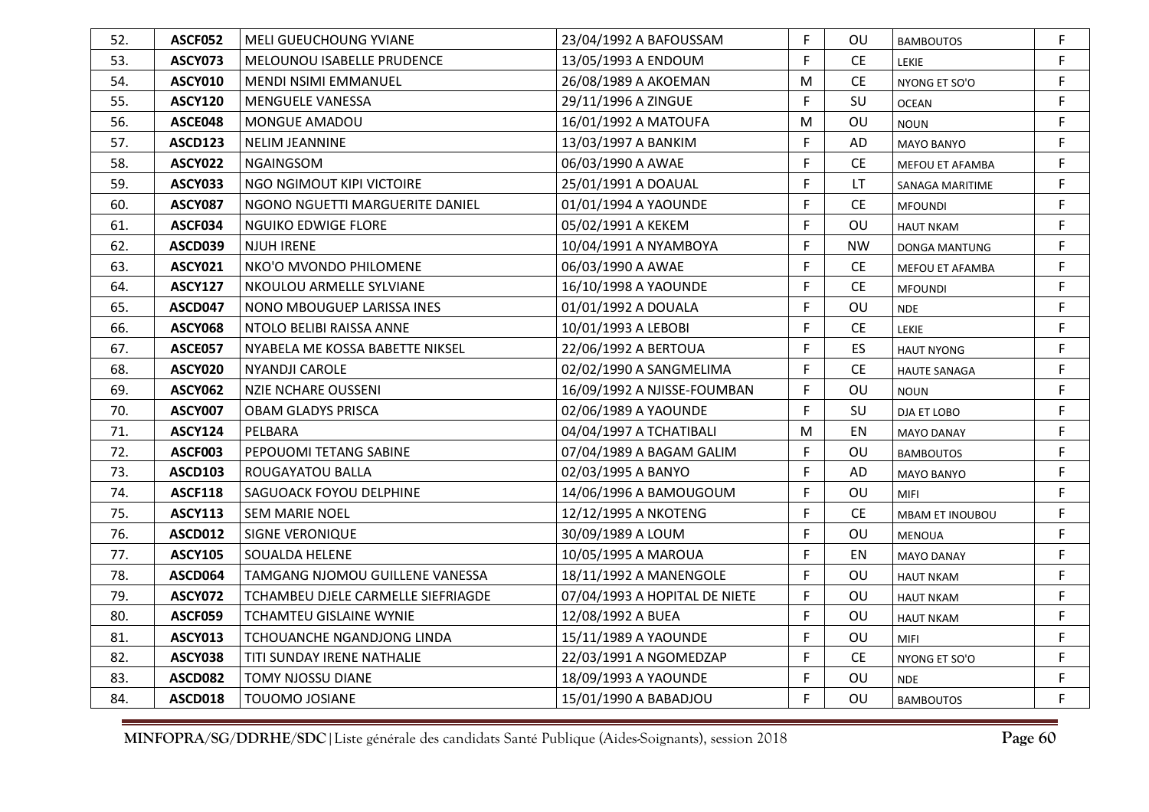| 52. | <b>ASCF052</b> | MELI GUEUCHOUNG YVIANE             | 23/04/1992 A BAFOUSSAM        | F. | OU.       | <b>BAMBOUTOS</b>       | F. |
|-----|----------------|------------------------------------|-------------------------------|----|-----------|------------------------|----|
| 53. | <b>ASCY073</b> | MELOUNOU ISABELLE PRUDENCE         | 13/05/1993 A ENDOUM           | F  | <b>CE</b> | <b>LEKIE</b>           | F. |
| 54. | <b>ASCY010</b> | MENDI NSIMI EMMANUEL               | 26/08/1989 A AKOEMAN          | M  | <b>CE</b> | NYONG ET SO'O          | F. |
| 55. | <b>ASCY120</b> | <b>MENGUELE VANESSA</b>            | 29/11/1996 A ZINGUE           | F  | SU        | <b>OCEAN</b>           | F. |
| 56. | ASCE048        | MONGUE AMADOU                      | 16/01/1992 A MATOUFA          | M  | OU        | <b>NOUN</b>            | F. |
| 57. | ASCD123        | <b>NELIM JEANNINE</b>              | 13/03/1997 A BANKIM           | F  | AD        | <b>MAYO BANYO</b>      | F  |
| 58. | <b>ASCY022</b> | <b>NGAINGSOM</b>                   | 06/03/1990 A AWAE             | F  | <b>CE</b> | MEFOU ET AFAMBA        | F. |
| 59. | <b>ASCY033</b> | NGO NGIMOUT KIPI VICTOIRE          | 25/01/1991 A DOAUAL           | F  | LT.       | SANAGA MARITIME        | F. |
| 60. | <b>ASCY087</b> | NGONO NGUETTI MARGUERITE DANIEL    | 01/01/1994 A YAOUNDE          | F  | <b>CE</b> | <b>MFOUNDI</b>         | F. |
| 61. | ASCF034        | NGUIKO EDWIGE FLORE                | 05/02/1991 A KEKEM            | F  | OU        | <b>HAUT NKAM</b>       | F. |
| 62. | <b>ASCD039</b> | <b>NJUH IRENE</b>                  | 10/04/1991 A NYAMBOYA         | F  | <b>NW</b> | DONGA MANTUNG          | F. |
| 63. | ASCY021        | NKO'O MVONDO PHILOMENE             | 06/03/1990 A AWAE             | F  | <b>CE</b> | MEFOU ET AFAMBA        | F. |
| 64. | <b>ASCY127</b> | NKOULOU ARMELLE SYLVIANE           | 16/10/1998 A YAOUNDE          | F  | <b>CE</b> | <b>MFOUNDI</b>         | F. |
| 65. | ASCD047        | NONO MBOUGUEP LARISSA INES         | 01/01/1992 A DOUALA           | F  | OU        | <b>NDE</b>             | F  |
| 66. | <b>ASCY068</b> | NTOLO BELIBI RAISSA ANNE           | 10/01/1993 A LEBOBI           | F  | <b>CE</b> | <b>LEKIE</b>           | F. |
| 67. | <b>ASCE057</b> | NYABELA ME KOSSA BABETTE NIKSEL    | 22/06/1992 A BERTOUA          | F  | ES        | <b>HAUT NYONG</b>      | F. |
| 68. | <b>ASCY020</b> | NYANDJI CAROLE                     | 02/02/1990 A SANGMELIMA       | F  | <b>CE</b> | HAUTE SANAGA           | F. |
| 69. | <b>ASCY062</b> | <b>NZIE NCHARE OUSSENI</b>         | 16/09/1992 A NJISSE-FOUMBAN   | F  | OU        | <b>NOUN</b>            | F  |
| 70. | <b>ASCY007</b> | <b>OBAM GLADYS PRISCA</b>          | 02/06/1989 A YAOUNDE          | F  | SU        | DJA ET LOBO            | F. |
| 71. | <b>ASCY124</b> | PELBARA                            | 04/04/1997 A TCHATIBALI       | M  | EN        | <b>MAYO DANAY</b>      | F. |
| 72. | ASCF003        | PEPOUOMI TETANG SABINE             | 07/04/1989 A BAGAM GALIM      | F  | OU        | <b>BAMBOUTOS</b>       | F  |
| 73. | <b>ASCD103</b> | ROUGAYATOU BALLA                   | 02/03/1995 A BANYO            | F  | AD        | <b>MAYO BANYO</b>      | F. |
| 74. | <b>ASCF118</b> | SAGUOACK FOYOU DELPHINE            | 14/06/1996 A BAMOUGOUM        | F  | OU        | <b>MIFI</b>            | F. |
| 75. | <b>ASCY113</b> | <b>SEM MARIE NOEL</b>              | 12/12/1995 A NKOTENG          | F  | <b>CE</b> | <b>MBAM ET INOUBOU</b> | F. |
| 76. | ASCD012        | SIGNE VERONIQUE                    | 30/09/1989 A LOUM             | F  | OU        | <b>MENOUA</b>          | F. |
| 77. | <b>ASCY105</b> | <b>SOUALDA HELENE</b>              | 10/05/1995 A MAROUA           | F. | EN        | <b>MAYO DANAY</b>      | F. |
| 78. | ASCD064        | TAMGANG NJOMOU GUILLENE VANESSA    | 18/11/1992 A MANENGOLE        | F  | OU        | <b>HAUT NKAM</b>       | F. |
| 79. | ASCY072        | TCHAMBEU DJELE CARMELLE SIEFRIAGDE | 07/04/1993 A HOPITAL DE NIETE | F  | <b>OU</b> | <b>HAUT NKAM</b>       | F. |
| 80. | <b>ASCF059</b> | TCHAMTEU GISLAINE WYNIE            | 12/08/1992 A BUEA             | F  | <b>OU</b> | <b>HAUT NKAM</b>       | F. |
| 81. | <b>ASCY013</b> | TCHOUANCHE NGANDJONG LINDA         | 15/11/1989 A YAOUNDE          | F  | OU        | <b>MIFI</b>            | F. |
| 82. | <b>ASCY038</b> | TITI SUNDAY IRENE NATHALIE         | 22/03/1991 A NGOMEDZAP        | F  | <b>CE</b> | NYONG ET SO'O          | F. |
| 83. | <b>ASCD082</b> | <b>TOMY NJOSSU DIANE</b>           | 18/09/1993 A YAOUNDE          | F  | OU        | <b>NDE</b>             | F. |
| 84. | ASCD018        | <b>TOUOMO JOSIANE</b>              | 15/01/1990 A BABADJOU         | F  | OU        | <b>BAMBOUTOS</b>       | F. |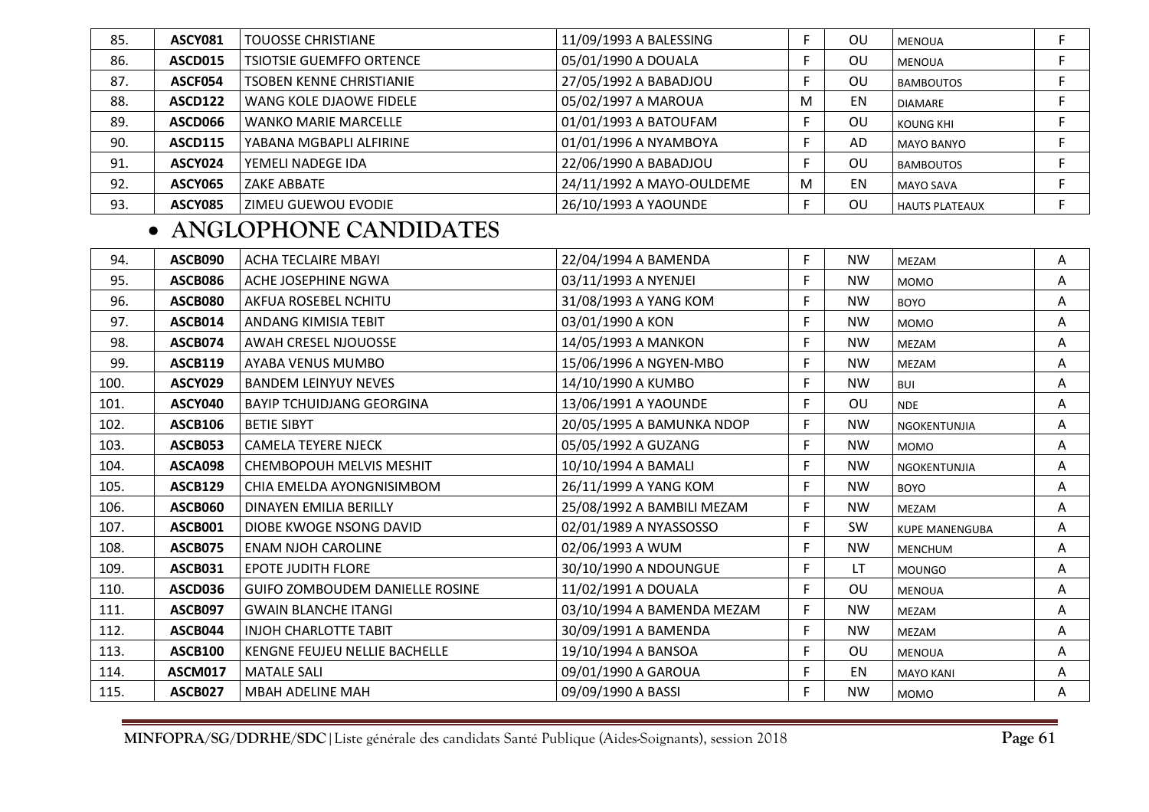| 85. | ASCY081        | <b>TOUOSSE CHRISTIANE</b>       | 11/09/1993 A BALESSING    |   | OU | MENOUA                |  |
|-----|----------------|---------------------------------|---------------------------|---|----|-----------------------|--|
| 86. | ASCD015        | <b>TSIOTSIE GUEMFFO ORTENCE</b> | 05/01/1990 A DOUALA       |   | OU | <b>MENOUA</b>         |  |
| 87. | ASCF054        | <b>TSOBEN KENNE CHRISTIANIE</b> | 27/05/1992 A BABADJOU     |   | OU | <b>BAMBOUTOS</b>      |  |
| 88. | ASCD122        | WANG KOLE DJAOWE FIDELE         | 05/02/1997 A MAROUA       | M | EN | <b>DIAMARE</b>        |  |
| 89. | ASCD066        | <b>WANKO MARIE MARCELLE</b>     | 01/01/1993 A BATOUFAM     |   | OU | KOUNG KHI             |  |
| 90. | <b>ASCD115</b> | YABANA MGBAPLI ALFIRINE         | 01/01/1996 A NYAMBOYA     |   | AD | <b>MAYO BANYO</b>     |  |
| 91. | ASCY024        | YEMELI NADEGE IDA               | 22/06/1990 A BABADJOU     |   | OU | <b>BAMBOUTOS</b>      |  |
| 92. | ASCY065        | ZAKE ABBATE                     | 24/11/1992 A MAYO-OULDEME | M | EN | <b>MAYO SAVA</b>      |  |
| 93. | <b>ASCY085</b> | ZIMEU GUEWOU EVODIE             | 26/10/1993 A YAOUNDE      |   | OU | <b>HAUTS PLATEAUX</b> |  |

## • **ANGLOPHONE CANDIDATES**

| 94.  | ASCB090        | <b>ACHA TECLAIRE MBAYI</b>             | 22/04/1994 A BAMENDA       | F | <b>NW</b> | <b>MEZAM</b>          | Α |
|------|----------------|----------------------------------------|----------------------------|---|-----------|-----------------------|---|
| 95.  | <b>ASCB086</b> | ACHE JOSEPHINE NGWA                    | 03/11/1993 A NYENJEI       | F | <b>NW</b> | <b>MOMO</b>           | Α |
| 96.  | <b>ASCB080</b> | AKFUA ROSEBEL NCHITU                   | 31/08/1993 A YANG KOM      | F | <b>NW</b> | <b>BOYO</b>           | Α |
| 97.  | ASCB014        | <b>ANDANG KIMISIA TEBIT</b>            | 03/01/1990 A KON           | F | <b>NW</b> | <b>MOMO</b>           | A |
| 98.  | ASCB074        | <b>AWAH CRESEL NJOUOSSE</b>            | 14/05/1993 A MANKON        | F | <b>NW</b> | MEZAM                 | A |
| 99.  | <b>ASCB119</b> | AYABA VENUS MUMBO                      | 15/06/1996 A NGYEN-MBO     | F | <b>NW</b> | <b>MEZAM</b>          | Α |
| 100. | <b>ASCY029</b> | <b>BANDEM LEINYUY NEVES</b>            | 14/10/1990 A KUMBO         | F | <b>NW</b> | <b>BUI</b>            | A |
| 101. | ASCY040        | <b>BAYIP TCHUIDJANG GEORGINA</b>       | 13/06/1991 A YAOUNDE       | F | OU        | <b>NDE</b>            | A |
| 102. | <b>ASCB106</b> | <b>BETIE SIBYT</b>                     | 20/05/1995 A BAMUNKA NDOP  | F | <b>NW</b> | NGOKENTUNJIA          | A |
| 103. | <b>ASCB053</b> | <b>CAMELA TEYERE NJECK</b>             | 05/05/1992 A GUZANG        | F | <b>NW</b> | <b>MOMO</b>           | A |
| 104. | ASCA098        | <b>CHEMBOPOUH MELVIS MESHIT</b>        | 10/10/1994 A BAMALI        | F | <b>NW</b> | NGOKENTUNJIA          | A |
| 105. | <b>ASCB129</b> | CHIA EMELDA AYONGNISIMBOM              | 26/11/1999 A YANG KOM      | F | <b>NW</b> | <b>BOYO</b>           | A |
| 106. | <b>ASCB060</b> | DINAYEN EMILIA BERILLY                 | 25/08/1992 A BAMBILI MEZAM | F | <b>NW</b> | <b>MEZAM</b>          | A |
| 107. | ASCB001        | DIOBE KWOGE NSONG DAVID                | 02/01/1989 A NYASSOSSO     | F | SW        | <b>KUPE MANENGUBA</b> | A |
| 108. | ASCB075        | <b>ENAM NJOH CAROLINE</b>              | 02/06/1993 A WUM           | F | <b>NW</b> | <b>MENCHUM</b>        | Α |
| 109. | <b>ASCB031</b> | <b>EPOTE JUDITH FLORE</b>              | 30/10/1990 A NDOUNGUE      | F | <b>LT</b> | <b>MOUNGO</b>         | A |
| 110. | <b>ASCD036</b> | <b>GUIFO ZOMBOUDEM DANIELLE ROSINE</b> | 11/02/1991 A DOUALA        | F | OU        | <b>MENOUA</b>         | A |
| 111. | <b>ASCB097</b> | <b>GWAIN BLANCHE ITANGI</b>            | 03/10/1994 A BAMENDA MEZAM | F | <b>NW</b> | <b>MEZAM</b>          | A |
| 112. | ASCB044        | <b>INJOH CHARLOTTE TABIT</b>           | 30/09/1991 A BAMENDA       | F | <b>NW</b> | MEZAM                 | A |
| 113. | <b>ASCB100</b> | KENGNE FEUJEU NELLIE BACHELLE          | 19/10/1994 A BANSOA        | F | OU.       | <b>MENOUA</b>         | A |
| 114. | <b>ASCM017</b> | <b>MATALE SALI</b>                     | 09/01/1990 A GAROUA        | F | EN        | <b>MAYO KANI</b>      | Α |
| 115. | <b>ASCB027</b> | <b>MBAH ADELINE MAH</b>                | 09/09/1990 A BASSI         | F | <b>NW</b> | <b>MOMO</b>           | A |